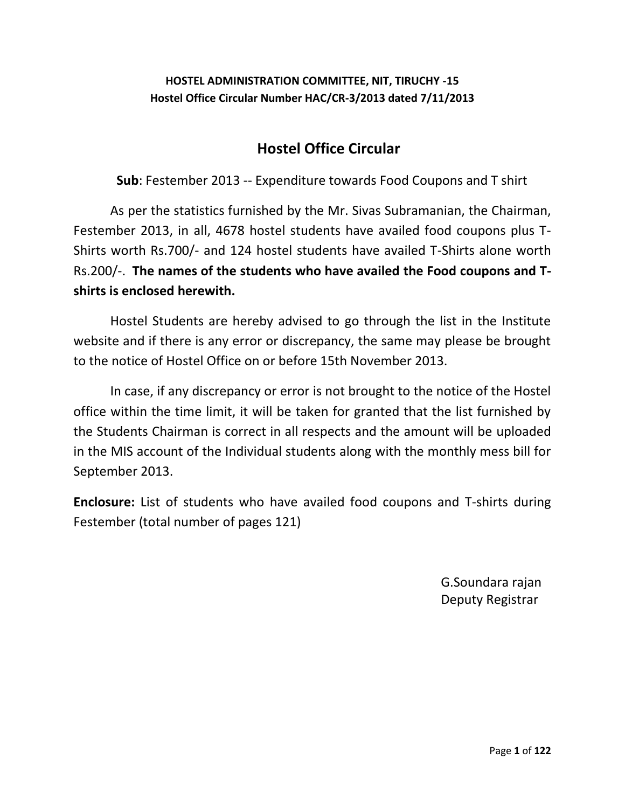## **HOSTEL ADMINISTRATION COMMITTEE, NIT, TIRUCHY -15 Hostel Office Circular Number HAC/CR-3/2013 dated 7/11/2013**

## **Hostel Office Circular**

**Sub**: Festember 2013 -- Expenditure towards Food Coupons and T shirt

As per the statistics furnished by the Mr. Sivas Subramanian, the Chairman, Festember 2013, in all, 4678 hostel students have availed food coupons plus T-Shirts worth Rs.700/- and 124 hostel students have availed T-Shirts alone worth Rs.200/-. **The names of the students who have availed the Food coupons and Tshirts is enclosed herewith.**

Hostel Students are hereby advised to go through the list in the Institute website and if there is any error or discrepancy, the same may please be brought to the notice of Hostel Office on or before 15th November 2013.

In case, if any discrepancy or error is not brought to the notice of the Hostel office within the time limit, it will be taken for granted that the list furnished by the Students Chairman is correct in all respects and the amount will be uploaded in the MIS account of the Individual students along with the monthly mess bill for September 2013.

**Enclosure:** List of students who have availed food coupons and T-shirts during Festember (total number of pages 121)

> G.Soundara rajan Deputy Registrar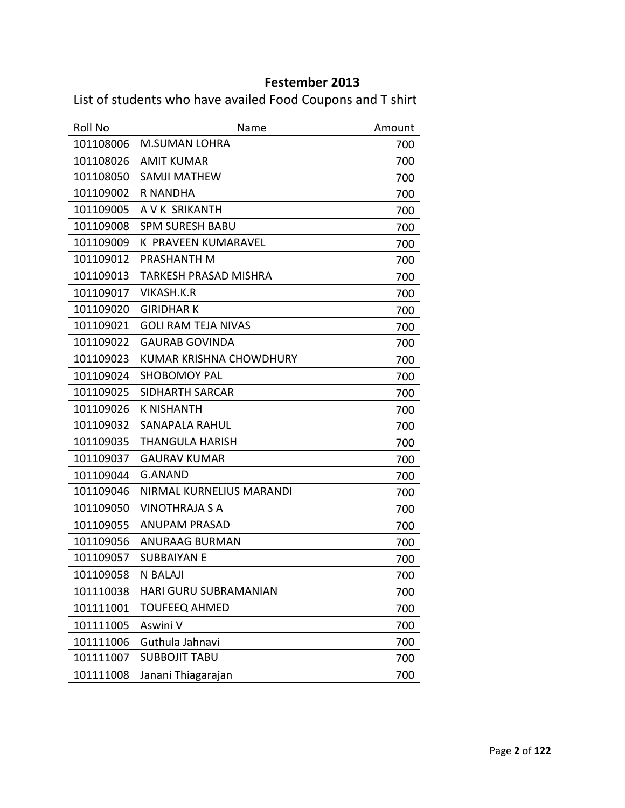## **Festember 2013**

List of students who have availed Food Coupons and T shirt

| Roll No   | Name                           | Amount |
|-----------|--------------------------------|--------|
| 101108006 | <b>M.SUMAN LOHRA</b>           | 700    |
| 101108026 | <b>AMIT KUMAR</b>              | 700    |
| 101108050 | SAMJI MATHEW                   | 700    |
| 101109002 | R NANDHA                       | 700    |
| 101109005 | A V K SRIKANTH                 | 700    |
| 101109008 | <b>SPM SURESH BABU</b>         | 700    |
| 101109009 | K PRAVEEN KUMARAVEL            | 700    |
| 101109012 | PRASHANTH M                    | 700    |
| 101109013 | TARKESH PRASAD MISHRA          | 700    |
| 101109017 | VIKASH.K.R                     | 700    |
| 101109020 | <b>GIRIDHAR K</b>              | 700    |
| 101109021 | <b>GOLI RAM TEJA NIVAS</b>     | 700    |
| 101109022 | <b>GAURAB GOVINDA</b>          | 700    |
| 101109023 | <b>KUMAR KRISHNA CHOWDHURY</b> | 700    |
| 101109024 | <b>SHOBOMOY PAL</b>            | 700    |
| 101109025 | <b>SIDHARTH SARCAR</b>         | 700    |
| 101109026 | <b>K NISHANTH</b>              | 700    |
| 101109032 | <b>SANAPALA RAHUL</b>          | 700    |
| 101109035 | THANGULA HARISH                | 700    |
| 101109037 | <b>GAURAV KUMAR</b>            | 700    |
| 101109044 | G.ANAND                        | 700    |
| 101109046 | NIRMAL KURNELIUS MARANDI       | 700    |
| 101109050 | VINOTHRAJA S A                 | 700    |
| 101109055 | <b>ANUPAM PRASAD</b>           | 700    |
| 101109056 | <b>ANURAAG BURMAN</b>          | 700    |
| 101109057 | SUBBAIYAN E                    | 700    |
| 101109058 | <b>N BALAJI</b>                | 700    |
| 101110038 | HARI GURU SUBRAMANIAN          | 700    |
| 101111001 | <b>TOUFEEQ AHMED</b>           | 700    |
| 101111005 | Aswini V                       | 700    |
| 101111006 | Guthula Jahnavi                | 700    |
| 101111007 | <b>SUBBOJIT TABU</b>           | 700    |
| 101111008 | Janani Thiagarajan             | 700    |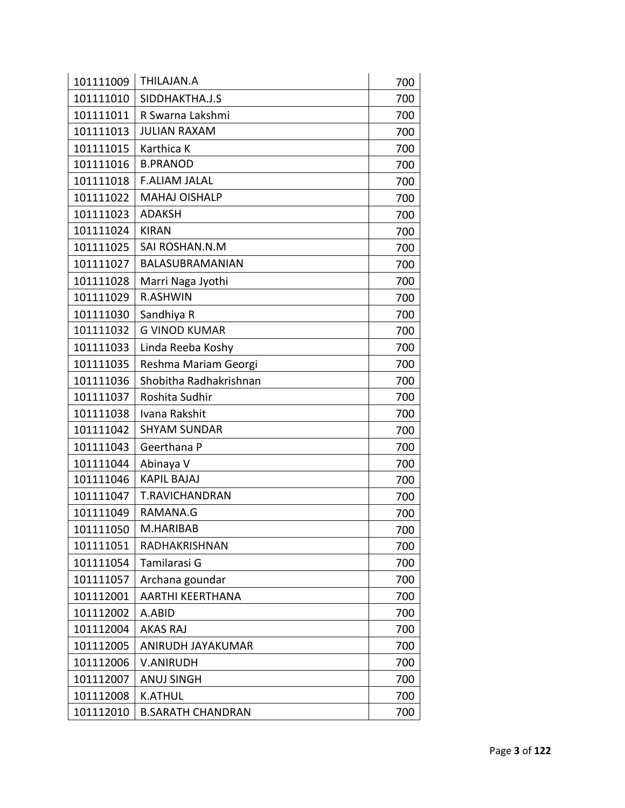| 101111009 | THILAJAN.A               | 700 |
|-----------|--------------------------|-----|
| 101111010 | SIDDHAKTHA.J.S           | 700 |
| 101111011 | R Swarna Lakshmi         | 700 |
| 101111013 | <b>JULIAN RAXAM</b>      | 700 |
| 101111015 | Karthica K               | 700 |
| 101111016 | <b>B.PRANOD</b>          | 700 |
| 101111018 | <b>F.ALIAM JALAL</b>     | 700 |
| 101111022 | <b>MAHAJ OISHALP</b>     | 700 |
| 101111023 | <b>ADAKSH</b>            | 700 |
| 101111024 | <b>KIRAN</b>             | 700 |
| 101111025 | SAI ROSHAN.N.M           | 700 |
| 101111027 | BALASUBRAMANIAN          | 700 |
| 101111028 | Marri Naga Jyothi        | 700 |
| 101111029 | R.ASHWIN                 | 700 |
| 101111030 | Sandhiya R               | 700 |
| 101111032 | <b>G VINOD KUMAR</b>     | 700 |
| 101111033 | Linda Reeba Koshy        | 700 |
| 101111035 | Reshma Mariam Georgi     | 700 |
| 101111036 | Shobitha Radhakrishnan   | 700 |
| 101111037 | Roshita Sudhir           | 700 |
| 101111038 | Ivana Rakshit            | 700 |
| 101111042 | <b>SHYAM SUNDAR</b>      | 700 |
| 101111043 | Geerthana P              | 700 |
| 101111044 | Abinaya V                | 700 |
| 101111046 | <b>KAPIL BAJAJ</b>       | 700 |
| 101111047 | <b>T.RAVICHANDRAN</b>    | 700 |
| 101111049 | RAMANA.G                 | 700 |
| 101111050 | M.HARIBAB                | 700 |
| 101111051 | RADHAKRISHNAN            | 700 |
| 101111054 | Tamilarasi G             | 700 |
| 101111057 | Archana goundar          | 700 |
| 101112001 | <b>AARTHI KEERTHANA</b>  | 700 |
| 101112002 | A.ABID                   | 700 |
| 101112004 | <b>AKAS RAJ</b>          | 700 |
| 101112005 | ANIRUDH JAYAKUMAR        | 700 |
| 101112006 | <b>V.ANIRUDH</b>         | 700 |
| 101112007 | <b>ANUJ SINGH</b>        | 700 |
| 101112008 | <b>K.ATHUL</b>           | 700 |
| 101112010 | <b>B.SARATH CHANDRAN</b> | 700 |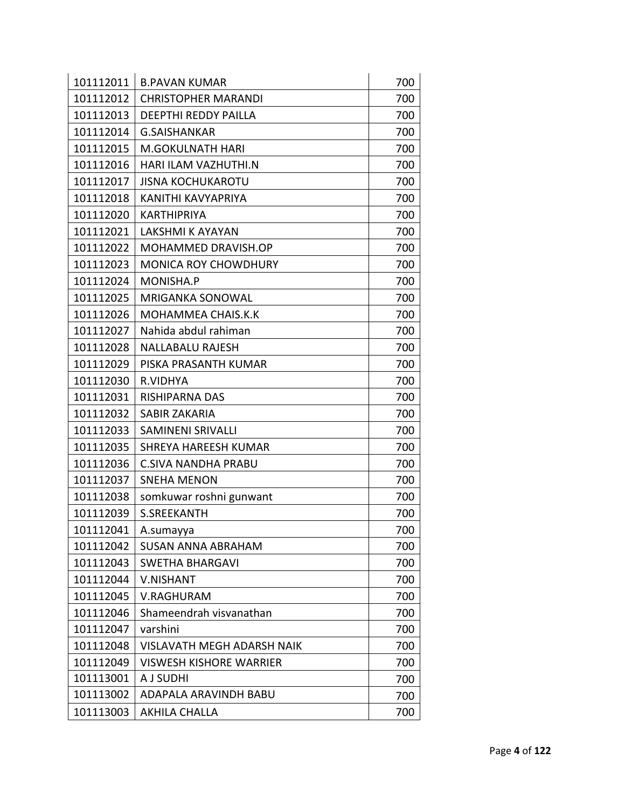| 101112011 | <b>B.PAVAN KUMAR</b>              | 700 |
|-----------|-----------------------------------|-----|
| 101112012 | <b>CHRISTOPHER MARANDI</b>        | 700 |
| 101112013 | <b>DEEPTHI REDDY PAILLA</b>       | 700 |
| 101112014 | <b>G.SAISHANKAR</b>               | 700 |
| 101112015 | <b>M.GOKULNATH HARI</b>           | 700 |
| 101112016 | HARI ILAM VAZHUTHI.N              | 700 |
| 101112017 | <b>JISNA KOCHUKAROTU</b>          | 700 |
| 101112018 | KANITHI KAVYAPRIYA                | 700 |
| 101112020 | <b>KARTHIPRIYA</b>                | 700 |
| 101112021 | <b>LAKSHMI K AYAYAN</b>           | 700 |
| 101112022 | MOHAMMED DRAVISH.OP               | 700 |
| 101112023 | <b>MONICA ROY CHOWDHURY</b>       | 700 |
| 101112024 | MONISHA.P                         | 700 |
| 101112025 | <b>MRIGANKA SONOWAL</b>           | 700 |
| 101112026 | MOHAMMEA CHAIS.K.K                | 700 |
| 101112027 | Nahida abdul rahiman              | 700 |
| 101112028 | <b>NALLABALU RAJESH</b>           | 700 |
| 101112029 | PISKA PRASANTH KUMAR              | 700 |
| 101112030 | R.VIDHYA                          | 700 |
| 101112031 | RISHIPARNA DAS                    | 700 |
| 101112032 | <b>SABIR ZAKARIA</b>              | 700 |
| 101112033 | <b>SAMINENI SRIVALLI</b>          | 700 |
| 101112035 | <b>SHREYA HAREESH KUMAR</b>       | 700 |
| 101112036 | <b>C.SIVA NANDHA PRABU</b>        | 700 |
| 101112037 | <b>SNEHA MENON</b>                | 700 |
| 101112038 | somkuwar roshni gunwant           | 700 |
| 101112039 | <b>S.SREEKANTH</b>                | 700 |
| 101112041 | A.sumayya                         | 700 |
| 101112042 | <b>SUSAN ANNA ABRAHAM</b>         | 700 |
| 101112043 | SWETHA BHARGAVI                   | 700 |
| 101112044 | <b>V.NISHANT</b>                  | 700 |
| 101112045 | <b>V.RAGHURAM</b>                 | 700 |
| 101112046 | Shameendrah visvanathan           | 700 |
| 101112047 | varshini                          | 700 |
| 101112048 | <b>VISLAVATH MEGH ADARSH NAIK</b> | 700 |
| 101112049 | <b>VISWESH KISHORE WARRIER</b>    | 700 |
| 101113001 | A J SUDHI                         | 700 |
| 101113002 | ADAPALA ARAVINDH BABU             | 700 |
| 101113003 | AKHILA CHALLA                     | 700 |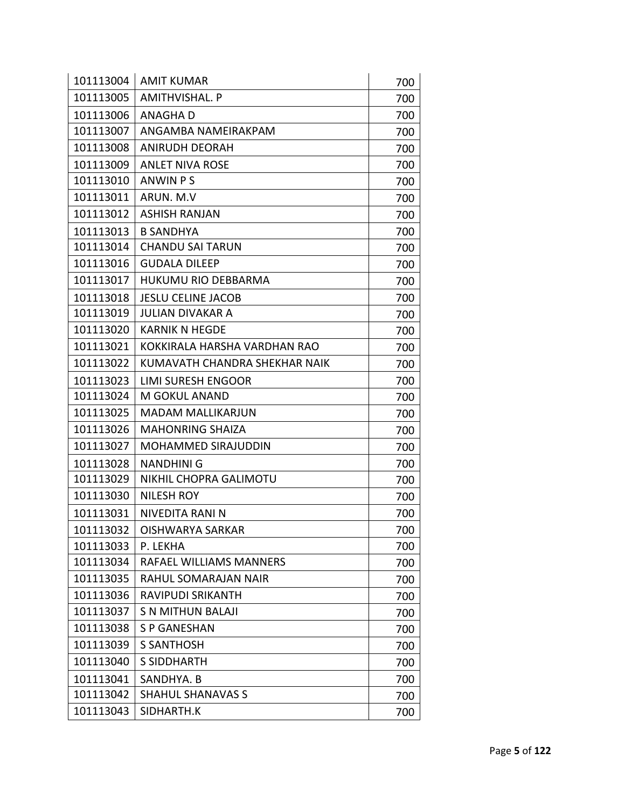| 101113004 | <b>AMIT KUMAR</b>             | 700 |
|-----------|-------------------------------|-----|
| 101113005 | <b>AMITHVISHAL, P</b>         | 700 |
| 101113006 | <b>ANAGHAD</b>                | 700 |
| 101113007 | ANGAMBA NAMEIRAKPAM           | 700 |
| 101113008 | <b>ANIRUDH DEORAH</b>         | 700 |
| 101113009 | <b>ANLET NIVA ROSE</b>        | 700 |
| 101113010 | <b>ANWIN PS</b>               | 700 |
| 101113011 | ARUN. M.V                     | 700 |
| 101113012 | <b>ASHISH RANJAN</b>          | 700 |
| 101113013 | <b>B SANDHYA</b>              | 700 |
| 101113014 | <b>CHANDU SAI TARUN</b>       | 700 |
| 101113016 | <b>GUDALA DILEEP</b>          | 700 |
| 101113017 | HUKUMU RIO DEBBARMA           | 700 |
| 101113018 | <b>JESLU CELINE JACOB</b>     | 700 |
| 101113019 | <b>JULIAN DIVAKAR A</b>       | 700 |
| 101113020 | <b>KARNIK N HEGDE</b>         | 700 |
| 101113021 | KOKKIRALA HARSHA VARDHAN RAO  | 700 |
| 101113022 | KUMAVATH CHANDRA SHEKHAR NAIK | 700 |
| 101113023 | <b>LIMI SURESH ENGOOR</b>     | 700 |
| 101113024 | M GOKUL ANAND                 | 700 |
| 101113025 | <b>MADAM MALLIKARJUN</b>      | 700 |
| 101113026 | <b>MAHONRING SHAIZA</b>       | 700 |
| 101113027 | <b>MOHAMMED SIRAJUDDIN</b>    | 700 |
| 101113028 | <b>NANDHINI G</b>             | 700 |
| 101113029 | NIKHIL CHOPRA GALIMOTU        | 700 |
| 101113030 | <b>NILESH ROY</b>             | 700 |
| 101113031 | NIVEDITA RANI N               | 700 |
| 101113032 | <b>OISHWARYA SARKAR</b>       | 700 |
| 101113033 | P. LEKHA                      | 700 |
| 101113034 | RAFAEL WILLIAMS MANNERS       | 700 |
| 101113035 | RAHUL SOMARAJAN NAIR          | 700 |
| 101113036 | <b>RAVIPUDI SRIKANTH</b>      | 700 |
| 101113037 | <b>S N MITHUN BALAJI</b>      | 700 |
| 101113038 | <b>S P GANESHAN</b>           | 700 |
| 101113039 | <b>S SANTHOSH</b>             | 700 |
| 101113040 | <b>S SIDDHARTH</b>            | 700 |
| 101113041 | SANDHYA. B                    | 700 |
| 101113042 | <b>SHAHUL SHANAVAS S</b>      | 700 |
| 101113043 | SIDHARTH.K                    | 700 |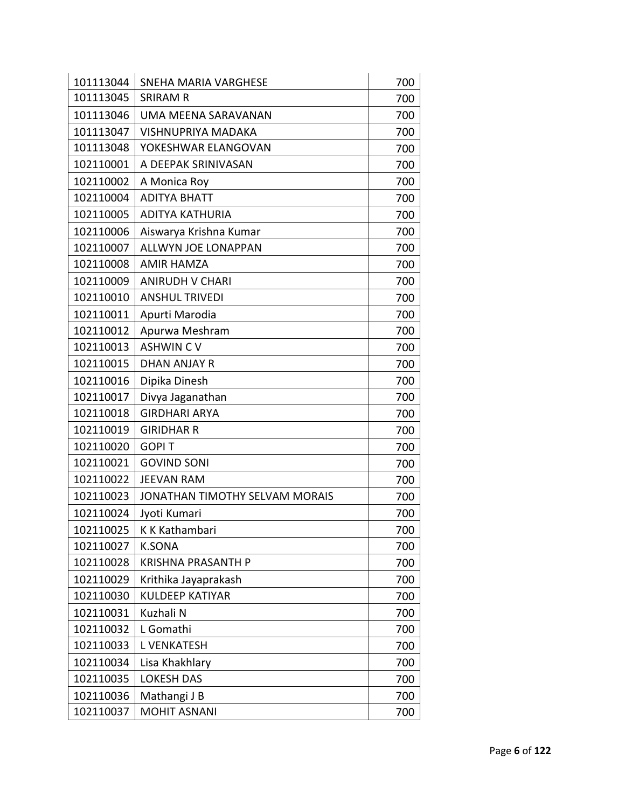| 101113044 | <b>SNEHA MARIA VARGHESE</b>    | 700 |
|-----------|--------------------------------|-----|
| 101113045 | <b>SRIRAM R</b>                | 700 |
| 101113046 | UMA MEENA SARAVANAN            | 700 |
| 101113047 | <b>VISHNUPRIYA MADAKA</b>      | 700 |
| 101113048 | YOKESHWAR ELANGOVAN            | 700 |
| 102110001 | A DEEPAK SRINIVASAN            | 700 |
| 102110002 | A Monica Roy                   | 700 |
| 102110004 | <b>ADITYA BHATT</b>            | 700 |
| 102110005 | <b>ADITYA KATHURIA</b>         | 700 |
| 102110006 | Aiswarya Krishna Kumar         | 700 |
| 102110007 | <b>ALLWYN JOE LONAPPAN</b>     | 700 |
| 102110008 | <b>AMIR HAMZA</b>              | 700 |
| 102110009 | <b>ANIRUDH V CHARI</b>         | 700 |
| 102110010 | <b>ANSHUL TRIVEDI</b>          | 700 |
| 102110011 | Apurti Marodia                 | 700 |
| 102110012 | Apurwa Meshram                 | 700 |
| 102110013 | <b>ASHWINCV</b>                | 700 |
| 102110015 | <b>DHAN ANJAY R</b>            | 700 |
| 102110016 | Dipika Dinesh                  | 700 |
| 102110017 | Divya Jaganathan               | 700 |
| 102110018 | <b>GIRDHARI ARYA</b>           | 700 |
| 102110019 | <b>GIRIDHAR R</b>              | 700 |
| 102110020 | <b>GOPIT</b>                   | 700 |
| 102110021 | <b>GOVIND SONI</b>             | 700 |
| 102110022 | <b>JEEVAN RAM</b>              | 700 |
| 102110023 | JONATHAN TIMOTHY SELVAM MORAIS | 700 |
| 102110024 | Jyoti Kumari                   | 700 |
| 102110025 | K K Kathambari                 | 700 |
| 102110027 | <b>K.SONA</b>                  | 700 |
| 102110028 | <b>KRISHNA PRASANTH P</b>      | 700 |
| 102110029 | Krithika Jayaprakash           | 700 |
| 102110030 | <b>KULDEEP KATIYAR</b>         | 700 |
| 102110031 | Kuzhali N                      | 700 |
| 102110032 | L Gomathi                      | 700 |
| 102110033 | <b>L VENKATESH</b>             | 700 |
| 102110034 | Lisa Khakhlary                 | 700 |
| 102110035 | <b>LOKESH DAS</b>              | 700 |
| 102110036 | Mathangi J B                   | 700 |
| 102110037 | <b>MOHIT ASNANI</b>            | 700 |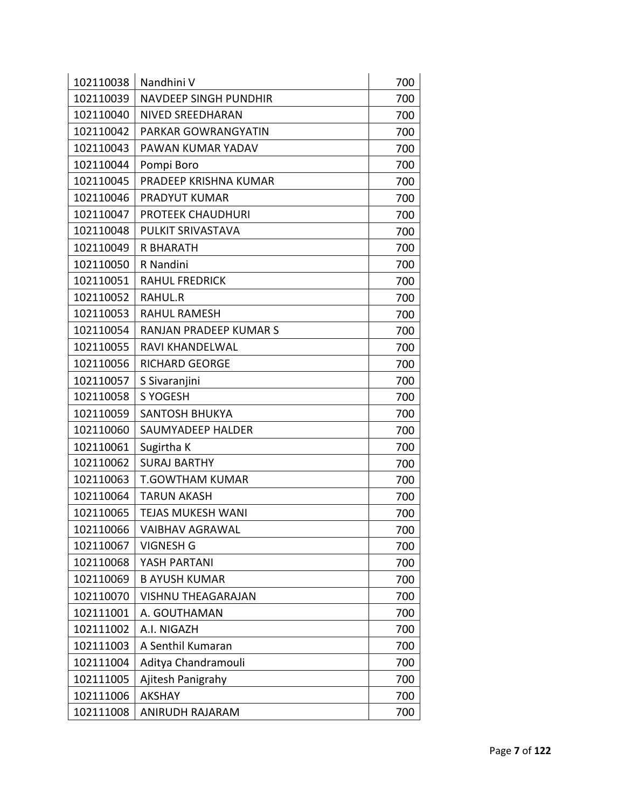| 102110038 | Nandhini V                   | 700 |
|-----------|------------------------------|-----|
| 102110039 | <b>NAVDEEP SINGH PUNDHIR</b> | 700 |
| 102110040 | <b>NIVED SREEDHARAN</b>      | 700 |
| 102110042 | PARKAR GOWRANGYATIN          | 700 |
| 102110043 | PAWAN KUMAR YADAV            | 700 |
| 102110044 | Pompi Boro                   | 700 |
| 102110045 | PRADEEP KRISHNA KUMAR        | 700 |
| 102110046 | PRADYUT KUMAR                | 700 |
| 102110047 | PROTEEK CHAUDHURI            | 700 |
| 102110048 | PULKIT SRIVASTAVA            | 700 |
| 102110049 | <b>R BHARATH</b>             | 700 |
| 102110050 | R Nandini                    | 700 |
| 102110051 | <b>RAHUL FREDRICK</b>        | 700 |
| 102110052 | RAHUL.R                      | 700 |
| 102110053 | <b>RAHUL RAMESH</b>          | 700 |
| 102110054 | RANJAN PRADEEP KUMAR S       | 700 |
| 102110055 | <b>RAVI KHANDELWAL</b>       | 700 |
| 102110056 | <b>RICHARD GEORGE</b>        | 700 |
| 102110057 | S Sivaranjini                | 700 |
| 102110058 | S YOGESH                     | 700 |
| 102110059 | <b>SANTOSH BHUKYA</b>        | 700 |
| 102110060 | SAUMYADEEP HALDER            | 700 |
| 102110061 | Sugirtha K                   | 700 |
| 102110062 | <b>SURAJ BARTHY</b>          | 700 |
| 102110063 | <b>T.GOWTHAM KUMAR</b>       | 700 |
| 102110064 | <b>TARUN AKASH</b>           | 700 |
| 102110065 | <b>TEJAS MUKESH WANI</b>     | 700 |
| 102110066 | <b>VAIBHAV AGRAWAL</b>       | 700 |
| 102110067 | <b>VIGNESH G</b>             | 700 |
| 102110068 | YASH PARTANI                 | 700 |
| 102110069 | <b>B AYUSH KUMAR</b>         | 700 |
| 102110070 | <b>VISHNU THEAGARAJAN</b>    | 700 |
| 102111001 | A. GOUTHAMAN                 | 700 |
| 102111002 | A.I. NIGAZH                  | 700 |
| 102111003 | A Senthil Kumaran            | 700 |
| 102111004 | Aditya Chandramouli          | 700 |
| 102111005 | Ajitesh Panigrahy            | 700 |
| 102111006 | <b>AKSHAY</b>                | 700 |
| 102111008 | ANIRUDH RAJARAM              | 700 |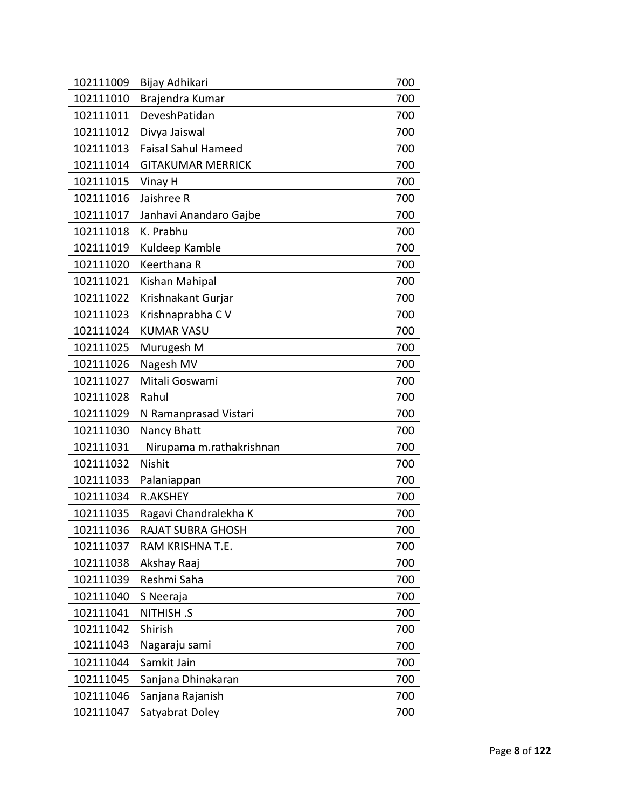| 102111009 | Bijay Adhikari             | 700 |
|-----------|----------------------------|-----|
| 102111010 | Brajendra Kumar            | 700 |
| 102111011 | DeveshPatidan              | 700 |
| 102111012 | Divya Jaiswal              | 700 |
| 102111013 | <b>Faisal Sahul Hameed</b> | 700 |
| 102111014 | <b>GITAKUMAR MERRICK</b>   | 700 |
| 102111015 | Vinay H                    | 700 |
| 102111016 | Jaishree R                 | 700 |
| 102111017 | Janhavi Anandaro Gajbe     | 700 |
| 102111018 | K. Prabhu                  | 700 |
| 102111019 | Kuldeep Kamble             | 700 |
| 102111020 | Keerthana R                | 700 |
| 102111021 | Kishan Mahipal             | 700 |
| 102111022 | Krishnakant Gurjar         | 700 |
| 102111023 | Krishnaprabha CV           | 700 |
| 102111024 | <b>KUMAR VASU</b>          | 700 |
| 102111025 | Murugesh M                 | 700 |
| 102111026 | Nagesh MV                  | 700 |
| 102111027 | Mitali Goswami             | 700 |
| 102111028 | Rahul                      | 700 |
| 102111029 | N Ramanprasad Vistari      | 700 |
| 102111030 | Nancy Bhatt                | 700 |
| 102111031 | Nirupama m.rathakrishnan   | 700 |
| 102111032 | Nishit                     | 700 |
| 102111033 | Palaniappan                | 700 |
| 102111034 | <b>R.AKSHEY</b>            | 700 |
| 102111035 | Ragavi Chandralekha K      | 700 |
| 102111036 | RAJAT SUBRA GHOSH          | 700 |
| 102111037 | RAM KRISHNA T.E.           | 700 |
| 102111038 | Akshay Raaj                | 700 |
| 102111039 | Reshmi Saha                | 700 |
| 102111040 | S Neeraja                  | 700 |
| 102111041 | <b>NITHISH.S</b>           | 700 |
| 102111042 | Shirish                    | 700 |
| 102111043 | Nagaraju sami              | 700 |
| 102111044 | Samkit Jain                | 700 |
| 102111045 | Sanjana Dhinakaran         | 700 |
| 102111046 | Sanjana Rajanish           | 700 |
| 102111047 | Satyabrat Doley            | 700 |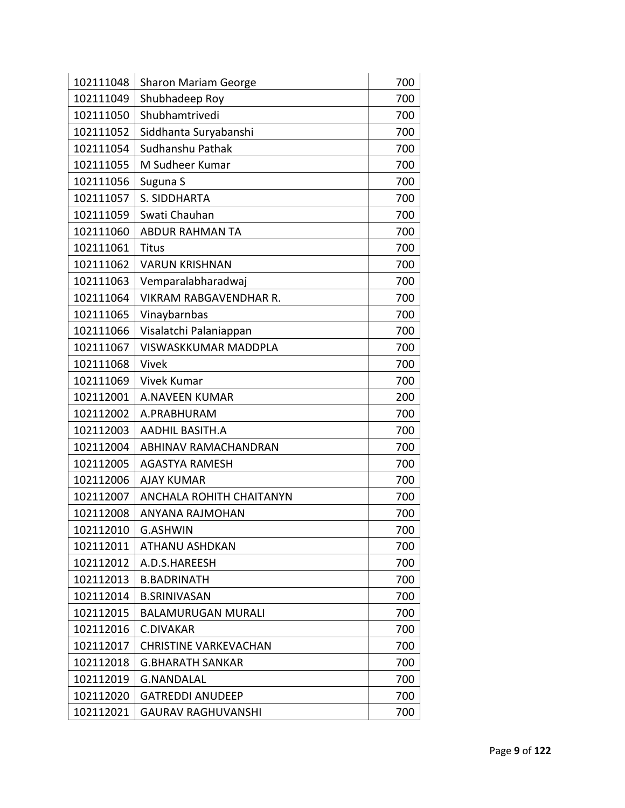| 102111048 | <b>Sharon Mariam George</b>   | 700 |
|-----------|-------------------------------|-----|
| 102111049 | Shubhadeep Roy                | 700 |
| 102111050 | Shubhamtrivedi                | 700 |
| 102111052 | Siddhanta Suryabanshi         | 700 |
| 102111054 | Sudhanshu Pathak              | 700 |
| 102111055 | M Sudheer Kumar               | 700 |
| 102111056 | Suguna S                      | 700 |
| 102111057 | S. SIDDHARTA                  | 700 |
| 102111059 | Swati Chauhan                 | 700 |
| 102111060 | <b>ABDUR RAHMAN TA</b>        | 700 |
| 102111061 | <b>Titus</b>                  | 700 |
| 102111062 | <b>VARUN KRISHNAN</b>         | 700 |
| 102111063 | Vemparalabharadwaj            | 700 |
| 102111064 | <b>VIKRAM RABGAVENDHAR R.</b> | 700 |
| 102111065 | Vinaybarnbas                  | 700 |
| 102111066 | Visalatchi Palaniappan        | 700 |
| 102111067 | <b>VISWASKKUMAR MADDPLA</b>   | 700 |
| 102111068 | Vivek                         | 700 |
| 102111069 | Vivek Kumar                   | 700 |
| 102112001 | <b>A.NAVEEN KUMAR</b>         | 200 |
| 102112002 | A.PRABHURAM                   | 700 |
| 102112003 | <b>AADHIL BASITH.A</b>        | 700 |
| 102112004 | ABHINAV RAMACHANDRAN          | 700 |
| 102112005 | <b>AGASTYA RAMESH</b>         | 700 |
| 102112006 | <b>AJAY KUMAR</b>             | 700 |
| 102112007 | ANCHALA ROHITH CHAITANYN      | 700 |
| 102112008 | ANYANA RAJMOHAN               | 700 |
| 102112010 | G.ASHWIN                      | 700 |
| 102112011 | ATHANU ASHDKAN                | 700 |
| 102112012 | A.D.S.HAREESH                 | 700 |
| 102112013 | <b>B.BADRINATH</b>            | 700 |
| 102112014 | <b>B.SRINIVASAN</b>           | 700 |
| 102112015 | <b>BALAMURUGAN MURALI</b>     | 700 |
| 102112016 | C.DIVAKAR                     | 700 |
| 102112017 | <b>CHRISTINE VARKEVACHAN</b>  | 700 |
| 102112018 | <b>G.BHARATH SANKAR</b>       | 700 |
| 102112019 | <b>G.NANDALAL</b>             | 700 |
| 102112020 | <b>GATREDDI ANUDEEP</b>       | 700 |
| 102112021 | <b>GAURAV RAGHUVANSHI</b>     | 700 |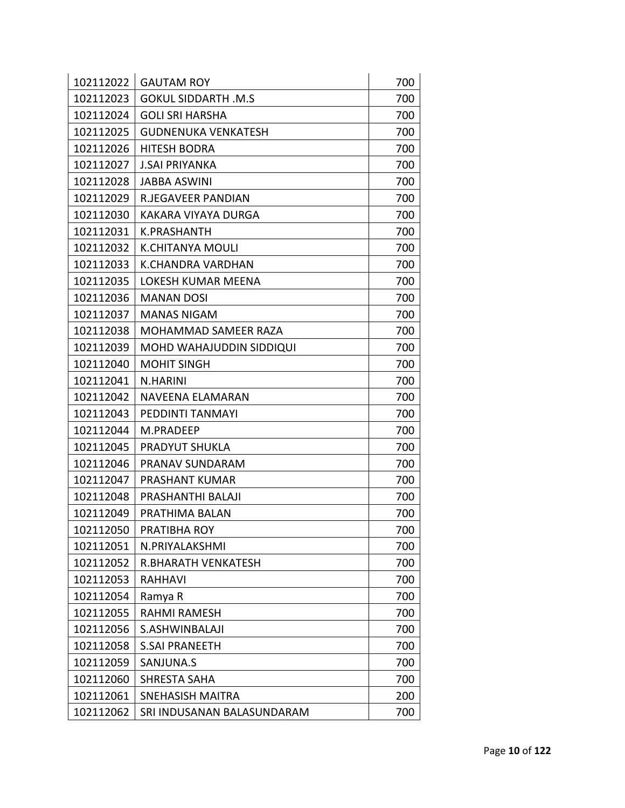| 102112022 | <b>GAUTAM ROY</b>          | 700 |
|-----------|----------------------------|-----|
| 102112023 | <b>GOKUL SIDDARTH .M.S</b> | 700 |
| 102112024 | <b>GOLI SRI HARSHA</b>     | 700 |
| 102112025 | <b>GUDNENUKA VENKATESH</b> | 700 |
| 102112026 | <b>HITESH BODRA</b>        | 700 |
| 102112027 | <b>J.SAI PRIYANKA</b>      | 700 |
| 102112028 | <b>JABBA ASWINI</b>        | 700 |
| 102112029 | <b>R.JEGAVEER PANDIAN</b>  | 700 |
| 102112030 | KAKARA VIYAYA DURGA        | 700 |
| 102112031 | K.PRASHANTH                | 700 |
| 102112032 | <b>K.CHITANYA MOULI</b>    | 700 |
| 102112033 | <b>K.CHANDRA VARDHAN</b>   | 700 |
| 102112035 | LOKESH KUMAR MEENA         | 700 |
| 102112036 | <b>MANAN DOSI</b>          | 700 |
| 102112037 | <b>MANAS NIGAM</b>         | 700 |
| 102112038 | MOHAMMAD SAMEER RAZA       | 700 |
| 102112039 | MOHD WAHAJUDDIN SIDDIQUI   | 700 |
| 102112040 | <b>MOHIT SINGH</b>         | 700 |
| 102112041 | N.HARINI                   | 700 |
| 102112042 | NAVEENA ELAMARAN           | 700 |
| 102112043 | PEDDINTI TANMAYI           | 700 |
| 102112044 | M.PRADEEP                  | 700 |
| 102112045 | PRADYUT SHUKLA             | 700 |
| 102112046 | PRANAV SUNDARAM            | 700 |
| 102112047 | PRASHANT KUMAR             | 700 |
| 102112048 | PRASHANTHI BALAJI          | 700 |
| 102112049 | PRATHIMA BALAN             | 700 |
| 102112050 | PRATIBHA ROY               | 700 |
| 102112051 | N.PRIYALAKSHMI             | 700 |
| 102112052 | R.BHARATH VENKATESH        | 700 |
| 102112053 | <b>RAHHAVI</b>             | 700 |
| 102112054 | Ramya R                    | 700 |
| 102112055 | <b>RAHMI RAMESH</b>        | 700 |
| 102112056 | S.ASHWINBALAJI             | 700 |
| 102112058 | <b>S.SAI PRANEETH</b>      | 700 |
| 102112059 | SANJUNA.S                  | 700 |
| 102112060 | <b>SHRESTA SAHA</b>        | 700 |
| 102112061 | SNEHASISH MAITRA           | 200 |
| 102112062 | SRI INDUSANAN BALASUNDARAM | 700 |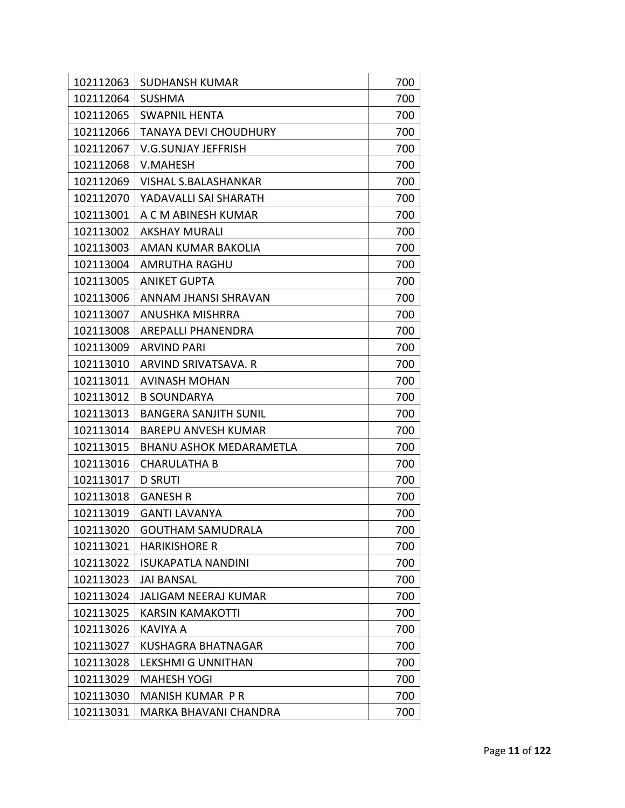| 102112063 | <b>SUDHANSH KUMAR</b>          | 700 |
|-----------|--------------------------------|-----|
| 102112064 | <b>SUSHMA</b>                  | 700 |
| 102112065 | <b>SWAPNIL HENTA</b>           | 700 |
| 102112066 | <b>TANAYA DEVI CHOUDHURY</b>   | 700 |
| 102112067 | V.G.SUNJAY JEFFRISH            | 700 |
| 102112068 | V.MAHESH                       | 700 |
| 102112069 | <b>VISHAL S.BALASHANKAR</b>    | 700 |
| 102112070 | YADAVALLI SAI SHARATH          | 700 |
| 102113001 | A C M ABINESH KUMAR            | 700 |
| 102113002 | <b>AKSHAY MURALI</b>           | 700 |
| 102113003 | AMAN KUMAR BAKOLIA             | 700 |
| 102113004 | AMRUTHA RAGHU                  | 700 |
| 102113005 | <b>ANIKET GUPTA</b>            | 700 |
| 102113006 | ANNAM JHANSI SHRAVAN           | 700 |
| 102113007 | ANUSHKA MISHRRA                | 700 |
| 102113008 | AREPALLI PHANENDRA             | 700 |
| 102113009 | <b>ARVIND PARI</b>             | 700 |
| 102113010 | ARVIND SRIVATSAVA. R           | 700 |
| 102113011 | <b>AVINASH MOHAN</b>           | 700 |
| 102113012 | <b>B SOUNDARYA</b>             | 700 |
| 102113013 | <b>BANGERA SANJITH SUNIL</b>   | 700 |
| 102113014 | <b>BAREPU ANVESH KUMAR</b>     | 700 |
| 102113015 | <b>BHANU ASHOK MEDARAMETLA</b> | 700 |
| 102113016 | <b>CHARULATHA B</b>            | 700 |
| 102113017 | <b>D SRUTI</b>                 | 700 |
| 102113018 | <b>GANESH R</b>                | 700 |
| 102113019 | <b>GANTI LAVANYA</b>           | 700 |
| 102113020 | <b>GOUTHAM SAMUDRALA</b>       | 700 |
| 102113021 | <b>HARIKISHORE R</b>           | 700 |
| 102113022 | <b>ISUKAPATLA NANDINI</b>      | 700 |
| 102113023 | <b>JAI BANSAL</b>              | 700 |
| 102113024 | <b>JALIGAM NEERAJ KUMAR</b>    | 700 |
| 102113025 | <b>KARSIN KAMAKOTTI</b>        | 700 |
| 102113026 | KAVIYA A                       | 700 |
| 102113027 | <b>KUSHAGRA BHATNAGAR</b>      | 700 |
| 102113028 | <b>LEKSHMI G UNNITHAN</b>      | 700 |
| 102113029 | <b>MAHESH YOGI</b>             | 700 |
| 102113030 | MANISH KUMAR PR                | 700 |
| 102113031 | <b>MARKA BHAVANI CHANDRA</b>   | 700 |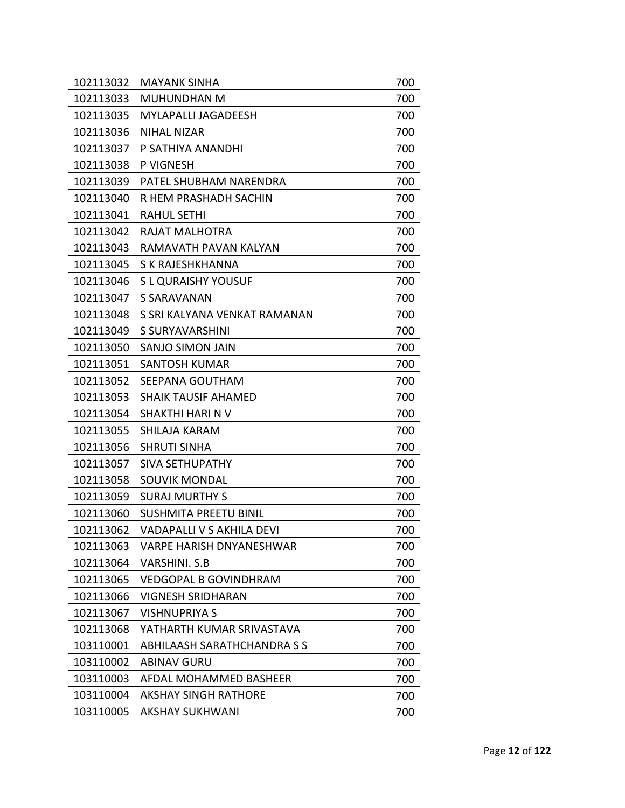| 102113032 | <b>MAYANK SINHA</b>                | 700 |
|-----------|------------------------------------|-----|
| 102113033 | <b>MUHUNDHAN M</b>                 | 700 |
| 102113035 | <b>MYLAPALLI JAGADEESH</b>         | 700 |
| 102113036 | <b>NIHAL NIZAR</b>                 | 700 |
| 102113037 | P SATHIYA ANANDHI                  | 700 |
| 102113038 | P VIGNESH                          | 700 |
| 102113039 | PATEL SHUBHAM NARENDRA             | 700 |
| 102113040 | R HEM PRASHADH SACHIN              | 700 |
| 102113041 | <b>RAHUL SETHI</b>                 | 700 |
| 102113042 | RAJAT MALHOTRA                     | 700 |
| 102113043 | RAMAVATH PAVAN KALYAN              | 700 |
| 102113045 | S K RAJESHKHANNA                   | 700 |
| 102113046 | S L QURAISHY YOUSUF                | 700 |
| 102113047 | <b>S SARAVANAN</b>                 | 700 |
| 102113048 | S SRI KALYANA VENKAT RAMANAN       | 700 |
| 102113049 | S SURYAVARSHINI                    | 700 |
| 102113050 | <b>SANJO SIMON JAIN</b>            | 700 |
| 102113051 | <b>SANTOSH KUMAR</b>               | 700 |
| 102113052 | SEEPANA GOUTHAM                    | 700 |
| 102113053 | <b>SHAIK TAUSIF AHAMED</b>         | 700 |
| 102113054 | SHAKTHI HARI N V                   | 700 |
| 102113055 | SHILAJA KARAM                      | 700 |
| 102113056 | <b>SHRUTI SINHA</b>                | 700 |
| 102113057 | <b>SIVA SETHUPATHY</b>             | 700 |
| 102113058 | <b>SOUVIK MONDAL</b>               | 700 |
| 102113059 | <b>SURAJ MURTHY S</b>              | 700 |
| 102113060 | <b>SUSHMITA PREETU BINIL</b>       | 700 |
| 102113062 | VADAPALLI V S AKHILA DEVI          | 700 |
| 102113063 | VARPE HARISH DNYANESHWAR           | 700 |
| 102113064 | <b>VARSHINI. S.B</b>               | 700 |
| 102113065 | <b>VEDGOPAL B GOVINDHRAM</b>       | 700 |
| 102113066 | <b>VIGNESH SRIDHARAN</b>           | 700 |
| 102113067 | <b>VISHNUPRIYA S</b>               | 700 |
| 102113068 | YATHARTH KUMAR SRIVASTAVA          | 700 |
| 103110001 | <b>ABHILAASH SARATHCHANDRA S S</b> | 700 |
| 103110002 | <b>ABINAV GURU</b>                 | 700 |
| 103110003 | AFDAL MOHAMMED BASHEER             | 700 |
| 103110004 | <b>AKSHAY SINGH RATHORE</b>        | 700 |
| 103110005 | <b>AKSHAY SUKHWANI</b>             | 700 |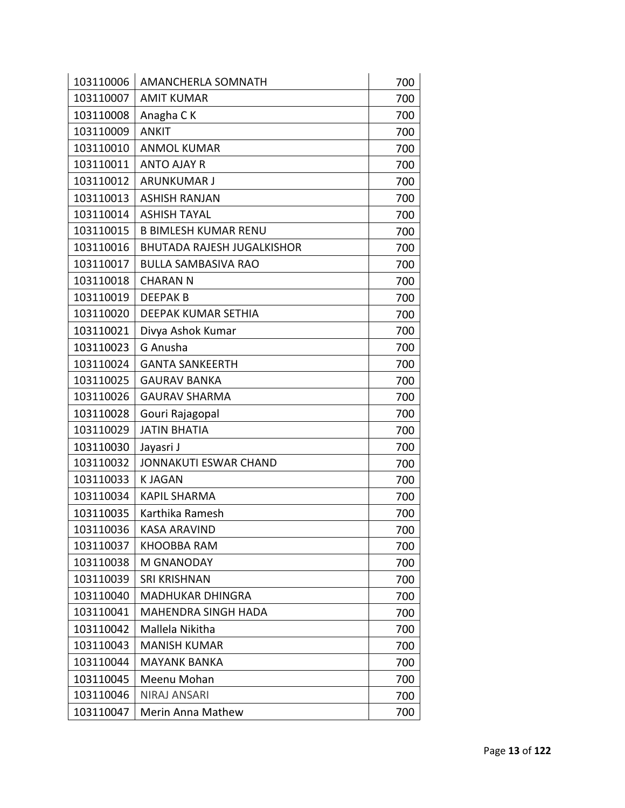| 103110006 | <b>AMANCHERLA SOMNATH</b>         | 700 |
|-----------|-----------------------------------|-----|
| 103110007 | <b>AMIT KUMAR</b>                 | 700 |
| 103110008 | Anagha CK                         | 700 |
| 103110009 | <b>ANKIT</b>                      | 700 |
| 103110010 | <b>ANMOL KUMAR</b>                | 700 |
| 103110011 | <b>ANTO AJAY R</b>                | 700 |
| 103110012 | <b>ARUNKUMAR J</b>                | 700 |
| 103110013 | <b>ASHISH RANJAN</b>              | 700 |
| 103110014 | <b>ASHISH TAYAL</b>               | 700 |
| 103110015 | <b>B BIMLESH KUMAR RENU</b>       | 700 |
| 103110016 | <b>BHUTADA RAJESH JUGALKISHOR</b> | 700 |
| 103110017 | BULLA SAMBASIVA RAO               | 700 |
| 103110018 | <b>CHARAN N</b>                   | 700 |
| 103110019 | <b>DEEPAKB</b>                    | 700 |
| 103110020 | DEEPAK KUMAR SETHIA               | 700 |
| 103110021 | Divya Ashok Kumar                 | 700 |
| 103110023 | G Anusha                          | 700 |
| 103110024 | <b>GANTA SANKEERTH</b>            | 700 |
| 103110025 | <b>GAURAV BANKA</b>               | 700 |
| 103110026 | <b>GAURAV SHARMA</b>              | 700 |
| 103110028 | Gouri Rajagopal                   | 700 |
| 103110029 | <b>JATIN BHATIA</b>               | 700 |
| 103110030 | Jayasri J                         | 700 |
| 103110032 | <b>JONNAKUTI ESWAR CHAND</b>      | 700 |
| 103110033 | <b>KJAGAN</b>                     | 700 |
| 103110034 | <b>KAPIL SHARMA</b>               | 700 |
| 103110035 | Karthika Ramesh                   | 700 |
| 103110036 | <b>KASA ARAVIND</b>               | 700 |
| 103110037 | KHOOBBA RAM                       | 700 |
| 103110038 | M GNANODAY                        | 700 |
| 103110039 | <b>SRI KRISHNAN</b>               | 700 |
| 103110040 | <b>MADHUKAR DHINGRA</b>           | 700 |
| 103110041 | <b>MAHENDRA SINGH HADA</b>        | 700 |
| 103110042 | Mallela Nikitha                   | 700 |
| 103110043 | <b>MANISH KUMAR</b>               | 700 |
| 103110044 | <b>MAYANK BANKA</b>               | 700 |
| 103110045 | Meenu Mohan                       | 700 |
| 103110046 | <b>NIRAJ ANSARI</b>               | 700 |
| 103110047 | Merin Anna Mathew                 | 700 |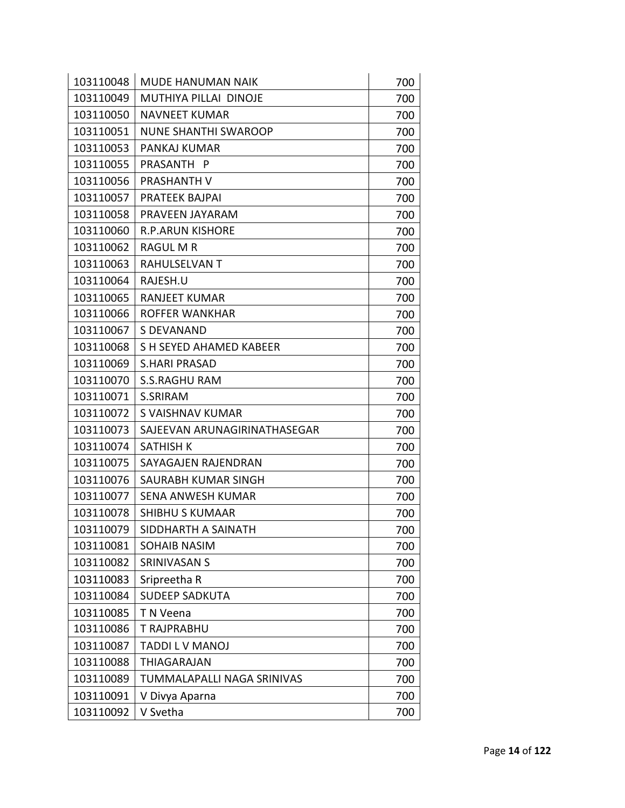| 103110048 | <b>MUDE HANUMAN NAIK</b>     | 700 |
|-----------|------------------------------|-----|
| 103110049 | MUTHIYA PILLAI DINOJE        | 700 |
| 103110050 | <b>NAVNEET KUMAR</b>         | 700 |
| 103110051 | <b>NUNE SHANTHI SWAROOP</b>  | 700 |
| 103110053 | PANKAJ KUMAR                 | 700 |
| 103110055 | PRASANTH P                   | 700 |
| 103110056 | PRASHANTH V                  | 700 |
| 103110057 | <b>PRATEEK BAJPAI</b>        | 700 |
| 103110058 | PRAVEEN JAYARAM              | 700 |
| 103110060 | <b>R.P.ARUN KISHORE</b>      | 700 |
| 103110062 | <b>RAGUL M R</b>             | 700 |
| 103110063 | RAHULSELVAN T                | 700 |
| 103110064 | RAJESH.U                     | 700 |
| 103110065 | <b>RANJEET KUMAR</b>         | 700 |
| 103110066 | ROFFER WANKHAR               | 700 |
| 103110067 | S DEVANAND                   | 700 |
| 103110068 | S H SEYED AHAMED KABEER      | 700 |
| 103110069 | <b>S.HARI PRASAD</b>         | 700 |
| 103110070 | <b>S.S.RAGHU RAM</b>         | 700 |
| 103110071 | S.SRIRAM                     | 700 |
| 103110072 | S VAISHNAV KUMAR             | 700 |
| 103110073 | SAJEEVAN ARUNAGIRINATHASEGAR | 700 |
| 103110074 | SATHISH K                    | 700 |
| 103110075 | SAYAGAJEN RAJENDRAN          | 700 |
| 103110076 | SAURABH KUMAR SINGH          | 700 |
| 103110077 | <b>SENA ANWESH KUMAR</b>     | 700 |
| 103110078 | <b>SHIBHU S KUMAAR</b>       | 700 |
| 103110079 | SIDDHARTH A SAINATH          | 700 |
| 103110081 | SOHAIB NASIM                 | 700 |
| 103110082 | SRINIVASAN S                 | 700 |
| 103110083 | Sripreetha R                 | 700 |
| 103110084 | <b>SUDEEP SADKUTA</b>        | 700 |
| 103110085 | T N Veena                    | 700 |
| 103110086 | T RAJPRABHU                  | 700 |
| 103110087 | TADDI L V MANOJ              | 700 |
| 103110088 | <b>THIAGARAJAN</b>           | 700 |
| 103110089 | TUMMALAPALLI NAGA SRINIVAS   | 700 |
| 103110091 | V Divya Aparna               | 700 |
| 103110092 | V Svetha                     | 700 |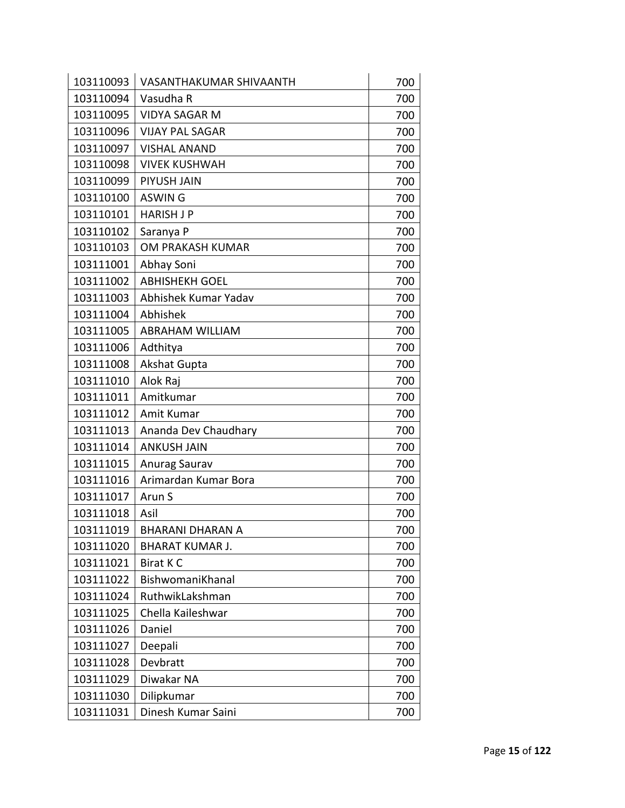| 103110093 | VASANTHAKUMAR SHIVAANTH | 700 |
|-----------|-------------------------|-----|
| 103110094 | Vasudha R               | 700 |
| 103110095 | <b>VIDYA SAGAR M</b>    | 700 |
| 103110096 | <b>VIJAY PAL SAGAR</b>  | 700 |
| 103110097 | <b>VISHAL ANAND</b>     | 700 |
| 103110098 | <b>VIVEK KUSHWAH</b>    | 700 |
| 103110099 | PIYUSH JAIN             | 700 |
| 103110100 | <b>ASWING</b>           | 700 |
| 103110101 | <b>HARISH J P</b>       | 700 |
| 103110102 | Saranya P               | 700 |
| 103110103 | OM PRAKASH KUMAR        | 700 |
| 103111001 | Abhay Soni              | 700 |
| 103111002 | <b>ABHISHEKH GOEL</b>   | 700 |
| 103111003 | Abhishek Kumar Yadav    | 700 |
| 103111004 | Abhishek                | 700 |
| 103111005 | <b>ABRAHAM WILLIAM</b>  | 700 |
| 103111006 | Adthitya                | 700 |
| 103111008 | <b>Akshat Gupta</b>     | 700 |
| 103111010 | Alok Raj                | 700 |
| 103111011 | Amitkumar               | 700 |
| 103111012 | Amit Kumar              | 700 |
| 103111013 | Ananda Dev Chaudhary    | 700 |
| 103111014 | <b>ANKUSH JAIN</b>      | 700 |
| 103111015 | Anurag Saurav           | 700 |
| 103111016 | Arimardan Kumar Bora    | 700 |
| 103111017 | Arun S                  | 700 |
| 103111018 | Asil                    | 700 |
| 103111019 | <b>BHARANI DHARAN A</b> | 700 |
| 103111020 | <b>BHARAT KUMAR J.</b>  | 700 |
| 103111021 | <b>Birat KC</b>         | 700 |
| 103111022 | BishwomaniKhanal        | 700 |
| 103111024 | RuthwikLakshman         | 700 |
| 103111025 | Chella Kaileshwar       | 700 |
| 103111026 | Daniel                  | 700 |
| 103111027 | Deepali                 | 700 |
| 103111028 | Devbratt                | 700 |
| 103111029 | Diwakar NA              | 700 |
| 103111030 | Dilipkumar              | 700 |
| 103111031 | Dinesh Kumar Saini      | 700 |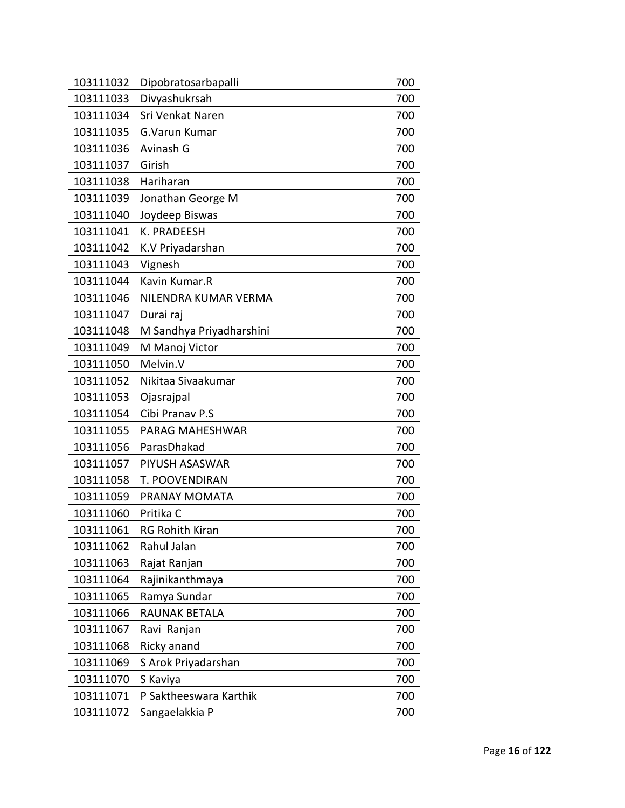| 103111032 | Dipobratosarbapalli      | 700 |
|-----------|--------------------------|-----|
| 103111033 | Divyashukrsah            | 700 |
| 103111034 | Sri Venkat Naren         | 700 |
| 103111035 | G.Varun Kumar            | 700 |
| 103111036 | Avinash G                | 700 |
| 103111037 | Girish                   | 700 |
| 103111038 | Hariharan                | 700 |
| 103111039 | Jonathan George M        | 700 |
| 103111040 | Joydeep Biswas           | 700 |
| 103111041 | K. PRADEESH              | 700 |
| 103111042 | K.V Priyadarshan         | 700 |
| 103111043 | Vignesh                  | 700 |
| 103111044 | Kavin Kumar.R            | 700 |
| 103111046 | NILENDRA KUMAR VERMA     | 700 |
| 103111047 | Durai raj                | 700 |
| 103111048 | M Sandhya Priyadharshini | 700 |
| 103111049 | M Manoj Victor           | 700 |
| 103111050 | Melvin.V                 | 700 |
| 103111052 | Nikitaa Sivaakumar       | 700 |
| 103111053 | Ojasrajpal               | 700 |
| 103111054 | Cibi Pranav P.S          | 700 |
| 103111055 | PARAG MAHESHWAR          | 700 |
| 103111056 | ParasDhakad              | 700 |
| 103111057 | PIYUSH ASASWAR           | 700 |
| 103111058 | T. POOVENDIRAN           | 700 |
| 103111059 | PRANAY MOMATA            | 700 |
| 103111060 | Pritika C                | 700 |
| 103111061 | <b>RG Rohith Kiran</b>   | 700 |
| 103111062 | Rahul Jalan              | 700 |
| 103111063 | Rajat Ranjan             | 700 |
| 103111064 | Rajinikanthmaya          | 700 |
| 103111065 | Ramya Sundar             | 700 |
| 103111066 | RAUNAK BETALA            | 700 |
| 103111067 | Ravi Ranjan              | 700 |
| 103111068 | Ricky anand              | 700 |
| 103111069 | S Arok Priyadarshan      | 700 |
| 103111070 | S Kaviya                 | 700 |
| 103111071 | P Saktheeswara Karthik   | 700 |
| 103111072 | Sangaelakkia P           | 700 |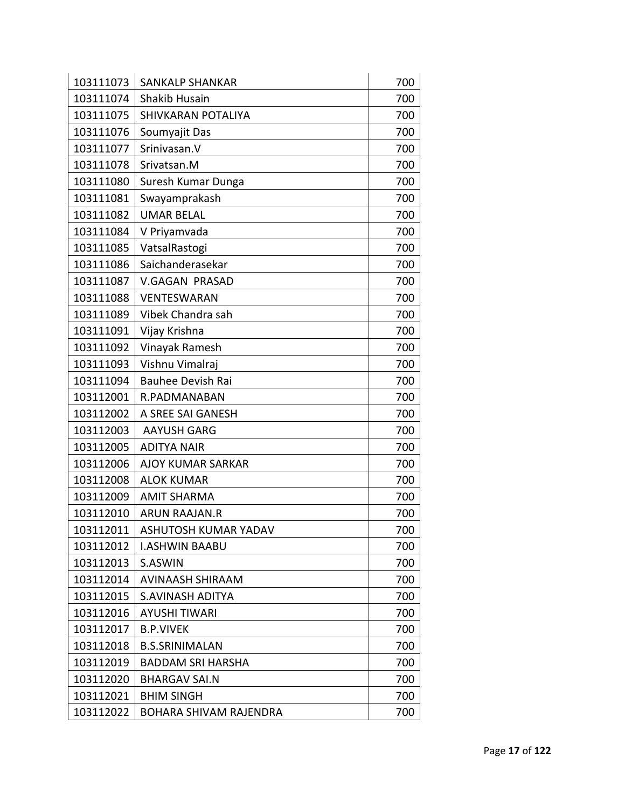| 103111074<br>Shakib Husain<br>700<br>103111075<br>SHIVKARAN POTALIYA<br>700<br>103111076<br>Soumyajit Das<br>700<br>Srinivasan.V<br>103111077<br>700<br>103111078<br>Srivatsan.M<br>700<br>103111080<br>Suresh Kumar Dunga<br>700<br>103111081<br>Swayamprakash<br>700<br>103111082<br><b>UMAR BELAL</b><br>700<br>103111084<br>700<br>V Priyamvada<br>103111085<br>VatsalRastogi<br>700<br>Saichanderasekar<br>103111086<br>700<br>103111087<br><b>V.GAGAN PRASAD</b><br>700<br>103111088<br>VENTESWARAN<br>700<br>103111089<br>Vibek Chandra sah<br>700<br>103111091<br>Vijay Krishna<br>700<br>Vinayak Ramesh<br>103111092<br>700<br>103111093<br>Vishnu Vimalraj<br>700<br>103111094<br><b>Bauhee Devish Rai</b><br>700<br>103112001<br>R.PADMANABAN<br>700<br>103112002<br>A SREE SAI GANESH<br>700<br>103112003<br><b>AAYUSH GARG</b><br>700<br>103112005<br><b>ADITYA NAIR</b><br>700<br>103112006<br><b>AJOY KUMAR SARKAR</b><br>700<br>103112008<br><b>ALOK KUMAR</b><br>700<br>103112009<br><b>AMIT SHARMA</b><br>700<br>103112010<br><b>ARUN RAAJAN.R</b><br>700<br>103112011<br>ASHUTOSH KUMAR YADAV<br>700<br>103112012<br><b>I.ASHWIN BAABU</b><br>700<br>S.ASWIN<br>700<br>103112013<br>700<br>103112014<br><b>AVINAASH SHIRAAM</b><br>103112015<br><b>S.AVINASH ADITYA</b><br>700<br>103112016<br><b>AYUSHI TIWARI</b><br>700<br>103112017<br><b>B.P.VIVEK</b><br>700<br>103112018<br><b>B.S.SRINIMALAN</b><br>700<br>103112019<br><b>BADDAM SRI HARSHA</b><br>700<br>103112020<br>700<br><b>BHARGAV SAI.N</b> |           |                        |     |
|--------------------------------------------------------------------------------------------------------------------------------------------------------------------------------------------------------------------------------------------------------------------------------------------------------------------------------------------------------------------------------------------------------------------------------------------------------------------------------------------------------------------------------------------------------------------------------------------------------------------------------------------------------------------------------------------------------------------------------------------------------------------------------------------------------------------------------------------------------------------------------------------------------------------------------------------------------------------------------------------------------------------------------------------------------------------------------------------------------------------------------------------------------------------------------------------------------------------------------------------------------------------------------------------------------------------------------------------------------------------------------------------------------------------------------------------------------------------------------------------------------------------------------|-----------|------------------------|-----|
|                                                                                                                                                                                                                                                                                                                                                                                                                                                                                                                                                                                                                                                                                                                                                                                                                                                                                                                                                                                                                                                                                                                                                                                                                                                                                                                                                                                                                                                                                                                                | 103111073 | <b>SANKALP SHANKAR</b> | 700 |
|                                                                                                                                                                                                                                                                                                                                                                                                                                                                                                                                                                                                                                                                                                                                                                                                                                                                                                                                                                                                                                                                                                                                                                                                                                                                                                                                                                                                                                                                                                                                |           |                        |     |
|                                                                                                                                                                                                                                                                                                                                                                                                                                                                                                                                                                                                                                                                                                                                                                                                                                                                                                                                                                                                                                                                                                                                                                                                                                                                                                                                                                                                                                                                                                                                |           |                        |     |
|                                                                                                                                                                                                                                                                                                                                                                                                                                                                                                                                                                                                                                                                                                                                                                                                                                                                                                                                                                                                                                                                                                                                                                                                                                                                                                                                                                                                                                                                                                                                |           |                        |     |
|                                                                                                                                                                                                                                                                                                                                                                                                                                                                                                                                                                                                                                                                                                                                                                                                                                                                                                                                                                                                                                                                                                                                                                                                                                                                                                                                                                                                                                                                                                                                |           |                        |     |
|                                                                                                                                                                                                                                                                                                                                                                                                                                                                                                                                                                                                                                                                                                                                                                                                                                                                                                                                                                                                                                                                                                                                                                                                                                                                                                                                                                                                                                                                                                                                |           |                        |     |
|                                                                                                                                                                                                                                                                                                                                                                                                                                                                                                                                                                                                                                                                                                                                                                                                                                                                                                                                                                                                                                                                                                                                                                                                                                                                                                                                                                                                                                                                                                                                |           |                        |     |
|                                                                                                                                                                                                                                                                                                                                                                                                                                                                                                                                                                                                                                                                                                                                                                                                                                                                                                                                                                                                                                                                                                                                                                                                                                                                                                                                                                                                                                                                                                                                |           |                        |     |
|                                                                                                                                                                                                                                                                                                                                                                                                                                                                                                                                                                                                                                                                                                                                                                                                                                                                                                                                                                                                                                                                                                                                                                                                                                                                                                                                                                                                                                                                                                                                |           |                        |     |
|                                                                                                                                                                                                                                                                                                                                                                                                                                                                                                                                                                                                                                                                                                                                                                                                                                                                                                                                                                                                                                                                                                                                                                                                                                                                                                                                                                                                                                                                                                                                |           |                        |     |
|                                                                                                                                                                                                                                                                                                                                                                                                                                                                                                                                                                                                                                                                                                                                                                                                                                                                                                                                                                                                                                                                                                                                                                                                                                                                                                                                                                                                                                                                                                                                |           |                        |     |
|                                                                                                                                                                                                                                                                                                                                                                                                                                                                                                                                                                                                                                                                                                                                                                                                                                                                                                                                                                                                                                                                                                                                                                                                                                                                                                                                                                                                                                                                                                                                |           |                        |     |
|                                                                                                                                                                                                                                                                                                                                                                                                                                                                                                                                                                                                                                                                                                                                                                                                                                                                                                                                                                                                                                                                                                                                                                                                                                                                                                                                                                                                                                                                                                                                |           |                        |     |
|                                                                                                                                                                                                                                                                                                                                                                                                                                                                                                                                                                                                                                                                                                                                                                                                                                                                                                                                                                                                                                                                                                                                                                                                                                                                                                                                                                                                                                                                                                                                |           |                        |     |
|                                                                                                                                                                                                                                                                                                                                                                                                                                                                                                                                                                                                                                                                                                                                                                                                                                                                                                                                                                                                                                                                                                                                                                                                                                                                                                                                                                                                                                                                                                                                |           |                        |     |
|                                                                                                                                                                                                                                                                                                                                                                                                                                                                                                                                                                                                                                                                                                                                                                                                                                                                                                                                                                                                                                                                                                                                                                                                                                                                                                                                                                                                                                                                                                                                |           |                        |     |
|                                                                                                                                                                                                                                                                                                                                                                                                                                                                                                                                                                                                                                                                                                                                                                                                                                                                                                                                                                                                                                                                                                                                                                                                                                                                                                                                                                                                                                                                                                                                |           |                        |     |
|                                                                                                                                                                                                                                                                                                                                                                                                                                                                                                                                                                                                                                                                                                                                                                                                                                                                                                                                                                                                                                                                                                                                                                                                                                                                                                                                                                                                                                                                                                                                |           |                        |     |
|                                                                                                                                                                                                                                                                                                                                                                                                                                                                                                                                                                                                                                                                                                                                                                                                                                                                                                                                                                                                                                                                                                                                                                                                                                                                                                                                                                                                                                                                                                                                |           |                        |     |
|                                                                                                                                                                                                                                                                                                                                                                                                                                                                                                                                                                                                                                                                                                                                                                                                                                                                                                                                                                                                                                                                                                                                                                                                                                                                                                                                                                                                                                                                                                                                |           |                        |     |
|                                                                                                                                                                                                                                                                                                                                                                                                                                                                                                                                                                                                                                                                                                                                                                                                                                                                                                                                                                                                                                                                                                                                                                                                                                                                                                                                                                                                                                                                                                                                |           |                        |     |
|                                                                                                                                                                                                                                                                                                                                                                                                                                                                                                                                                                                                                                                                                                                                                                                                                                                                                                                                                                                                                                                                                                                                                                                                                                                                                                                                                                                                                                                                                                                                |           |                        |     |
|                                                                                                                                                                                                                                                                                                                                                                                                                                                                                                                                                                                                                                                                                                                                                                                                                                                                                                                                                                                                                                                                                                                                                                                                                                                                                                                                                                                                                                                                                                                                |           |                        |     |
|                                                                                                                                                                                                                                                                                                                                                                                                                                                                                                                                                                                                                                                                                                                                                                                                                                                                                                                                                                                                                                                                                                                                                                                                                                                                                                                                                                                                                                                                                                                                |           |                        |     |
|                                                                                                                                                                                                                                                                                                                                                                                                                                                                                                                                                                                                                                                                                                                                                                                                                                                                                                                                                                                                                                                                                                                                                                                                                                                                                                                                                                                                                                                                                                                                |           |                        |     |
|                                                                                                                                                                                                                                                                                                                                                                                                                                                                                                                                                                                                                                                                                                                                                                                                                                                                                                                                                                                                                                                                                                                                                                                                                                                                                                                                                                                                                                                                                                                                |           |                        |     |
|                                                                                                                                                                                                                                                                                                                                                                                                                                                                                                                                                                                                                                                                                                                                                                                                                                                                                                                                                                                                                                                                                                                                                                                                                                                                                                                                                                                                                                                                                                                                |           |                        |     |
|                                                                                                                                                                                                                                                                                                                                                                                                                                                                                                                                                                                                                                                                                                                                                                                                                                                                                                                                                                                                                                                                                                                                                                                                                                                                                                                                                                                                                                                                                                                                |           |                        |     |
|                                                                                                                                                                                                                                                                                                                                                                                                                                                                                                                                                                                                                                                                                                                                                                                                                                                                                                                                                                                                                                                                                                                                                                                                                                                                                                                                                                                                                                                                                                                                |           |                        |     |
|                                                                                                                                                                                                                                                                                                                                                                                                                                                                                                                                                                                                                                                                                                                                                                                                                                                                                                                                                                                                                                                                                                                                                                                                                                                                                                                                                                                                                                                                                                                                |           |                        |     |
|                                                                                                                                                                                                                                                                                                                                                                                                                                                                                                                                                                                                                                                                                                                                                                                                                                                                                                                                                                                                                                                                                                                                                                                                                                                                                                                                                                                                                                                                                                                                |           |                        |     |
|                                                                                                                                                                                                                                                                                                                                                                                                                                                                                                                                                                                                                                                                                                                                                                                                                                                                                                                                                                                                                                                                                                                                                                                                                                                                                                                                                                                                                                                                                                                                |           |                        |     |
|                                                                                                                                                                                                                                                                                                                                                                                                                                                                                                                                                                                                                                                                                                                                                                                                                                                                                                                                                                                                                                                                                                                                                                                                                                                                                                                                                                                                                                                                                                                                |           |                        |     |
|                                                                                                                                                                                                                                                                                                                                                                                                                                                                                                                                                                                                                                                                                                                                                                                                                                                                                                                                                                                                                                                                                                                                                                                                                                                                                                                                                                                                                                                                                                                                |           |                        |     |
|                                                                                                                                                                                                                                                                                                                                                                                                                                                                                                                                                                                                                                                                                                                                                                                                                                                                                                                                                                                                                                                                                                                                                                                                                                                                                                                                                                                                                                                                                                                                |           |                        |     |
|                                                                                                                                                                                                                                                                                                                                                                                                                                                                                                                                                                                                                                                                                                                                                                                                                                                                                                                                                                                                                                                                                                                                                                                                                                                                                                                                                                                                                                                                                                                                |           |                        |     |
|                                                                                                                                                                                                                                                                                                                                                                                                                                                                                                                                                                                                                                                                                                                                                                                                                                                                                                                                                                                                                                                                                                                                                                                                                                                                                                                                                                                                                                                                                                                                |           |                        |     |
| 103112021<br><b>BHIM SINGH</b><br>700                                                                                                                                                                                                                                                                                                                                                                                                                                                                                                                                                                                                                                                                                                                                                                                                                                                                                                                                                                                                                                                                                                                                                                                                                                                                                                                                                                                                                                                                                          |           |                        |     |
| 103112022<br>700<br><b>BOHARA SHIVAM RAJENDRA</b>                                                                                                                                                                                                                                                                                                                                                                                                                                                                                                                                                                                                                                                                                                                                                                                                                                                                                                                                                                                                                                                                                                                                                                                                                                                                                                                                                                                                                                                                              |           |                        |     |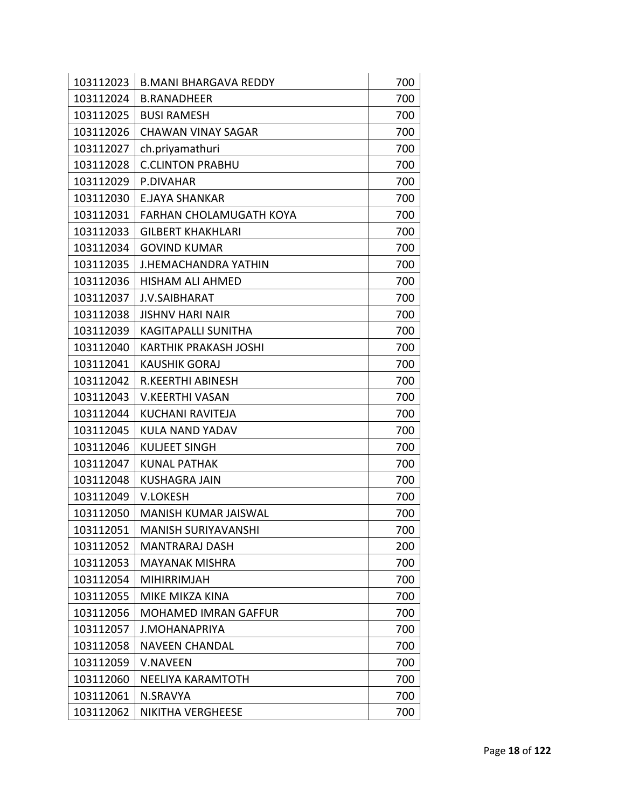| 103112023 | <b>B.MANI BHARGAVA REDDY</b>   | 700 |
|-----------|--------------------------------|-----|
| 103112024 | <b>B.RANADHEER</b>             | 700 |
| 103112025 | <b>BUSI RAMESH</b>             | 700 |
| 103112026 | <b>CHAWAN VINAY SAGAR</b>      | 700 |
| 103112027 | ch.priyamathuri                | 700 |
| 103112028 | <b>C.CLINTON PRABHU</b>        | 700 |
| 103112029 | P.DIVAHAR                      | 700 |
| 103112030 | <b>E.JAYA SHANKAR</b>          | 700 |
| 103112031 | <b>FARHAN CHOLAMUGATH KOYA</b> | 700 |
| 103112033 | <b>GILBERT KHAKHLARI</b>       | 700 |
| 103112034 | <b>GOVIND KUMAR</b>            | 700 |
| 103112035 | <b>J.HEMACHANDRA YATHIN</b>    | 700 |
| 103112036 | <b>HISHAM ALI AHMED</b>        | 700 |
| 103112037 | <b>J.V.SAIBHARAT</b>           | 700 |
| 103112038 | <b>JISHNV HARI NAIR</b>        | 700 |
| 103112039 | <b>KAGITAPALLI SUNITHA</b>     | 700 |
| 103112040 | <b>KARTHIK PRAKASH JOSHI</b>   | 700 |
| 103112041 | <b>KAUSHIK GORAJ</b>           | 700 |
| 103112042 | R.KEERTHI ABINESH              | 700 |
| 103112043 | <b>V.KEERTHI VASAN</b>         | 700 |
| 103112044 | <b>KUCHANI RAVITEJA</b>        | 700 |
| 103112045 | <b>KULA NAND YADAV</b>         | 700 |
| 103112046 | <b>KULJEET SINGH</b>           | 700 |
| 103112047 | <b>KUNAL PATHAK</b>            | 700 |
| 103112048 | <b>KUSHAGRA JAIN</b>           | 700 |
| 103112049 | <b>V.LOKESH</b>                | 700 |
| 103112050 | <b>MANISH KUMAR JAISWAL</b>    | 700 |
| 103112051 | <b>MANISH SURIYAVANSHI</b>     | 700 |
| 103112052 | MANTRARAJ DASH                 | 200 |
| 103112053 | <b>MAYANAK MISHRA</b>          | 700 |
| 103112054 | <b>MIHIRRIMJAH</b>             | 700 |
| 103112055 | MIKE MIKZA KINA                | 700 |
| 103112056 | <b>MOHAMED IMRAN GAFFUR</b>    | 700 |
| 103112057 | <b>J.MOHANAPRIYA</b>           | 700 |
| 103112058 | <b>NAVEEN CHANDAL</b>          | 700 |
| 103112059 | <b>V.NAVEEN</b>                | 700 |
| 103112060 | NEELIYA KARAMTOTH              | 700 |
| 103112061 | N.SRAVYA                       | 700 |
| 103112062 | NIKITHA VERGHEESE              | 700 |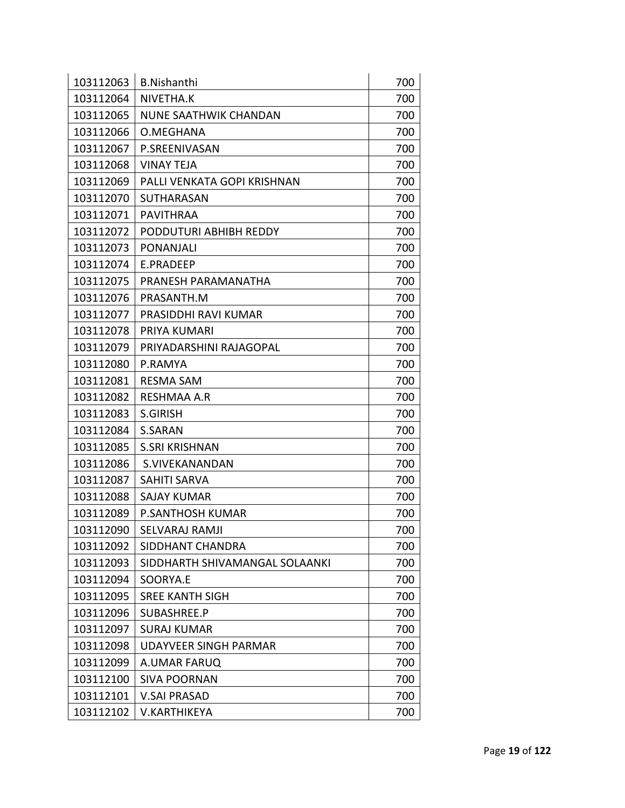| 103112063 | <b>B.Nishanthi</b>             | 700 |
|-----------|--------------------------------|-----|
| 103112064 | NIVETHA.K                      | 700 |
| 103112065 | <b>NUNE SAATHWIK CHANDAN</b>   | 700 |
| 103112066 | O.MEGHANA                      | 700 |
| 103112067 | P.SREENIVASAN                  | 700 |
| 103112068 | <b>VINAY TEJA</b>              | 700 |
| 103112069 | PALLI VENKATA GOPI KRISHNAN    | 700 |
| 103112070 | SUTHARASAN                     | 700 |
| 103112071 | <b>PAVITHRAA</b>               | 700 |
| 103112072 | PODDUTURI ABHIBH REDDY         | 700 |
| 103112073 | <b>PONANJALI</b>               | 700 |
| 103112074 | E.PRADEEP                      | 700 |
| 103112075 | PRANESH PARAMANATHA            | 700 |
| 103112076 | PRASANTH.M                     | 700 |
| 103112077 | PRASIDDHI RAVI KUMAR           | 700 |
| 103112078 | PRIYA KUMARI                   | 700 |
| 103112079 | PRIYADARSHINI RAJAGOPAL        | 700 |
| 103112080 | P.RAMYA                        | 700 |
| 103112081 | <b>RESMA SAM</b>               | 700 |
| 103112082 | RESHMAA A.R                    | 700 |
| 103112083 | S.GIRISH                       | 700 |
| 103112084 | S.SARAN                        | 700 |
| 103112085 | <b>S.SRI KRISHNAN</b>          | 700 |
| 103112086 | S.VIVEKANANDAN                 | 700 |
| 103112087 | <b>SAHITI SARVA</b>            | 700 |
| 103112088 | <b>SAJAY KUMAR</b>             | 700 |
| 103112089 | <b>P.SANTHOSH KUMAR</b>        | 700 |
| 103112090 | SELVARAJ RAMJI                 | 700 |
| 103112092 | SIDDHANT CHANDRA               | 700 |
| 103112093 | SIDDHARTH SHIVAMANGAL SOLAANKI | 700 |
| 103112094 | SOORYA.E                       | 700 |
| 103112095 | <b>SREE KANTH SIGH</b>         | 700 |
| 103112096 | SUBASHREE.P                    | 700 |
| 103112097 | <b>SURAJ KUMAR</b>             | 700 |
| 103112098 | <b>UDAYVEER SINGH PARMAR</b>   | 700 |
| 103112099 | A.UMAR FARUQ                   | 700 |
| 103112100 | <b>SIVA POORNAN</b>            | 700 |
| 103112101 | <b>V.SAI PRASAD</b>            | 700 |
| 103112102 | V.KARTHIKEYA                   | 700 |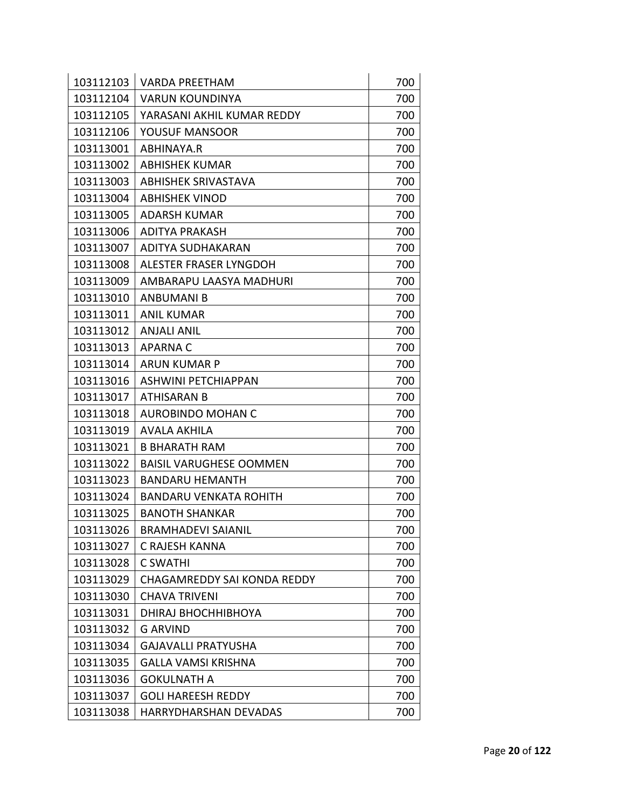| 103112103 | <b>VARDA PREETHAM</b>              | 700 |
|-----------|------------------------------------|-----|
| 103112104 | <b>VARUN KOUNDINYA</b>             | 700 |
| 103112105 | YARASANI AKHIL KUMAR REDDY         | 700 |
| 103112106 | YOUSUF MANSOOR                     | 700 |
| 103113001 | ABHINAYA.R                         | 700 |
| 103113002 | <b>ABHISHEK KUMAR</b>              | 700 |
| 103113003 | <b>ABHISHEK SRIVASTAVA</b>         | 700 |
| 103113004 | <b>ABHISHEK VINOD</b>              | 700 |
| 103113005 | ADARSH KUMAR                       | 700 |
| 103113006 | ADITYA PRAKASH                     | 700 |
| 103113007 | ADITYA SUDHAKARAN                  | 700 |
| 103113008 | ALESTER FRASER LYNGDOH             | 700 |
| 103113009 | AMBARAPU LAASYA MADHURI            | 700 |
| 103113010 | <b>ANBUMANI B</b>                  | 700 |
| 103113011 | <b>ANIL KUMAR</b>                  | 700 |
| 103113012 | <b>ANJALI ANIL</b>                 | 700 |
| 103113013 | <b>APARNAC</b>                     | 700 |
| 103113014 | <b>ARUN KUMAR P</b>                | 700 |
| 103113016 | <b>ASHWINI PETCHIAPPAN</b>         | 700 |
| 103113017 | ATHISARAN B                        | 700 |
| 103113018 | <b>AUROBINDO MOHAN C</b>           | 700 |
| 103113019 | <b>AVALA AKHILA</b>                | 700 |
| 103113021 | <b>B BHARATH RAM</b>               | 700 |
| 103113022 | <b>BAISIL VARUGHESE OOMMEN</b>     | 700 |
| 103113023 | <b>BANDARU HEMANTH</b>             | 700 |
| 103113024 | BANDARU VENKATA ROHITH             | 700 |
| 103113025 | <b>BANOTH SHANKAR</b>              | 700 |
| 103113026 | <b>BRAMHADEVI SAIANIL</b>          | 700 |
| 103113027 | C RAJESH KANNA                     | 700 |
| 103113028 | <b>C SWATHI</b>                    | 700 |
| 103113029 | <b>CHAGAMREDDY SAI KONDA REDDY</b> | 700 |
| 103113030 | <b>CHAVA TRIVENI</b>               | 700 |
| 103113031 | DHIRAJ BHOCHHIBHOYA                | 700 |
| 103113032 | G ARVIND                           | 700 |
| 103113034 | <b>GAJAVALLI PRATYUSHA</b>         | 700 |
| 103113035 | <b>GALLA VAMSI KRISHNA</b>         | 700 |
| 103113036 | <b>GOKULNATH A</b>                 | 700 |
| 103113037 | <b>GOLI HAREESH REDDY</b>          | 700 |
| 103113038 | HARRYDHARSHAN DEVADAS              | 700 |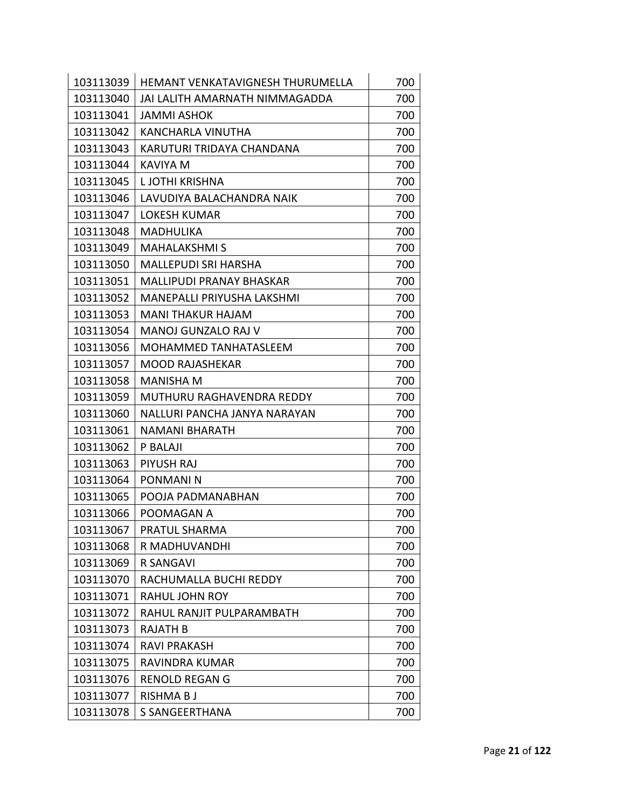| 103113039 | HEMANT VENKATAVIGNESH THURUMELLA  | 700 |
|-----------|-----------------------------------|-----|
| 103113040 | JAI LALITH AMARNATH NIMMAGADDA    | 700 |
| 103113041 | <b>JAMMI ASHOK</b>                | 700 |
| 103113042 | <b>KANCHARLA VINUTHA</b>          | 700 |
| 103113043 | KARUTURI TRIDAYA CHANDANA         | 700 |
| 103113044 | <b>KAVIYA M</b>                   | 700 |
| 103113045 | L JOTHI KRISHNA                   | 700 |
| 103113046 | LAVUDIYA BALACHANDRA NAIK         | 700 |
| 103113047 | <b>LOKESH KUMAR</b>               | 700 |
| 103113048 | <b>MADHULIKA</b>                  | 700 |
| 103113049 | <b>MAHALAKSHMI S</b>              | 700 |
| 103113050 | <b>MALLEPUDI SRI HARSHA</b>       | 700 |
| 103113051 | <b>MALLIPUDI PRANAY BHASKAR</b>   | 700 |
| 103113052 | <b>MANEPALLI PRIYUSHA LAKSHMI</b> | 700 |
| 103113053 | <b>MANI THAKUR HAJAM</b>          | 700 |
| 103113054 | MANOJ GUNZALO RAJ V               | 700 |
| 103113056 | MOHAMMED TANHATASLEEM             | 700 |
| 103113057 | <b>MOOD RAJASHEKAR</b>            | 700 |
| 103113058 | <b>MANISHA M</b>                  | 700 |
| 103113059 | MUTHURU RAGHAVENDRA REDDY         | 700 |
| 103113060 | NALLURI PANCHA JANYA NARAYAN      | 700 |
| 103113061 | NAMANI BHARATH                    | 700 |
| 103113062 | P BALAJI                          | 700 |
| 103113063 | PIYUSH RAJ                        | 700 |
| 103113064 | <b>PONMANIN</b>                   | 700 |
| 103113065 | POOJA PADMANABHAN                 | 700 |
| 103113066 | POOMAGAN A                        | 700 |
| 103113067 | PRATUL SHARMA                     | 700 |
| 103113068 | R MADHUVANDHI                     | 700 |
| 103113069 | <b>R SANGAVI</b>                  | 700 |
| 103113070 | RACHUMALLA BUCHI REDDY            | 700 |
| 103113071 | <b>RAHUL JOHN ROY</b>             | 700 |
| 103113072 | RAHUL RANJIT PULPARAMBATH         | 700 |
| 103113073 | <b>RAJATH B</b>                   | 700 |
| 103113074 | <b>RAVI PRAKASH</b>               | 700 |
| 103113075 | RAVINDRA KUMAR                    | 700 |
| 103113076 | <b>RENOLD REGAN G</b>             | 700 |
| 103113077 | <b>RISHMA BJ</b>                  | 700 |
| 103113078 | S SANGEERTHANA                    | 700 |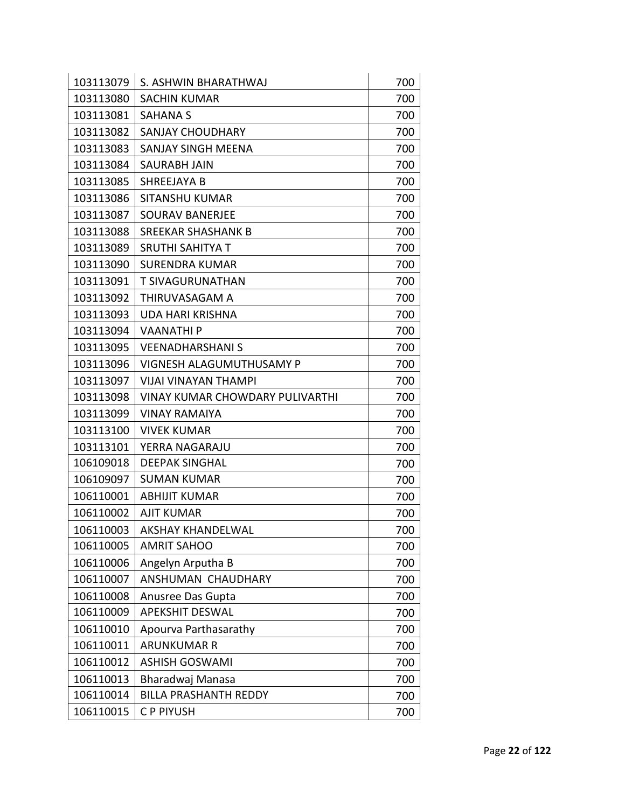| 103113079 | S. ASHWIN BHARATHWAJ                   | 700 |
|-----------|----------------------------------------|-----|
| 103113080 | <b>SACHIN KUMAR</b>                    | 700 |
| 103113081 | <b>SAHANA S</b>                        | 700 |
| 103113082 | <b>SANJAY CHOUDHARY</b>                | 700 |
| 103113083 | SANJAY SINGH MEENA                     | 700 |
| 103113084 | SAURABH JAIN                           | 700 |
| 103113085 | SHREEJAYA B                            | 700 |
| 103113086 | <b>SITANSHU KUMAR</b>                  | 700 |
| 103113087 | <b>SOURAV BANERJEE</b>                 | 700 |
| 103113088 | <b>SREEKAR SHASHANK B</b>              | 700 |
| 103113089 | <b>SRUTHI SAHITYA T</b>                | 700 |
| 103113090 | SURENDRA KUMAR                         | 700 |
| 103113091 | T SIVAGURUNATHAN                       | 700 |
| 103113092 | THIRUVASAGAM A                         | 700 |
| 103113093 | <b>UDA HARI KRISHNA</b>                | 700 |
| 103113094 | <b>VAANATHIP</b>                       | 700 |
| 103113095 | <b>VEENADHARSHANIS</b>                 | 700 |
| 103113096 | VIGNESH ALAGUMUTHUSAMY P               | 700 |
| 103113097 | <b>VIJAI VINAYAN THAMPI</b>            | 700 |
| 103113098 | <b>VINAY KUMAR CHOWDARY PULIVARTHI</b> | 700 |
| 103113099 | <b>VINAY RAMAIYA</b>                   | 700 |
| 103113100 | <b>VIVEK KUMAR</b>                     | 700 |
| 103113101 | YERRA NAGARAJU                         | 700 |
| 106109018 | <b>DEEPAK SINGHAL</b>                  | 700 |
| 106109097 | <b>SUMAN KUMAR</b>                     | 700 |
| 106110001 | <b>ABHIJIT KUMAR</b>                   | 700 |
| 106110002 | <b>AJIT KUMAR</b>                      | 700 |
| 106110003 | <b>AKSHAY KHANDELWAL</b>               | 700 |
| 106110005 | <b>AMRIT SAHOO</b>                     | 700 |
| 106110006 | Angelyn Arputha B                      | 700 |
| 106110007 | ANSHUMAN CHAUDHARY                     | 700 |
| 106110008 | Anusree Das Gupta                      | 700 |
| 106110009 | <b>APEKSHIT DESWAL</b>                 | 700 |
| 106110010 | Apourva Parthasarathy                  | 700 |
| 106110011 | <b>ARUNKUMAR R</b>                     | 700 |
| 106110012 | <b>ASHISH GOSWAMI</b>                  | 700 |
| 106110013 | Bharadwaj Manasa                       | 700 |
| 106110014 | <b>BILLA PRASHANTH REDDY</b>           | 700 |
| 106110015 | C P PIYUSH                             | 700 |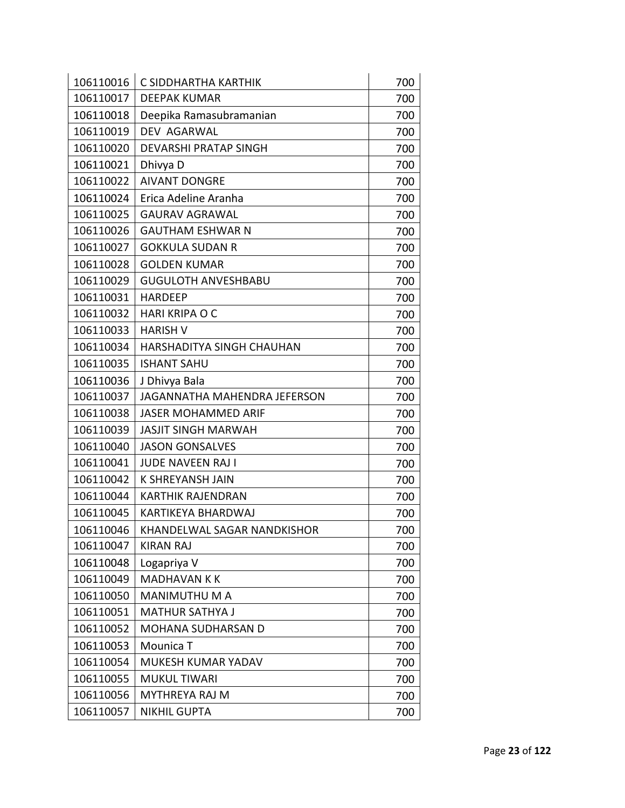| 106110016 | C SIDDHARTHA KARTHIK         | 700 |
|-----------|------------------------------|-----|
| 106110017 | <b>DEEPAK KUMAR</b>          | 700 |
| 106110018 | Deepika Ramasubramanian      | 700 |
| 106110019 | DEV AGARWAL                  | 700 |
| 106110020 | <b>DEVARSHI PRATAP SINGH</b> | 700 |
| 106110021 | Dhivya D                     | 700 |
| 106110022 | <b>AIVANT DONGRE</b>         | 700 |
| 106110024 | Erica Adeline Aranha         | 700 |
| 106110025 | <b>GAURAV AGRAWAL</b>        | 700 |
| 106110026 | <b>GAUTHAM ESHWAR N</b>      | 700 |
| 106110027 | <b>GOKKULA SUDAN R</b>       | 700 |
| 106110028 | <b>GOLDEN KUMAR</b>          | 700 |
| 106110029 | <b>GUGULOTH ANVESHBABU</b>   | 700 |
| 106110031 | <b>HARDEEP</b>               | 700 |
| 106110032 | HARI KRIPA O C               | 700 |
| 106110033 | <b>HARISH V</b>              | 700 |
| 106110034 | HARSHADITYA SINGH CHAUHAN    | 700 |
| 106110035 | <b>ISHANT SAHU</b>           | 700 |
| 106110036 | J Dhivya Bala                | 700 |
| 106110037 | JAGANNATHA MAHENDRA JEFERSON | 700 |
| 106110038 | <b>JASER MOHAMMED ARIF</b>   | 700 |
| 106110039 | <b>JASJIT SINGH MARWAH</b>   | 700 |
| 106110040 | <b>JASON GONSALVES</b>       | 700 |
| 106110041 | <b>JUDE NAVEEN RAJ I</b>     | 700 |
| 106110042 | K SHREYANSH JAIN             | 700 |
| 106110044 | <b>KARTHIK RAJENDRAN</b>     | 700 |
| 106110045 | <b>KARTIKEYA BHARDWAJ</b>    | 700 |
| 106110046 | KHANDELWAL SAGAR NANDKISHOR  | 700 |
| 106110047 | <b>KIRAN RAJ</b>             | 700 |
| 106110048 | Logapriya V                  | 700 |
| 106110049 | <b>MADHAVAN K K</b>          | 700 |
| 106110050 | MANIMUTHU M A                | 700 |
| 106110051 | <b>MATHUR SATHYA J</b>       | 700 |
| 106110052 | <b>MOHANA SUDHARSAN D</b>    | 700 |
| 106110053 | Mounica T                    | 700 |
| 106110054 | MUKESH KUMAR YADAV           | 700 |
| 106110055 | <b>MUKUL TIWARI</b>          | 700 |
| 106110056 | MYTHREYA RAJ M               | 700 |
| 106110057 | <b>NIKHIL GUPTA</b>          | 700 |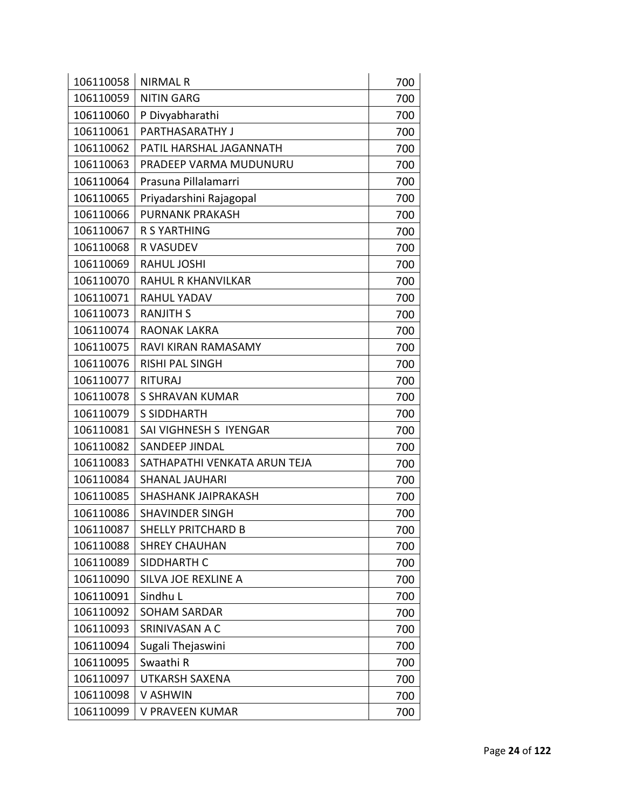| 106110058 | <b>NIRMAL R</b>              | 700 |
|-----------|------------------------------|-----|
| 106110059 | <b>NITIN GARG</b>            | 700 |
| 106110060 | P Divyabharathi              | 700 |
| 106110061 | PARTHASARATHY J              | 700 |
| 106110062 | PATIL HARSHAL JAGANNATH      | 700 |
| 106110063 | PRADEEP VARMA MUDUNURU       | 700 |
| 106110064 | Prasuna Pillalamarri         | 700 |
| 106110065 | Priyadarshini Rajagopal      | 700 |
| 106110066 | <b>PURNANK PRAKASH</b>       | 700 |
| 106110067 | <b>R S YARTHING</b>          | 700 |
| 106110068 | <b>R VASUDEV</b>             | 700 |
| 106110069 | <b>RAHUL JOSHI</b>           | 700 |
| 106110070 | <b>RAHUL R KHANVILKAR</b>    | 700 |
| 106110071 | <b>RAHUL YADAV</b>           | 700 |
| 106110073 | <b>RANJITH S</b>             | 700 |
| 106110074 | <b>RAONAK LAKRA</b>          | 700 |
| 106110075 | RAVI KIRAN RAMASAMY          | 700 |
| 106110076 | <b>RISHI PAL SINGH</b>       | 700 |
| 106110077 | <b>RITURAJ</b>               | 700 |
| 106110078 | S SHRAVAN KUMAR              | 700 |
| 106110079 | <b>S SIDDHARTH</b>           | 700 |
| 106110081 | SAI VIGHNESH S IYENGAR       | 700 |
| 106110082 | <b>SANDEEP JINDAL</b>        | 700 |
| 106110083 | SATHAPATHI VENKATA ARUN TEJA | 700 |
| 106110084 | <b>SHANAL JAUHARI</b>        | 700 |
| 106110085 | <b>SHASHANK JAIPRAKASH</b>   | 700 |
| 106110086 | <b>SHAVINDER SINGH</b>       | 700 |
| 106110087 | <b>SHELLY PRITCHARD B</b>    | 700 |
| 106110088 | <b>SHREY CHAUHAN</b>         | 700 |
| 106110089 | SIDDHARTH C                  | 700 |
| 106110090 | SILVA JOE REXLINE A          | 700 |
| 106110091 | Sindhu L                     | 700 |
| 106110092 | <b>SOHAM SARDAR</b>          | 700 |
| 106110093 | SRINIVASAN A C               | 700 |
| 106110094 | Sugali Thejaswini            | 700 |
| 106110095 | Swaathi R                    | 700 |
| 106110097 | <b>UTKARSH SAXENA</b>        | 700 |
| 106110098 | V ASHWIN                     | 700 |
| 106110099 | V PRAVEEN KUMAR              | 700 |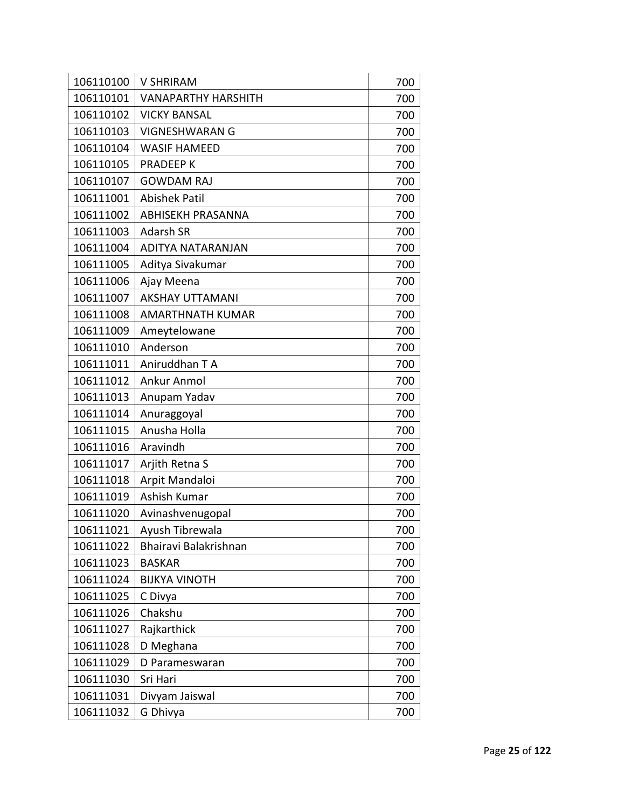| 106110100 | <b>V SHRIRAM</b>           | 700 |
|-----------|----------------------------|-----|
| 106110101 | <b>VANAPARTHY HARSHITH</b> | 700 |
| 106110102 | <b>VICKY BANSAL</b>        | 700 |
| 106110103 | <b>VIGNESHWARAN G</b>      | 700 |
| 106110104 | <b>WASIF HAMEED</b>        | 700 |
| 106110105 | <b>PRADEEPK</b>            | 700 |
| 106110107 | <b>GOWDAM RAJ</b>          | 700 |
| 106111001 | <b>Abishek Patil</b>       | 700 |
| 106111002 | <b>ABHISEKH PRASANNA</b>   | 700 |
| 106111003 | <b>Adarsh SR</b>           | 700 |
| 106111004 | ADITYA NATARANJAN          | 700 |
| 106111005 | Aditya Sivakumar           | 700 |
| 106111006 | Ajay Meena                 | 700 |
| 106111007 | <b>AKSHAY UTTAMANI</b>     | 700 |
| 106111008 | AMARTHNATH KUMAR           | 700 |
| 106111009 | Ameytelowane               | 700 |
| 106111010 | Anderson                   | 700 |
| 106111011 | Aniruddhan T A             | 700 |
| 106111012 | Ankur Anmol                | 700 |
| 106111013 | Anupam Yadav               | 700 |
| 106111014 | Anuraggoyal                | 700 |
| 106111015 | Anusha Holla               | 700 |
| 106111016 | Aravindh                   | 700 |
| 106111017 | Arjith Retna S             | 700 |
| 106111018 | Arpit Mandaloi             | 700 |
| 106111019 | Ashish Kumar               | 700 |
| 106111020 | Avinashvenugopal           | 700 |
| 106111021 | Ayush Tibrewala            | 700 |
| 106111022 | Bhairavi Balakrishnan      | 700 |
| 106111023 | <b>BASKAR</b>              | 700 |
| 106111024 | <b>BIJKYA VINOTH</b>       | 700 |
| 106111025 | C Divya                    | 700 |
| 106111026 | Chakshu                    | 700 |
| 106111027 | Rajkarthick                | 700 |
| 106111028 | D Meghana                  | 700 |
| 106111029 | D Parameswaran             | 700 |
| 106111030 | Sri Hari                   | 700 |
| 106111031 | Divyam Jaiswal             | 700 |
| 106111032 | G Dhivya                   | 700 |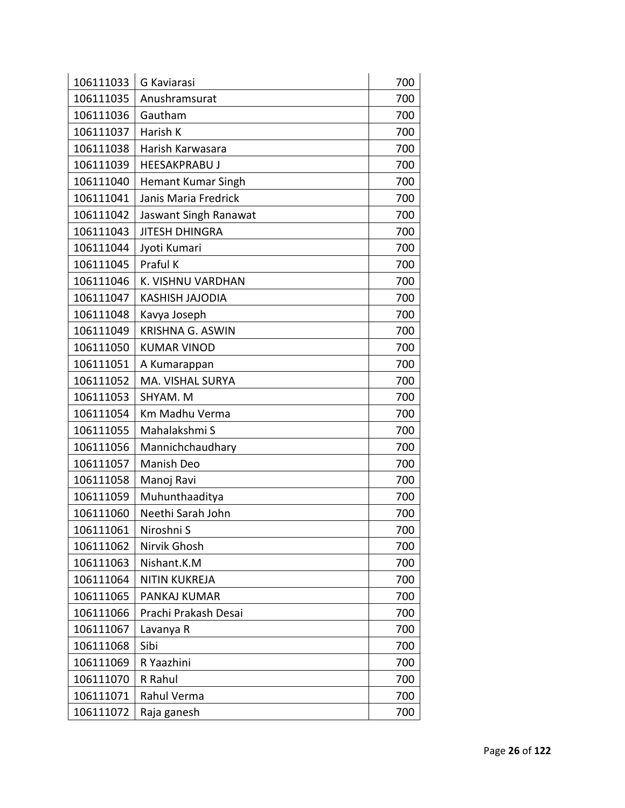| 106111033 | G Kaviarasi               | 700 |
|-----------|---------------------------|-----|
| 106111035 | Anushramsurat             | 700 |
| 106111036 | Gautham                   | 700 |
| 106111037 | Harish K                  | 700 |
| 106111038 | Harish Karwasara          | 700 |
| 106111039 | <b>HEESAKPRABU J</b>      | 700 |
| 106111040 | <b>Hemant Kumar Singh</b> | 700 |
| 106111041 | Janis Maria Fredrick      | 700 |
| 106111042 | Jaswant Singh Ranawat     | 700 |
| 106111043 | <b>JITESH DHINGRA</b>     | 700 |
| 106111044 | Jyoti Kumari              | 700 |
| 106111045 | Praful K                  | 700 |
| 106111046 | K. VISHNU VARDHAN         | 700 |
| 106111047 | <b>KASHISH JAJODIA</b>    | 700 |
| 106111048 | Kavya Joseph              | 700 |
| 106111049 | <b>KRISHNA G. ASWIN</b>   | 700 |
| 106111050 | <b>KUMAR VINOD</b>        | 700 |
| 106111051 | A Kumarappan              | 700 |
| 106111052 | MA. VISHAL SURYA          | 700 |
| 106111053 | SHYAM. M                  | 700 |
| 106111054 | Km Madhu Verma            | 700 |
| 106111055 | Mahalakshmi S             | 700 |
| 106111056 | Mannichchaudhary          | 700 |
| 106111057 | Manish Deo                | 700 |
| 106111058 | Manoj Ravi                | 700 |
| 106111059 | Muhunthaaditya            | 700 |
| 106111060 | Neethi Sarah John         | 700 |
| 106111061 | Niroshni S                | 700 |
| 106111062 | Nirvik Ghosh              | 700 |
| 106111063 | Nishant.K.M               | 700 |
| 106111064 | <b>NITIN KUKREJA</b>      | 700 |
| 106111065 | PANKAJ KUMAR              | 700 |
| 106111066 | Prachi Prakash Desai      | 700 |
| 106111067 | Lavanya R                 | 700 |
| 106111068 | Sibi                      | 700 |
| 106111069 | R Yaazhini                | 700 |
| 106111070 | R Rahul                   | 700 |
| 106111071 | Rahul Verma               | 700 |
| 106111072 | Raja ganesh               | 700 |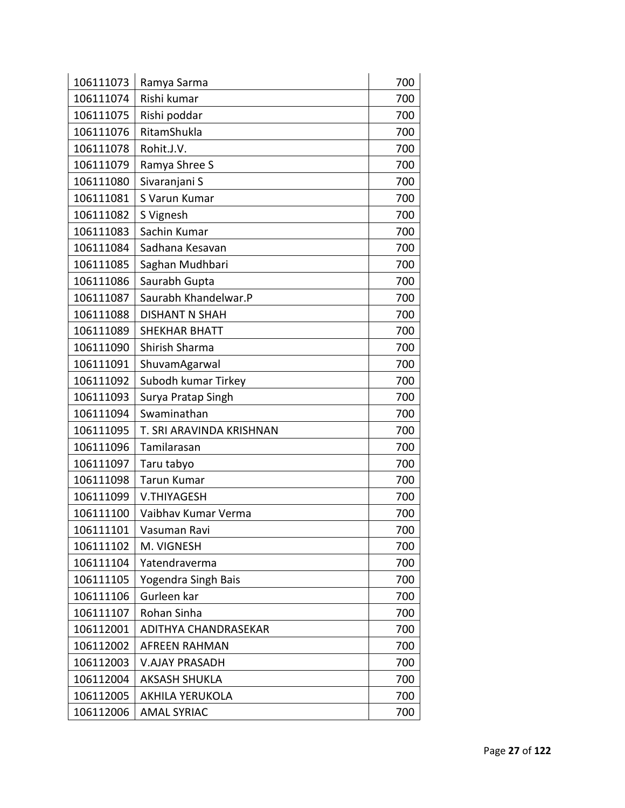| 106111073 | Ramya Sarma              | 700 |
|-----------|--------------------------|-----|
| 106111074 | Rishi kumar              | 700 |
| 106111075 | Rishi poddar             | 700 |
| 106111076 | RitamShukla              | 700 |
| 106111078 | Rohit.J.V.               | 700 |
| 106111079 | Ramya Shree S            | 700 |
| 106111080 | Sivaranjani S            | 700 |
| 106111081 | S Varun Kumar            | 700 |
| 106111082 | S Vignesh                | 700 |
| 106111083 | Sachin Kumar             | 700 |
| 106111084 | Sadhana Kesavan          | 700 |
| 106111085 | Saghan Mudhbari          | 700 |
| 106111086 | Saurabh Gupta            | 700 |
| 106111087 | Saurabh Khandelwar.P     | 700 |
| 106111088 | <b>DISHANT N SHAH</b>    | 700 |
| 106111089 | <b>SHEKHAR BHATT</b>     | 700 |
| 106111090 | Shirish Sharma           | 700 |
| 106111091 | ShuvamAgarwal            | 700 |
| 106111092 | Subodh kumar Tirkey      | 700 |
| 106111093 | Surya Pratap Singh       | 700 |
| 106111094 | Swaminathan              | 700 |
| 106111095 | T. SRI ARAVINDA KRISHNAN | 700 |
| 106111096 | Tamilarasan              | 700 |
| 106111097 | Taru tabyo               | 700 |
| 106111098 | <b>Tarun Kumar</b>       | 700 |
| 106111099 | <b>V.THIYAGESH</b>       | 700 |
| 106111100 | Vaibhav Kumar Verma      | 700 |
| 106111101 | Vasuman Ravi             | 700 |
| 106111102 | M. VIGNESH               | 700 |
| 106111104 | Yatendraverma            | 700 |
| 106111105 | Yogendra Singh Bais      | 700 |
| 106111106 | Gurleen kar              | 700 |
| 106111107 | Rohan Sinha              | 700 |
| 106112001 | ADITHYA CHANDRASEKAR     | 700 |
| 106112002 | <b>AFREEN RAHMAN</b>     | 700 |
| 106112003 | <b>V.AJAY PRASADH</b>    | 700 |
| 106112004 | <b>AKSASH SHUKLA</b>     | 700 |
| 106112005 | <b>AKHILA YERUKOLA</b>   | 700 |
| 106112006 | <b>AMAL SYRIAC</b>       | 700 |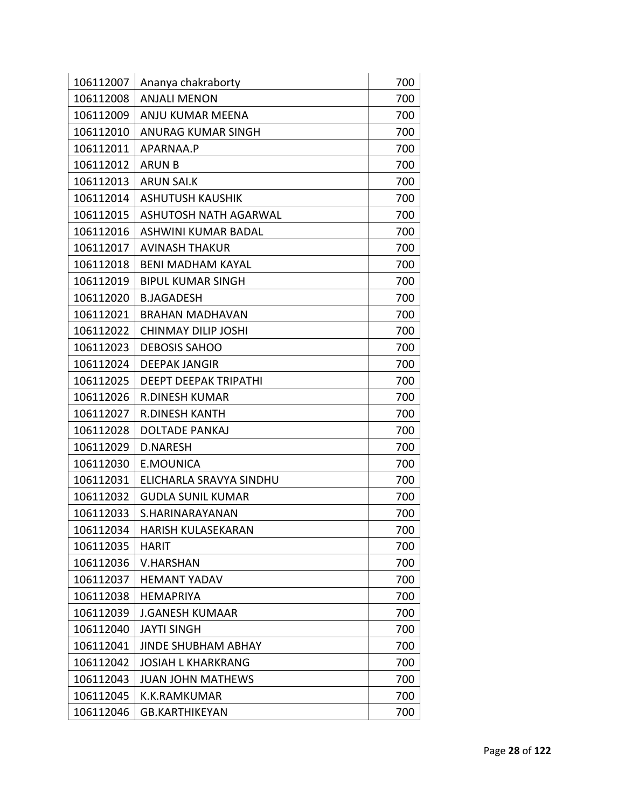| 106112007 | Ananya chakraborty           | 700 |
|-----------|------------------------------|-----|
| 106112008 | <b>ANJALI MENON</b>          | 700 |
| 106112009 | ANJU KUMAR MEENA             | 700 |
| 106112010 | ANURAG KUMAR SINGH           | 700 |
| 106112011 | APARNAA.P                    | 700 |
| 106112012 | <b>ARUN B</b>                | 700 |
| 106112013 | <b>ARUN SAI.K</b>            | 700 |
| 106112014 | <b>ASHUTUSH KAUSHIK</b>      | 700 |
| 106112015 | <b>ASHUTOSH NATH AGARWAL</b> | 700 |
| 106112016 | ASHWINI KUMAR BADAL          | 700 |
| 106112017 | <b>AVINASH THAKUR</b>        | 700 |
| 106112018 | <b>BENI MADHAM KAYAL</b>     | 700 |
| 106112019 | <b>BIPUL KUMAR SINGH</b>     | 700 |
| 106112020 | <b>B.JAGADESH</b>            | 700 |
| 106112021 | <b>BRAHAN MADHAVAN</b>       | 700 |
| 106112022 | CHINMAY DILIP JOSHI          | 700 |
| 106112023 | <b>DEBOSIS SAHOO</b>         | 700 |
| 106112024 | <b>DEEPAK JANGIR</b>         | 700 |
| 106112025 | <b>DEEPT DEEPAK TRIPATHI</b> | 700 |
| 106112026 | <b>R.DINESH KUMAR</b>        | 700 |
| 106112027 | <b>R.DINESH KANTH</b>        | 700 |
| 106112028 | <b>DOLTADE PANKAJ</b>        | 700 |
| 106112029 | <b>D.NARESH</b>              | 700 |
| 106112030 | <b>E.MOUNICA</b>             | 700 |
| 106112031 | ELICHARLA SRAVYA SINDHU      | 700 |
| 106112032 | <b>GUDLA SUNIL KUMAR</b>     | 700 |
| 106112033 | S.HARINARAYANAN              | 700 |
| 106112034 | HARISH KULASEKARAN           | 700 |
| 106112035 | <b>HARIT</b>                 | 700 |
| 106112036 | <b>V.HARSHAN</b>             | 700 |
| 106112037 | <b>HEMANT YADAV</b>          | 700 |
| 106112038 | <b>HEMAPRIYA</b>             | 700 |
| 106112039 | <b>J.GANESH KUMAAR</b>       | 700 |
| 106112040 | <b>JAYTI SINGH</b>           | 700 |
| 106112041 | <b>JINDE SHUBHAM ABHAY</b>   | 700 |
| 106112042 | <b>JOSIAH L KHARKRANG</b>    | 700 |
| 106112043 | <b>JUAN JOHN MATHEWS</b>     | 700 |
| 106112045 | K.K.RAMKUMAR                 | 700 |
| 106112046 | <b>GB.KARTHIKEYAN</b>        | 700 |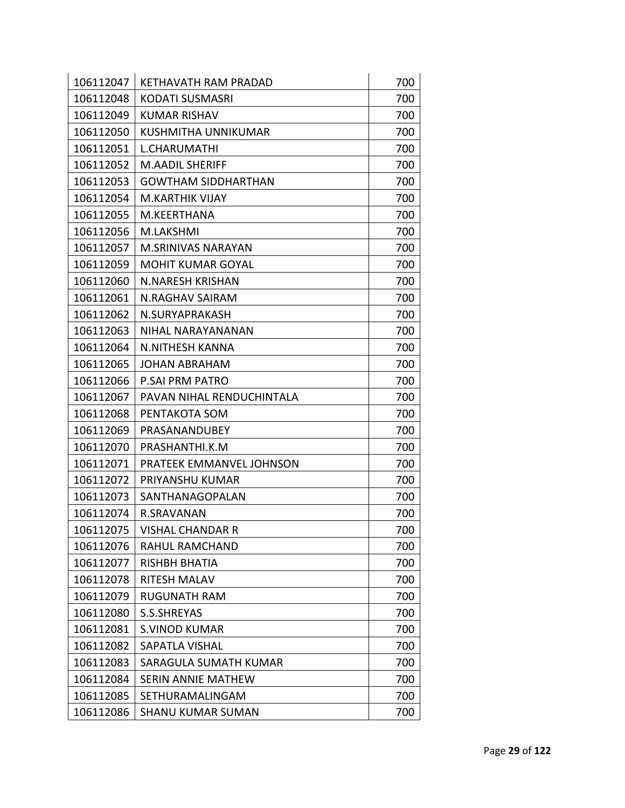| 106112047 | <b>KETHAVATH RAM PRADAD</b> | 700 |
|-----------|-----------------------------|-----|
| 106112048 | <b>KODATI SUSMASRI</b>      | 700 |
| 106112049 | <b>KUMAR RISHAV</b>         | 700 |
| 106112050 | <b>KUSHMITHA UNNIKUMAR</b>  | 700 |
| 106112051 | L.CHARUMATHI                | 700 |
| 106112052 | <b>M.AADIL SHERIFF</b>      | 700 |
| 106112053 | <b>GOWTHAM SIDDHARTHAN</b>  | 700 |
| 106112054 | <b>M.KARTHIK VIJAY</b>      | 700 |
| 106112055 | M.KEERTHANA                 | 700 |
| 106112056 | M.LAKSHMI                   | 700 |
| 106112057 | <b>M.SRINIVAS NARAYAN</b>   | 700 |
| 106112059 | <b>MOHIT KUMAR GOYAL</b>    | 700 |
| 106112060 | N.NARESH KRISHAN            | 700 |
| 106112061 | <b>N.RAGHAV SAIRAM</b>      | 700 |
| 106112062 | N.SURYAPRAKASH              | 700 |
| 106112063 | NIHAL NARAYANANAN           | 700 |
| 106112064 | N.NITHESH KANNA             | 700 |
| 106112065 | <b>JOHAN ABRAHAM</b>        | 700 |
| 106112066 | <b>P.SAI PRM PATRO</b>      | 700 |
| 106112067 | PAVAN NIHAL RENDUCHINTALA   | 700 |
| 106112068 | PENTAKOTA SOM               | 700 |
| 106112069 | PRASANANDUBEY               | 700 |
| 106112070 | PRASHANTHI.K.M              | 700 |
| 106112071 | PRATEEK EMMANVEL JOHNSON    | 700 |
| 106112072 | PRIYANSHU KUMAR             | 700 |
| 106112073 | SANTHANAGOPALAN             | 700 |
| 106112074 | R.SRAVANAN                  | 700 |
| 106112075 | <b>VISHAL CHANDAR R</b>     | 700 |
| 106112076 | RAHUL RAMCHAND              | 700 |
| 106112077 | RISHBH BHATIA               | 700 |
| 106112078 | <b>RITESH MALAV</b>         | 700 |
| 106112079 | <b>RUGUNATH RAM</b>         | 700 |
| 106112080 | S.S.SHREYAS                 | 700 |
| 106112081 | <b>S.VINOD KUMAR</b>        | 700 |
| 106112082 | <b>SAPATLA VISHAL</b>       | 700 |
| 106112083 | SARAGULA SUMATH KUMAR       | 700 |
| 106112084 | <b>SERIN ANNIE MATHEW</b>   | 700 |
| 106112085 | SETHURAMALINGAM             | 700 |
| 106112086 | <b>SHANU KUMAR SUMAN</b>    | 700 |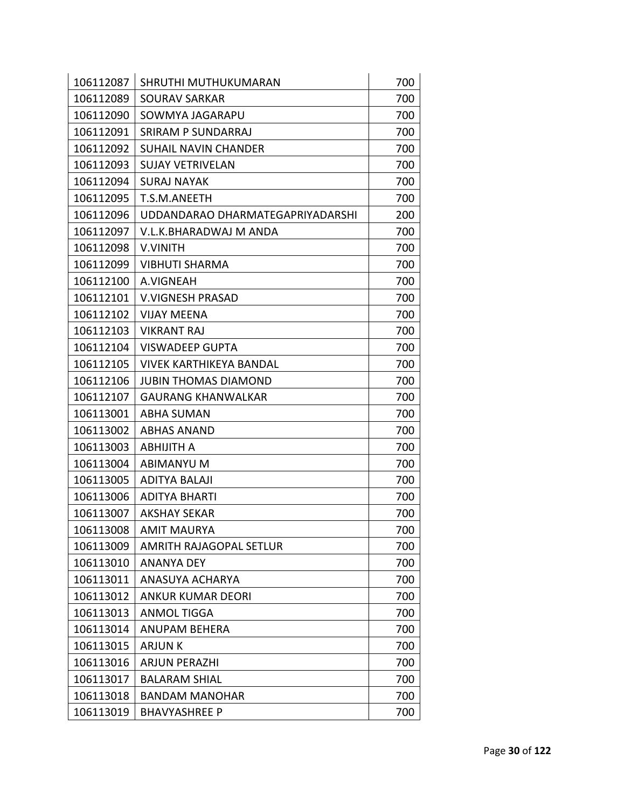| 106112087 | SHRUTHI MUTHUKUMARAN             | 700 |
|-----------|----------------------------------|-----|
| 106112089 | <b>SOURAV SARKAR</b>             | 700 |
| 106112090 | SOWMYA JAGARAPU                  | 700 |
| 106112091 | <b>SRIRAM P SUNDARRAJ</b>        | 700 |
| 106112092 | <b>SUHAIL NAVIN CHANDER</b>      | 700 |
| 106112093 | <b>SUJAY VETRIVELAN</b>          | 700 |
| 106112094 | <b>SURAJ NAYAK</b>               | 700 |
| 106112095 | T.S.M.ANEETH                     | 700 |
| 106112096 | UDDANDARAO DHARMATEGAPRIYADARSHI | 200 |
| 106112097 | V.L.K.BHARADWAJ M ANDA           | 700 |
| 106112098 | <b>V.VINITH</b>                  | 700 |
| 106112099 | <b>VIBHUTI SHARMA</b>            | 700 |
| 106112100 | A.VIGNEAH                        | 700 |
| 106112101 | <b>V.VIGNESH PRASAD</b>          | 700 |
| 106112102 | <b>VIJAY MEENA</b>               | 700 |
| 106112103 | <b>VIKRANT RAJ</b>               | 700 |
| 106112104 | <b>VISWADEEP GUPTA</b>           | 700 |
| 106112105 | <b>VIVEK KARTHIKEYA BANDAL</b>   | 700 |
| 106112106 | <b>JUBIN THOMAS DIAMOND</b>      | 700 |
| 106112107 | <b>GAURANG KHANWALKAR</b>        | 700 |
| 106113001 | <b>ABHA SUMAN</b>                | 700 |
| 106113002 | <b>ABHAS ANAND</b>               | 700 |
| 106113003 | <b>ABHIJITH A</b>                | 700 |
| 106113004 | <b>ABIMANYU M</b>                | 700 |
| 106113005 | <b>ADITYA BALAJI</b>             | 700 |
| 106113006 | ADITYA BHARTI                    | 700 |
| 106113007 | <b>AKSHAY SEKAR</b>              | 700 |
| 106113008 | <b>AMIT MAURYA</b>               | 700 |
| 106113009 | <b>AMRITH RAJAGOPAL SETLUR</b>   | 700 |
| 106113010 | <b>ANANYA DEY</b>                | 700 |
| 106113011 | ANASUYA ACHARYA                  | 700 |
| 106113012 | <b>ANKUR KUMAR DEORI</b>         | 700 |
| 106113013 | <b>ANMOL TIGGA</b>               | 700 |
| 106113014 | <b>ANUPAM BEHERA</b>             | 700 |
| 106113015 | <b>ARJUNK</b>                    | 700 |
| 106113016 | ARJUN PERAZHI                    | 700 |
| 106113017 | <b>BALARAM SHIAL</b>             | 700 |
| 106113018 | <b>BANDAM MANOHAR</b>            | 700 |
| 106113019 | <b>BHAVYASHREE P</b>             | 700 |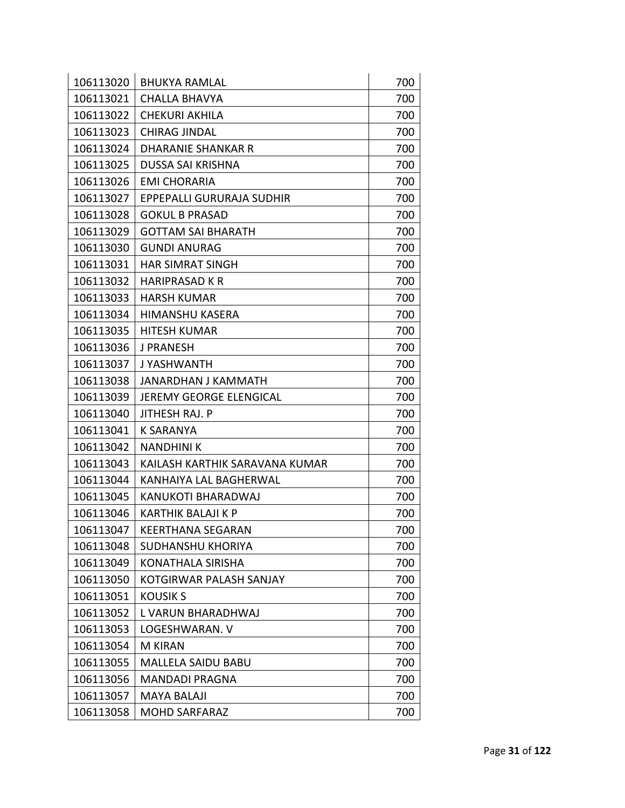| 106113020 | <b>BHUKYA RAMLAL</b>             | 700 |
|-----------|----------------------------------|-----|
| 106113021 | <b>CHALLA BHAVYA</b>             | 700 |
| 106113022 | <b>CHEKURI AKHILA</b>            | 700 |
| 106113023 | <b>CHIRAG JINDAL</b>             | 700 |
| 106113024 | <b>DHARANIE SHANKAR R</b>        | 700 |
| 106113025 | <b>DUSSA SAI KRISHNA</b>         | 700 |
| 106113026 | <b>EMI CHORARIA</b>              | 700 |
| 106113027 | <b>EPPEPALLI GURURAJA SUDHIR</b> | 700 |
| 106113028 | <b>GOKUL B PRASAD</b>            | 700 |
| 106113029 | <b>GOTTAM SAI BHARATH</b>        | 700 |
| 106113030 | <b>GUNDI ANURAG</b>              | 700 |
| 106113031 | <b>HAR SIMRAT SINGH</b>          | 700 |
| 106113032 | HARIPRASAD K R                   | 700 |
| 106113033 | <b>HARSH KUMAR</b>               | 700 |
| 106113034 | <b>HIMANSHU KASERA</b>           | 700 |
| 106113035 | <b>HITESH KUMAR</b>              | 700 |
| 106113036 | <b>J PRANESH</b>                 | 700 |
| 106113037 | J YASHWANTH                      | 700 |
| 106113038 | JANARDHAN J KAMMATH              | 700 |
| 106113039 | JEREMY GEORGE ELENGICAL          | 700 |
| 106113040 | JITHESH RAJ. P                   | 700 |
| 106113041 | <b>K SARANYA</b>                 | 700 |
| 106113042 | <b>NANDHINI K</b>                | 700 |
| 106113043 | KAILASH KARTHIK SARAVANA KUMAR   | 700 |
| 106113044 | KANHAIYA LAL BAGHERWAL           | 700 |
| 106113045 | KANUKOTI BHARADWAJ               | 700 |
| 106113046 | KARTHIK BALAJI K P               | 700 |
| 106113047 | <b>KEERTHANA SEGARAN</b>         | 700 |
| 106113048 | SUDHANSHU KHORIYA                | 700 |
| 106113049 | KONATHALA SIRISHA                | 700 |
| 106113050 | KOTGIRWAR PALASH SANJAY          | 700 |
| 106113051 | <b>KOUSIK S</b>                  | 700 |
| 106113052 | L VARUN BHARADHWAJ               | 700 |
| 106113053 | LOGESHWARAN. V                   | 700 |
| 106113054 | <b>M KIRAN</b>                   | 700 |
| 106113055 | MALLELA SAIDU BABU               | 700 |
| 106113056 | MANDADI PRAGNA                   | 700 |
| 106113057 | <b>MAYA BALAJI</b>               | 700 |
| 106113058 | <b>MOHD SARFARAZ</b>             | 700 |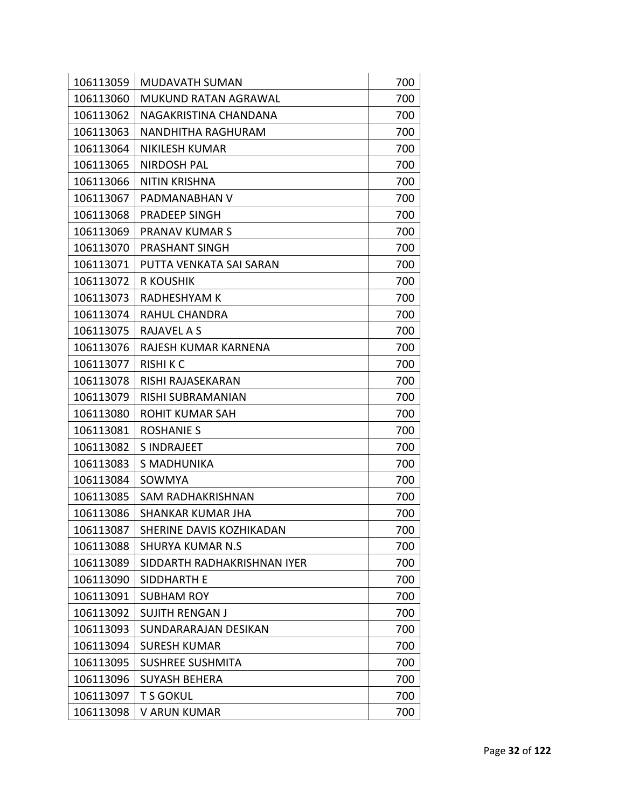| 106113059 | <b>MUDAVATH SUMAN</b>       | 700 |
|-----------|-----------------------------|-----|
| 106113060 | <b>MUKUND RATAN AGRAWAL</b> | 700 |
| 106113062 | NAGAKRISTINA CHANDANA       | 700 |
| 106113063 | NANDHITHA RAGHURAM          | 700 |
| 106113064 | <b>NIKILESH KUMAR</b>       | 700 |
| 106113065 | <b>NIRDOSH PAL</b>          | 700 |
| 106113066 | <b>NITIN KRISHNA</b>        | 700 |
| 106113067 | PADMANABHAN V               | 700 |
| 106113068 | <b>PRADEEP SINGH</b>        | 700 |
| 106113069 | <b>PRANAV KUMAR S</b>       | 700 |
| 106113070 | PRASHANT SINGH              | 700 |
| 106113071 | PUTTA VENKATA SAI SARAN     | 700 |
| 106113072 | <b>R KOUSHIK</b>            | 700 |
| 106113073 | <b>RADHESHYAM K</b>         | 700 |
| 106113074 | RAHUL CHANDRA               | 700 |
| 106113075 | RAJAVEL A S                 | 700 |
| 106113076 | RAJESH KUMAR KARNENA        | 700 |
| 106113077 | <b>RISHIKC</b>              | 700 |
| 106113078 | RISHI RAJASEKARAN           | 700 |
| 106113079 | RISHI SUBRAMANIAN           | 700 |
| 106113080 | <b>ROHIT KUMAR SAH</b>      | 700 |
| 106113081 | <b>ROSHANIE S</b>           | 700 |
| 106113082 | <b>SINDRAJEET</b>           | 700 |
| 106113083 | S MADHUNIKA                 | 700 |
| 106113084 | SOWMYA                      | 700 |
| 106113085 | SAM RADHAKRISHNAN           | 700 |
| 106113086 | <b>SHANKAR KUMAR JHA</b>    | 700 |
| 106113087 | SHERINE DAVIS KOZHIKADAN    | 700 |
| 106113088 | <b>SHURYA KUMAR N.S</b>     | 700 |
| 106113089 | SIDDARTH RADHAKRISHNAN IYER | 700 |
| 106113090 | <b>SIDDHARTH E</b>          | 700 |
| 106113091 | <b>SUBHAM ROY</b>           | 700 |
| 106113092 | <b>SUJITH RENGAN J</b>      | 700 |
| 106113093 | SUNDARARAJAN DESIKAN        | 700 |
| 106113094 | <b>SURESH KUMAR</b>         | 700 |
| 106113095 | <b>SUSHREE SUSHMITA</b>     | 700 |
| 106113096 | <b>SUYASH BEHERA</b>        | 700 |
| 106113097 | <b>T S GOKUL</b>            | 700 |
| 106113098 | V ARUN KUMAR                | 700 |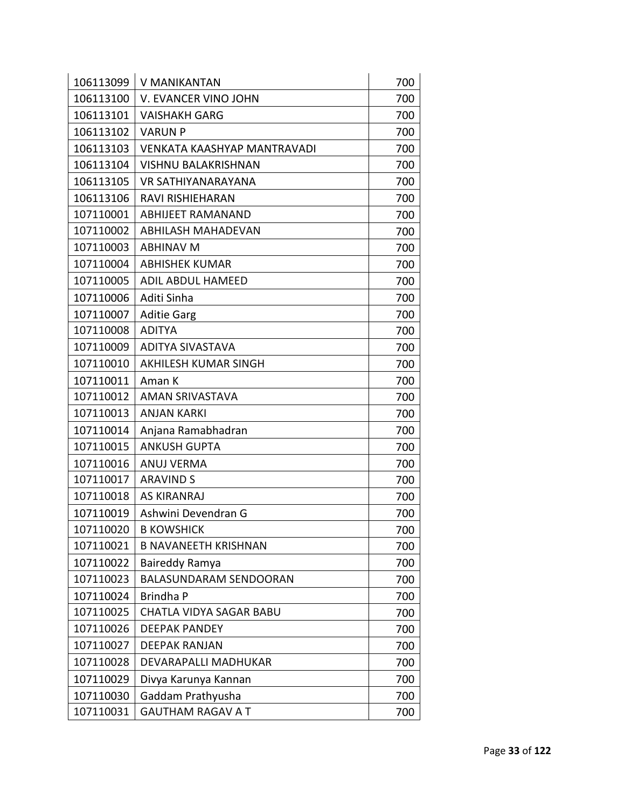| 106113099 | V MANIKANTAN                       | 700 |
|-----------|------------------------------------|-----|
| 106113100 | V. EVANCER VINO JOHN               | 700 |
| 106113101 | <b>VAISHAKH GARG</b>               | 700 |
| 106113102 | <b>VARUN P</b>                     | 700 |
| 106113103 | <b>VENKATA KAASHYAP MANTRAVADI</b> | 700 |
| 106113104 | <b>VISHNU BALAKRISHNAN</b>         | 700 |
| 106113105 | VR SATHIYANARAYANA                 | 700 |
| 106113106 | RAVI RISHIEHARAN                   | 700 |
| 107110001 | <b>ABHIJEET RAMANAND</b>           | 700 |
| 107110002 | <b>ABHILASH MAHADEVAN</b>          | 700 |
| 107110003 | <b>ABHINAV M</b>                   | 700 |
| 107110004 | <b>ABHISHEK KUMAR</b>              | 700 |
| 107110005 | <b>ADIL ABDUL HAMEED</b>           | 700 |
| 107110006 | Aditi Sinha                        | 700 |
| 107110007 | <b>Aditie Garg</b>                 | 700 |
| 107110008 | <b>ADITYA</b>                      | 700 |
| 107110009 | <b>ADITYA SIVASTAVA</b>            | 700 |
| 107110010 | AKHILESH KUMAR SINGH               | 700 |
| 107110011 | Aman K                             | 700 |
| 107110012 | <b>AMAN SRIVASTAVA</b>             | 700 |
| 107110013 | <b>ANJAN KARKI</b>                 | 700 |
| 107110014 | Anjana Ramabhadran                 | 700 |
| 107110015 | <b>ANKUSH GUPTA</b>                | 700 |
| 107110016 | <b>ANUJ VERMA</b>                  | 700 |
| 107110017 | <b>ARAVIND S</b>                   | 700 |
| 107110018 | <b>AS KIRANRAJ</b>                 | 700 |
| 107110019 | Ashwini Devendran G                | 700 |
| 107110020 | <b>B KOWSHICK</b>                  | 700 |
| 107110021 | <b>B NAVANEETH KRISHNAN</b>        | 700 |
| 107110022 | Baireddy Ramya                     | 700 |
| 107110023 | <b>BALASUNDARAM SENDOORAN</b>      | 700 |
| 107110024 | Brindha P                          | 700 |
| 107110025 | <b>CHATLA VIDYA SAGAR BABU</b>     | 700 |
| 107110026 | <b>DEEPAK PANDEY</b>               | 700 |
| 107110027 | <b>DEEPAK RANJAN</b>               | 700 |
| 107110028 | DEVARAPALLI MADHUKAR               | 700 |
| 107110029 | Divya Karunya Kannan               | 700 |
| 107110030 | Gaddam Prathyusha                  | 700 |
| 107110031 | <b>GAUTHAM RAGAV A T</b>           | 700 |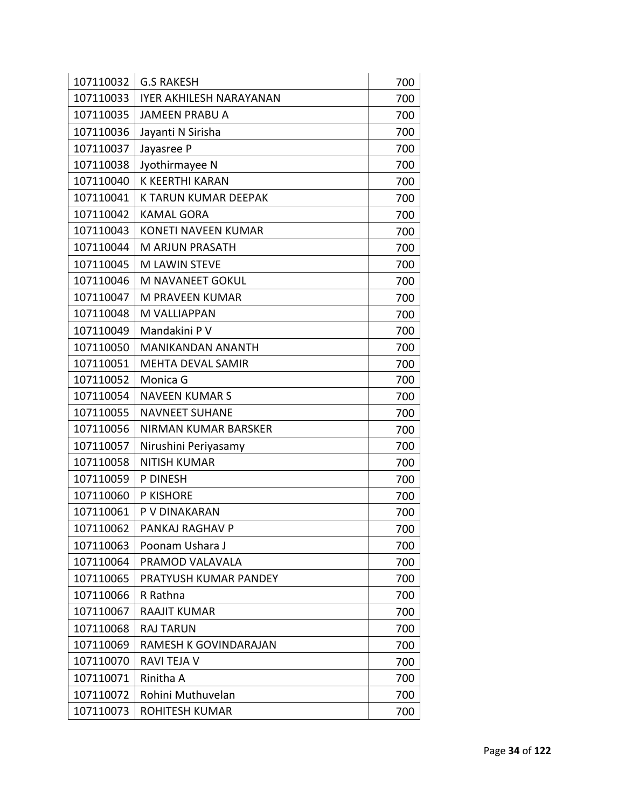| 107110032 | <b>G.S RAKESH</b>              | 700 |
|-----------|--------------------------------|-----|
| 107110033 | <b>IYER AKHILESH NARAYANAN</b> | 700 |
| 107110035 | <b>JAMEEN PRABU A</b>          | 700 |
| 107110036 | Jayanti N Sirisha              | 700 |
| 107110037 | Jayasree P                     | 700 |
| 107110038 | Jyothirmayee N                 | 700 |
| 107110040 | K KEERTHI KARAN                | 700 |
| 107110041 | K TARUN KUMAR DEEPAK           | 700 |
| 107110042 | <b>KAMAL GORA</b>              | 700 |
| 107110043 | <b>KONETI NAVEEN KUMAR</b>     | 700 |
| 107110044 | <b>M ARJUN PRASATH</b>         | 700 |
| 107110045 | <b>M LAWIN STEVE</b>           | 700 |
| 107110046 | M NAVANEET GOKUL               | 700 |
| 107110047 | M PRAVEEN KUMAR                | 700 |
| 107110048 | M VALLIAPPAN                   | 700 |
| 107110049 | Mandakini P V                  | 700 |
| 107110050 | <b>MANIKANDAN ANANTH</b>       | 700 |
| 107110051 | <b>MEHTA DEVAL SAMIR</b>       | 700 |
| 107110052 | Monica G                       | 700 |
| 107110054 | <b>NAVEEN KUMAR S</b>          | 700 |
| 107110055 | <b>NAVNEET SUHANE</b>          | 700 |
| 107110056 | NIRMAN KUMAR BARSKER           | 700 |
| 107110057 | Nirushini Periyasamy           | 700 |
| 107110058 | <b>NITISH KUMAR</b>            | 700 |
| 107110059 | P DINESH                       | 700 |
| 107110060 | P KISHORE                      | 700 |
| 107110061 | P V DINAKARAN                  | 700 |
| 107110062 | PANKAJ RAGHAV P                | 700 |
| 107110063 | Poonam Ushara J                | 700 |
| 107110064 | PRAMOD VALAVALA                | 700 |
| 107110065 | PRATYUSH KUMAR PANDEY          | 700 |
| 107110066 | R Rathna                       | 700 |
| 107110067 | <b>RAAJIT KUMAR</b>            | 700 |
| 107110068 | <b>RAJ TARUN</b>               | 700 |
| 107110069 | RAMESH K GOVINDARAJAN          | 700 |
| 107110070 | RAVI TEJA V                    | 700 |
| 107110071 | Rinitha A                      | 700 |
| 107110072 | Rohini Muthuvelan              | 700 |
| 107110073 | ROHITESH KUMAR                 | 700 |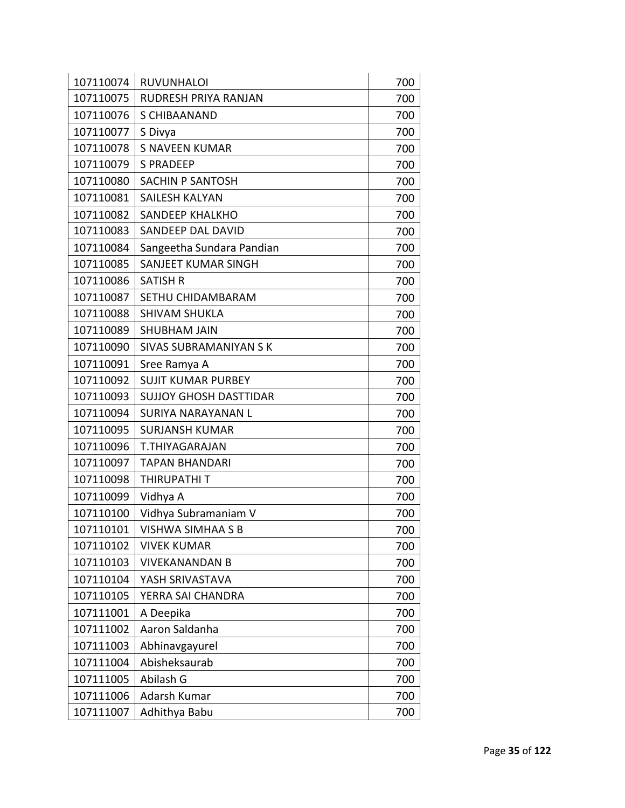| 107110074 | <b>RUVUNHALOI</b>             | 700 |
|-----------|-------------------------------|-----|
| 107110075 | RUDRESH PRIYA RANJAN          | 700 |
| 107110076 | S CHIBAANAND                  | 700 |
| 107110077 | S Divya                       | 700 |
| 107110078 | <b>S NAVEEN KUMAR</b>         | 700 |
| 107110079 | <b>S PRADEEP</b>              | 700 |
| 107110080 | SACHIN P SANTOSH              | 700 |
| 107110081 | SAILESH KALYAN                | 700 |
| 107110082 | <b>SANDEEP KHALKHO</b>        | 700 |
| 107110083 | SANDEEP DAL DAVID             | 700 |
| 107110084 | Sangeetha Sundara Pandian     | 700 |
| 107110085 | SANJEET KUMAR SINGH           | 700 |
| 107110086 | <b>SATISH R</b>               | 700 |
| 107110087 | SETHU CHIDAMBARAM             | 700 |
| 107110088 | <b>SHIVAM SHUKLA</b>          | 700 |
| 107110089 | <b>SHUBHAM JAIN</b>           | 700 |
| 107110090 | <b>SIVAS SUBRAMANIYAN S K</b> | 700 |
| 107110091 | Sree Ramya A                  | 700 |
| 107110092 | <b>SUJIT KUMAR PURBEY</b>     | 700 |
| 107110093 | <b>SUJJOY GHOSH DASTTIDAR</b> | 700 |
| 107110094 | SURIYA NARAYANAN L            | 700 |
| 107110095 | <b>SURJANSH KUMAR</b>         | 700 |
| 107110096 | <b>T.THIYAGARAJAN</b>         | 700 |
| 107110097 | <b>TAPAN BHANDARI</b>         | 700 |
| 107110098 | THIRUPATHI T                  | 700 |
| 107110099 | Vidhya A                      | 700 |
| 107110100 | Vidhya Subramaniam V          | 700 |
| 107110101 | <b>VISHWA SIMHAA S B</b>      | 700 |
| 107110102 | <b>VIVEK KUMAR</b>            | 700 |
| 107110103 | <b>VIVEKANANDAN B</b>         | 700 |
| 107110104 | YASH SRIVASTAVA               | 700 |
| 107110105 | YERRA SAI CHANDRA             | 700 |
| 107111001 | A Deepika                     | 700 |
| 107111002 | Aaron Saldanha                | 700 |
| 107111003 | Abhinavgayurel                | 700 |
| 107111004 | Abisheksaurab                 | 700 |
| 107111005 | Abilash G                     | 700 |
| 107111006 | Adarsh Kumar                  | 700 |
| 107111007 | Adhithya Babu                 | 700 |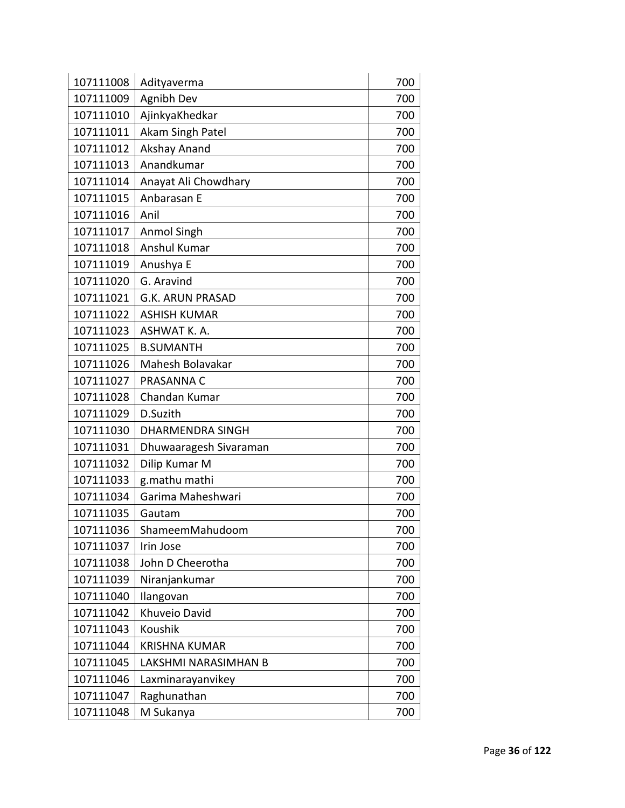| 107111008 | Adityaverma             | 700 |
|-----------|-------------------------|-----|
| 107111009 | Agnibh Dev              | 700 |
| 107111010 | AjinkyaKhedkar          | 700 |
| 107111011 | Akam Singh Patel        | 700 |
| 107111012 | Akshay Anand            | 700 |
| 107111013 | Anandkumar              | 700 |
| 107111014 | Anayat Ali Chowdhary    | 700 |
| 107111015 | Anbarasan E             | 700 |
| 107111016 | Anil                    | 700 |
| 107111017 | <b>Anmol Singh</b>      | 700 |
| 107111018 | Anshul Kumar            | 700 |
| 107111019 | Anushya E               | 700 |
| 107111020 | G. Aravind              | 700 |
| 107111021 | <b>G.K. ARUN PRASAD</b> | 700 |
| 107111022 | <b>ASHISH KUMAR</b>     | 700 |
| 107111023 | ASHWAT K. A.            | 700 |
| 107111025 | <b>B.SUMANTH</b>        | 700 |
| 107111026 | Mahesh Bolavakar        | 700 |
| 107111027 | PRASANNA C              | 700 |
| 107111028 | Chandan Kumar           | 700 |
| 107111029 | D.Suzith                | 700 |
| 107111030 | <b>DHARMENDRA SINGH</b> | 700 |
| 107111031 | Dhuwaaragesh Sivaraman  | 700 |
| 107111032 | Dilip Kumar M           | 700 |
| 107111033 | g.mathu mathi           | 700 |
| 107111034 | Garima Maheshwari       | 700 |
| 107111035 | Gautam                  | 700 |
| 107111036 | ShameemMahudoom         | 700 |
| 107111037 | Irin Jose               | 700 |
| 107111038 | John D Cheerotha        | 700 |
| 107111039 | Niranjankumar           | 700 |
| 107111040 | Ilangovan               | 700 |
| 107111042 | Khuveio David           | 700 |
| 107111043 | Koushik                 | 700 |
| 107111044 | <b>KRISHNA KUMAR</b>    | 700 |
| 107111045 | LAKSHMI NARASIMHAN B    | 700 |
| 107111046 | Laxminarayanvikey       | 700 |
| 107111047 | Raghunathan             | 700 |
| 107111048 | M Sukanya               | 700 |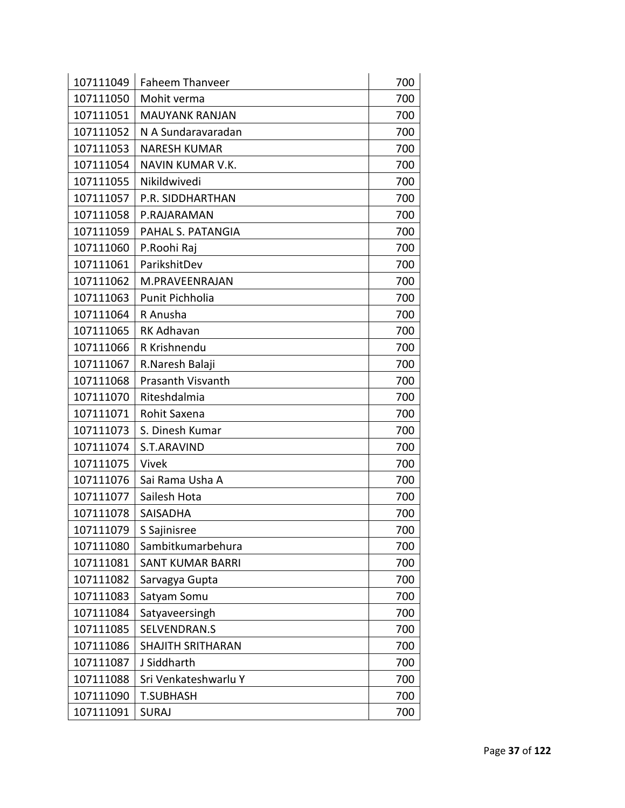| 107111049 | <b>Faheem Thanveer</b>   | 700 |
|-----------|--------------------------|-----|
| 107111050 | Mohit verma              | 700 |
| 107111051 | <b>MAUYANK RANJAN</b>    | 700 |
| 107111052 | N A Sundaravaradan       | 700 |
| 107111053 | <b>NARESH KUMAR</b>      | 700 |
| 107111054 | NAVIN KUMAR V.K.         | 700 |
| 107111055 | Nikildwivedi             | 700 |
| 107111057 | P.R. SIDDHARTHAN         | 700 |
| 107111058 | P.RAJARAMAN              | 700 |
| 107111059 | PAHAL S. PATANGIA        | 700 |
| 107111060 | P.Roohi Raj              | 700 |
| 107111061 | ParikshitDev             | 700 |
| 107111062 | M.PRAVEENRAJAN           | 700 |
| 107111063 | Punit Pichholia          | 700 |
| 107111064 | R Anusha                 | 700 |
| 107111065 | <b>RK Adhavan</b>        | 700 |
| 107111066 | R Krishnendu             | 700 |
| 107111067 | R.Naresh Balaji          | 700 |
| 107111068 | <b>Prasanth Visvanth</b> | 700 |
| 107111070 | Riteshdalmia             | 700 |
| 107111071 | Rohit Saxena             | 700 |
| 107111073 | S. Dinesh Kumar          | 700 |
| 107111074 | S.T.ARAVIND              | 700 |
| 107111075 | Vivek                    | 700 |
| 107111076 | Sai Rama Usha A          | 700 |
| 107111077 | Sailesh Hota             | 700 |
| 107111078 | <b>SAISADHA</b>          | 700 |
| 107111079 | S Sajinisree             | 700 |
| 107111080 | Sambitkumarbehura        | 700 |
| 107111081 | <b>SANT KUMAR BARRI</b>  | 700 |
| 107111082 | Sarvagya Gupta           | 700 |
| 107111083 | Satyam Somu              | 700 |
| 107111084 | Satyaveersingh           | 700 |
| 107111085 | SELVENDRAN.S             | 700 |
| 107111086 | <b>SHAJITH SRITHARAN</b> | 700 |
| 107111087 | J Siddharth              | 700 |
| 107111088 | Sri Venkateshwarlu Y     | 700 |
| 107111090 | <b>T.SUBHASH</b>         | 700 |
| 107111091 | <b>SURAJ</b>             | 700 |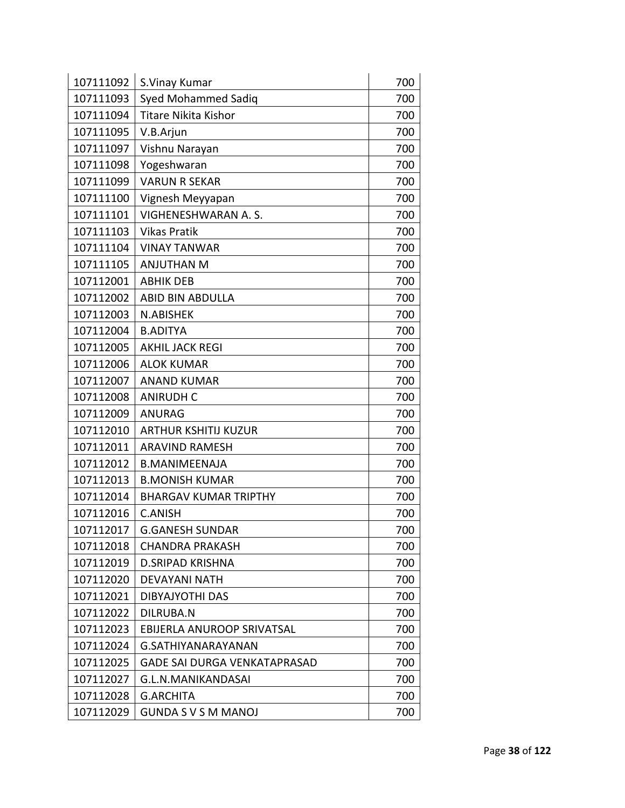| 107111092 | S.Vinay Kumar                       | 700 |
|-----------|-------------------------------------|-----|
| 107111093 | <b>Syed Mohammed Sadiq</b>          | 700 |
| 107111094 | <b>Titare Nikita Kishor</b>         | 700 |
| 107111095 | V.B.Arjun                           | 700 |
| 107111097 | Vishnu Narayan                      | 700 |
| 107111098 | Yogeshwaran                         | 700 |
| 107111099 | <b>VARUN R SEKAR</b>                | 700 |
| 107111100 | Vignesh Meyyapan                    | 700 |
| 107111101 | VIGHENESHWARAN A.S.                 | 700 |
| 107111103 | <b>Vikas Pratik</b>                 | 700 |
| 107111104 | <b>VINAY TANWAR</b>                 | 700 |
| 107111105 | <b>ANJUTHAN M</b>                   | 700 |
| 107112001 | <b>ABHIK DEB</b>                    | 700 |
| 107112002 | <b>ABID BIN ABDULLA</b>             | 700 |
| 107112003 | N.ABISHEK                           | 700 |
| 107112004 | <b>B.ADITYA</b>                     | 700 |
| 107112005 | <b>AKHIL JACK REGI</b>              | 700 |
| 107112006 | <b>ALOK KUMAR</b>                   | 700 |
| 107112007 | <b>ANAND KUMAR</b>                  | 700 |
| 107112008 | <b>ANIRUDH C</b>                    | 700 |
| 107112009 | <b>ANURAG</b>                       | 700 |
| 107112010 | <b>ARTHUR KSHITIJ KUZUR</b>         | 700 |
| 107112011 | <b>ARAVIND RAMESH</b>               | 700 |
| 107112012 | <b>B.MANIMEENAJA</b>                | 700 |
| 107112013 | <b>B.MONISH KUMAR</b>               | 700 |
| 107112014 | <b>BHARGAV KUMAR TRIPTHY</b>        | 700 |
| 107112016 | <b>C.ANISH</b>                      | 700 |
| 107112017 | <b>G.GANESH SUNDAR</b>              | 700 |
| 107112018 | CHANDRA PRAKASH                     | 700 |
| 107112019 | <b>D.SRIPAD KRISHNA</b>             | 700 |
| 107112020 | <b>DEVAYANI NATH</b>                | 700 |
| 107112021 | <b>DIBYAJYOTHI DAS</b>              | 700 |
| 107112022 | DILRUBA.N                           | 700 |
| 107112023 | EBIJERLA ANUROOP SRIVATSAL          | 700 |
| 107112024 | G.SATHIYANARAYANAN                  | 700 |
| 107112025 | <b>GADE SAI DURGA VENKATAPRASAD</b> | 700 |
| 107112027 | G.L.N.MANIKANDASAI                  | 700 |
| 107112028 | <b>G.ARCHITA</b>                    | 700 |
| 107112029 | <b>GUNDA S V S M MANOJ</b>          | 700 |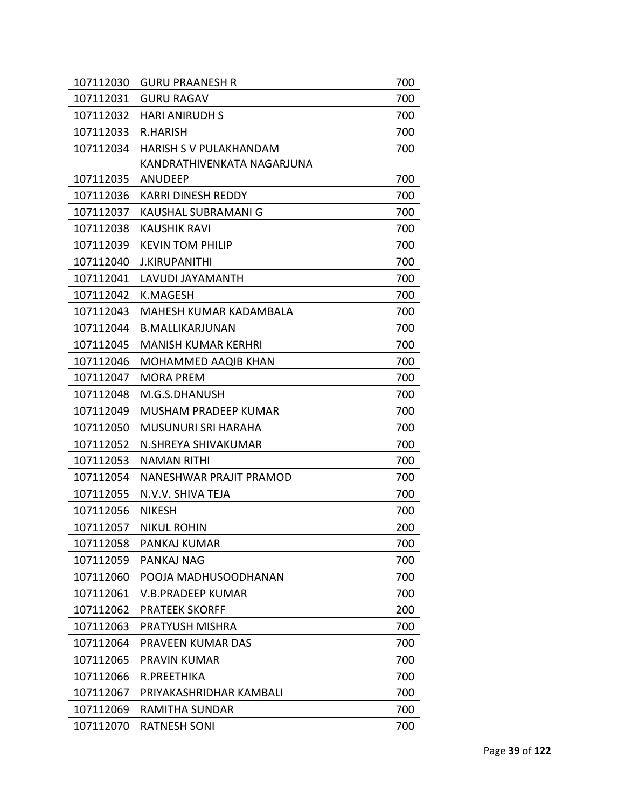| 107112030 | <b>GURU PRAANESH R</b>        | 700 |
|-----------|-------------------------------|-----|
| 107112031 | <b>GURU RAGAV</b>             | 700 |
| 107112032 | <b>HARI ANIRUDH S</b>         | 700 |
| 107112033 | <b>R.HARISH</b>               | 700 |
| 107112034 | <b>HARISH S V PULAKHANDAM</b> | 700 |
|           | KANDRATHIVENKATA NAGARJUNA    |     |
| 107112035 | ANUDEEP                       | 700 |
| 107112036 | <b>KARRI DINESH REDDY</b>     | 700 |
| 107112037 | <b>KAUSHAL SUBRAMANI G</b>    | 700 |
| 107112038 | <b>KAUSHIK RAVI</b>           | 700 |
| 107112039 | <b>KEVIN TOM PHILIP</b>       | 700 |
| 107112040 | <b>J.KIRUPANITHI</b>          | 700 |
| 107112041 | LAVUDI JAYAMANTH              | 700 |
| 107112042 | <b>K.MAGESH</b>               | 700 |
| 107112043 | MAHESH KUMAR KADAMBALA        | 700 |
| 107112044 | <b>B.MALLIKARJUNAN</b>        | 700 |
| 107112045 | <b>MANISH KUMAR KERHRI</b>    | 700 |
| 107112046 | MOHAMMED AAQIB KHAN           | 700 |
| 107112047 | <b>MORA PREM</b>              | 700 |
| 107112048 | M.G.S.DHANUSH                 | 700 |
| 107112049 | <b>MUSHAM PRADEEP KUMAR</b>   | 700 |
| 107112050 | <b>MUSUNURI SRI HARAHA</b>    | 700 |
| 107112052 | N.SHREYA SHIVAKUMAR           | 700 |
| 107112053 | <b>NAMAN RITHI</b>            | 700 |
| 107112054 | NANESHWAR PRAJIT PRAMOD       | 700 |
| 107112055 | N.V.V. SHIVA TEJA             | 700 |
| 107112056 | <b>NIKESH</b>                 | 700 |
| 107112057 | <b>NIKUL ROHIN</b>            | 200 |
| 107112058 | PANKAJ KUMAR                  | 700 |
| 107112059 | PANKAJ NAG                    | 700 |
| 107112060 | POOJA MADHUSOODHANAN          | 700 |
| 107112061 | V.B.PRADEEP KUMAR             | 700 |
| 107112062 | <b>PRATEEK SKORFF</b>         | 200 |
| 107112063 | PRATYUSH MISHRA               | 700 |
| 107112064 | PRAVEEN KUMAR DAS             | 700 |
| 107112065 | PRAVIN KUMAR                  | 700 |
| 107112066 | R.PREETHIKA                   | 700 |
| 107112067 | PRIYAKASHRIDHAR KAMBALI       | 700 |
| 107112069 | RAMITHA SUNDAR                | 700 |
| 107112070 | <b>RATNESH SONI</b>           | 700 |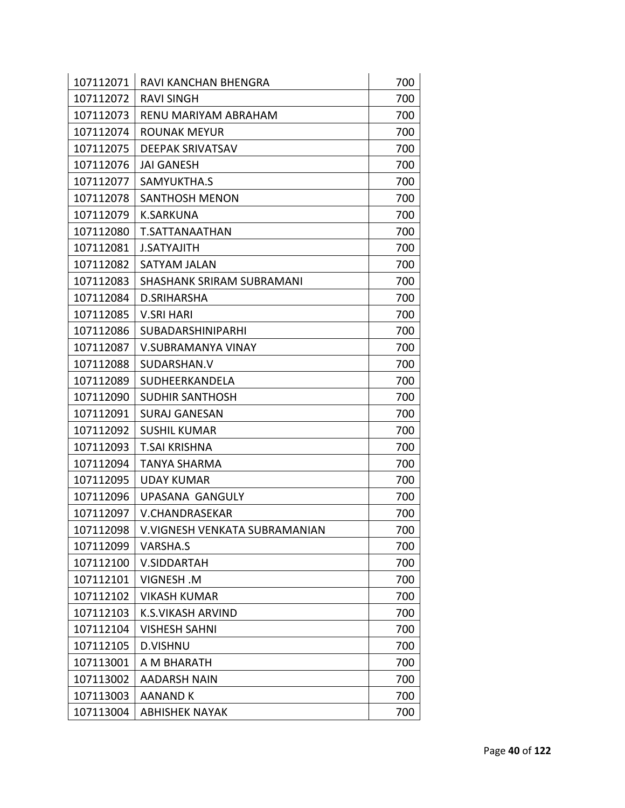| 107112071 | <b>RAVI KANCHAN BHENGRA</b>      | 700 |
|-----------|----------------------------------|-----|
| 107112072 | <b>RAVI SINGH</b>                | 700 |
| 107112073 | RENU MARIYAM ABRAHAM             | 700 |
| 107112074 | <b>ROUNAK MEYUR</b>              | 700 |
| 107112075 | <b>DEEPAK SRIVATSAV</b>          | 700 |
| 107112076 | <b>JAI GANESH</b>                | 700 |
| 107112077 | SAMYUKTHA.S                      | 700 |
| 107112078 | <b>SANTHOSH MENON</b>            | 700 |
| 107112079 | <b>K.SARKUNA</b>                 | 700 |
| 107112080 | T.SATTANAATHAN                   | 700 |
| 107112081 | <b>J.SATYAJITH</b>               | 700 |
| 107112082 | SATYAM JALAN                     | 700 |
| 107112083 | <b>SHASHANK SRIRAM SUBRAMANI</b> | 700 |
| 107112084 | D.SRIHARSHA                      | 700 |
| 107112085 | <b>V.SRI HARI</b>                | 700 |
| 107112086 | <b>SUBADARSHINIPARHI</b>         | 700 |
| 107112087 | V.SUBRAMANYA VINAY               | 700 |
| 107112088 | SUDARSHAN.V                      | 700 |
| 107112089 | SUDHEERKANDELA                   | 700 |
| 107112090 | <b>SUDHIR SANTHOSH</b>           | 700 |
| 107112091 | <b>SURAJ GANESAN</b>             | 700 |
| 107112092 | <b>SUSHIL KUMAR</b>              | 700 |
| 107112093 | <b>T.SAI KRISHNA</b>             | 700 |
| 107112094 | <b>TANYA SHARMA</b>              | 700 |
| 107112095 | <b>UDAY KUMAR</b>                | 700 |
| 107112096 | <b>UPASANA GANGULY</b>           | 700 |
| 107112097 | V.CHANDRASEKAR                   | 700 |
| 107112098 | V.VIGNESH VENKATA SUBRAMANIAN    | 700 |
| 107112099 | <b>VARSHA.S</b>                  | 700 |
| 107112100 | <b>V.SIDDARTAH</b>               | 700 |
| 107112101 | <b>VIGNESH.M</b>                 | 700 |
| 107112102 | <b>VIKASH KUMAR</b>              | 700 |
| 107112103 | K.S.VIKASH ARVIND                | 700 |
| 107112104 | VISHESH SAHNI                    | 700 |
| 107112105 | <b>D.VISHNU</b>                  | 700 |
| 107113001 | A M BHARATH                      | 700 |
| 107113002 | <b>AADARSH NAIN</b>              | 700 |
| 107113003 | <b>AANAND K</b>                  | 700 |
| 107113004 | <b>ABHISHEK NAYAK</b>            | 700 |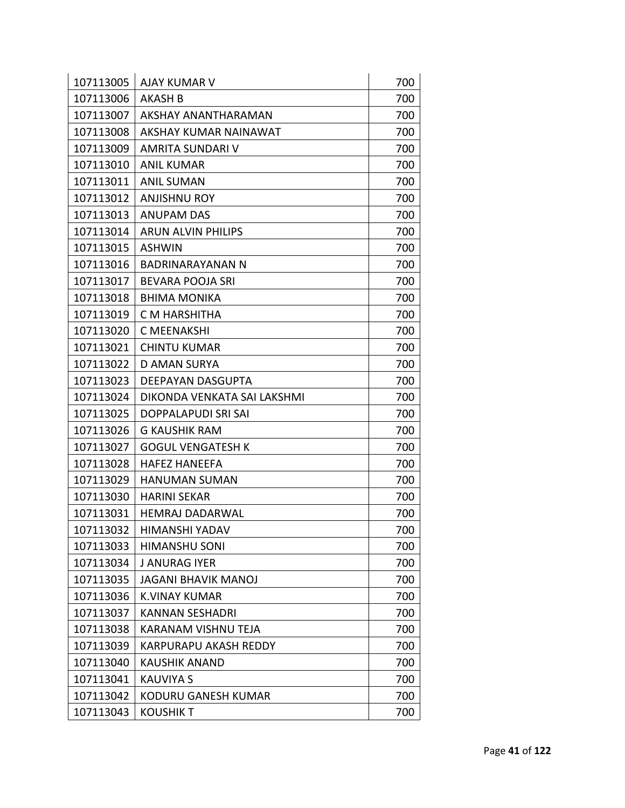| 107113005 | <b>AJAY KUMAR V</b>          | 700 |
|-----------|------------------------------|-----|
| 107113006 | AKASH B                      | 700 |
| 107113007 | AKSHAY ANANTHARAMAN          | 700 |
| 107113008 | AKSHAY KUMAR NAINAWAT        | 700 |
| 107113009 | <b>AMRITA SUNDARI V</b>      | 700 |
| 107113010 | <b>ANIL KUMAR</b>            | 700 |
| 107113011 | <b>ANIL SUMAN</b>            | 700 |
| 107113012 | <b>ANJISHNU ROY</b>          | 700 |
| 107113013 | <b>ANUPAM DAS</b>            | 700 |
| 107113014 | <b>ARUN ALVIN PHILIPS</b>    | 700 |
| 107113015 | <b>ASHWIN</b>                | 700 |
| 107113016 | BADRINARAYANAN N             | 700 |
| 107113017 | BEVARA POOJA SRI             | 700 |
| 107113018 | <b>BHIMA MONIKA</b>          | 700 |
| 107113019 | C M HARSHITHA                | 700 |
| 107113020 | <b>C MEENAKSHI</b>           | 700 |
| 107113021 | <b>CHINTU KUMAR</b>          | 700 |
| 107113022 | <b>D AMAN SURYA</b>          | 700 |
| 107113023 | DEEPAYAN DASGUPTA            | 700 |
| 107113024 | DIKONDA VENKATA SAI LAKSHMI  | 700 |
| 107113025 | DOPPALAPUDI SRI SAI          | 700 |
| 107113026 | <b>G KAUSHIK RAM</b>         | 700 |
| 107113027 | <b>GOGUL VENGATESH K</b>     | 700 |
| 107113028 | <b>HAFEZ HANEEFA</b>         | 700 |
| 107113029 | <b>HANUMAN SUMAN</b>         | 700 |
| 107113030 | HARINI SEKAR                 | 700 |
| 107113031 | <b>HEMRAJ DADARWAL</b>       | 700 |
| 107113032 | HIMANSHI YADAV               | 700 |
| 107113033 | <b>HIMANSHU SONI</b>         | 700 |
| 107113034 | J ANURAG IYER                | 700 |
| 107113035 | <b>JAGANI BHAVIK MANOJ</b>   | 700 |
| 107113036 | <b>K.VINAY KUMAR</b>         | 700 |
| 107113037 | <b>KANNAN SESHADRI</b>       | 700 |
| 107113038 | <b>KARANAM VISHNU TEJA</b>   | 700 |
| 107113039 | <b>KARPURAPU AKASH REDDY</b> | 700 |
| 107113040 | KAUSHIK ANAND                | 700 |
| 107113041 | <b>KAUVIYA S</b>             | 700 |
| 107113042 | <b>KODURU GANESH KUMAR</b>   | 700 |
| 107113043 | <b>KOUSHIK T</b>             | 700 |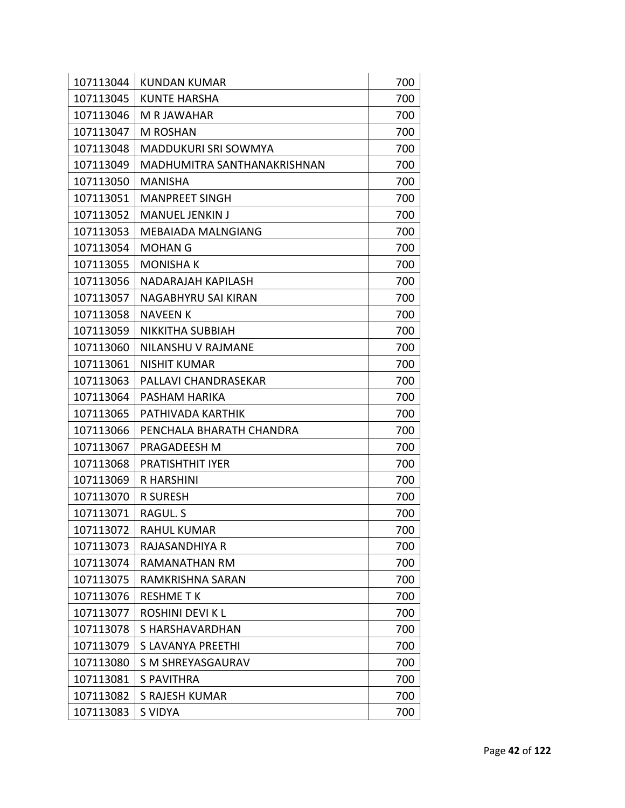| 107113044<br><b>KUNDAN KUMAR</b>                                    | 700        |
|---------------------------------------------------------------------|------------|
| 107113045<br><b>KUNTE HARSHA</b><br>107113046<br><b>M R JAWAHAR</b> | 700<br>700 |
| 107113047<br>M ROSHAN                                               | 700        |
| 107113048<br><b>MADDUKURI SRI SOWMYA</b>                            | 700        |
| 107113049<br>MADHUMITRA SANTHANAKRISHNAN                            | 700        |
| 107113050<br><b>MANISHA</b>                                         | 700        |
| 107113051<br><b>MANPREET SINGH</b>                                  | 700        |
| <b>MANUEL JENKIN J</b>                                              |            |
| 107113052                                                           | 700        |
| 107113053<br><b>MEBAIADA MALNGIANG</b>                              | 700        |
| 107113054<br><b>MOHAN G</b>                                         | 700        |
| 107113055<br><b>MONISHAK</b>                                        | 700        |
| 107113056<br>NADARAJAH KAPILASH                                     | 700        |
| 107113057<br>NAGABHYRU SAI KIRAN                                    | 700        |
| 107113058<br><b>NAVEEN K</b>                                        | 700        |
| 107113059<br>NIKKITHA SUBBIAH                                       | 700        |
| 107113060<br>NILANSHU V RAJMANE                                     | 700        |
| 107113061<br><b>NISHIT KUMAR</b>                                    | 700        |
| 107113063<br>PALLAVI CHANDRASEKAR                                   | 700        |
| 107113064<br>PASHAM HARIKA                                          | 700        |
| 107113065<br>PATHIVADA KARTHIK                                      | 700        |
| 107113066<br>PENCHALA BHARATH CHANDRA                               | 700        |
| 107113067<br>PRAGADEESH M                                           | 700        |
| 107113068<br><b>PRATISHTHIT IYER</b>                                | 700        |
| 107113069<br><b>R HARSHINI</b>                                      | 700        |
| 107113070<br><b>R SURESH</b>                                        | 700        |
| RAGUL. S<br>107113071                                               | 700        |
| 107113072<br>RAHUL KUMAR                                            | 700        |
| 107113073<br>RAJASANDHIYA R                                         | 700        |
| 107113074<br>RAMANATHAN RM                                          | 700        |
| 107113075<br><b>RAMKRISHNA SARAN</b>                                | 700        |
| 107113076<br><b>RESHME TK</b>                                       | 700        |
| 107113077<br>ROSHINI DEVI K L                                       | 700        |
| 107113078<br>S HARSHAVARDHAN                                        | 700        |
| 107113079<br>S LAVANYA PREETHI                                      | 700        |
| 107113080<br>S M SHREYASGAURAV                                      | 700        |
| 107113081<br><b>S PAVITHRA</b>                                      | 700        |
| 107113082<br>S RAJESH KUMAR                                         | 700        |
| 107113083<br>S VIDYA                                                | 700        |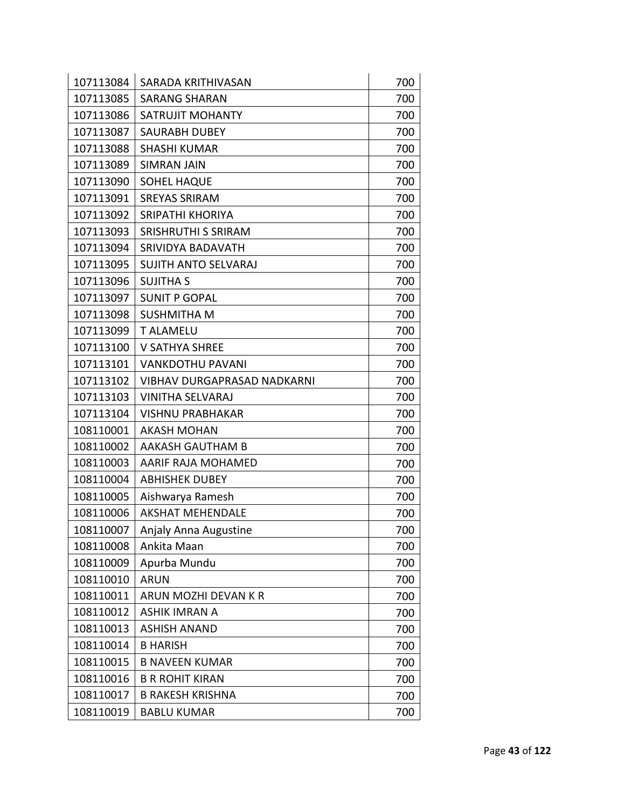| 107113084 | SARADA KRITHIVASAN                 | 700 |
|-----------|------------------------------------|-----|
| 107113085 | <b>SARANG SHARAN</b>               | 700 |
| 107113086 | SATRUJIT MOHANTY                   | 700 |
| 107113087 | <b>SAURABH DUBEY</b>               | 700 |
| 107113088 | <b>SHASHI KUMAR</b>                | 700 |
| 107113089 | <b>SIMRAN JAIN</b>                 | 700 |
| 107113090 | <b>SOHEL HAQUE</b>                 | 700 |
| 107113091 | <b>SREYAS SRIRAM</b>               | 700 |
| 107113092 | <b>SRIPATHI KHORIYA</b>            | 700 |
| 107113093 | <b>SRISHRUTHI S SRIRAM</b>         | 700 |
| 107113094 | SRIVIDYA BADAVATH                  | 700 |
| 107113095 | <b>SUJITH ANTO SELVARAJ</b>        | 700 |
| 107113096 | <b>SUJITHA S</b>                   | 700 |
| 107113097 | <b>SUNIT P GOPAL</b>               | 700 |
| 107113098 | <b>SUSHMITHA M</b>                 | 700 |
| 107113099 | <b>T ALAMELU</b>                   | 700 |
| 107113100 | <b>V SATHYA SHREE</b>              | 700 |
| 107113101 | <b>VANKDOTHU PAVANI</b>            | 700 |
| 107113102 | <b>VIBHAV DURGAPRASAD NADKARNI</b> | 700 |
| 107113103 | <b>VINITHA SELVARAJ</b>            | 700 |
| 107113104 | <b>VISHNU PRABHAKAR</b>            | 700 |
| 108110001 | <b>AKASH MOHAN</b>                 | 700 |
| 108110002 | AAKASH GAUTHAM B                   | 700 |
| 108110003 | AARIF RAJA MOHAMED                 | 700 |
| 108110004 | <b>ABHISHEK DUBEY</b>              | 700 |
| 108110005 | Aishwarya Ramesh                   | 700 |
| 108110006 | <b>AKSHAT MEHENDALE</b>            | 700 |
| 108110007 | Anjaly Anna Augustine              | 700 |
| 108110008 | Ankita Maan                        | 700 |
| 108110009 | Apurba Mundu                       | 700 |
| 108110010 | <b>ARUN</b>                        | 700 |
| 108110011 | ARUN MOZHI DEVAN K R               | 700 |
| 108110012 | <b>ASHIK IMRAN A</b>               | 700 |
| 108110013 | <b>ASHISH ANAND</b>                | 700 |
| 108110014 | <b>B HARISH</b>                    | 700 |
| 108110015 | <b>B NAVEEN KUMAR</b>              | 700 |
| 108110016 | <b>B R ROHIT KIRAN</b>             | 700 |
| 108110017 | <b>B RAKESH KRISHNA</b>            | 700 |
| 108110019 | <b>BABLU KUMAR</b>                 | 700 |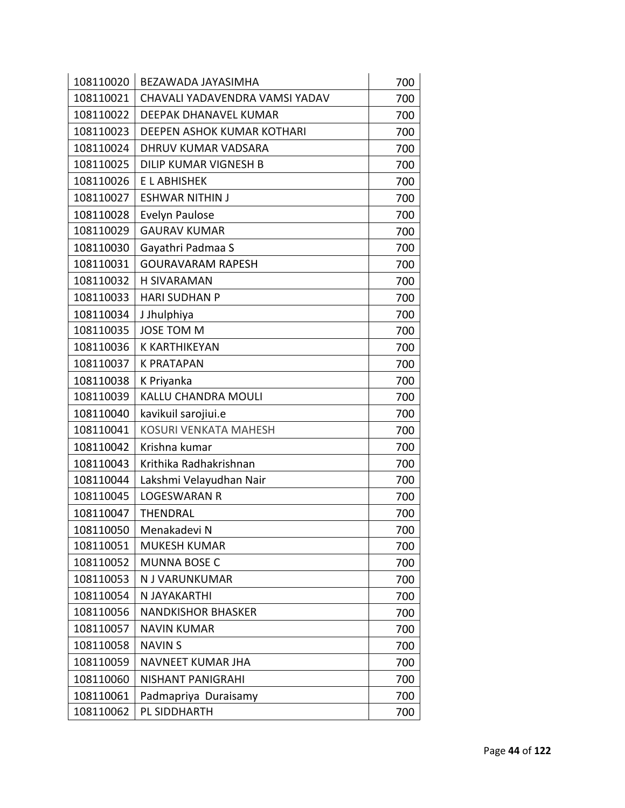| 108110020 | BEZAWADA JAYASIMHA             | 700 |
|-----------|--------------------------------|-----|
| 108110021 | CHAVALI YADAVENDRA VAMSI YADAV | 700 |
| 108110022 | DEEPAK DHANAVEL KUMAR          | 700 |
| 108110023 | DEEPEN ASHOK KUMAR KOTHARI     | 700 |
| 108110024 | DHRUV KUMAR VADSARA            | 700 |
| 108110025 | DILIP KUMAR VIGNESH B          | 700 |
| 108110026 | E L ABHISHEK                   | 700 |
| 108110027 | <b>ESHWAR NITHIN J</b>         | 700 |
| 108110028 | Evelyn Paulose                 | 700 |
| 108110029 | <b>GAURAV KUMAR</b>            | 700 |
| 108110030 | Gayathri Padmaa S              | 700 |
| 108110031 | <b>GOURAVARAM RAPESH</b>       | 700 |
| 108110032 | <b>H SIVARAMAN</b>             | 700 |
| 108110033 | <b>HARI SUDHAN P</b>           | 700 |
| 108110034 | J Jhulphiya                    | 700 |
| 108110035 | <b>JOSE TOM M</b>              | 700 |
| 108110036 | <b>K KARTHIKEYAN</b>           | 700 |
| 108110037 | <b>K PRATAPAN</b>              | 700 |
| 108110038 | K Priyanka                     | 700 |
| 108110039 | KALLU CHANDRA MOULI            | 700 |
| 108110040 | kavikuil sarojiui.e            | 700 |
| 108110041 | <b>KOSURI VENKATA MAHESH</b>   | 700 |
| 108110042 | Krishna kumar                  | 700 |
| 108110043 | Krithika Radhakrishnan         | 700 |
| 108110044 | Lakshmi Velayudhan Nair        | 700 |
| 108110045 | <b>LOGESWARAN R</b>            | 700 |
| 108110047 | <b>THENDRAL</b>                | 700 |
| 108110050 | Menakadevi N                   | 700 |
| 108110051 | <b>MUKESH KUMAR</b>            | 700 |
| 108110052 | <b>MUNNA BOSE C</b>            | 700 |
| 108110053 | N J VARUNKUMAR                 | 700 |
| 108110054 | N JAYAKARTHI                   | 700 |
| 108110056 | <b>NANDKISHOR BHASKER</b>      | 700 |
| 108110057 | <b>NAVIN KUMAR</b>             | 700 |
| 108110058 | <b>NAVINS</b>                  | 700 |
| 108110059 | NAVNEET KUMAR JHA              | 700 |
| 108110060 | <b>NISHANT PANIGRAHI</b>       | 700 |
| 108110061 | Padmapriya Duraisamy           | 700 |
| 108110062 | PL SIDDHARTH                   | 700 |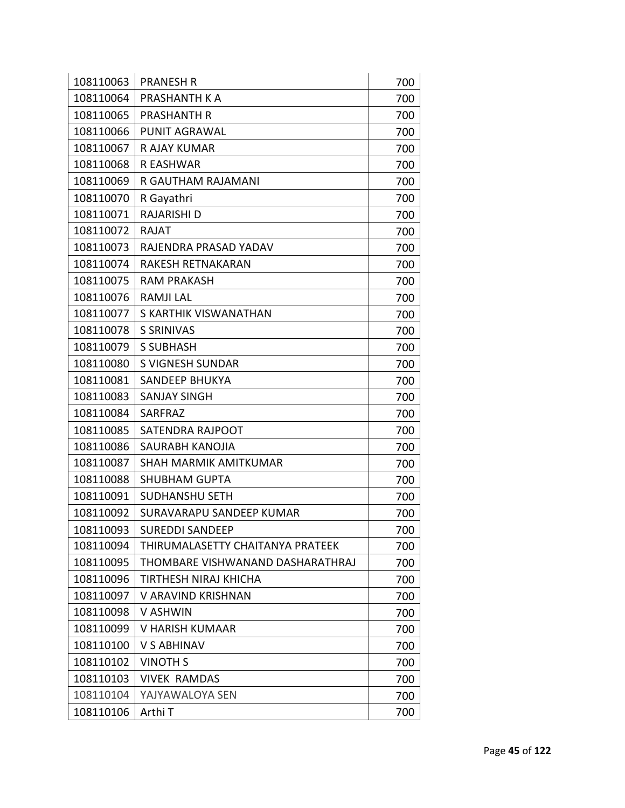| 108110063 | <b>PRANESH R</b>                 | 700 |
|-----------|----------------------------------|-----|
| 108110064 | PRASHANTH K A                    | 700 |
| 108110065 | <b>PRASHANTH R</b>               | 700 |
| 108110066 | <b>PUNIT AGRAWAL</b>             | 700 |
| 108110067 | R AJAY KUMAR                     | 700 |
| 108110068 | R EASHWAR                        | 700 |
| 108110069 | R GAUTHAM RAJAMANI               | 700 |
| 108110070 | R Gayathri                       | 700 |
| 108110071 | RAJARISHI D                      | 700 |
| 108110072 | <b>RAJAT</b>                     | 700 |
| 108110073 | RAJENDRA PRASAD YADAV            | 700 |
| 108110074 | RAKESH RETNAKARAN                | 700 |
| 108110075 | <b>RAM PRAKASH</b>               | 700 |
| 108110076 | <b>RAMJI LAL</b>                 | 700 |
| 108110077 | S KARTHIK VISWANATHAN            | 700 |
| 108110078 | <b>S SRINIVAS</b>                | 700 |
| 108110079 | <b>S SUBHASH</b>                 | 700 |
| 108110080 | <b>S VIGNESH SUNDAR</b>          | 700 |
| 108110081 | <b>SANDEEP BHUKYA</b>            | 700 |
| 108110083 | <b>SANJAY SINGH</b>              | 700 |
| 108110084 | SARFRAZ                          | 700 |
| 108110085 | SATENDRA RAJPOOT                 | 700 |
| 108110086 | SAURABH KANOJIA                  | 700 |
| 108110087 | SHAH MARMIK AMITKUMAR            | 700 |
| 108110088 | <b>SHUBHAM GUPTA</b>             | 700 |
| 108110091 | <b>SUDHANSHU SETH</b>            | 700 |
| 108110092 | SURAVARAPU SANDEEP KUMAR         | 700 |
| 108110093 | <b>SUREDDI SANDEEP</b>           | 700 |
| 108110094 | THIRUMALASETTY CHAITANYA PRATEEK | 700 |
| 108110095 | THOMBARE VISHWANAND DASHARATHRAJ | 700 |
| 108110096 | TIRTHESH NIRAJ KHICHA            | 700 |
| 108110097 | V ARAVIND KRISHNAN               | 700 |
| 108110098 | V ASHWIN                         | 700 |
| 108110099 | V HARISH KUMAAR                  | 700 |
| 108110100 | <b>V S ABHINAV</b>               | 700 |
| 108110102 | <b>VINOTH S</b>                  | 700 |
| 108110103 | <b>VIVEK RAMDAS</b>              | 700 |
| 108110104 | YAJYAWALOYA SEN                  | 700 |
| 108110106 | Arthi T                          | 700 |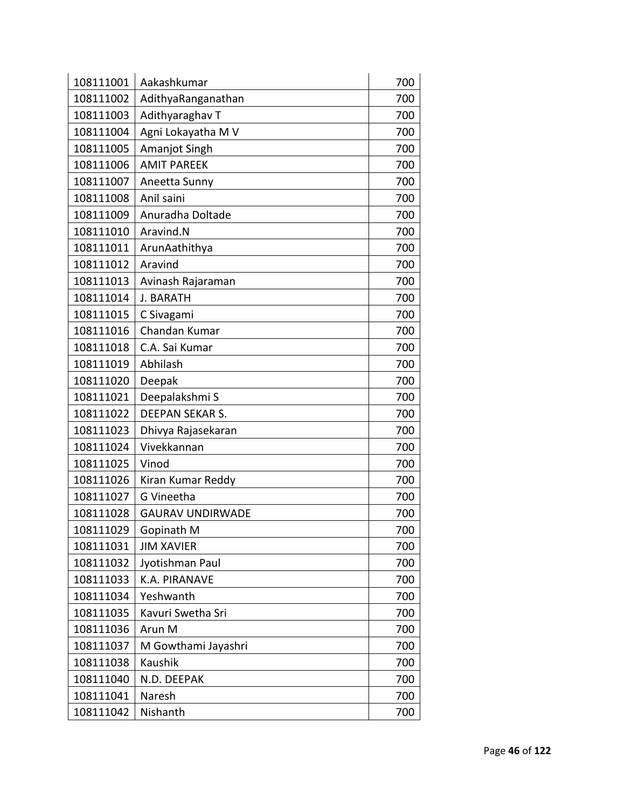| 108111001 | Aakashkumar             | 700 |
|-----------|-------------------------|-----|
| 108111002 | AdithyaRanganathan      | 700 |
| 108111003 | Adithyaraghav T         | 700 |
| 108111004 | Agni Lokayatha M V      | 700 |
| 108111005 | Amanjot Singh           | 700 |
| 108111006 | <b>AMIT PAREEK</b>      | 700 |
| 108111007 | Aneetta Sunny           | 700 |
| 108111008 | Anil saini              | 700 |
| 108111009 | Anuradha Doltade        | 700 |
| 108111010 | Aravind.N               | 700 |
| 108111011 | ArunAathithya           | 700 |
| 108111012 | Aravind                 | 700 |
| 108111013 | Avinash Rajaraman       | 700 |
| 108111014 | J. BARATH               | 700 |
| 108111015 | C Sivagami              | 700 |
| 108111016 | Chandan Kumar           | 700 |
| 108111018 | C.A. Sai Kumar          | 700 |
| 108111019 | Abhilash                | 700 |
| 108111020 | Deepak                  | 700 |
| 108111021 | Deepalakshmi S          | 700 |
| 108111022 | DEEPAN SEKAR S.         | 700 |
| 108111023 | Dhivya Rajasekaran      | 700 |
| 108111024 | Vivekkannan             | 700 |
| 108111025 | Vinod                   | 700 |
| 108111026 | Kiran Kumar Reddy       | 700 |
| 108111027 | G Vineetha              | 700 |
| 108111028 | <b>GAURAV UNDIRWADE</b> | 700 |
| 108111029 | Gopinath M              | 700 |
| 108111031 | <b>JIM XAVIER</b>       | 700 |
| 108111032 | Jyotishman Paul         | 700 |
| 108111033 | K.A. PIRANAVE           | 700 |
| 108111034 | Yeshwanth               | 700 |
| 108111035 | Kavuri Swetha Sri       | 700 |
| 108111036 | Arun M                  | 700 |
| 108111037 | M Gowthami Jayashri     | 700 |
| 108111038 | Kaushik                 | 700 |
| 108111040 | N.D. DEEPAK             | 700 |
| 108111041 | Naresh                  | 700 |
| 108111042 | Nishanth                | 700 |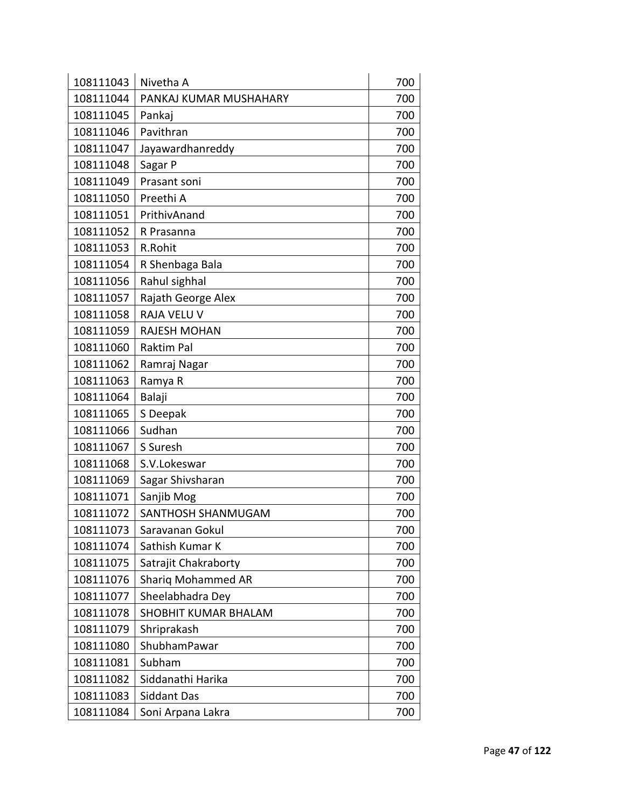| 108111043 | Nivetha A              | 700 |
|-----------|------------------------|-----|
| 108111044 | PANKAJ KUMAR MUSHAHARY | 700 |
| 108111045 | Pankaj                 | 700 |
| 108111046 | Pavithran              | 700 |
| 108111047 | Jayawardhanreddy       | 700 |
| 108111048 | Sagar P                | 700 |
| 108111049 | Prasant soni           | 700 |
| 108111050 | Preethi A              | 700 |
| 108111051 | PrithivAnand           | 700 |
| 108111052 | R Prasanna             | 700 |
| 108111053 | R.Rohit                | 700 |
| 108111054 | R Shenbaga Bala        | 700 |
| 108111056 | Rahul sighhal          | 700 |
| 108111057 | Rajath George Alex     | 700 |
| 108111058 | RAJA VELU V            | 700 |
| 108111059 | <b>RAJESH MOHAN</b>    | 700 |
| 108111060 | <b>Raktim Pal</b>      | 700 |
| 108111062 | Ramraj Nagar           | 700 |
| 108111063 | Ramya R                | 700 |
| 108111064 | Balaji                 | 700 |
| 108111065 | S Deepak               | 700 |
| 108111066 | Sudhan                 | 700 |
| 108111067 | S Suresh               | 700 |
| 108111068 | S.V.Lokeswar           | 700 |
| 108111069 | Sagar Shivsharan       | 700 |
| 108111071 | Sanjib Mog             | 700 |
| 108111072 | SANTHOSH SHANMUGAM     | 700 |
| 108111073 | Saravanan Gokul        | 700 |
| 108111074 | Sathish Kumar K        | 700 |
| 108111075 | Satrajit Chakraborty   | 700 |
| 108111076 | Shariq Mohammed AR     | 700 |
| 108111077 | Sheelabhadra Dey       | 700 |
| 108111078 | SHOBHIT KUMAR BHALAM   | 700 |
| 108111079 | Shriprakash            | 700 |
| 108111080 | ShubhamPawar           | 700 |
| 108111081 | Subham                 | 700 |
| 108111082 | Siddanathi Harika      | 700 |
| 108111083 | Siddant Das            | 700 |
| 108111084 | Soni Arpana Lakra      | 700 |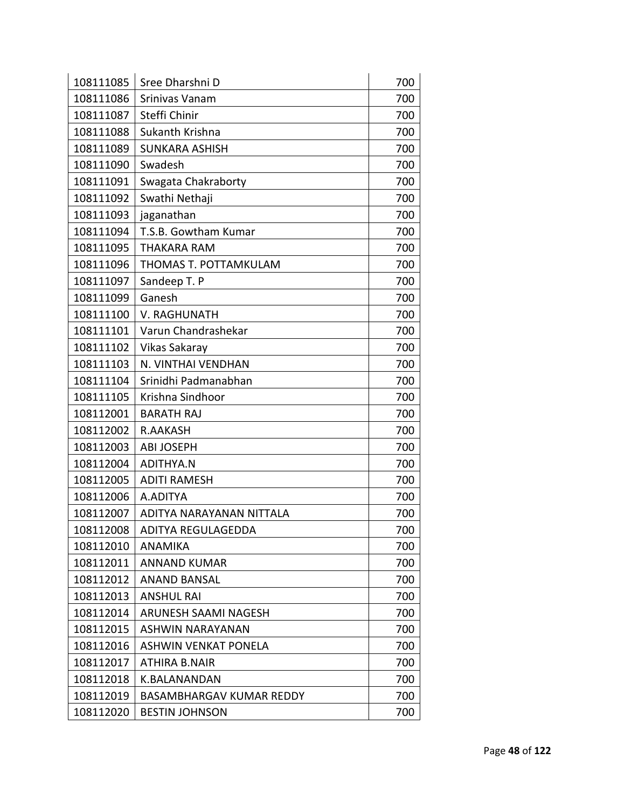| 108111085 | Sree Dharshni D                 | 700 |
|-----------|---------------------------------|-----|
| 108111086 | Srinivas Vanam                  | 700 |
| 108111087 | Steffi Chinir                   | 700 |
| 108111088 | Sukanth Krishna                 | 700 |
| 108111089 | <b>SUNKARA ASHISH</b>           | 700 |
| 108111090 | Swadesh                         | 700 |
| 108111091 | Swagata Chakraborty             | 700 |
| 108111092 | Swathi Nethaji                  | 700 |
| 108111093 | jaganathan                      | 700 |
| 108111094 | T.S.B. Gowtham Kumar            | 700 |
| 108111095 | <b>THAKARA RAM</b>              | 700 |
| 108111096 | THOMAS T. POTTAMKULAM           | 700 |
| 108111097 | Sandeep T. P                    | 700 |
| 108111099 | Ganesh                          | 700 |
| 108111100 | V. RAGHUNATH                    | 700 |
| 108111101 | Varun Chandrashekar             | 700 |
| 108111102 | Vikas Sakaray                   | 700 |
| 108111103 | N. VINTHAI VENDHAN              | 700 |
| 108111104 | Srinidhi Padmanabhan            | 700 |
| 108111105 | Krishna Sindhoor                | 700 |
| 108112001 | <b>BARATH RAJ</b>               | 700 |
| 108112002 | <b>R.AAKASH</b>                 | 700 |
| 108112003 | <b>ABI JOSEPH</b>               | 700 |
| 108112004 | <b>ADITHYA.N</b>                | 700 |
| 108112005 | <b>ADITI RAMESH</b>             | 700 |
| 108112006 | A.ADITYA                        | 700 |
| 108112007 | ADITYA NARAYANAN NITTALA        | 700 |
| 108112008 | ADITYA REGULAGEDDA              | 700 |
| 108112010 | ANAMIKA                         | 700 |
| 108112011 | <b>ANNAND KUMAR</b>             | 700 |
| 108112012 | <b>ANAND BANSAL</b>             | 700 |
| 108112013 | <b>ANSHUL RAI</b>               | 700 |
| 108112014 | ARUNESH SAAMI NAGESH            | 700 |
| 108112015 | ASHWIN NARAYANAN                | 700 |
| 108112016 | <b>ASHWIN VENKAT PONELA</b>     | 700 |
| 108112017 | ATHIRA B.NAIR                   | 700 |
| 108112018 | K.BALANANDAN                    | 700 |
| 108112019 | <b>BASAMBHARGAV KUMAR REDDY</b> | 700 |
| 108112020 | <b>BESTIN JOHNSON</b>           | 700 |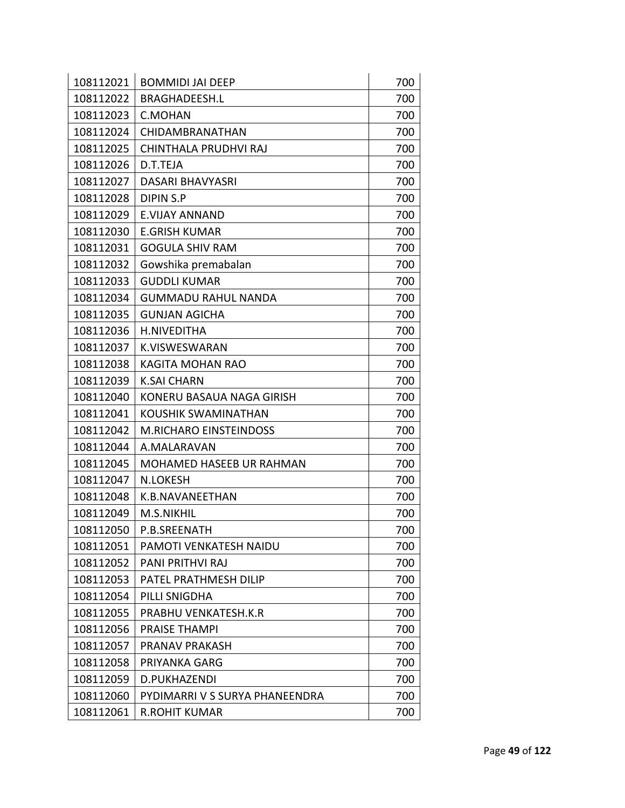| 108112021 | <b>BOMMIDI JAI DEEP</b>         | 700 |
|-----------|---------------------------------|-----|
| 108112022 | <b>BRAGHADEESH.L</b>            | 700 |
| 108112023 | C.MOHAN                         | 700 |
| 108112024 | CHIDAMBRANATHAN                 | 700 |
| 108112025 | CHINTHALA PRUDHVI RAJ           | 700 |
| 108112026 | D.T.TEJA                        | 700 |
| 108112027 | <b>DASARI BHAVYASRI</b>         | 700 |
| 108112028 | <b>DIPIN S.P</b>                | 700 |
| 108112029 | <b>E.VIJAY ANNAND</b>           | 700 |
| 108112030 | <b>E.GRISH KUMAR</b>            | 700 |
| 108112031 | <b>GOGULA SHIV RAM</b>          | 700 |
| 108112032 | Gowshika premabalan             | 700 |
| 108112033 | <b>GUDDLI KUMAR</b>             | 700 |
| 108112034 | <b>GUMMADU RAHUL NANDA</b>      | 700 |
| 108112035 | <b>GUNJAN AGICHA</b>            | 700 |
| 108112036 | <b>H.NIVEDITHA</b>              | 700 |
| 108112037 | K.VISWESWARAN                   | 700 |
| 108112038 | KAGITA MOHAN RAO                | 700 |
| 108112039 | <b>K.SAI CHARN</b>              | 700 |
| 108112040 | KONERU BASAUA NAGA GIRISH       | 700 |
| 108112041 | <b>KOUSHIK SWAMINATHAN</b>      | 700 |
| 108112042 | <b>M.RICHARO EINSTEINDOSS</b>   | 700 |
| 108112044 | A.MALARAVAN                     | 700 |
| 108112045 | <b>MOHAMED HASEEB UR RAHMAN</b> | 700 |
| 108112047 | <b>N.LOKESH</b>                 | 700 |
| 108112048 | K.B.NAVANEETHAN                 | 700 |
| 108112049 | M.S.NIKHIL                      | 700 |
| 108112050 | P.B.SREENATH                    | 700 |
| 108112051 | PAMOTI VENKATESH NAIDU          | 700 |
| 108112052 | <b>PANI PRITHVI RAJ</b>         | 700 |
| 108112053 | PATEL PRATHMESH DILIP           | 700 |
| 108112054 | PILLI SNIGDHA                   | 700 |
| 108112055 | PRABHU VENKATESH.K.R            | 700 |
| 108112056 | <b>PRAISE THAMPI</b>            | 700 |
| 108112057 | PRANAV PRAKASH                  | 700 |
| 108112058 | PRIYANKA GARG                   | 700 |
| 108112059 | D.PUKHAZENDI                    | 700 |
| 108112060 | PYDIMARRI V S SURYA PHANEENDRA  | 700 |
| 108112061 | <b>R.ROHIT KUMAR</b>            | 700 |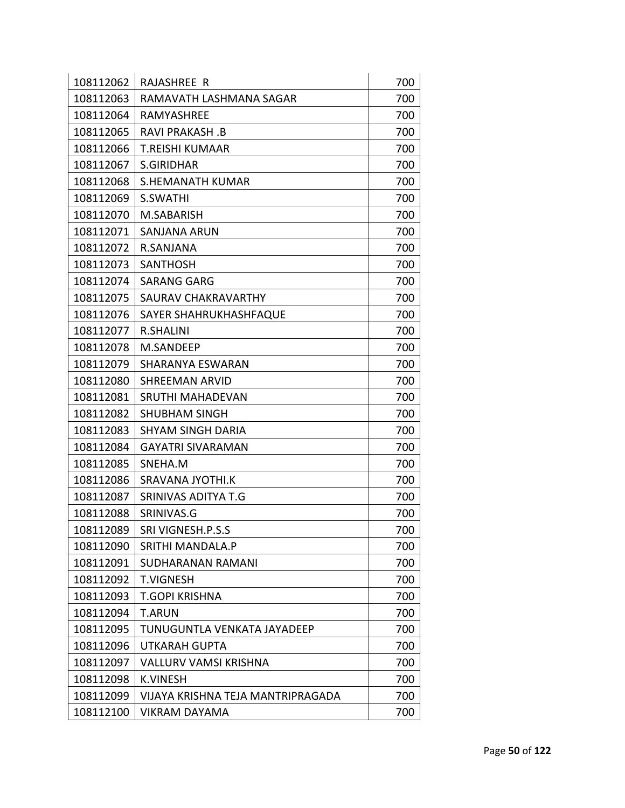| 108112062 | RAJASHREE R                       | 700 |
|-----------|-----------------------------------|-----|
| 108112063 | RAMAVATH LASHMANA SAGAR           | 700 |
| 108112064 | RAMYASHREE                        | 700 |
| 108112065 | <b>RAVI PRAKASH.B</b>             | 700 |
| 108112066 | <b>T.REISHI KUMAAR</b>            | 700 |
| 108112067 | <b>S.GIRIDHAR</b>                 | 700 |
| 108112068 | <b>S.HEMANATH KUMAR</b>           | 700 |
| 108112069 | S.SWATHI                          | 700 |
| 108112070 | M.SABARISH                        | 700 |
| 108112071 | SANJANA ARUN                      | 700 |
| 108112072 | R.SANJANA                         | 700 |
| 108112073 | <b>SANTHOSH</b>                   | 700 |
| 108112074 | <b>SARANG GARG</b>                | 700 |
| 108112075 | SAURAV CHAKRAVARTHY               | 700 |
| 108112076 | SAYER SHAHRUKHASHFAQUE            | 700 |
| 108112077 | R.SHALINI                         | 700 |
| 108112078 | M.SANDEEP                         | 700 |
| 108112079 | SHARANYA ESWARAN                  | 700 |
| 108112080 | <b>SHREEMAN ARVID</b>             | 700 |
| 108112081 | SRUTHI MAHADEVAN                  | 700 |
| 108112082 | <b>SHUBHAM SINGH</b>              | 700 |
| 108112083 | <b>SHYAM SINGH DARIA</b>          | 700 |
| 108112084 | <b>GAYATRI SIVARAMAN</b>          | 700 |
| 108112085 | SNEHA.M                           | 700 |
| 108112086 | <b>SRAVANA JYOTHI.K</b>           | 700 |
| 108112087 | SRINIVAS ADITYA T.G               | 700 |
| 108112088 | SRINIVAS.G                        | 700 |
| 108112089 | SRI VIGNESH.P.S.S                 | 700 |
| 108112090 | <b>SRITHI MANDALA.P</b>           | 700 |
| 108112091 | SUDHARANAN RAMANI                 | 700 |
| 108112092 | <b>T.VIGNESH</b>                  | 700 |
| 108112093 | <b>T.GOPI KRISHNA</b>             | 700 |
| 108112094 | <b>T.ARUN</b>                     | 700 |
| 108112095 | TUNUGUNTLA VENKATA JAYADEEP       | 700 |
| 108112096 | <b>UTKARAH GUPTA</b>              | 700 |
| 108112097 | <b>VALLURV VAMSI KRISHNA</b>      | 700 |
| 108112098 | <b>K.VINESH</b>                   | 700 |
| 108112099 | VIJAYA KRISHNA TEJA MANTRIPRAGADA | 700 |
| 108112100 | VIKRAM DAYAMA                     | 700 |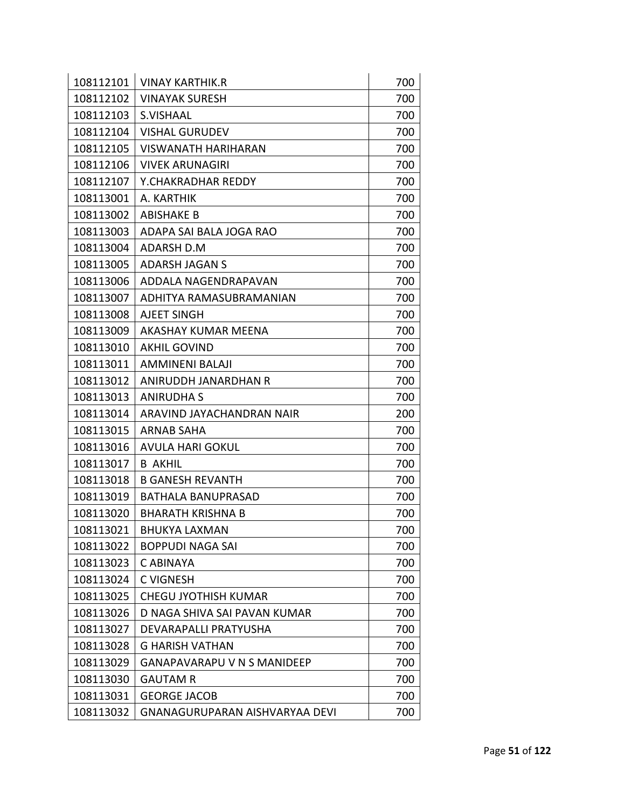| 108112101<br>700<br><b>VINAY KARTHIK.R</b><br>108112102<br><b>VINAYAK SURESH</b><br>700<br>108112103<br>S.VISHAAL<br>700<br>108112104<br><b>VISHAL GURUDEV</b><br>700<br>108112105<br><b>VISWANATH HARIHARAN</b><br>700 |
|-------------------------------------------------------------------------------------------------------------------------------------------------------------------------------------------------------------------------|
|                                                                                                                                                                                                                         |
|                                                                                                                                                                                                                         |
|                                                                                                                                                                                                                         |
|                                                                                                                                                                                                                         |
|                                                                                                                                                                                                                         |
| 108112106<br>700<br><b>VIVEK ARUNAGIRI</b><br>108112107<br>Y.CHAKRADHAR REDDY                                                                                                                                           |
| 700                                                                                                                                                                                                                     |
| 108113001<br>700<br>A. KARTHIK                                                                                                                                                                                          |
| 108113002<br><b>ABISHAKE B</b><br>700                                                                                                                                                                                   |
| 108113003<br>700<br>ADAPA SAI BALA JOGA RAO                                                                                                                                                                             |
| 108113004<br><b>ADARSH D.M</b><br>700                                                                                                                                                                                   |
| 108113005<br>700<br>ADARSH JAGAN S                                                                                                                                                                                      |
| 108113006<br>700<br>ADDALA NAGENDRAPAVAN                                                                                                                                                                                |
| 108113007<br>700<br>ADHITYA RAMASUBRAMANIAN                                                                                                                                                                             |
| 108113008<br>700<br>AJEET SINGH                                                                                                                                                                                         |
| 108113009<br>AKASHAY KUMAR MEENA<br>700                                                                                                                                                                                 |
| 108113010<br>700<br><b>AKHIL GOVIND</b>                                                                                                                                                                                 |
| 108113011<br><b>AMMINENI BALAJI</b><br>700                                                                                                                                                                              |
| 108113012<br>ANIRUDDH JANARDHAN R<br>700                                                                                                                                                                                |
| 108113013<br>700<br>ANIRUDHA S                                                                                                                                                                                          |
| 108113014<br>ARAVIND JAYACHANDRAN NAIR<br>200                                                                                                                                                                           |
| 108113015<br>700<br>ARNAB SAHA                                                                                                                                                                                          |
| 108113016<br><b>AVULA HARI GOKUL</b><br>700                                                                                                                                                                             |
| 108113017<br>700<br><b>B AKHIL</b>                                                                                                                                                                                      |
| 108113018<br><b>B GANESH REVANTH</b><br>700                                                                                                                                                                             |
| 108113019<br>BATHALA BANUPRASAD<br>700                                                                                                                                                                                  |
| 700<br>108113020<br><b>BHARATH KRISHNA B</b>                                                                                                                                                                            |
| 700<br>108113021<br>BHUKYA LAXMAN                                                                                                                                                                                       |
| 108113022<br>BOPPUDI NAGA SAI<br>700                                                                                                                                                                                    |
| 700<br>108113023<br>C ABINAYA                                                                                                                                                                                           |
| 700<br>108113024<br><b>C VIGNESH</b>                                                                                                                                                                                    |
| 108113025<br>700<br><b>CHEGU JYOTHISH KUMAR</b>                                                                                                                                                                         |
| 108113026<br>D NAGA SHIVA SAI PAVAN KUMAR<br>700                                                                                                                                                                        |
| 108113027<br>700<br>DEVARAPALLI PRATYUSHA                                                                                                                                                                               |
| 108113028<br>700<br><b>G HARISH VATHAN</b>                                                                                                                                                                              |
| <b>GANAPAVARAPU V N S MANIDEEP</b><br>108113029<br>700                                                                                                                                                                  |
| 108113030<br>700<br><b>GAUTAM R</b>                                                                                                                                                                                     |
| 108113031<br>700<br><b>GEORGE JACOB</b>                                                                                                                                                                                 |
| 108113032<br>700<br>GNANAGURUPARAN AISHVARYAA DEVI                                                                                                                                                                      |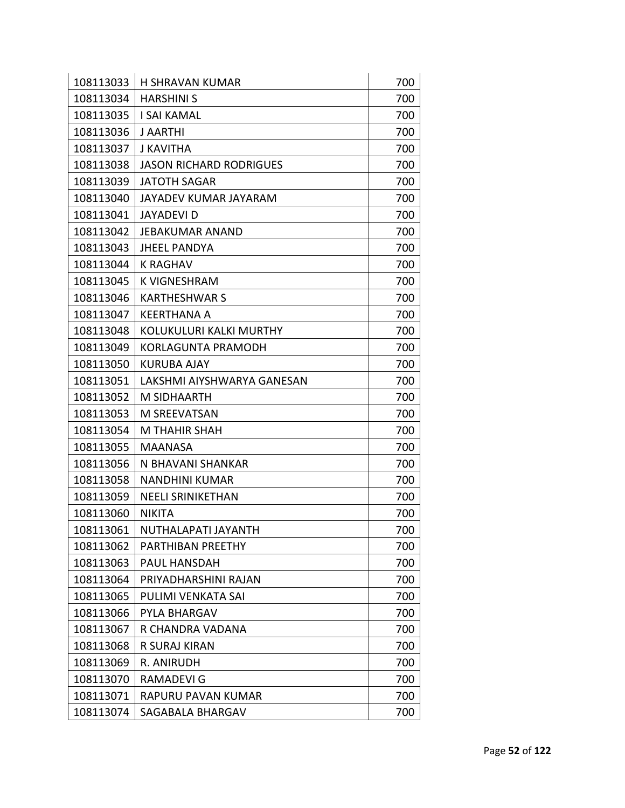| 108113033 | <b>H SHRAVAN KUMAR</b>         | 700 |
|-----------|--------------------------------|-----|
| 108113034 | <b>HARSHINI S</b>              | 700 |
| 108113035 | <b>I SAI KAMAL</b>             | 700 |
| 108113036 | <b>J AARTHI</b>                | 700 |
| 108113037 | <b>J KAVITHA</b>               | 700 |
| 108113038 | <b>JASON RICHARD RODRIGUES</b> | 700 |
| 108113039 | <b>JATOTH SAGAR</b>            | 700 |
| 108113040 | JAYADEV KUMAR JAYARAM          | 700 |
| 108113041 | JAYADEVI D                     | 700 |
| 108113042 | JEBAKUMAR ANAND                | 700 |
| 108113043 | <b>JHEEL PANDYA</b>            | 700 |
| 108113044 | K RAGHAV                       | 700 |
| 108113045 | K VIGNESHRAM                   | 700 |
| 108113046 | <b>KARTHESHWAR S</b>           | 700 |
| 108113047 | <b>KEERTHANA A</b>             | 700 |
| 108113048 | <b>KOLUKULURI KALKI MURTHY</b> | 700 |
| 108113049 | <b>KORLAGUNTA PRAMODH</b>      | 700 |
| 108113050 | <b>KURUBA AJAY</b>             | 700 |
| 108113051 | LAKSHMI AIYSHWARYA GANESAN     | 700 |
| 108113052 | M SIDHAARTH                    | 700 |
| 108113053 | M SREEVATSAN                   | 700 |
| 108113054 | <b>M THAHIR SHAH</b>           | 700 |
| 108113055 | <b>MAANASA</b>                 | 700 |
| 108113056 | N BHAVANI SHANKAR              | 700 |
| 108113058 | <b>NANDHINI KUMAR</b>          | 700 |
| 108113059 | <b>NEELI SRINIKETHAN</b>       | 700 |
| 108113060 | <b>NIKITA</b>                  | 700 |
| 108113061 | NUTHALAPATI JAYANTH            | 700 |
| 108113062 | PARTHIBAN PREETHY              | 700 |
| 108113063 | PAUL HANSDAH                   | 700 |
| 108113064 | PRIYADHARSHINI RAJAN           | 700 |
| 108113065 | PULIMI VENKATA SAI             | 700 |
| 108113066 | PYLA BHARGAV                   | 700 |
| 108113067 | R CHANDRA VADANA               | 700 |
| 108113068 | R SURAJ KIRAN                  | 700 |
| 108113069 | R. ANIRUDH                     | 700 |
| 108113070 | <b>RAMADEVI G</b>              | 700 |
| 108113071 | RAPURU PAVAN KUMAR             | 700 |
| 108113074 | SAGABALA BHARGAV               | 700 |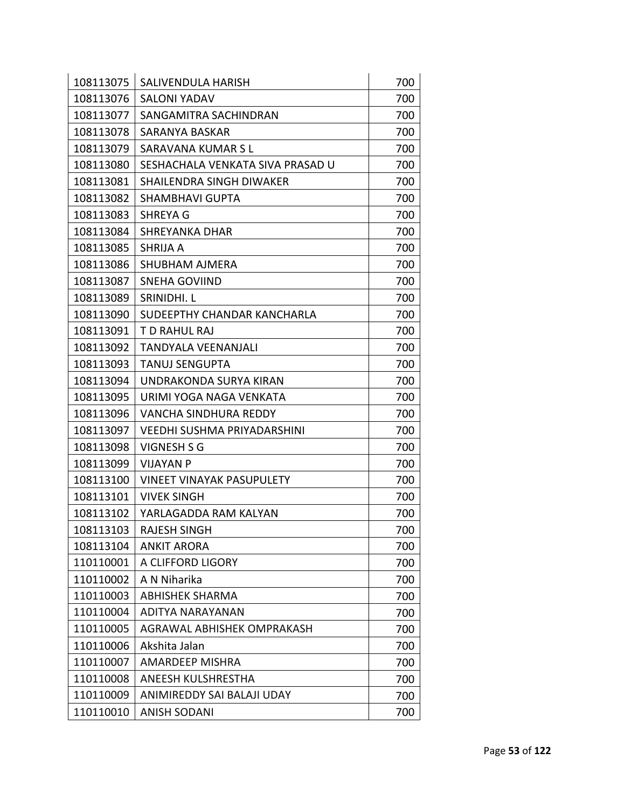| 108113075 | SALIVENDULA HARISH                 | 700 |
|-----------|------------------------------------|-----|
| 108113076 | <b>SALONI YADAV</b>                | 700 |
| 108113077 | SANGAMITRA SACHINDRAN              | 700 |
| 108113078 | SARANYA BASKAR                     | 700 |
| 108113079 | SARAVANA KUMAR S L                 | 700 |
| 108113080 | SESHACHALA VENKATA SIVA PRASAD U   | 700 |
| 108113081 | SHAILENDRA SINGH DIWAKER           | 700 |
| 108113082 | <b>SHAMBHAVI GUPTA</b>             | 700 |
| 108113083 | <b>SHREYA G</b>                    | 700 |
| 108113084 | SHREYANKA DHAR                     | 700 |
| 108113085 | <b>SHRIJA A</b>                    | 700 |
| 108113086 | SHUBHAM AJMERA                     | 700 |
| 108113087 | <b>SNEHA GOVIIND</b>               | 700 |
| 108113089 | <b>SRINIDHI. L</b>                 | 700 |
| 108113090 | SUDEEPTHY CHANDAR KANCHARLA        | 700 |
| 108113091 | T D RAHUL RAJ                      | 700 |
| 108113092 | TANDYALA VEENANJALI                | 700 |
| 108113093 | <b>TANUJ SENGUPTA</b>              | 700 |
| 108113094 | UNDRAKONDA SURYA KIRAN             | 700 |
| 108113095 | URIMI YOGA NAGA VENKATA            | 700 |
| 108113096 | <b>VANCHA SINDHURA REDDY</b>       | 700 |
| 108113097 | <b>VEEDHI SUSHMA PRIYADARSHINI</b> | 700 |
| 108113098 | VIGNESH S G                        | 700 |
| 108113099 | <b>VIJAYAN P</b>                   | 700 |
| 108113100 | <b>VINEET VINAYAK PASUPULETY</b>   | 700 |
| 108113101 | <b>VIVEK SINGH</b>                 | 700 |
| 108113102 | YARLAGADDA RAM KALYAN              | 700 |
| 108113103 | <b>RAJESH SINGH</b>                | 700 |
| 108113104 | <b>ANKIT ARORA</b>                 | 700 |
| 110110001 | A CLIFFORD LIGORY                  | 700 |
| 110110002 | A N Niharika                       | 700 |
| 110110003 | <b>ABHISHEK SHARMA</b>             | 700 |
| 110110004 | ADITYA NARAYANAN                   | 700 |
| 110110005 | <b>AGRAWAL ABHISHEK OMPRAKASH</b>  | 700 |
| 110110006 | Akshita Jalan                      | 700 |
| 110110007 | <b>AMARDEEP MISHRA</b>             | 700 |
| 110110008 | ANEESH KULSHRESTHA                 | 700 |
| 110110009 | ANIMIREDDY SAI BALAJI UDAY         | 700 |
| 110110010 | <b>ANISH SODANI</b>                | 700 |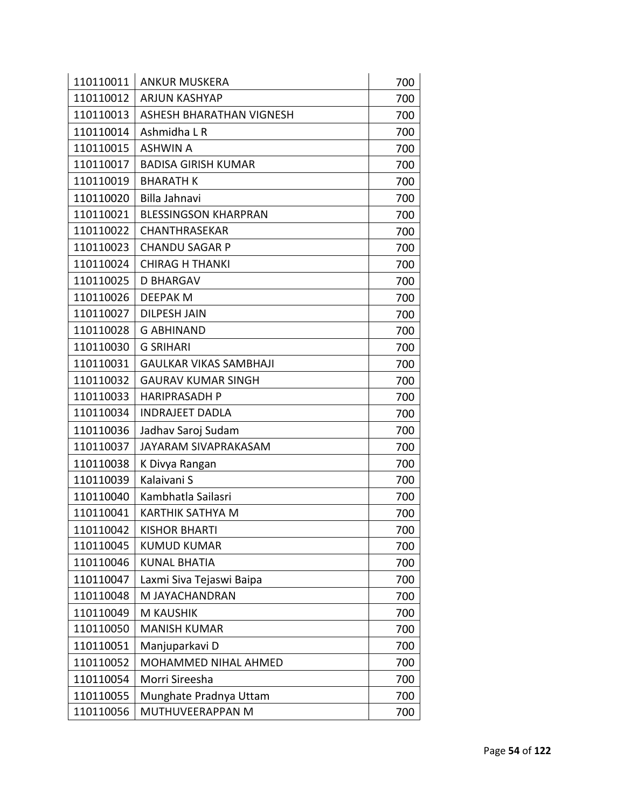| 110110011 | <b>ANKUR MUSKERA</b>          | 700 |
|-----------|-------------------------------|-----|
| 110110012 | <b>ARJUN KASHYAP</b>          | 700 |
| 110110013 | ASHESH BHARATHAN VIGNESH      | 700 |
| 110110014 | Ashmidha L R                  | 700 |
| 110110015 | <b>ASHWIN A</b>               | 700 |
| 110110017 | <b>BADISA GIRISH KUMAR</b>    | 700 |
| 110110019 | <b>BHARATH K</b>              | 700 |
| 110110020 | Billa Jahnavi                 | 700 |
| 110110021 | <b>BLESSINGSON KHARPRAN</b>   | 700 |
| 110110022 | CHANTHRASEKAR                 | 700 |
| 110110023 | <b>CHANDU SAGAR P</b>         | 700 |
| 110110024 | <b>CHIRAG H THANKI</b>        | 700 |
| 110110025 | <b>D BHARGAV</b>              | 700 |
| 110110026 | <b>DEEPAK M</b>               | 700 |
| 110110027 | <b>DILPESH JAIN</b>           | 700 |
| 110110028 | <b>G ABHINAND</b>             | 700 |
| 110110030 | <b>G SRIHARI</b>              | 700 |
| 110110031 | <b>GAULKAR VIKAS SAMBHAJI</b> | 700 |
| 110110032 | <b>GAURAV KUMAR SINGH</b>     | 700 |
| 110110033 | <b>HARIPRASADH P</b>          | 700 |
| 110110034 | <b>INDRAJEET DADLA</b>        | 700 |
| 110110036 | Jadhav Saroj Sudam            | 700 |
| 110110037 | JAYARAM SIVAPRAKASAM          | 700 |
| 110110038 | K Divya Rangan                | 700 |
| 110110039 | Kalaivani S                   | 700 |
| 110110040 | Kambhatla Sailasri            | 700 |
| 110110041 | <b>KARTHIK SATHYA M</b>       | 700 |
| 110110042 | <b>KISHOR BHARTI</b>          | 700 |
| 110110045 | <b>KUMUD KUMAR</b>            | 700 |
| 110110046 | <b>KUNAL BHATIA</b>           | 700 |
| 110110047 | Laxmi Siva Tejaswi Baipa      | 700 |
| 110110048 | M JAYACHANDRAN                | 700 |
| 110110049 | <b>M KAUSHIK</b>              | 700 |
| 110110050 | <b>MANISH KUMAR</b>           | 700 |
| 110110051 | Manjuparkavi D                | 700 |
| 110110052 | <b>MOHAMMED NIHAL AHMED</b>   | 700 |
| 110110054 | Morri Sireesha                | 700 |
| 110110055 | Munghate Pradnya Uttam        | 700 |
| 110110056 | MUTHUVEERAPPAN M              | 700 |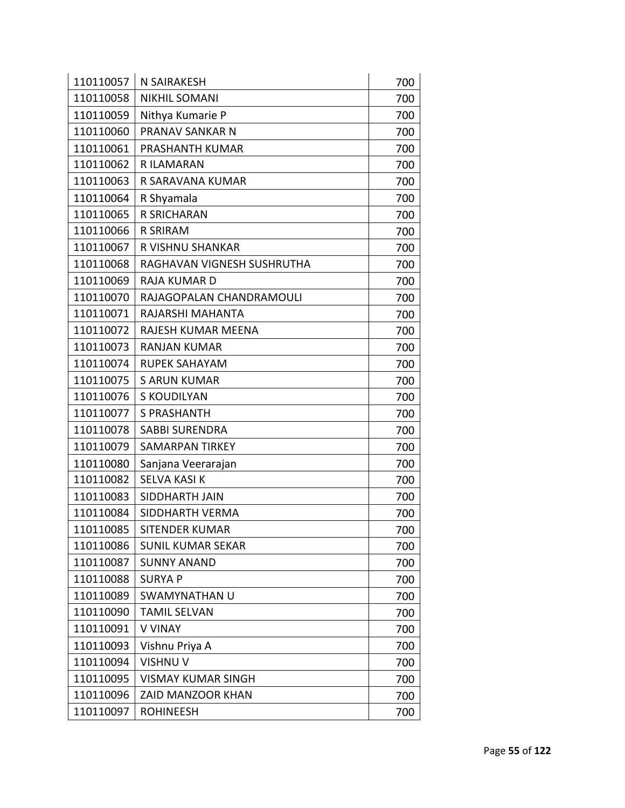| 110110057 | <b>N SAIRAKESH</b>         | 700 |
|-----------|----------------------------|-----|
| 110110058 | <b>NIKHIL SOMANI</b>       | 700 |
| 110110059 | Nithya Kumarie P           | 700 |
| 110110060 | PRANAV SANKAR N            | 700 |
| 110110061 | <b>PRASHANTH KUMAR</b>     | 700 |
| 110110062 | R ILAMARAN                 | 700 |
| 110110063 | R SARAVANA KUMAR           | 700 |
| 110110064 | R Shyamala                 | 700 |
| 110110065 | <b>R SRICHARAN</b>         | 700 |
| 110110066 | <b>R SRIRAM</b>            | 700 |
| 110110067 | R VISHNU SHANKAR           | 700 |
| 110110068 | RAGHAVAN VIGNESH SUSHRUTHA | 700 |
| 110110069 | <b>RAJA KUMAR D</b>        | 700 |
| 110110070 | RAJAGOPALAN CHANDRAMOULI   | 700 |
| 110110071 | RAJARSHI MAHANTA           | 700 |
| 110110072 | RAJESH KUMAR MEENA         | 700 |
| 110110073 | <b>RANJAN KUMAR</b>        | 700 |
| 110110074 | <b>RUPEK SAHAYAM</b>       | 700 |
| 110110075 | <b>S ARUN KUMAR</b>        | 700 |
| 110110076 | <b>S KOUDILYAN</b>         | 700 |
| 110110077 | <b>S PRASHANTH</b>         | 700 |
| 110110078 | <b>SABBI SURENDRA</b>      | 700 |
| 110110079 | <b>SAMARPAN TIRKEY</b>     | 700 |
| 110110080 | Sanjana Veerarajan         | 700 |
| 110110082 | SELVA KASI K               | 700 |
| 110110083 | SIDDHARTH JAIN             | 700 |
| 110110084 | SIDDHARTH VERMA            | 700 |
| 110110085 | <b>SITENDER KUMAR</b>      | 700 |
| 110110086 | <b>SUNIL KUMAR SEKAR</b>   | 700 |
| 110110087 | <b>SUNNY ANAND</b>         | 700 |
| 110110088 | <b>SURYA P</b>             | 700 |
| 110110089 | SWAMYNATHAN U              | 700 |
| 110110090 | <b>TAMIL SELVAN</b>        | 700 |
| 110110091 | <b>V VINAY</b>             | 700 |
| 110110093 | Vishnu Priya A             | 700 |
| 110110094 | <b>VISHNU V</b>            | 700 |
| 110110095 | <b>VISMAY KUMAR SINGH</b>  | 700 |
| 110110096 | ZAID MANZOOR KHAN          | 700 |
| 110110097 | <b>ROHINEESH</b>           | 700 |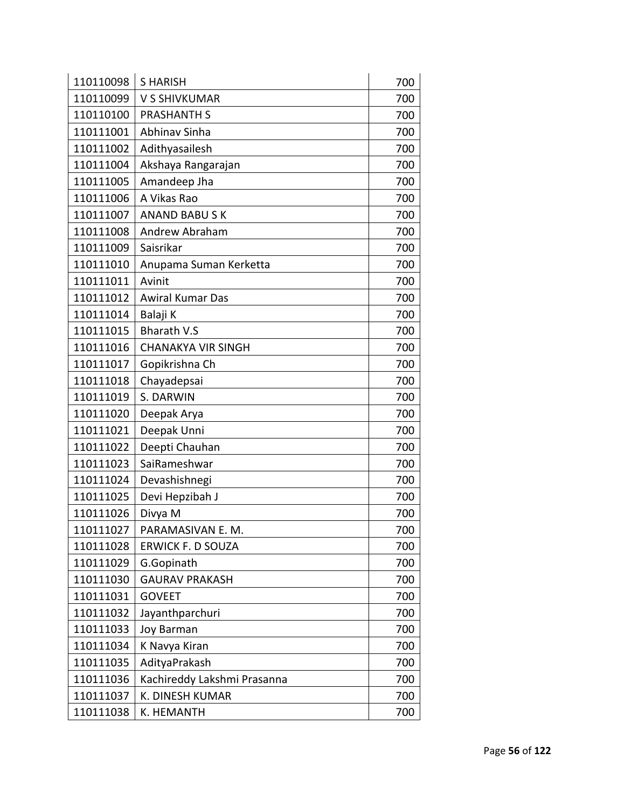| 110110098 | <b>SHARISH</b>              | 700 |
|-----------|-----------------------------|-----|
| 110110099 | V S SHIVKUMAR               | 700 |
| 110110100 | <b>PRASHANTH S</b>          | 700 |
| 110111001 | Abhinav Sinha               | 700 |
| 110111002 | Adithyasailesh              | 700 |
| 110111004 | Akshaya Rangarajan          | 700 |
| 110111005 | Amandeep Jha                | 700 |
| 110111006 | A Vikas Rao                 | 700 |
| 110111007 | <b>ANAND BABUSK</b>         | 700 |
| 110111008 | Andrew Abraham              | 700 |
| 110111009 | Saisrikar                   | 700 |
| 110111010 | Anupama Suman Kerketta      | 700 |
| 110111011 | Avinit                      | 700 |
| 110111012 | <b>Awiral Kumar Das</b>     | 700 |
| 110111014 | Balaji K                    | 700 |
| 110111015 | <b>Bharath V.S</b>          | 700 |
| 110111016 | <b>CHANAKYA VIR SINGH</b>   | 700 |
| 110111017 | Gopikrishna Ch              | 700 |
| 110111018 | Chayadepsai                 | 700 |
| 110111019 | S. DARWIN                   | 700 |
| 110111020 | Deepak Arya                 | 700 |
| 110111021 | Deepak Unni                 | 700 |
| 110111022 | Deepti Chauhan              | 700 |
| 110111023 | SaiRameshwar                | 700 |
| 110111024 | Devashishnegi               | 700 |
| 110111025 | Devi Hepzibah J             | 700 |
| 110111026 | Divya M                     | 700 |
| 110111027 | PARAMASIVAN E. M.           | 700 |
| 110111028 | <b>ERWICK F. D SOUZA</b>    | 700 |
| 110111029 | G.Gopinath                  | 700 |
| 110111030 | <b>GAURAV PRAKASH</b>       | 700 |
| 110111031 | <b>GOVEET</b>               | 700 |
| 110111032 | Jayanthparchuri             | 700 |
| 110111033 | Joy Barman                  | 700 |
| 110111034 | K Navya Kiran               | 700 |
| 110111035 | AdityaPrakash               | 700 |
| 110111036 | Kachireddy Lakshmi Prasanna | 700 |
| 110111037 | K. DINESH KUMAR             | 700 |
| 110111038 | K. HEMANTH                  | 700 |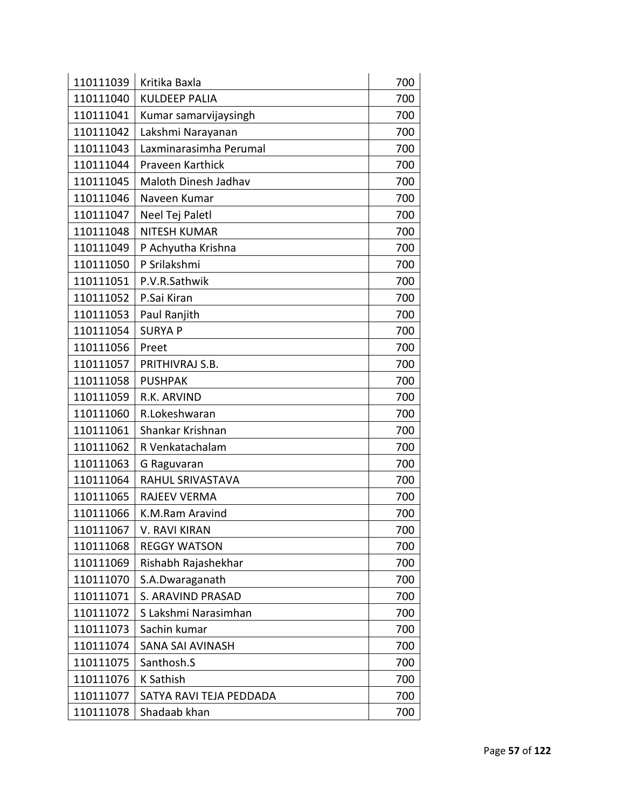| 110111039 | Kritika Baxla           | 700 |
|-----------|-------------------------|-----|
| 110111040 | <b>KULDEEP PALIA</b>    | 700 |
| 110111041 | Kumar samarvijaysingh   | 700 |
| 110111042 | Lakshmi Narayanan       | 700 |
| 110111043 | Laxminarasimha Perumal  | 700 |
| 110111044 | Praveen Karthick        | 700 |
| 110111045 | Maloth Dinesh Jadhav    | 700 |
| 110111046 | Naveen Kumar            | 700 |
| 110111047 | Neel Tej Paletl         | 700 |
| 110111048 | <b>NITESH KUMAR</b>     | 700 |
| 110111049 | P Achyutha Krishna      | 700 |
| 110111050 | P Srilakshmi            | 700 |
| 110111051 | P.V.R.Sathwik           | 700 |
| 110111052 | P.Sai Kiran             | 700 |
| 110111053 | Paul Ranjith            | 700 |
| 110111054 | <b>SURYA P</b>          | 700 |
| 110111056 | Preet                   | 700 |
| 110111057 | PRITHIVRAJ S.B.         | 700 |
| 110111058 | <b>PUSHPAK</b>          | 700 |
| 110111059 | R.K. ARVIND             | 700 |
| 110111060 | R.Lokeshwaran           | 700 |
| 110111061 | Shankar Krishnan        | 700 |
| 110111062 | R Venkatachalam         | 700 |
| 110111063 | G Raguvaran             | 700 |
| 110111064 | RAHUL SRIVASTAVA        | 700 |
| 110111065 | RAJEEV VERMA            | 700 |
| 110111066 | K.M.Ram Aravind         | 700 |
| 110111067 | V. RAVI KIRAN           | 700 |
| 110111068 | <b>REGGY WATSON</b>     | 700 |
| 110111069 | Rishabh Rajashekhar     | 700 |
| 110111070 | S.A.Dwaraganath         | 700 |
| 110111071 | S. ARAVIND PRASAD       | 700 |
| 110111072 | S Lakshmi Narasimhan    | 700 |
| 110111073 | Sachin kumar            | 700 |
| 110111074 | <b>SANA SAI AVINASH</b> | 700 |
| 110111075 | Santhosh.S              | 700 |
| 110111076 | K Sathish               | 700 |
| 110111077 | SATYA RAVI TEJA PEDDADA | 700 |
| 110111078 | Shadaab khan            | 700 |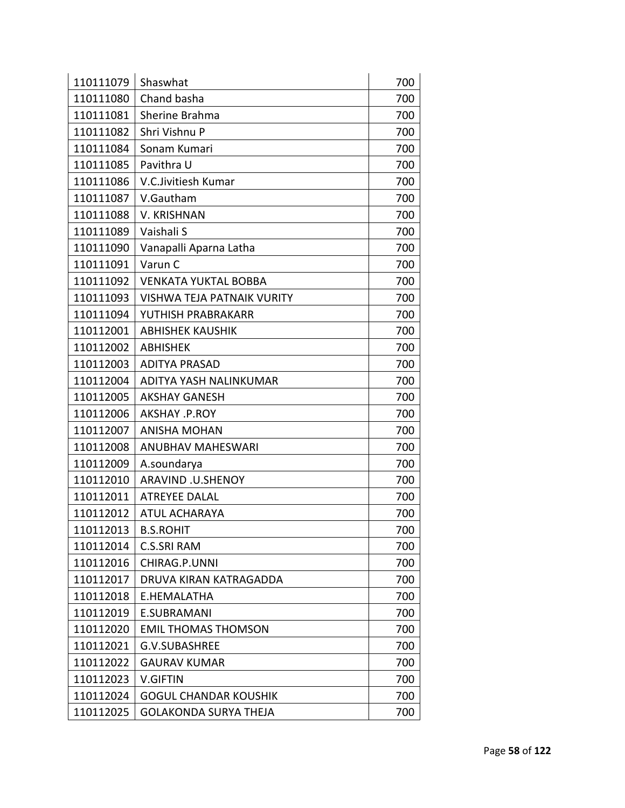| 110111079 | Shaswhat                          | 700 |
|-----------|-----------------------------------|-----|
| 110111080 | Chand basha                       | 700 |
| 110111081 | Sherine Brahma                    | 700 |
| 110111082 | Shri Vishnu P                     | 700 |
| 110111084 | Sonam Kumari                      | 700 |
| 110111085 | Pavithra U                        | 700 |
| 110111086 | V.C.Jivitiesh Kumar               | 700 |
| 110111087 | V.Gautham                         | 700 |
| 110111088 | <b>V. KRISHNAN</b>                | 700 |
| 110111089 | Vaishali S                        | 700 |
| 110111090 | Vanapalli Aparna Latha            | 700 |
| 110111091 | Varun C                           | 700 |
| 110111092 | <b>VENKATA YUKTAL BOBBA</b>       | 700 |
| 110111093 | <b>VISHWA TEJA PATNAIK VURITY</b> | 700 |
| 110111094 | YUTHISH PRABRAKARR                | 700 |
| 110112001 | <b>ABHISHEK KAUSHIK</b>           | 700 |
| 110112002 | <b>ABHISHEK</b>                   | 700 |
| 110112003 | <b>ADITYA PRASAD</b>              | 700 |
| 110112004 | ADITYA YASH NALINKUMAR            | 700 |
| 110112005 | <b>AKSHAY GANESH</b>              | 700 |
| 110112006 | AKSHAY .P.ROY                     | 700 |
| 110112007 | <b>ANISHA MOHAN</b>               | 700 |
| 110112008 | <b>ANUBHAV MAHESWARI</b>          | 700 |
| 110112009 | A.soundarya                       | 700 |
| 110112010 | ARAVIND .U.SHENOY                 | 700 |
| 110112011 | <b>ATREYEE DALAL</b>              | 700 |
| 110112012 | <b>ATUL ACHARAYA</b>              | 700 |
| 110112013 | <b>B.S.ROHIT</b>                  | 700 |
| 110112014 | <b>C.S.SRI RAM</b>                | 700 |
| 110112016 | CHIRAG.P.UNNI                     | 700 |
| 110112017 | DRUVA KIRAN KATRAGADDA            | 700 |
| 110112018 | E.HEMALATHA                       | 700 |
| 110112019 | E.SUBRAMANI                       | 700 |
| 110112020 | EMIL THOMAS THOMSON               | 700 |
| 110112021 | <b>G.V.SUBASHREE</b>              | 700 |
| 110112022 | <b>GAURAV KUMAR</b>               | 700 |
| 110112023 | <b>V.GIFTIN</b>                   | 700 |
| 110112024 | <b>GOGUL CHANDAR KOUSHIK</b>      | 700 |
| 110112025 | GOLAKONDA SURYA THEJA             | 700 |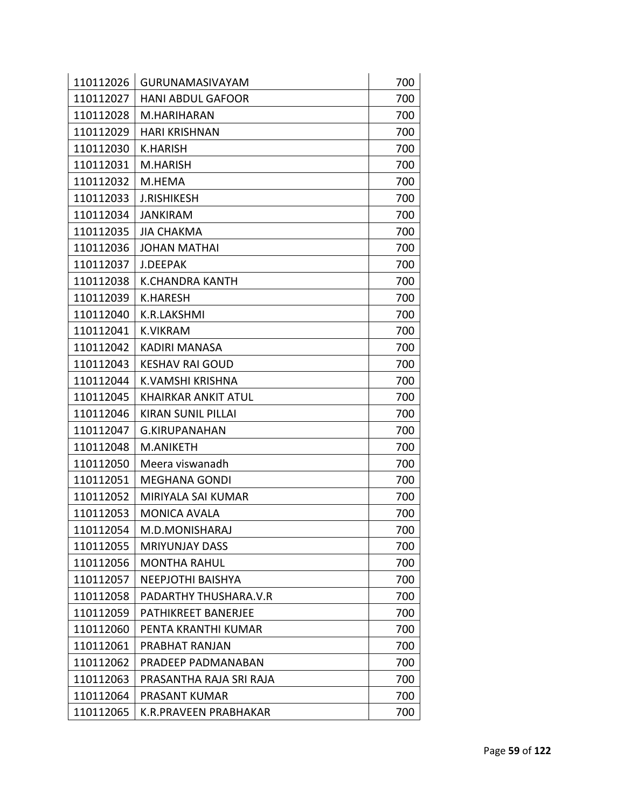| 110112026 | <b>GURUNAMASIVAYAM</b>     | 700 |
|-----------|----------------------------|-----|
| 110112027 | <b>HANI ABDUL GAFOOR</b>   | 700 |
| 110112028 | M.HARIHARAN                | 700 |
| 110112029 | <b>HARI KRISHNAN</b>       | 700 |
| 110112030 | <b>K.HARISH</b>            | 700 |
| 110112031 | M.HARISH                   | 700 |
| 110112032 | M.HEMA                     | 700 |
| 110112033 | <b>J.RISHIKESH</b>         | 700 |
| 110112034 | <b>JANKIRAM</b>            | 700 |
| 110112035 | <b>JIA CHAKMA</b>          | 700 |
| 110112036 | <b>JOHAN MATHAI</b>        | 700 |
| 110112037 | J.DEEPAK                   | 700 |
| 110112038 | <b>K.CHANDRA KANTH</b>     | 700 |
| 110112039 | <b>K.HARESH</b>            | 700 |
| 110112040 | K.R.LAKSHMI                | 700 |
| 110112041 | <b>K.VIKRAM</b>            | 700 |
| 110112042 | <b>KADIRI MANASA</b>       | 700 |
| 110112043 | <b>KESHAV RAI GOUD</b>     | 700 |
| 110112044 | K.VAMSHI KRISHNA           | 700 |
| 110112045 | <b>KHAIRKAR ANKIT ATUL</b> | 700 |
| 110112046 | <b>KIRAN SUNIL PILLAI</b>  | 700 |
| 110112047 | <b>G.KIRUPANAHAN</b>       | 700 |
| 110112048 | M.ANIKETH                  | 700 |
| 110112050 | Meera viswanadh            | 700 |
| 110112051 | <b>MEGHANA GONDI</b>       | 700 |
| 110112052 | MIRIYALA SAI KUMAR         | 700 |
| 110112053 | <b>MONICA AVALA</b>        | 700 |
| 110112054 | M.D.MONISHARAJ             | 700 |
| 110112055 | <b>MRIYUNJAY DASS</b>      | 700 |
| 110112056 | <b>MONTHA RAHUL</b>        | 700 |
| 110112057 | <b>NEEPJOTHI BAISHYA</b>   | 700 |
| 110112058 | PADARTHY THUSHARA.V.R      | 700 |
| 110112059 | PATHIKREET BANERJEE        | 700 |
| 110112060 | PENTA KRANTHI KUMAR        | 700 |
| 110112061 | PRABHAT RANJAN             | 700 |
| 110112062 | PRADEEP PADMANABAN         | 700 |
| 110112063 | PRASANTHA RAJA SRI RAJA    | 700 |
| 110112064 | PRASANT KUMAR              | 700 |
| 110112065 | K.R.PRAVEEN PRABHAKAR      | 700 |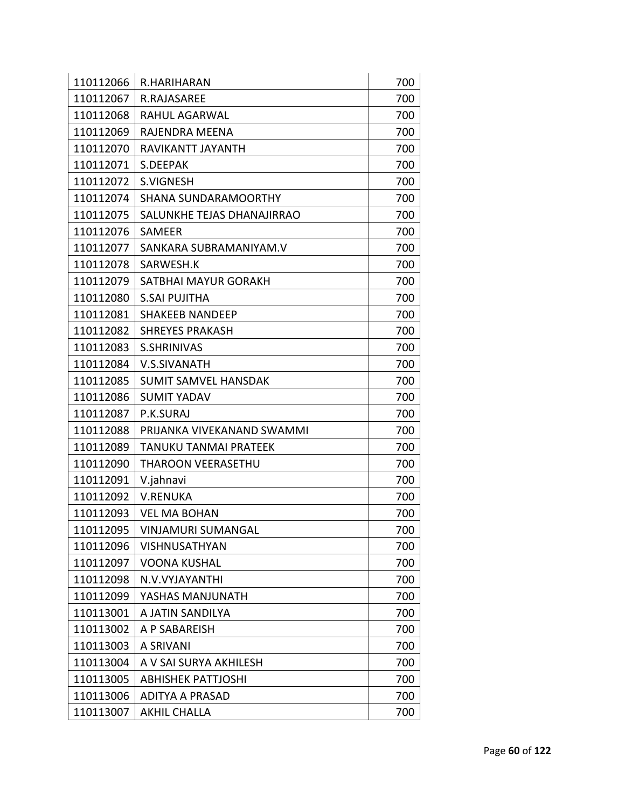| 110112066 | R.HARIHARAN                  | 700 |
|-----------|------------------------------|-----|
| 110112067 | <b>R.RAJASAREE</b>           | 700 |
| 110112068 | <b>RAHUL AGARWAL</b>         | 700 |
| 110112069 | RAJENDRA MEENA               | 700 |
| 110112070 | RAVIKANTT JAYANTH            | 700 |
| 110112071 | S.DEEPAK                     | 700 |
| 110112072 | <b>S.VIGNESH</b>             | 700 |
| 110112074 | <b>SHANA SUNDARAMOORTHY</b>  | 700 |
| 110112075 | SALUNKHE TEJAS DHANAJIRRAO   | 700 |
| 110112076 | SAMEER                       | 700 |
| 110112077 | SANKARA SUBRAMANIYAM.V       | 700 |
| 110112078 | SARWESH.K                    | 700 |
| 110112079 | SATBHAI MAYUR GORAKH         | 700 |
| 110112080 | <b>S.SAI PUJITHA</b>         | 700 |
| 110112081 | <b>SHAKEEB NANDEEP</b>       | 700 |
| 110112082 | <b>SHREYES PRAKASH</b>       | 700 |
| 110112083 | <b>S.SHRINIVAS</b>           | 700 |
| 110112084 | V.S.SIVANATH                 | 700 |
| 110112085 | <b>SUMIT SAMVEL HANSDAK</b>  | 700 |
| 110112086 | <b>SUMIT YADAV</b>           | 700 |
| 110112087 | P.K.SURAJ                    | 700 |
| 110112088 | PRIJANKA VIVEKANAND SWAMMI   | 700 |
| 110112089 | <b>TANUKU TANMAI PRATEEK</b> | 700 |
| 110112090 | <b>THAROON VEERASETHU</b>    | 700 |
| 110112091 | V.jahnavi                    | 700 |
| 110112092 | <b>V.RENUKA</b>              | 700 |
| 110112093 | <b>VEL MA BOHAN</b>          | 700 |
| 110112095 | <b>VINJAMURI SUMANGAL</b>    | 700 |
| 110112096 | VISHNUSATHYAN                | 700 |
| 110112097 | VOONA KUSHAL                 | 700 |
| 110112098 | N.V.VYJAYANTHI               | 700 |
| 110112099 | YASHAS MANJUNATH             | 700 |
| 110113001 | A JATIN SANDILYA             | 700 |
| 110113002 | A P SABAREISH                | 700 |
| 110113003 | A SRIVANI                    | 700 |
| 110113004 | A V SAI SURYA AKHILESH       | 700 |
| 110113005 | <b>ABHISHEK PATTJOSHI</b>    | 700 |
| 110113006 | <b>ADITYA A PRASAD</b>       | 700 |
| 110113007 | <b>AKHIL CHALLA</b>          | 700 |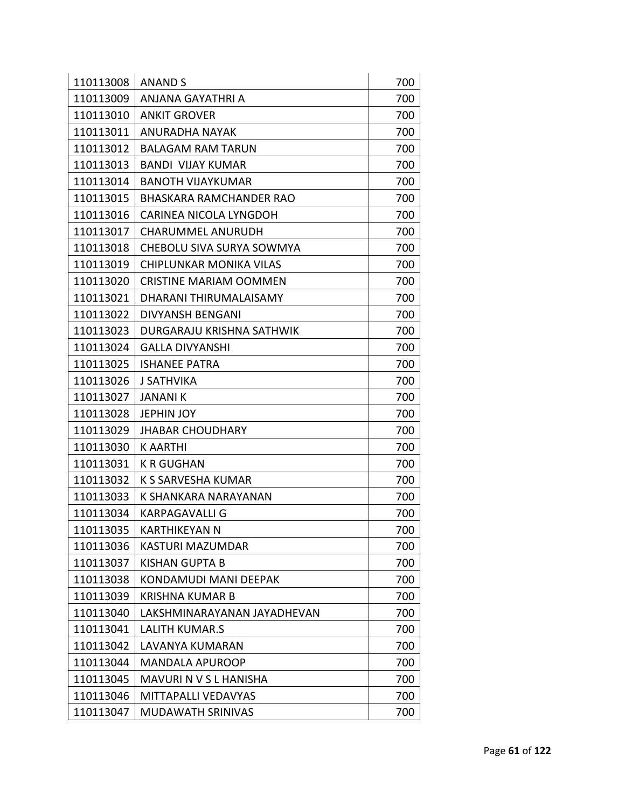| 110113008 | <b>ANAND S</b>                 | 700 |
|-----------|--------------------------------|-----|
| 110113009 | ANJANA GAYATHRI A              | 700 |
| 110113010 | <b>ANKIT GROVER</b>            | 700 |
| 110113011 | <b>ANURADHA NAYAK</b>          | 700 |
| 110113012 | <b>BALAGAM RAM TARUN</b>       | 700 |
| 110113013 | <b>BANDI VIJAY KUMAR</b>       | 700 |
| 110113014 | <b>BANOTH VIJAYKUMAR</b>       | 700 |
| 110113015 | <b>BHASKARA RAMCHANDER RAO</b> | 700 |
| 110113016 | CARINEA NICOLA LYNGDOH         | 700 |
| 110113017 | <b>CHARUMMEL ANURUDH</b>       | 700 |
| 110113018 | CHEBOLU SIVA SURYA SOWMYA      | 700 |
| 110113019 | CHIPLUNKAR MONIKA VILAS        | 700 |
| 110113020 | <b>CRISTINE MARIAM OOMMEN</b>  | 700 |
| 110113021 | DHARANI THIRUMALAISAMY         | 700 |
| 110113022 | <b>DIVYANSH BENGANI</b>        | 700 |
| 110113023 | DURGARAJU KRISHNA SATHWIK      | 700 |
| 110113024 | <b>GALLA DIVYANSHI</b>         | 700 |
| 110113025 | <b>ISHANEE PATRA</b>           | 700 |
| 110113026 | <b>J SATHVIKA</b>              | 700 |
| 110113027 | <b>JANANIK</b>                 | 700 |
| 110113028 | <b>JEPHIN JOY</b>              | 700 |
| 110113029 | <b>JHABAR CHOUDHARY</b>        | 700 |
| 110113030 | <b>KAARTHI</b>                 | 700 |
| 110113031 | <b>K R GUGHAN</b>              | 700 |
| 110113032 | K S SARVESHA KUMAR             | 700 |
| 110113033 | K SHANKARA NARAYANAN           | 700 |
| 110113034 | KARPAGAVALLI G                 | 700 |
| 110113035 | KARTHIKEYAN N                  | 700 |
| 110113036 | KASTURI MAZUMDAR               | 700 |
| 110113037 | <b>KISHAN GUPTA B</b>          | 700 |
| 110113038 | KONDAMUDI MANI DEEPAK          | 700 |
| 110113039 | <b>KRISHNA KUMAR B</b>         | 700 |
| 110113040 | LAKSHMINARAYANAN JAYADHEVAN    | 700 |
| 110113041 | <b>LALITH KUMAR.S</b>          | 700 |
| 110113042 | <b>LAVANYA KUMARAN</b>         | 700 |
| 110113044 | <b>MANDALA APUROOP</b>         | 700 |
| 110113045 | MAVURI N V S L HANISHA         | 700 |
| 110113046 | MITTAPALLI VEDAVYAS            | 700 |
| 110113047 | MUDAWATH SRINIVAS              | 700 |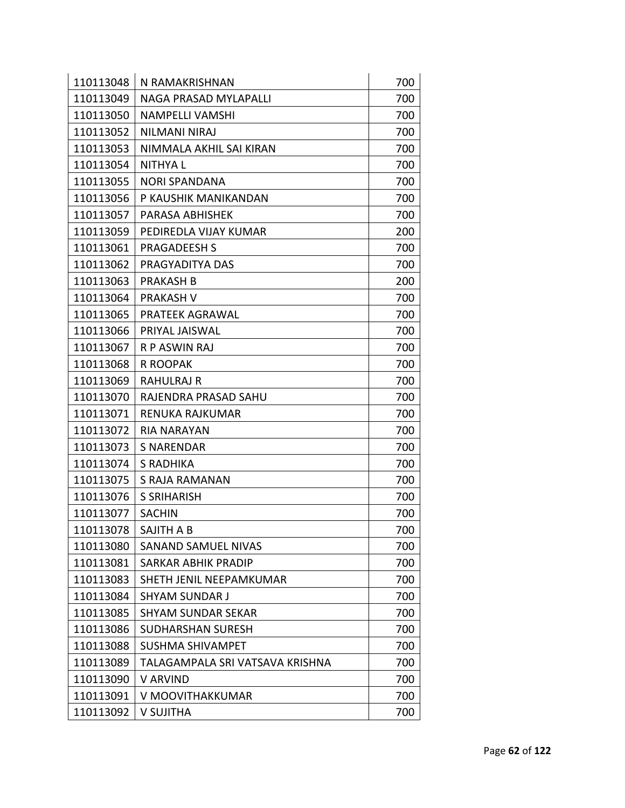| 110113048 | N RAMAKRISHNAN                  | 700 |
|-----------|---------------------------------|-----|
| 110113049 | NAGA PRASAD MYLAPALLI           | 700 |
| 110113050 | <b>NAMPELLI VAMSHI</b>          | 700 |
| 110113052 | <b>NILMANI NIRAJ</b>            | 700 |
| 110113053 | NIMMALA AKHIL SAI KIRAN         | 700 |
| 110113054 | <b>NITHYAL</b>                  | 700 |
| 110113055 | <b>NORI SPANDANA</b>            | 700 |
| 110113056 | P KAUSHIK MANIKANDAN            | 700 |
| 110113057 | PARASA ABHISHEK                 | 700 |
| 110113059 | PEDIREDLA VIJAY KUMAR           | 200 |
| 110113061 | <b>PRAGADEESH S</b>             | 700 |
| 110113062 | PRAGYADITYA DAS                 | 700 |
| 110113063 | <b>PRAKASH B</b>                | 200 |
| 110113064 | <b>PRAKASH V</b>                | 700 |
| 110113065 | PRATEEK AGRAWAL                 | 700 |
| 110113066 | PRIYAL JAISWAL                  | 700 |
| 110113067 | <b>R P ASWIN RAJ</b>            | 700 |
| 110113068 | <b>R ROOPAK</b>                 | 700 |
| 110113069 | <b>RAHULRAJ R</b>               | 700 |
| 110113070 | RAJENDRA PRASAD SAHU            | 700 |
| 110113071 | RENUKA RAJKUMAR                 | 700 |
| 110113072 | RIA NARAYAN                     | 700 |
| 110113073 | <b>S NARENDAR</b>               | 700 |
| 110113074 | S RADHIKA                       | 700 |
| 110113075 | S RAJA RAMANAN                  | 700 |
| 110113076 | S SRIHARISH                     | 700 |
| 110113077 | <b>SACHIN</b>                   | 700 |
| 110113078 | SAJITH A B                      | 700 |
| 110113080 | <b>SANAND SAMUEL NIVAS</b>      | 700 |
| 110113081 | <b>SARKAR ABHIK PRADIP</b>      | 700 |
| 110113083 | SHETH JENIL NEEPAMKUMAR         | 700 |
| 110113084 | <b>SHYAM SUNDAR J</b>           | 700 |
| 110113085 | SHYAM SUNDAR SEKAR              | 700 |
| 110113086 | SUDHARSHAN SURESH               | 700 |
| 110113088 | <b>SUSHMA SHIVAMPET</b>         | 700 |
| 110113089 | TALAGAMPALA SRI VATSAVA KRISHNA | 700 |
| 110113090 | V ARVIND                        | 700 |
| 110113091 | V MOOVITHAKKUMAR                | 700 |
| 110113092 | V SUJITHA                       | 700 |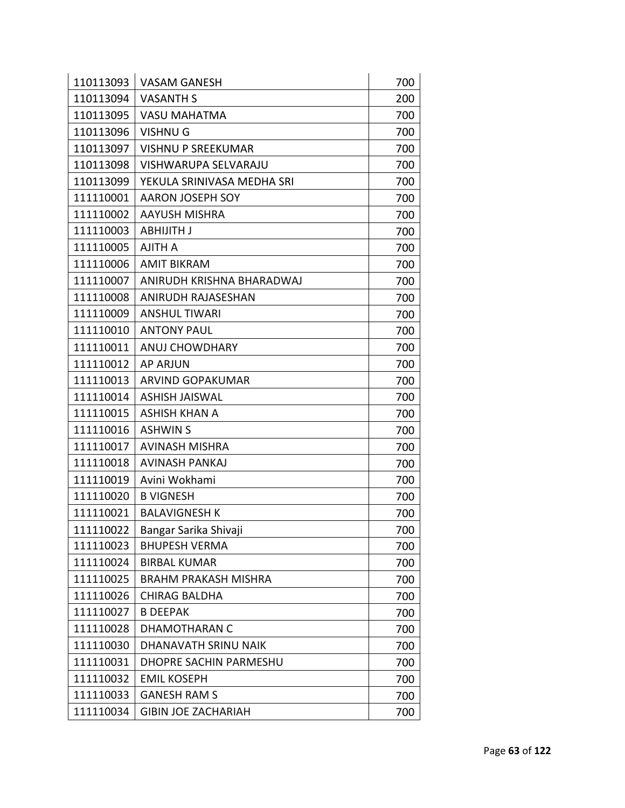| 110113093 | <b>VASAM GANESH</b>         | 700 |
|-----------|-----------------------------|-----|
| 110113094 | <b>VASANTH S</b>            | 200 |
| 110113095 | <b>VASU MAHATMA</b>         | 700 |
| 110113096 | <b>VISHNUG</b>              | 700 |
| 110113097 | <b>VISHNU P SREEKUMAR</b>   | 700 |
| 110113098 | VISHWARUPA SELVARAJU        | 700 |
| 110113099 | YEKULA SRINIVASA MEDHA SRI  | 700 |
| 111110001 | AARON JOSEPH SOY            | 700 |
| 111110002 | <b>AAYUSH MISHRA</b>        | 700 |
| 111110003 | ABHIJITH J                  | 700 |
| 111110005 | <b>AJITH A</b>              | 700 |
| 111110006 | <b>AMIT BIKRAM</b>          | 700 |
| 111110007 | ANIRUDH KRISHNA BHARADWAJ   | 700 |
| 111110008 | <b>ANIRUDH RAJASESHAN</b>   | 700 |
| 111110009 | <b>ANSHUL TIWARI</b>        | 700 |
| 111110010 | <b>ANTONY PAUL</b>          | 700 |
| 111110011 | <b>ANUJ CHOWDHARY</b>       | 700 |
| 111110012 | <b>AP ARJUN</b>             | 700 |
| 111110013 | <b>ARVIND GOPAKUMAR</b>     | 700 |
| 111110014 | <b>ASHISH JAISWAL</b>       | 700 |
| 111110015 | <b>ASHISH KHAN A</b>        | 700 |
| 111110016 | <b>ASHWIN S</b>             | 700 |
| 111110017 | <b>AVINASH MISHRA</b>       | 700 |
| 111110018 | AVINASH PANKAJ              | 700 |
| 111110019 | Avini Wokhami               | 700 |
| 111110020 | <b>B VIGNESH</b>            | 700 |
| 111110021 | <b>BALAVIGNESH K</b>        | 700 |
| 111110022 | Bangar Sarika Shivaji       | 700 |
| 111110023 | <b>BHUPESH VERMA</b>        | 700 |
| 111110024 | <b>BIRBAL KUMAR</b>         | 700 |
| 111110025 | <b>BRAHM PRAKASH MISHRA</b> | 700 |
| 111110026 | <b>CHIRAG BALDHA</b>        | 700 |
| 111110027 | <b>B DEEPAK</b>             | 700 |
| 111110028 | <b>DHAMOTHARAN C</b>        | 700 |
| 111110030 | DHANAVATH SRINU NAIK        | 700 |
| 111110031 | DHOPRE SACHIN PARMESHU      | 700 |
| 111110032 | <b>EMIL KOSEPH</b>          | 700 |
| 111110033 | <b>GANESH RAM S</b>         | 700 |
| 111110034 | <b>GIBIN JOE ZACHARIAH</b>  | 700 |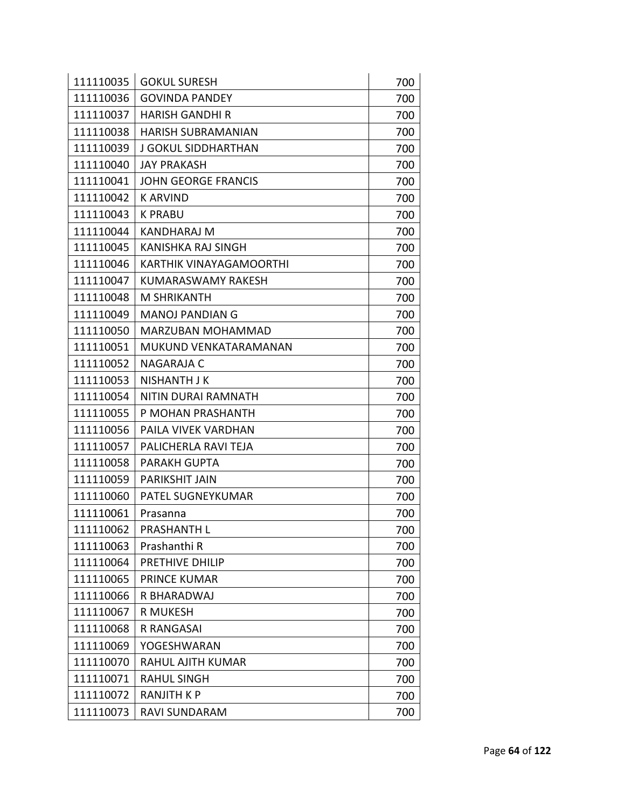| 111110035 | <b>GOKUL SURESH</b>        | 700 |
|-----------|----------------------------|-----|
| 111110036 | <b>GOVINDA PANDEY</b>      | 700 |
| 111110037 | <b>HARISH GANDHI R</b>     | 700 |
| 111110038 | <b>HARISH SUBRAMANIAN</b>  | 700 |
| 111110039 | <b>J GOKUL SIDDHARTHAN</b> | 700 |
| 111110040 | <b>JAY PRAKASH</b>         | 700 |
| 111110041 | <b>JOHN GEORGE FRANCIS</b> | 700 |
| 111110042 | <b>KARVIND</b>             | 700 |
| 111110043 | <b>K PRABU</b>             | 700 |
| 111110044 | <b>KANDHARAJ M</b>         | 700 |
| 111110045 | <b>KANISHKA RAJ SINGH</b>  | 700 |
| 111110046 | KARTHIK VINAYAGAMOORTHI    | 700 |
| 111110047 | KUMARASWAMY RAKESH         | 700 |
| 111110048 | <b>M SHRIKANTH</b>         | 700 |
| 111110049 | <b>MANOJ PANDIAN G</b>     | 700 |
| 111110050 | <b>MARZUBAN MOHAMMAD</b>   | 700 |
| 111110051 | MUKUND VENKATARAMANAN      | 700 |
| 111110052 | NAGARAJA C                 | 700 |
| 111110053 | <b>NISHANTH J K</b>        | 700 |
| 111110054 | NITIN DURAI RAMNATH        | 700 |
| 111110055 | P MOHAN PRASHANTH          | 700 |
| 111110056 | PAILA VIVEK VARDHAN        | 700 |
| 111110057 | PALICHERLA RAVI TEJA       | 700 |
| 111110058 | PARAKH GUPTA               | 700 |
| 111110059 | <b>PARIKSHIT JAIN</b>      | 700 |
| 111110060 | PATEL SUGNEYKUMAR          | 700 |
| 111110061 | Prasanna                   | 700 |
| 111110062 | PRASHANTH L                | 700 |
| 111110063 | Prashanthi R               | 700 |
| 111110064 | PRETHIVE DHILIP            | 700 |
| 111110065 | PRINCE KUMAR               | 700 |
| 111110066 | R BHARADWAJ                | 700 |
| 111110067 | <b>R MUKESH</b>            | 700 |
| 111110068 | <b>R RANGASAI</b>          | 700 |
| 111110069 | YOGESHWARAN                | 700 |
| 111110070 | <b>RAHUL AJITH KUMAR</b>   | 700 |
| 111110071 | <b>RAHUL SINGH</b>         | 700 |
| 111110072 | <b>RANJITH K P</b>         | 700 |
| 111110073 | RAVI SUNDARAM              | 700 |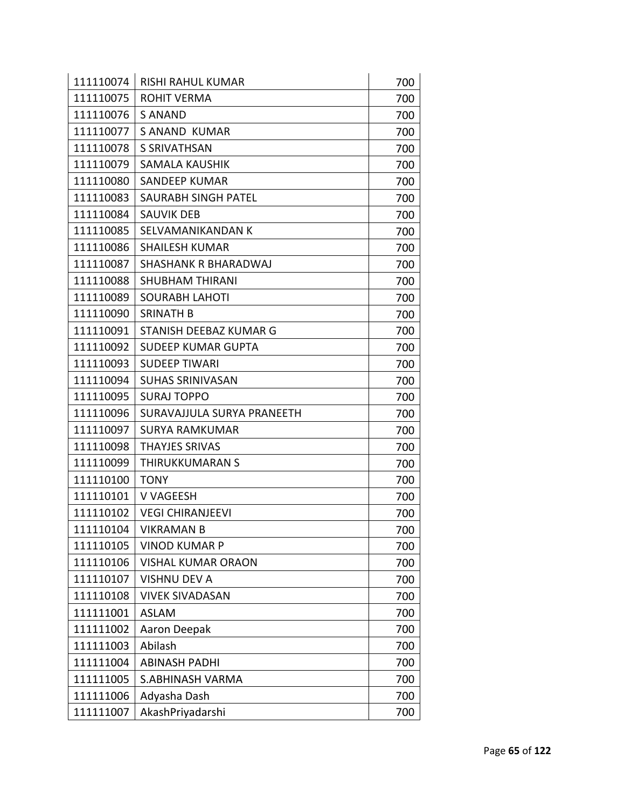| 111110074 | <b>RISHI RAHUL KUMAR</b>   | 700 |
|-----------|----------------------------|-----|
| 111110075 | <b>ROHIT VERMA</b>         | 700 |
| 111110076 | S ANAND                    | 700 |
| 111110077 | <b>S ANAND KUMAR</b>       | 700 |
| 111110078 | S SRIVATHSAN               | 700 |
| 111110079 | <b>SAMALA KAUSHIK</b>      | 700 |
| 111110080 | <b>SANDEEP KUMAR</b>       | 700 |
| 111110083 | <b>SAURABH SINGH PATEL</b> | 700 |
| 111110084 | <b>SAUVIK DEB</b>          | 700 |
| 111110085 | SELVAMANIKANDAN K          | 700 |
| 111110086 | <b>SHAILESH KUMAR</b>      | 700 |
| 111110087 | SHASHANK R BHARADWAJ       | 700 |
| 111110088 | <b>SHUBHAM THIRANI</b>     | 700 |
| 111110089 | <b>SOURABH LAHOTI</b>      | 700 |
| 111110090 | <b>SRINATH B</b>           | 700 |
| 111110091 | STANISH DEEBAZ KUMAR G     | 700 |
| 111110092 | <b>SUDEEP KUMAR GUPTA</b>  | 700 |
| 111110093 | <b>SUDEEP TIWARI</b>       | 700 |
| 111110094 | <b>SUHAS SRINIVASAN</b>    | 700 |
| 111110095 | <b>SURAJ TOPPO</b>         | 700 |
| 111110096 | SURAVAJJULA SURYA PRANEETH | 700 |
| 111110097 | <b>SURYA RAMKUMAR</b>      | 700 |
| 111110098 | <b>THAYJES SRIVAS</b>      | 700 |
| 111110099 | <b>THIRUKKUMARAN S</b>     | 700 |
| 111110100 | <b>TONY</b>                | 700 |
| 111110101 | V VAGEESH                  | 700 |
| 111110102 | <b>VEGI CHIRANJEEVI</b>    | 700 |
| 111110104 | <b>VIKRAMAN B</b>          | 700 |
| 111110105 | <b>VINOD KUMAR P</b>       | 700 |
| 111110106 | <b>VISHAL KUMAR ORAON</b>  | 700 |
| 111110107 | <b>VISHNU DEV A</b>        | 700 |
| 111110108 | <b>VIVEK SIVADASAN</b>     | 700 |
| 111111001 | <b>ASLAM</b>               | 700 |
| 111111002 | Aaron Deepak               | 700 |
| 111111003 | Abilash                    | 700 |
| 111111004 | <b>ABINASH PADHI</b>       | 700 |
| 111111005 | <b>S.ABHINASH VARMA</b>    | 700 |
| 111111006 | Adyasha Dash               | 700 |
| 111111007 | AkashPriyadarshi           | 700 |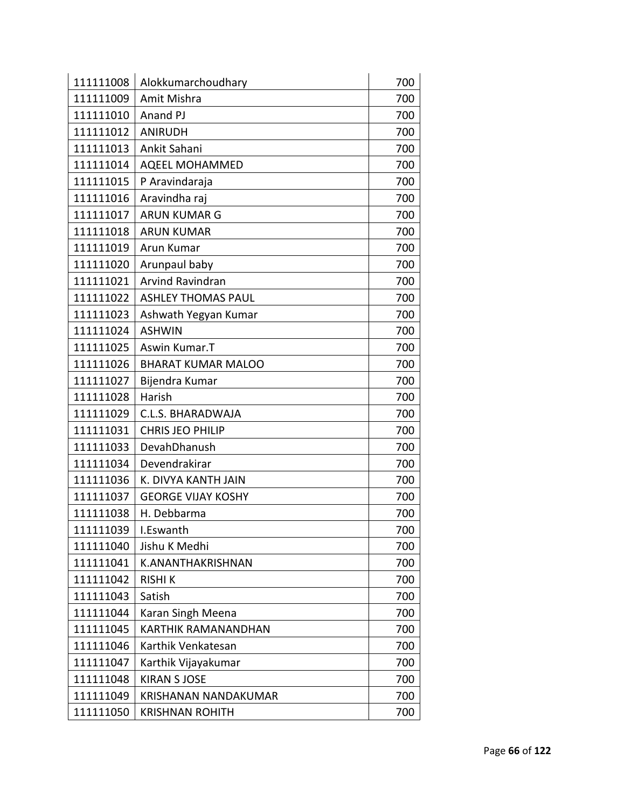| 111111008 | Alokkumarchoudhary         | 700 |
|-----------|----------------------------|-----|
| 111111009 | Amit Mishra                | 700 |
| 111111010 | Anand PJ                   | 700 |
| 111111012 | <b>ANIRUDH</b>             | 700 |
| 111111013 | Ankit Sahani               | 700 |
| 111111014 | <b>AQEEL MOHAMMED</b>      | 700 |
| 111111015 | P Aravindaraja             | 700 |
| 111111016 | Aravindha raj              | 700 |
| 111111017 | <b>ARUN KUMAR G</b>        | 700 |
| 111111018 | <b>ARUN KUMAR</b>          | 700 |
| 111111019 | Arun Kumar                 | 700 |
| 111111020 | Arunpaul baby              | 700 |
| 111111021 | <b>Arvind Ravindran</b>    | 700 |
| 111111022 | <b>ASHLEY THOMAS PAUL</b>  | 700 |
| 111111023 | Ashwath Yegyan Kumar       | 700 |
| 111111024 | <b>ASHWIN</b>              | 700 |
| 111111025 | Aswin Kumar.T              | 700 |
| 111111026 | <b>BHARAT KUMAR MALOO</b>  | 700 |
| 111111027 | Bijendra Kumar             | 700 |
| 111111028 | Harish                     | 700 |
| 111111029 | C.L.S. BHARADWAJA          | 700 |
| 111111031 | <b>CHRIS JEO PHILIP</b>    | 700 |
| 111111033 | DevahDhanush               | 700 |
| 111111034 | Devendrakirar              | 700 |
| 111111036 | K. DIVYA KANTH JAIN        | 700 |
| 111111037 | <b>GEORGE VIJAY KOSHY</b>  | 700 |
| 111111038 | H. Debbarma                | 700 |
| 111111039 | I.Eswanth                  | 700 |
| 111111040 | Jishu K Medhi              | 700 |
| 111111041 | K.ANANTHAKRISHNAN          | 700 |
| 111111042 | <b>RISHIK</b>              | 700 |
| 111111043 | Satish                     | 700 |
| 111111044 | Karan Singh Meena          | 700 |
| 111111045 | <b>KARTHIK RAMANANDHAN</b> | 700 |
| 111111046 | Karthik Venkatesan         | 700 |
| 111111047 | Karthik Vijayakumar        | 700 |
| 111111048 | <b>KIRAN S JOSE</b>        | 700 |
| 111111049 | KRISHANAN NANDAKUMAR       | 700 |
| 111111050 | <b>KRISHNAN ROHITH</b>     | 700 |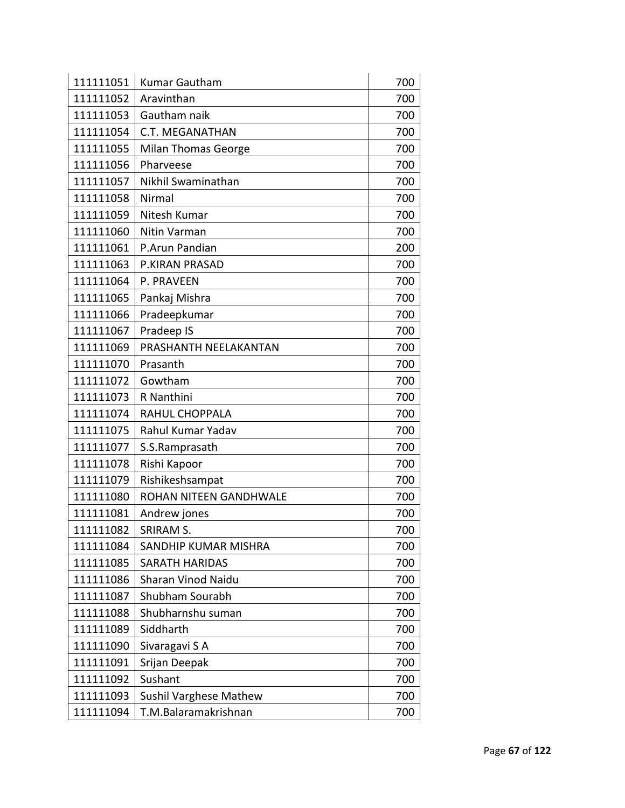| 111111051 | <b>Kumar Gautham</b>          | 700 |
|-----------|-------------------------------|-----|
| 111111052 | Aravinthan                    | 700 |
| 111111053 | Gautham naik                  | 700 |
| 111111054 | <b>C.T. MEGANATHAN</b>        | 700 |
| 111111055 | <b>Milan Thomas George</b>    | 700 |
| 111111056 | Pharveese                     | 700 |
| 111111057 | Nikhil Swaminathan            | 700 |
| 111111058 | Nirmal                        | 700 |
| 111111059 | Nitesh Kumar                  | 700 |
| 111111060 | Nitin Varman                  | 700 |
| 111111061 | P.Arun Pandian                | 200 |
| 111111063 | P.KIRAN PRASAD                | 700 |
| 111111064 | P. PRAVEEN                    | 700 |
| 111111065 | Pankaj Mishra                 | 700 |
| 111111066 | Pradeepkumar                  | 700 |
| 111111067 | Pradeep IS                    | 700 |
| 111111069 | PRASHANTH NEELAKANTAN         | 700 |
| 111111070 | Prasanth                      | 700 |
| 111111072 | Gowtham                       | 700 |
| 111111073 | R Nanthini                    | 700 |
| 111111074 | RAHUL CHOPPALA                | 700 |
| 111111075 | Rahul Kumar Yadav             | 700 |
| 111111077 | S.S.Ramprasath                | 700 |
| 111111078 | Rishi Kapoor                  | 700 |
| 111111079 | Rishikeshsampat               | 700 |
| 111111080 | ROHAN NITEEN GANDHWALE        | 700 |
| 111111081 | Andrew jones                  | 700 |
| 111111082 | SRIRAM S.                     | 700 |
| 111111084 | SANDHIP KUMAR MISHRA          | 700 |
| 111111085 | <b>SARATH HARIDAS</b>         | 700 |
| 111111086 | Sharan Vinod Naidu            | 700 |
| 111111087 | Shubham Sourabh               | 700 |
| 111111088 | Shubharnshu suman             | 700 |
| 111111089 | Siddharth                     | 700 |
| 111111090 | Sivaragavi S A                | 700 |
| 111111091 | Srijan Deepak                 | 700 |
| 111111092 | Sushant                       | 700 |
| 111111093 | <b>Sushil Varghese Mathew</b> | 700 |
| 111111094 | T.M.Balaramakrishnan          | 700 |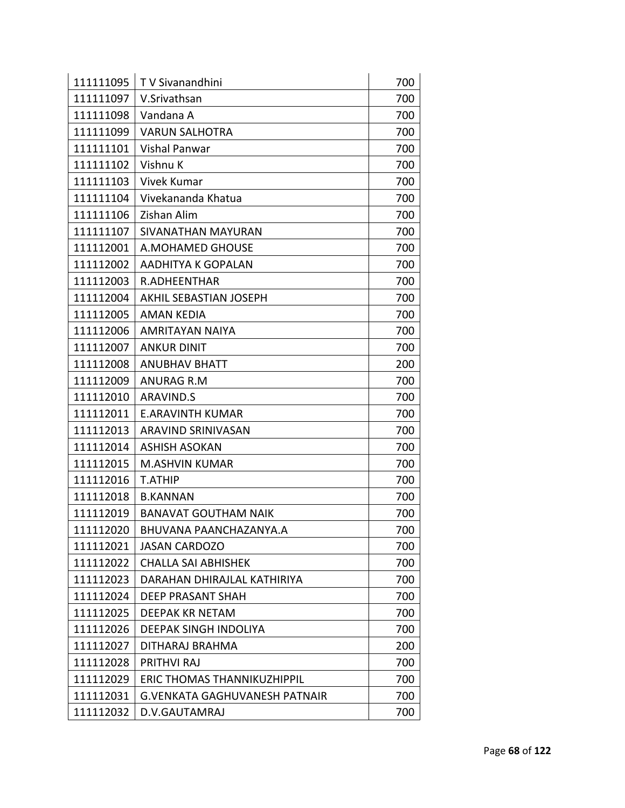| 111111095 | T V Sivanandhini                     | 700 |
|-----------|--------------------------------------|-----|
| 111111097 | V.Srivathsan                         | 700 |
| 111111098 | Vandana A                            | 700 |
| 111111099 | <b>VARUN SALHOTRA</b>                | 700 |
| 111111101 | Vishal Panwar                        | 700 |
| 111111102 | Vishnu K                             | 700 |
| 111111103 | <b>Vivek Kumar</b>                   | 700 |
| 111111104 | Vivekananda Khatua                   | 700 |
| 111111106 | Zishan Alim                          | 700 |
| 111111107 | SIVANATHAN MAYURAN                   | 700 |
| 111112001 | A.MOHAMED GHOUSE                     | 700 |
| 111112002 | AADHITYA K GOPALAN                   | 700 |
| 111112003 | R.ADHEENTHAR                         | 700 |
| 111112004 | AKHIL SEBASTIAN JOSEPH               | 700 |
| 111112005 | <b>AMAN KEDIA</b>                    | 700 |
| 111112006 | <b>AMRITAYAN NAIYA</b>               | 700 |
| 111112007 | <b>ANKUR DINIT</b>                   | 700 |
| 111112008 | <b>ANUBHAV BHATT</b>                 | 200 |
| 111112009 | <b>ANURAG R.M</b>                    | 700 |
| 111112010 | <b>ARAVIND.S</b>                     | 700 |
| 111112011 | <b>E.ARAVINTH KUMAR</b>              | 700 |
| 111112013 | ARAVIND SRINIVASAN                   | 700 |
| 111112014 | <b>ASHISH ASOKAN</b>                 | 700 |
| 111112015 | <b>M.ASHVIN KUMAR</b>                | 700 |
| 111112016 | <b>T.ATHIP</b>                       | 700 |
| 111112018 | <b>B.KANNAN</b>                      | 700 |
| 111112019 | <b>BANAVAT GOUTHAM NAIK</b>          | 700 |
| 111112020 | BHUVANA PAANCHAZANYA.A               | 700 |
| 111112021 | <b>JASAN CARDOZO</b>                 | 700 |
| 111112022 | <b>CHALLA SAI ABHISHEK</b>           | 700 |
| 111112023 | DARAHAN DHIRAJLAL KATHIRIYA          | 700 |
| 111112024 | <b>DEEP PRASANT SHAH</b>             | 700 |
| 111112025 | <b>DEEPAK KR NETAM</b>               | 700 |
| 111112026 | <b>DEEPAK SINGH INDOLIYA</b>         | 700 |
| 111112027 | DITHARAJ BRAHMA                      | 200 |
| 111112028 | PRITHVI RAJ                          | 700 |
| 111112029 | ERIC THOMAS THANNIKUZHIPPIL          | 700 |
| 111112031 | <b>G.VENKATA GAGHUVANESH PATNAIR</b> | 700 |
| 111112032 | D.V.GAUTAMRAJ                        | 700 |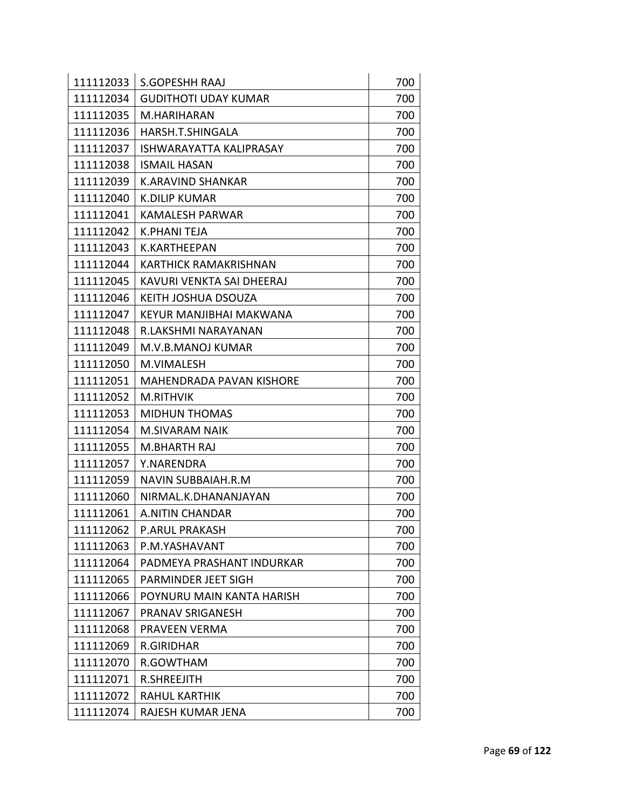| 111112033 | <b>S.GOPESHH RAAJ</b>          | 700 |
|-----------|--------------------------------|-----|
| 111112034 | <b>GUDITHOTI UDAY KUMAR</b>    | 700 |
| 111112035 | M.HARIHARAN                    | 700 |
| 111112036 | HARSH.T.SHINGALA               | 700 |
| 111112037 | <b>ISHWARAYATTA KALIPRASAY</b> | 700 |
| 111112038 | <b>ISMAIL HASAN</b>            | 700 |
| 111112039 | <b>K.ARAVIND SHANKAR</b>       | 700 |
| 111112040 | <b>K.DILIP KUMAR</b>           | 700 |
| 111112041 | <b>KAMALESH PARWAR</b>         | 700 |
| 111112042 | K.PHANI TEJA                   | 700 |
| 111112043 | K.KARTHEEPAN                   | 700 |
| 111112044 | KARTHICK RAMAKRISHNAN          | 700 |
| 111112045 | KAVURI VENKTA SAI DHEERAJ      | 700 |
| 111112046 | KEITH JOSHUA DSOUZA            | 700 |
| 111112047 | KEYUR MANJIBHAI MAKWANA        | 700 |
| 111112048 | R.LAKSHMI NARAYANAN            | 700 |
| 111112049 | M.V.B.MANOJ KUMAR              | 700 |
| 111112050 | M.VIMALESH                     | 700 |
| 111112051 | MAHENDRADA PAVAN KISHORE       | 700 |
| 111112052 | M.RITHVIK                      | 700 |
| 111112053 | <b>MIDHUN THOMAS</b>           | 700 |
| 111112054 | M.SIVARAM NAIK                 | 700 |
| 111112055 | <b>M.BHARTH RAJ</b>            | 700 |
| 111112057 | Y.NARENDRA                     | 700 |
| 111112059 | NAVIN SUBBAIAH.R.M             | 700 |
| 111112060 | NIRMAL.K.DHANANJAYAN           | 700 |
| 111112061 | A.NITIN CHANDAR                | 700 |
| 111112062 | P.ARUL PRAKASH                 | 700 |
| 111112063 | P.M.YASHAVANT                  | 700 |
| 111112064 | PADMEYA PRASHANT INDURKAR      | 700 |
| 111112065 | PARMINDER JEET SIGH            | 700 |
| 111112066 | POYNURU MAIN KANTA HARISH      | 700 |
| 111112067 | PRANAV SRIGANESH               | 700 |
| 111112068 | PRAVEEN VERMA                  | 700 |
| 111112069 | <b>R.GIRIDHAR</b>              | 700 |
| 111112070 | R.GOWTHAM                      | 700 |
| 111112071 | <b>R.SHREEJITH</b>             | 700 |
| 111112072 | <b>RAHUL KARTHIK</b>           | 700 |
| 111112074 | RAJESH KUMAR JENA              | 700 |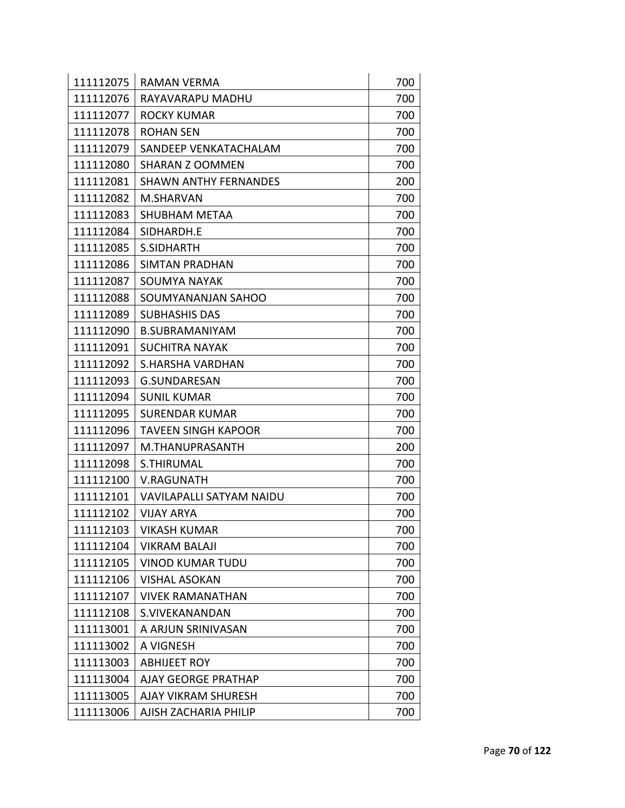| 111112075 | RAMAN VERMA                     | 700 |
|-----------|---------------------------------|-----|
| 111112076 | RAYAVARAPU MADHU                | 700 |
| 111112077 | <b>ROCKY KUMAR</b>              | 700 |
| 111112078 | <b>ROHAN SEN</b>                | 700 |
| 111112079 | SANDEEP VENKATACHALAM           | 700 |
| 111112080 | SHARAN Z OOMMEN                 | 700 |
| 111112081 | <b>SHAWN ANTHY FERNANDES</b>    | 200 |
| 111112082 | M.SHARVAN                       | 700 |
| 111112083 | <b>SHUBHAM METAA</b>            | 700 |
| 111112084 | SIDHARDH.E                      | 700 |
| 111112085 | S.SIDHARTH                      | 700 |
| 111112086 | SIMTAN PRADHAN                  | 700 |
| 111112087 | SOUMYA NAYAK                    | 700 |
| 111112088 | SOUMYANANJAN SAHOO              | 700 |
| 111112089 | <b>SUBHASHIS DAS</b>            | 700 |
| 111112090 | <b>B.SUBRAMANIYAM</b>           | 700 |
| 111112091 | <b>SUCHITRA NAYAK</b>           | 700 |
| 111112092 | S.HARSHA VARDHAN                | 700 |
| 111112093 | <b>G.SUNDARESAN</b>             | 700 |
| 111112094 | <b>SUNIL KUMAR</b>              | 700 |
| 111112095 | <b>SURENDAR KUMAR</b>           | 700 |
| 111112096 | <b>TAVEEN SINGH KAPOOR</b>      | 700 |
| 111112097 | M.THANUPRASANTH                 | 200 |
| 111112098 | S.THIRUMAL                      | 700 |
| 111112100 | <b>V.RAGUNATH</b>               | 700 |
| 111112101 | <b>VAVILAPALLI SATYAM NAIDU</b> | 700 |
| 111112102 | <b>VIJAY ARYA</b>               | 700 |
| 111112103 | <b>VIKASH KUMAR</b>             | 700 |
| 111112104 | VIKRAM BALAJI                   | 700 |
| 111112105 | <b>VINOD KUMAR TUDU</b>         | 700 |
| 111112106 | <b>VISHAL ASOKAN</b>            | 700 |
| 111112107 | <b>VIVEK RAMANATHAN</b>         | 700 |
| 111112108 | S.VIVEKANANDAN                  | 700 |
| 111113001 | A ARJUN SRINIVASAN              | 700 |
| 111113002 | A VIGNESH                       | 700 |
| 111113003 | <b>ABHIJEET ROY</b>             | 700 |
| 111113004 | <b>AJAY GEORGE PRATHAP</b>      | 700 |
| 111113005 | <b>AJAY VIKRAM SHURESH</b>      | 700 |
| 111113006 | AJISH ZACHARIA PHILIP           | 700 |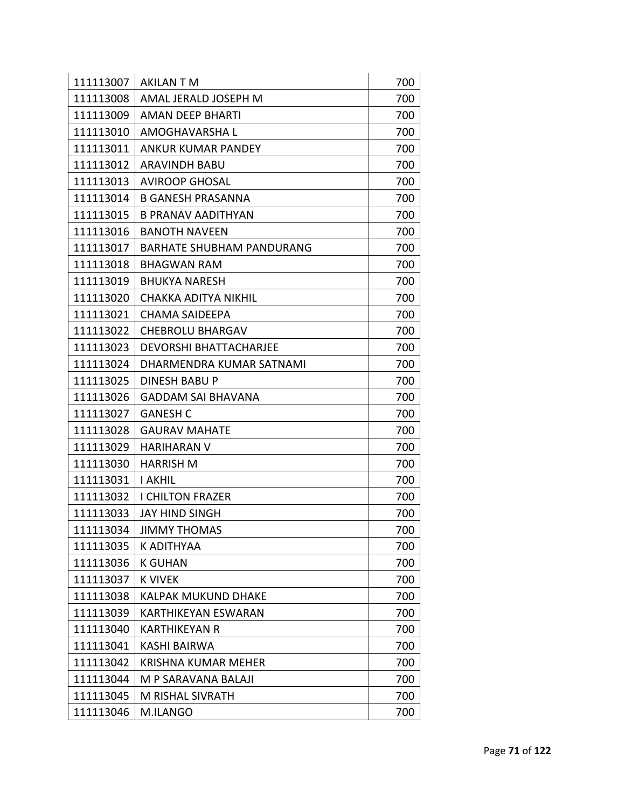| 111113007 | <b>AKILAN T M</b>                | 700 |
|-----------|----------------------------------|-----|
| 111113008 | AMAL JERALD JOSEPH M             | 700 |
| 111113009 | AMAN DEEP BHARTI                 | 700 |
| 111113010 | AMOGHAVARSHA L                   | 700 |
| 111113011 | <b>ANKUR KUMAR PANDEY</b>        | 700 |
| 111113012 | ARAVINDH BABU                    | 700 |
| 111113013 | <b>AVIROOP GHOSAL</b>            | 700 |
| 111113014 | <b>B GANESH PRASANNA</b>         | 700 |
| 111113015 | <b>B PRANAV AADITHYAN</b>        | 700 |
| 111113016 | <b>BANOTH NAVEEN</b>             | 700 |
| 111113017 | <b>BARHATE SHUBHAM PANDURANG</b> | 700 |
| 111113018 | <b>BHAGWAN RAM</b>               | 700 |
| 111113019 | <b>BHUKYA NARESH</b>             | 700 |
| 111113020 | <b>CHAKKA ADITYA NIKHIL</b>      | 700 |
| 111113021 | <b>CHAMA SAIDEEPA</b>            | 700 |
| 111113022 | <b>CHEBROLU BHARGAV</b>          | 700 |
| 111113023 | <b>DEVORSHI BHATTACHARJEE</b>    | 700 |
| 111113024 | DHARMENDRA KUMAR SATNAMI         | 700 |
| 111113025 | <b>DINESH BABU P</b>             | 700 |
| 111113026 | GADDAM SAI BHAVANA               | 700 |
| 111113027 | <b>GANESH C</b>                  | 700 |
| 111113028 | <b>GAURAV MAHATE</b>             | 700 |
| 111113029 | <b>HARIHARAN V</b>               | 700 |
| 111113030 | <b>HARRISH M</b>                 | 700 |
| 111113031 | <b>I AKHIL</b>                   | 700 |
| 111113032 | <b>I CHILTON FRAZER</b>          | 700 |
| 111113033 | <b>JAY HIND SINGH</b>            | 700 |
| 111113034 | <b>JIMMY THOMAS</b>              | 700 |
| 111113035 | K ADITHYAA                       | 700 |
| 111113036 | <b>K GUHAN</b>                   | 700 |
| 111113037 | <b>K VIVEK</b>                   | 700 |
| 111113038 | <b>KALPAK MUKUND DHAKE</b>       | 700 |
| 111113039 | <b>KARTHIKEYAN ESWARAN</b>       | 700 |
| 111113040 | KARTHIKEYAN R                    | 700 |
| 111113041 | <b>KASHI BAIRWA</b>              | 700 |
| 111113042 | <b>KRISHNA KUMAR MEHER</b>       | 700 |
| 111113044 | M P SARAVANA BALAJI              | 700 |
| 111113045 | M RISHAL SIVRATH                 | 700 |
| 111113046 | M.ILANGO                         | 700 |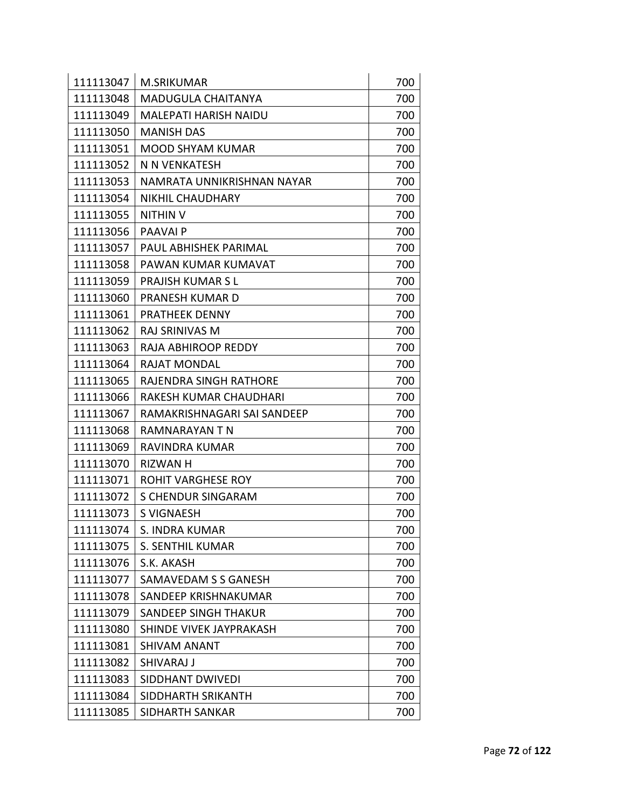| 111113047 | <b>M.SRIKUMAR</b>           | 700 |
|-----------|-----------------------------|-----|
| 111113048 | <b>MADUGULA CHAITANYA</b>   | 700 |
| 111113049 | MALEPATI HARISH NAIDU       | 700 |
| 111113050 | <b>MANISH DAS</b>           | 700 |
| 111113051 | <b>MOOD SHYAM KUMAR</b>     | 700 |
| 111113052 | N N VENKATESH               | 700 |
| 111113053 | NAMRATA UNNIKRISHNAN NAYAR  | 700 |
| 111113054 | <b>NIKHIL CHAUDHARY</b>     | 700 |
| 111113055 | <b>NITHIN V</b>             | 700 |
| 111113056 | PAAVAI P                    | 700 |
| 111113057 | PAUL ABHISHEK PARIMAL       | 700 |
| 111113058 | PAWAN KUMAR KUMAVAT         | 700 |
| 111113059 | <b>PRAJISH KUMAR S L</b>    | 700 |
| 111113060 | <b>PRANESH KUMAR D</b>      | 700 |
| 111113061 | <b>PRATHEEK DENNY</b>       | 700 |
| 111113062 | RAJ SRINIVAS M              | 700 |
| 111113063 | RAJA ABHIROOP REDDY         | 700 |
| 111113064 | <b>RAJAT MONDAL</b>         | 700 |
| 111113065 | RAJENDRA SINGH RATHORE      | 700 |
| 111113066 | RAKESH KUMAR CHAUDHARI      | 700 |
| 111113067 | RAMAKRISHNAGARI SAI SANDEEP | 700 |
| 111113068 | RAMNARAYAN T N              | 700 |
| 111113069 | RAVINDRA KUMAR              | 700 |
| 111113070 | RIZWAN H                    | 700 |
| 111113071 | <b>ROHIT VARGHESE ROY</b>   | 700 |
| 111113072 | <b>S CHENDUR SINGARAM</b>   | 700 |
| 111113073 | S VIGNAESH                  | 700 |
|           | 111113074   S. INDRA KUMAR  | 700 |
| 111113075 | <b>S. SENTHIL KUMAR</b>     | 700 |
| 111113076 | S.K. AKASH                  | 700 |
| 111113077 | SAMAVEDAM S S GANESH        | 700 |
| 111113078 | SANDEEP KRISHNAKUMAR        | 700 |
| 111113079 | <b>SANDEEP SINGH THAKUR</b> | 700 |
| 111113080 | SHINDE VIVEK JAYPRAKASH     | 700 |
| 111113081 | <b>SHIVAM ANANT</b>         | 700 |
| 111113082 | SHIVARAJ J                  | 700 |
| 111113083 | <b>SIDDHANT DWIVEDI</b>     | 700 |
| 111113084 | SIDDHARTH SRIKANTH          | 700 |
| 111113085 | SIDHARTH SANKAR             | 700 |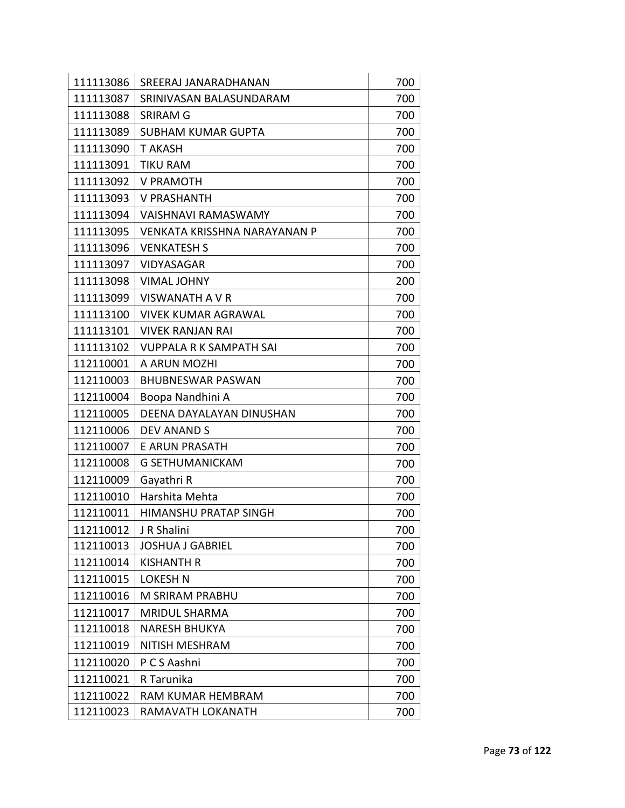| 111113086 | SREERAJ JANARADHANAN         | 700 |
|-----------|------------------------------|-----|
| 111113087 | SRINIVASAN BALASUNDARAM      | 700 |
| 111113088 | <b>SRIRAM G</b>              | 700 |
| 111113089 | <b>SUBHAM KUMAR GUPTA</b>    | 700 |
| 111113090 | <b>T AKASH</b>               | 700 |
| 111113091 | <b>TIKU RAM</b>              | 700 |
| 111113092 | V PRAMOTH                    | 700 |
| 111113093 | <b>V PRASHANTH</b>           | 700 |
| 111113094 | VAISHNAVI RAMASWAMY          | 700 |
| 111113095 | VENKATA KRISSHNA NARAYANAN P | 700 |
| 111113096 | <b>VENKATESH S</b>           | 700 |
| 111113097 | <b>VIDYASAGAR</b>            | 700 |
| 111113098 | <b>VIMAL JOHNY</b>           | 200 |
| 111113099 | VISWANATH A V R              | 700 |
| 111113100 | <b>VIVEK KUMAR AGRAWAL</b>   | 700 |
| 111113101 | VIVEK RANJAN RAI             | 700 |
| 111113102 | VUPPALA R K SAMPATH SAI      | 700 |
| 112110001 | A ARUN MOZHI                 | 700 |
| 112110003 | <b>BHUBNESWAR PASWAN</b>     | 700 |
| 112110004 | Boopa Nandhini A             | 700 |
| 112110005 | DEENA DAYALAYAN DINUSHAN     | 700 |
| 112110006 | <b>DEV ANAND S</b>           | 700 |
| 112110007 | E ARUN PRASATH               | 700 |
| 112110008 | <b>G SETHUMANICKAM</b>       | 700 |
| 112110009 | Gayathri R                   | 700 |
| 112110010 | Harshita Mehta               | 700 |
| 112110011 | <b>HIMANSHU PRATAP SINGH</b> | 700 |
| 112110012 | J R Shalini                  | 700 |
| 112110013 | <b>JOSHUA J GABRIEL</b>      | 700 |
| 112110014 | <b>KISHANTH R</b>            | 700 |
| 112110015 | <b>LOKESH N</b>              | 700 |
| 112110016 | M SRIRAM PRABHU              | 700 |
| 112110017 | <b>MRIDUL SHARMA</b>         | 700 |
| 112110018 | <b>NARESH BHUKYA</b>         | 700 |
| 112110019 | NITISH MESHRAM               | 700 |
| 112110020 | P C S Aashni                 | 700 |
| 112110021 | R Tarunika                   | 700 |
| 112110022 | RAM KUMAR HEMBRAM            | 700 |
| 112110023 | RAMAVATH LOKANATH            | 700 |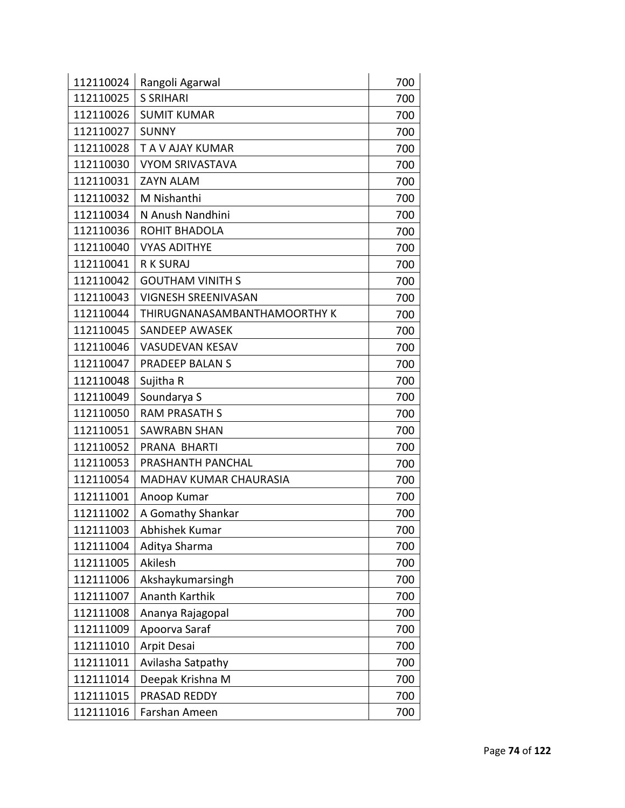| 112110024 | Rangoli Agarwal              | 700 |
|-----------|------------------------------|-----|
| 112110025 | <b>S SRIHARI</b>             | 700 |
| 112110026 | <b>SUMIT KUMAR</b>           | 700 |
| 112110027 | <b>SUNNY</b>                 | 700 |
| 112110028 | T A V AJAY KUMAR             | 700 |
| 112110030 | <b>VYOM SRIVASTAVA</b>       | 700 |
| 112110031 | <b>ZAYN ALAM</b>             | 700 |
| 112110032 | M Nishanthi                  | 700 |
| 112110034 | N Anush Nandhini             | 700 |
| 112110036 | ROHIT BHADOLA                | 700 |
| 112110040 | <b>VYAS ADITHYE</b>          | 700 |
| 112110041 | <b>R K SURAJ</b>             | 700 |
| 112110042 | <b>GOUTHAM VINITH S</b>      | 700 |
| 112110043 | <b>VIGNESH SREENIVASAN</b>   | 700 |
| 112110044 | THIRUGNANASAMBANTHAMOORTHY K | 700 |
| 112110045 | <b>SANDEEP AWASEK</b>        | 700 |
| 112110046 | <b>VASUDEVAN KESAV</b>       | 700 |
| 112110047 | PRADEEP BALAN S              | 700 |
| 112110048 | Sujitha R                    | 700 |
| 112110049 | Soundarya S                  | 700 |
| 112110050 | <b>RAM PRASATH S</b>         | 700 |
| 112110051 | <b>SAWRABN SHAN</b>          | 700 |
| 112110052 | PRANA BHARTI                 | 700 |
| 112110053 | PRASHANTH PANCHAL            | 700 |
| 112110054 | MADHAV KUMAR CHAURASIA       | 700 |
| 112111001 | Anoop Kumar                  | 700 |
| 112111002 | A Gomathy Shankar            | 700 |
| 112111003 | Abhishek Kumar               | 700 |
| 112111004 | Aditya Sharma                | 700 |
| 112111005 | Akilesh                      | 700 |
| 112111006 | Akshaykumarsingh             | 700 |
| 112111007 | Ananth Karthik               | 700 |
| 112111008 | Ananya Rajagopal             | 700 |
| 112111009 | Apoorva Saraf                | 700 |
| 112111010 | Arpit Desai                  | 700 |
| 112111011 | Avilasha Satpathy            | 700 |
| 112111014 | Deepak Krishna M             | 700 |
| 112111015 | PRASAD REDDY                 | 700 |
| 112111016 | Farshan Ameen                | 700 |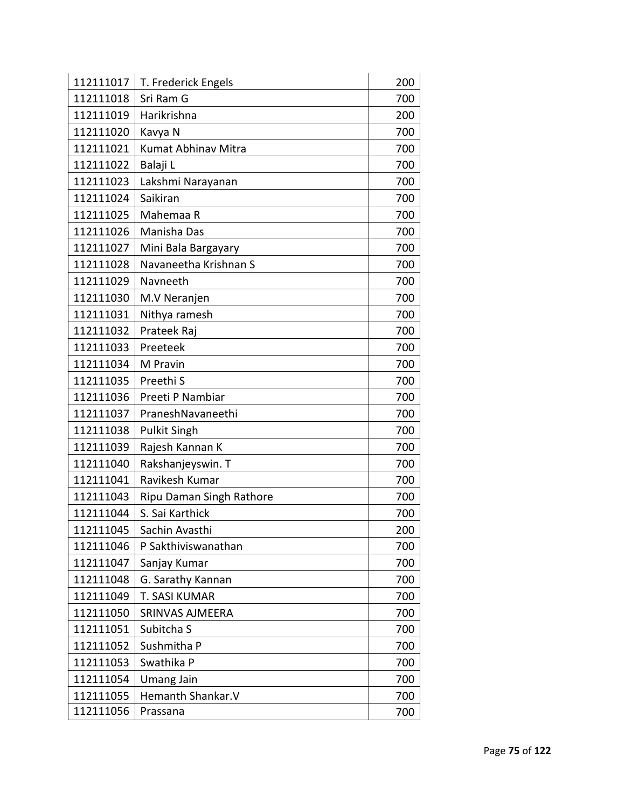| 112111017 | T. Frederick Engels      | 200 |
|-----------|--------------------------|-----|
| 112111018 | Sri Ram G                | 700 |
| 112111019 | Harikrishna              | 200 |
| 112111020 | Kavya N                  | 700 |
| 112111021 | Kumat Abhinav Mitra      | 700 |
| 112111022 | Balaji L                 | 700 |
| 112111023 | Lakshmi Narayanan        | 700 |
| 112111024 | Saikiran                 | 700 |
| 112111025 | Mahemaa R                | 700 |
| 112111026 | Manisha Das              | 700 |
| 112111027 | Mini Bala Bargayary      | 700 |
| 112111028 | Navaneetha Krishnan S    | 700 |
| 112111029 | Navneeth                 | 700 |
| 112111030 | M.V Neranjen             | 700 |
| 112111031 | Nithya ramesh            | 700 |
| 112111032 | Prateek Raj              | 700 |
| 112111033 | Preeteek                 | 700 |
| 112111034 | M Pravin                 | 700 |
| 112111035 | Preethi S                | 700 |
| 112111036 | Preeti P Nambiar         | 700 |
| 112111037 | PraneshNavaneethi        | 700 |
| 112111038 | <b>Pulkit Singh</b>      | 700 |
| 112111039 | Rajesh Kannan K          | 700 |
| 112111040 | Rakshanjeyswin. T        | 700 |
| 112111041 | Ravikesh Kumar           | 700 |
| 112111043 | Ripu Daman Singh Rathore | 700 |
| 112111044 | S. Sai Karthick          | 700 |
| 112111045 | Sachin Avasthi           | 200 |
| 112111046 | P Sakthiviswanathan      | 700 |
| 112111047 | Sanjay Kumar             | 700 |
| 112111048 | G. Sarathy Kannan        | 700 |
| 112111049 | T. SASI KUMAR            | 700 |
| 112111050 | SRINVAS AJMEERA          | 700 |
| 112111051 | Subitcha S               | 700 |
| 112111052 | Sushmitha P              | 700 |
| 112111053 | Swathika P               | 700 |
| 112111054 | <b>Umang Jain</b>        | 700 |
| 112111055 | Hemanth Shankar.V        | 700 |
| 112111056 | Prassana                 | 700 |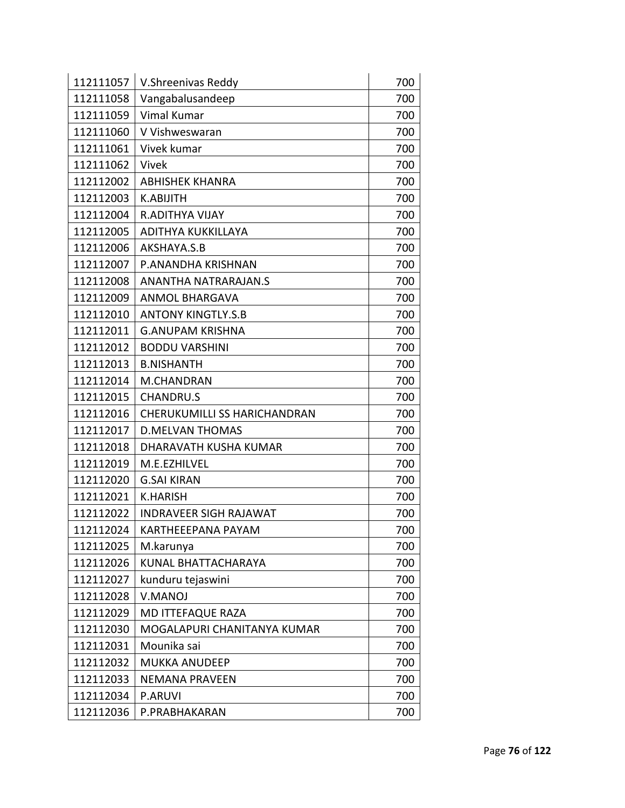| 112111057 | V.Shreenivas Reddy                  | 700 |
|-----------|-------------------------------------|-----|
| 112111058 | Vangabalusandeep                    | 700 |
| 112111059 | <b>Vimal Kumar</b>                  | 700 |
| 112111060 | V Vishweswaran                      | 700 |
| 112111061 | Vivek kumar                         | 700 |
| 112111062 | Vivek                               | 700 |
| 112112002 | <b>ABHISHEK KHANRA</b>              | 700 |
| 112112003 | <b>K.ABIJITH</b>                    | 700 |
| 112112004 | <b>R.ADITHYA VIJAY</b>              | 700 |
| 112112005 | ADITHYA KUKKILLAYA                  | 700 |
| 112112006 | AKSHAYA.S.B                         | 700 |
| 112112007 | P.ANANDHA KRISHNAN                  | 700 |
| 112112008 | ANANTHA NATRARAJAN.S                | 700 |
| 112112009 | <b>ANMOL BHARGAVA</b>               | 700 |
| 112112010 | <b>ANTONY KINGTLY.S.B</b>           | 700 |
| 112112011 | <b>G.ANUPAM KRISHNA</b>             | 700 |
| 112112012 | <b>BODDU VARSHINI</b>               | 700 |
| 112112013 | <b>B.NISHANTH</b>                   | 700 |
| 112112014 | M.CHANDRAN                          | 700 |
| 112112015 | <b>CHANDRU.S</b>                    | 700 |
| 112112016 | <b>CHERUKUMILLI SS HARICHANDRAN</b> | 700 |
| 112112017 | <b>D.MELVAN THOMAS</b>              | 700 |
| 112112018 | DHARAVATH KUSHA KUMAR               | 700 |
| 112112019 | M.E.EZHILVEL                        | 700 |
| 112112020 | <b>G.SAI KIRAN</b>                  | 700 |
| 112112021 | <b>K.HARISH</b>                     | 700 |
| 112112022 | <b>INDRAVEER SIGH RAJAWAT</b>       | 700 |
| 112112024 | KARTHEEEPANA PAYAM                  | 700 |
| 112112025 | M.karunya                           | 700 |
| 112112026 | KUNAL BHATTACHARAYA                 | 700 |
| 112112027 | kunduru tejaswini                   | 700 |
| 112112028 | <b>V.MANOJ</b>                      | 700 |
| 112112029 | MD ITTEFAQUE RAZA                   | 700 |
| 112112030 | MOGALAPURI CHANITANYA KUMAR         | 700 |
| 112112031 | Mounika sai                         | 700 |
| 112112032 | <b>MUKKA ANUDEEP</b>                | 700 |
| 112112033 | NEMANA PRAVEEN                      | 700 |
| 112112034 | <b>P.ARUVI</b>                      | 700 |
| 112112036 | P.PRABHAKARAN                       | 700 |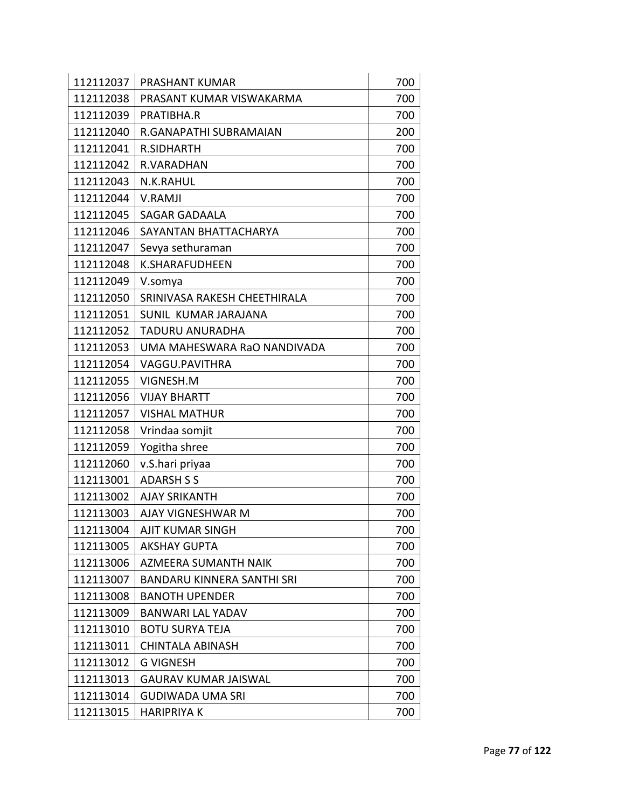| 112112037 | PRASHANT KUMAR                    | 700 |
|-----------|-----------------------------------|-----|
| 112112038 | PRASANT KUMAR VISWAKARMA          | 700 |
| 112112039 | PRATIBHA.R                        | 700 |
| 112112040 | R.GANAPATHI SUBRAMAIAN            | 200 |
| 112112041 | <b>R.SIDHARTH</b>                 | 700 |
| 112112042 | R.VARADHAN                        | 700 |
| 112112043 | N.K.RAHUL                         | 700 |
| 112112044 | <b>V.RAMJI</b>                    | 700 |
| 112112045 | <b>SAGAR GADAALA</b>              | 700 |
| 112112046 | SAYANTAN BHATTACHARYA             | 700 |
| 112112047 | Sevya sethuraman                  | 700 |
| 112112048 | <b>K.SHARAFUDHEEN</b>             | 700 |
| 112112049 | V.somya                           | 700 |
| 112112050 | SRINIVASA RAKESH CHEETHIRALA      | 700 |
| 112112051 | SUNIL KUMAR JARAJANA              | 700 |
| 112112052 | <b>TADURU ANURADHA</b>            | 700 |
| 112112053 | UMA MAHESWARA RaO NANDIVADA       | 700 |
| 112112054 | VAGGU.PAVITHRA                    | 700 |
| 112112055 | VIGNESH.M                         | 700 |
| 112112056 | <b>VIJAY BHARTT</b>               | 700 |
| 112112057 | <b>VISHAL MATHUR</b>              | 700 |
| 112112058 | Vrindaa somjit                    | 700 |
| 112112059 | Yogitha shree                     | 700 |
| 112112060 | v.S.hari priyaa                   | 700 |
| 112113001 | <b>ADARSH S S</b>                 | 700 |
| 112113002 | <b>AJAY SRIKANTH</b>              | 700 |
| 112113003 | AJAY VIGNESHWAR M                 | 700 |
| 112113004 | AJIT KUMAR SINGH                  | 700 |
| 112113005 | <b>AKSHAY GUPTA</b>               | 700 |
| 112113006 | <b>AZMEERA SUMANTH NAIK</b>       | 700 |
| 112113007 | <b>BANDARU KINNERA SANTHI SRI</b> | 700 |
| 112113008 | <b>BANOTH UPENDER</b>             | 700 |
| 112113009 | <b>BANWARI LAL YADAV</b>          | 700 |
| 112113010 | <b>BOTU SURYA TEJA</b>            | 700 |
| 112113011 | <b>CHINTALA ABINASH</b>           | 700 |
| 112113012 | <b>G VIGNESH</b>                  | 700 |
| 112113013 | <b>GAURAV KUMAR JAISWAL</b>       | 700 |
| 112113014 | <b>GUDIWADA UMA SRI</b>           | 700 |
| 112113015 | <b>HARIPRIYA K</b>                | 700 |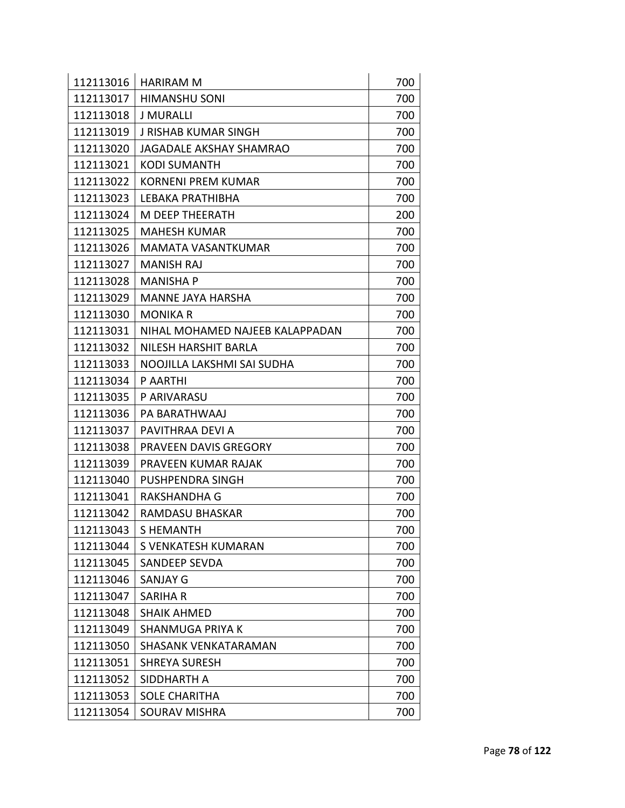| 112113016 | <b>HARIRAM M</b>                | 700 |
|-----------|---------------------------------|-----|
| 112113017 | <b>HIMANSHU SONI</b>            | 700 |
| 112113018 | <b>J MURALLI</b>                | 700 |
| 112113019 | <b>J RISHAB KUMAR SINGH</b>     | 700 |
| 112113020 | <b>JAGADALE AKSHAY SHAMRAO</b>  | 700 |
| 112113021 | <b>KODI SUMANTH</b>             | 700 |
| 112113022 | KORNENI PREM KUMAR              | 700 |
| 112113023 | LEBAKA PRATHIBHA                | 700 |
| 112113024 | M DEEP THEERATH                 | 200 |
| 112113025 | <b>MAHESH KUMAR</b>             | 700 |
| 112113026 | <b>MAMATA VASANTKUMAR</b>       | 700 |
| 112113027 | <b>MANISH RAJ</b>               | 700 |
| 112113028 | <b>MANISHA P</b>                | 700 |
| 112113029 | <b>MANNE JAYA HARSHA</b>        | 700 |
| 112113030 | <b>MONIKA R</b>                 | 700 |
| 112113031 | NIHAL MOHAMED NAJEEB KALAPPADAN | 700 |
| 112113032 | NILESH HARSHIT BARLA            | 700 |
| 112113033 | NOOJILLA LAKSHMI SAI SUDHA      | 700 |
| 112113034 | P AARTHI                        | 700 |
| 112113035 | P ARIVARASU                     | 700 |
| 112113036 | PA BARATHWAAJ                   | 700 |
| 112113037 | PAVITHRAA DEVI A                | 700 |
| 112113038 | PRAVEEN DAVIS GREGORY           | 700 |
| 112113039 | PRAVEEN KUMAR RAJAK             | 700 |
| 112113040 | PUSHPENDRA SINGH                | 700 |
| 112113041 | RAKSHANDHA G                    | 700 |
| 112113042 | <b>RAMDASU BHASKAR</b>          | 700 |
| 112113043 | S HEMANTH                       | 700 |
| 112113044 | S VENKATESH KUMARAN             | 700 |
| 112113045 | <b>SANDEEP SEVDA</b>            | 700 |
| 112113046 | <b>SANJAY G</b>                 | 700 |
| 112113047 | <b>SARIHA R</b>                 | 700 |
| 112113048 | <b>SHAIK AHMED</b>              | 700 |
| 112113049 | <b>SHANMUGA PRIYA K</b>         | 700 |
| 112113050 | <b>SHASANK VENKATARAMAN</b>     | 700 |
| 112113051 | <b>SHREYA SURESH</b>            | 700 |
| 112113052 | SIDDHARTH A                     | 700 |
| 112113053 | <b>SOLE CHARITHA</b>            | 700 |
| 112113054 | <b>SOURAV MISHRA</b>            | 700 |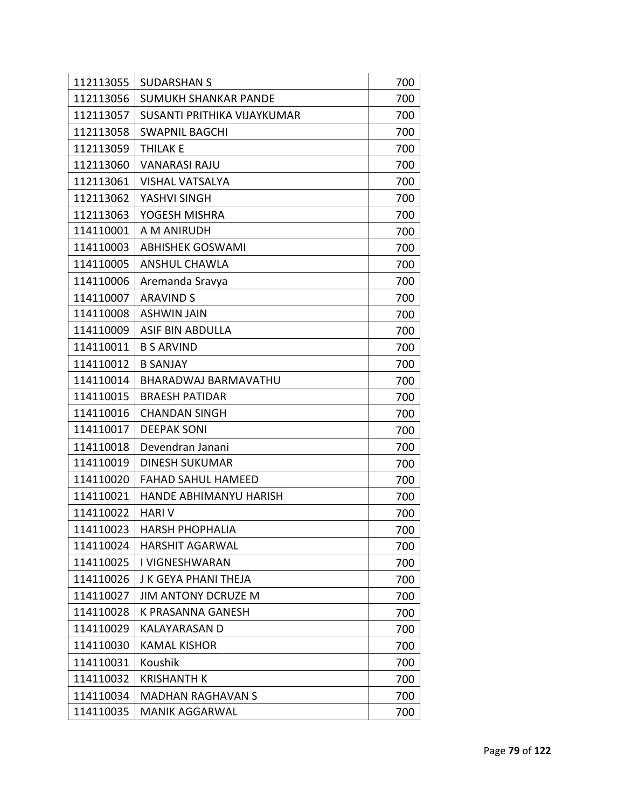| 112113055 | <b>SUDARSHAN S</b>          | 700 |
|-----------|-----------------------------|-----|
| 112113056 | SUMUKH SHANKAR PANDE        | 700 |
| 112113057 | SUSANTI PRITHIKA VIJAYKUMAR | 700 |
| 112113058 | <b>SWAPNIL BAGCHI</b>       | 700 |
| 112113059 | <b>THILAK E</b>             | 700 |
| 112113060 | <b>VANARASI RAJU</b>        | 700 |
| 112113061 | <b>VISHAL VATSALYA</b>      | 700 |
| 112113062 | YASHVI SINGH                | 700 |
| 112113063 | YOGESH MISHRA               | 700 |
| 114110001 | A M ANIRUDH                 | 700 |
| 114110003 | <b>ABHISHEK GOSWAMI</b>     | 700 |
| 114110005 | <b>ANSHUL CHAWLA</b>        | 700 |
| 114110006 | Aremanda Sravya             | 700 |
| 114110007 | <b>ARAVIND S</b>            | 700 |
| 114110008 | <b>ASHWIN JAIN</b>          | 700 |
| 114110009 | <b>ASIF BIN ABDULLA</b>     | 700 |
| 114110011 | <b>B S ARVIND</b>           | 700 |
| 114110012 | <b>B SANJAY</b>             | 700 |
| 114110014 | BHARADWAJ BARMAVATHU        | 700 |
| 114110015 | <b>BRAESH PATIDAR</b>       | 700 |
| 114110016 | <b>CHANDAN SINGH</b>        | 700 |
| 114110017 | <b>DEEPAK SONI</b>          | 700 |
| 114110018 | Devendran Janani            | 700 |
| 114110019 | <b>DINESH SUKUMAR</b>       | 700 |
| 114110020 | <b>FAHAD SAHUL HAMEED</b>   | 700 |
| 114110021 | HANDE ABHIMANYU HARISH      | 700 |
| 114110022 | <b>HARIV</b>                | 700 |
| 114110023 | <b>HARSH PHOPHALIA</b>      | 700 |
| 114110024 | <b>HARSHIT AGARWAL</b>      | 700 |
| 114110025 | I VIGNESHWARAN              | 700 |
| 114110026 | J K GEYA PHANI THEJA        | 700 |
| 114110027 | <b>JIM ANTONY DCRUZE M</b>  | 700 |
| 114110028 | <b>K PRASANNA GANESH</b>    | 700 |
| 114110029 | <b>KALAYARASAN D</b>        | 700 |
| 114110030 | <b>KAMAL KISHOR</b>         | 700 |
| 114110031 | <b>Koushik</b>              | 700 |
| 114110032 | <b>KRISHANTH K</b>          | 700 |
| 114110034 | <b>MADHAN RAGHAVAN S</b>    | 700 |
| 114110035 | <b>MANIK AGGARWAL</b>       | 700 |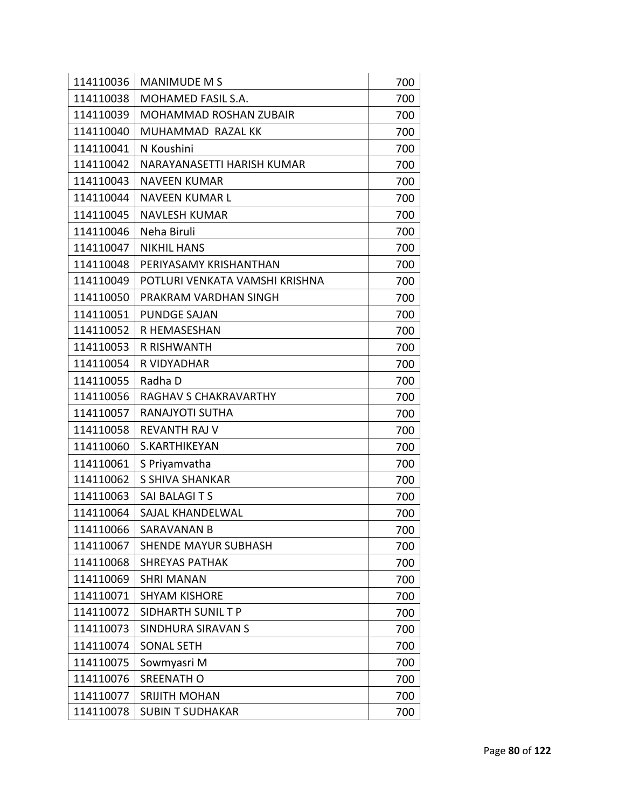| 114110036 | <b>MANIMUDE M S</b>            | 700 |
|-----------|--------------------------------|-----|
| 114110038 | MOHAMED FASIL S.A.             | 700 |
| 114110039 | MOHAMMAD ROSHAN ZUBAIR         | 700 |
| 114110040 | MUHAMMAD RAZAL KK              | 700 |
| 114110041 | N Koushini                     | 700 |
| 114110042 | NARAYANASETTI HARISH KUMAR     | 700 |
| 114110043 | <b>NAVEEN KUMAR</b>            | 700 |
| 114110044 | <b>NAVEEN KUMAR L</b>          | 700 |
| 114110045 | <b>NAVLESH KUMAR</b>           | 700 |
| 114110046 | Neha Biruli                    | 700 |
| 114110047 | <b>NIKHIL HANS</b>             | 700 |
| 114110048 | PERIYASAMY KRISHANTHAN         | 700 |
| 114110049 | POTLURI VENKATA VAMSHI KRISHNA | 700 |
| 114110050 | PRAKRAM VARDHAN SINGH          | 700 |
| 114110051 | <b>PUNDGE SAJAN</b>            | 700 |
| 114110052 | R HEMASESHAN                   | 700 |
| 114110053 | <b>R RISHWANTH</b>             | 700 |
| 114110054 | R VIDYADHAR                    | 700 |
| 114110055 | Radha D                        | 700 |
| 114110056 | RAGHAV S CHAKRAVARTHY          | 700 |
| 114110057 | RANAJYOTI SUTHA                | 700 |
| 114110058 | <b>REVANTH RAJ V</b>           | 700 |
| 114110060 | S.KARTHIKEYAN                  | 700 |
| 114110061 | S Priyamvatha                  | 700 |
| 114110062 | <b>S SHIVA SHANKAR</b>         | 700 |
| 114110063 | SAI BALAGITS                   | 700 |
| 114110064 | SAJAL KHANDELWAL               | 700 |
| 114110066 | SARAVANAN B                    | 700 |
| 114110067 | <b>SHENDE MAYUR SUBHASH</b>    | 700 |
| 114110068 | <b>SHREYAS PATHAK</b>          | 700 |
| 114110069 | <b>SHRI MANAN</b>              | 700 |
| 114110071 | <b>SHYAM KISHORE</b>           | 700 |
| 114110072 | SIDHARTH SUNIL T P             | 700 |
| 114110073 | SINDHURA SIRAVAN S             | 700 |
| 114110074 | <b>SONAL SETH</b>              | 700 |
| 114110075 | Sowmyasri M                    | 700 |
| 114110076 | <b>SREENATH O</b>              | 700 |
| 114110077 | <b>SRIJITH MOHAN</b>           | 700 |
| 114110078 | <b>SUBIN T SUDHAKAR</b>        | 700 |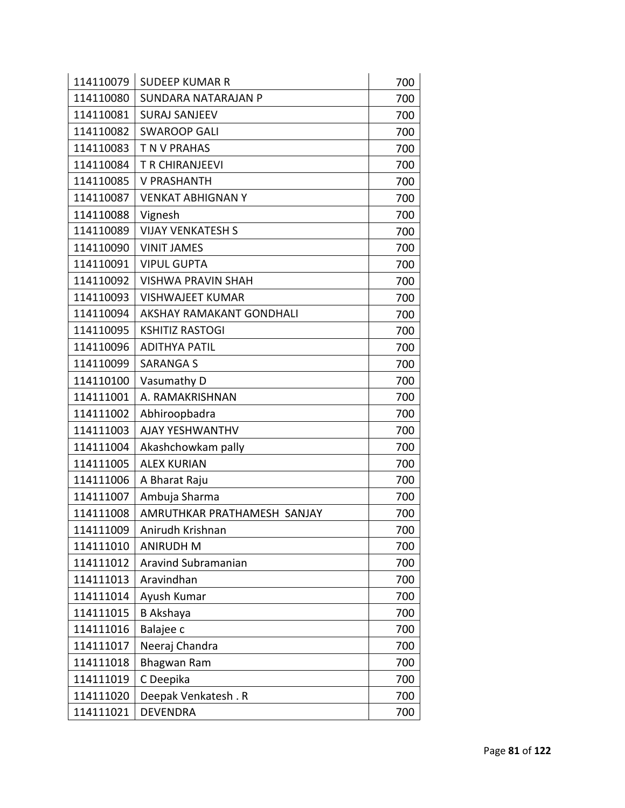| 114110079 | <b>SUDEEP KUMAR R</b>       | 700 |
|-----------|-----------------------------|-----|
| 114110080 | SUNDARA NATARAJAN P         | 700 |
| 114110081 | <b>SURAJ SANJEEV</b>        | 700 |
| 114110082 | <b>SWAROOP GALI</b>         | 700 |
| 114110083 | T N V PRAHAS                | 700 |
| 114110084 | T R CHIRANJEEVI             | 700 |
| 114110085 | <b>V PRASHANTH</b>          | 700 |
| 114110087 | <b>VENKAT ABHIGNAN Y</b>    | 700 |
| 114110088 | Vignesh                     | 700 |
| 114110089 | <b>VIJAY VENKATESH S</b>    | 700 |
| 114110090 | <b>VINIT JAMES</b>          | 700 |
| 114110091 | <b>VIPUL GUPTA</b>          | 700 |
| 114110092 | <b>VISHWA PRAVIN SHAH</b>   | 700 |
| 114110093 | <b>VISHWAJEET KUMAR</b>     | 700 |
| 114110094 | AKSHAY RAMAKANT GONDHALI    | 700 |
| 114110095 | <b>KSHITIZ RASTOGI</b>      | 700 |
| 114110096 | <b>ADITHYA PATIL</b>        | 700 |
| 114110099 | <b>SARANGA S</b>            | 700 |
| 114110100 | Vasumathy D                 | 700 |
| 114111001 | A. RAMAKRISHNAN             | 700 |
| 114111002 | Abhiroopbadra               | 700 |
| 114111003 | AJAY YESHWANTHV             | 700 |
| 114111004 | Akashchowkam pally          | 700 |
| 114111005 | <b>ALEX KURIAN</b>          | 700 |
| 114111006 | A Bharat Raju               | 700 |
| 114111007 | Ambuja Sharma               | 700 |
| 114111008 | AMRUTHKAR PRATHAMESH SANJAY | 700 |
| 114111009 | Anirudh Krishnan            | 700 |
| 114111010 | <b>ANIRUDH M</b>            | 700 |
| 114111012 | Aravind Subramanian         | 700 |
| 114111013 | Aravindhan                  | 700 |
| 114111014 | Ayush Kumar                 | 700 |
| 114111015 | <b>B</b> Akshaya            | 700 |
| 114111016 | Balajee c                   | 700 |
| 114111017 | Neeraj Chandra              | 700 |
| 114111018 | <b>Bhagwan Ram</b>          | 700 |
| 114111019 | C Deepika                   | 700 |
| 114111020 | Deepak Venkatesh. R         | 700 |
| 114111021 | <b>DEVENDRA</b>             | 700 |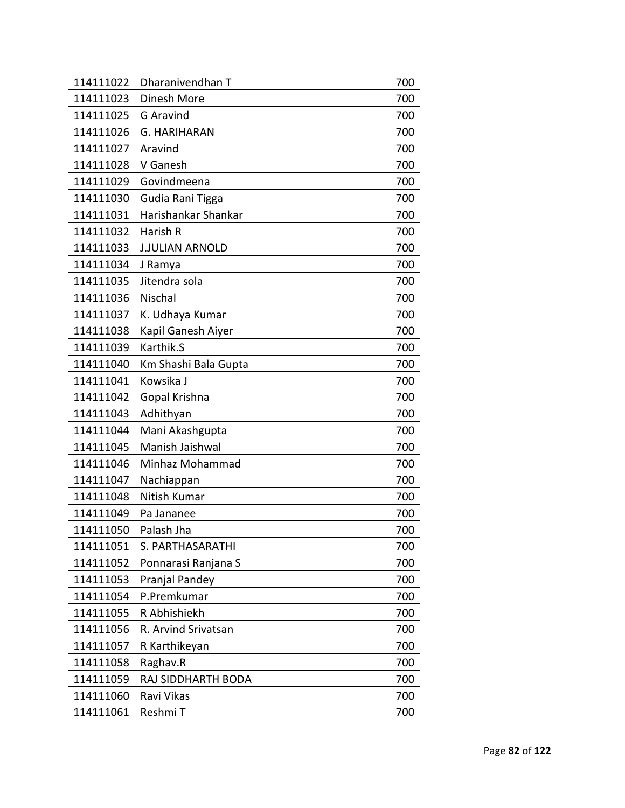| 114111022 | Dharanivendhan T       | 700 |
|-----------|------------------------|-----|
| 114111023 | Dinesh More            | 700 |
| 114111025 | <b>G</b> Aravind       | 700 |
| 114111026 | <b>G. HARIHARAN</b>    | 700 |
| 114111027 | Aravind                | 700 |
| 114111028 | V Ganesh               | 700 |
| 114111029 | Govindmeena            | 700 |
| 114111030 | Gudia Rani Tigga       | 700 |
| 114111031 | Harishankar Shankar    | 700 |
| 114111032 | Harish R               | 700 |
| 114111033 | <b>J.JULIAN ARNOLD</b> | 700 |
| 114111034 | J Ramya                | 700 |
| 114111035 | Jitendra sola          | 700 |
| 114111036 | Nischal                | 700 |
| 114111037 | K. Udhaya Kumar        | 700 |
| 114111038 | Kapil Ganesh Aiyer     | 700 |
| 114111039 | Karthik.S              | 700 |
| 114111040 | Km Shashi Bala Gupta   | 700 |
| 114111041 | Kowsika J              | 700 |
| 114111042 | Gopal Krishna          | 700 |
| 114111043 | Adhithyan              | 700 |
| 114111044 | Mani Akashgupta        | 700 |
| 114111045 | Manish Jaishwal        | 700 |
| 114111046 | Minhaz Mohammad        | 700 |
| 114111047 | Nachiappan             | 700 |
| 114111048 | Nitish Kumar           | 700 |
| 114111049 | Pa Jananee             | 700 |
| 114111050 | Palash Jha             | 700 |
| 114111051 | S. PARTHASARATHI       | 700 |
| 114111052 | Ponnarasi Ranjana S    | 700 |
| 114111053 | Pranjal Pandey         | 700 |
| 114111054 | P.Premkumar            | 700 |
| 114111055 | R Abhishiekh           | 700 |
| 114111056 | R. Arvind Srivatsan    | 700 |
| 114111057 | R Karthikeyan          | 700 |
| 114111058 | Raghav.R               | 700 |
| 114111059 | RAJ SIDDHARTH BODA     | 700 |
| 114111060 | Ravi Vikas             | 700 |
| 114111061 | Reshmi T               | 700 |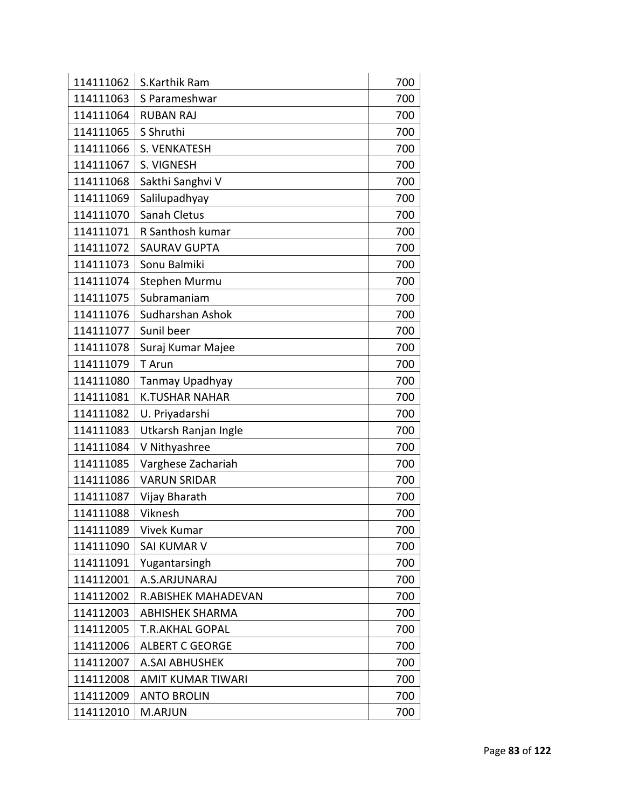| 114111062 | S.Karthik Ram              | 700 |
|-----------|----------------------------|-----|
| 114111063 | S Parameshwar              | 700 |
| 114111064 | <b>RUBAN RAJ</b>           | 700 |
| 114111065 | S Shruthi                  | 700 |
| 114111066 | S. VENKATESH               | 700 |
| 114111067 | S. VIGNESH                 | 700 |
| 114111068 | Sakthi Sanghvi V           | 700 |
| 114111069 | Salilupadhyay              | 700 |
| 114111070 | Sanah Cletus               | 700 |
| 114111071 | R Santhosh kumar           | 700 |
| 114111072 | <b>SAURAV GUPTA</b>        | 700 |
| 114111073 | Sonu Balmiki               | 700 |
| 114111074 | Stephen Murmu              | 700 |
| 114111075 | Subramaniam                | 700 |
| 114111076 | Sudharshan Ashok           | 700 |
| 114111077 | Sunil beer                 | 700 |
| 114111078 | Suraj Kumar Majee          | 700 |
| 114111079 | T Arun                     | 700 |
| 114111080 | Tanmay Upadhyay            | 700 |
| 114111081 | <b>K.TUSHAR NAHAR</b>      | 700 |
| 114111082 | U. Priyadarshi             | 700 |
| 114111083 | Utkarsh Ranjan Ingle       | 700 |
| 114111084 | V Nithyashree              | 700 |
| 114111085 | Varghese Zachariah         | 700 |
| 114111086 | <b>VARUN SRIDAR</b>        | 700 |
| 114111087 | Vijay Bharath              | 700 |
| 114111088 | Viknesh                    | 700 |
| 114111089 | Vivek Kumar                | 700 |
| 114111090 | <b>SAI KUMAR V</b>         | 700 |
| 114111091 | Yugantarsingh              | 700 |
| 114112001 | A.S.ARJUNARAJ              | 700 |
| 114112002 | <b>R.ABISHEK MAHADEVAN</b> | 700 |
| 114112003 | <b>ABHISHEK SHARMA</b>     | 700 |
| 114112005 | <b>T.R.AKHAL GOPAL</b>     | 700 |
| 114112006 | <b>ALBERT C GEORGE</b>     | 700 |
| 114112007 | <b>A.SAI ABHUSHEK</b>      | 700 |
| 114112008 | <b>AMIT KUMAR TIWARI</b>   | 700 |
| 114112009 | <b>ANTO BROLIN</b>         | 700 |
| 114112010 | M.ARJUN                    | 700 |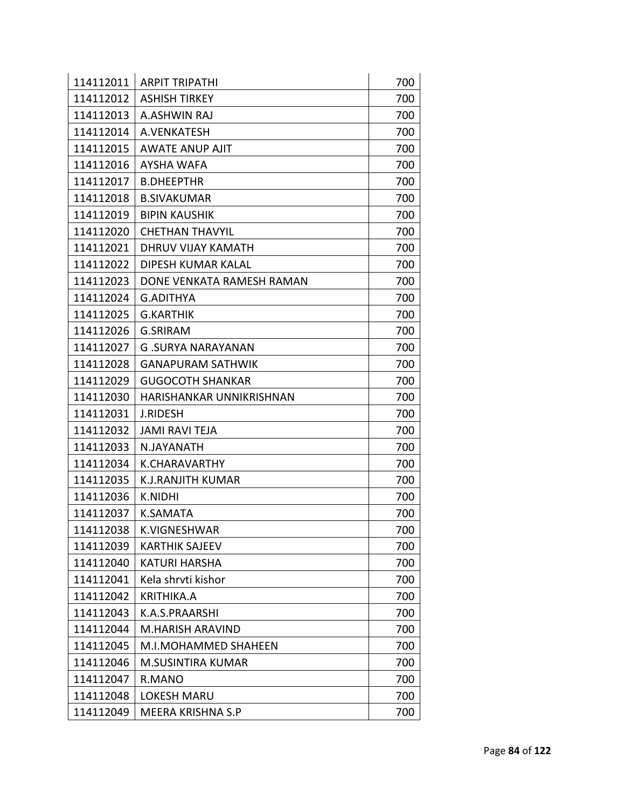| 114112011 | <b>ARPIT TRIPATHI</b>     | 700 |
|-----------|---------------------------|-----|
| 114112012 | <b>ASHISH TIRKEY</b>      | 700 |
| 114112013 | A.ASHWIN RAJ              | 700 |
| 114112014 | A.VENKATESH               | 700 |
| 114112015 | AWATE ANUP AJIT           | 700 |
| 114112016 | <b>AYSHA WAFA</b>         | 700 |
| 114112017 | <b>B.DHEEPTHR</b>         | 700 |
| 114112018 | <b>B.SIVAKUMAR</b>        | 700 |
| 114112019 | <b>BIPIN KAUSHIK</b>      | 700 |
| 114112020 | <b>CHETHAN THAVYIL</b>    | 700 |
| 114112021 | DHRUV VIJAY KAMATH        | 700 |
| 114112022 | DIPESH KUMAR KALAL        | 700 |
| 114112023 | DONE VENKATA RAMESH RAMAN | 700 |
| 114112024 | <b>G.ADITHYA</b>          | 700 |
| 114112025 | <b>G.KARTHIK</b>          | 700 |
| 114112026 | <b>G.SRIRAM</b>           | 700 |
| 114112027 | <b>G.SURYA NARAYANAN</b>  | 700 |
| 114112028 | <b>GANAPURAM SATHWIK</b>  | 700 |
| 114112029 | <b>GUGOCOTH SHANKAR</b>   | 700 |
| 114112030 | HARISHANKAR UNNIKRISHNAN  | 700 |
| 114112031 | <b>J.RIDESH</b>           | 700 |
| 114112032 | <b>JAMI RAVI TEJA</b>     | 700 |
| 114112033 | N.JAYANATH                | 700 |
| 114112034 | <b>K.CHARAVARTHY</b>      | 700 |
| 114112035 | <b>K.J.RANJITH KUMAR</b>  | 700 |
| 114112036 | <b>K.NIDHI</b>            | 700 |
| 114112037 | <b>K.SAMATA</b>           | 700 |
| 114112038 | K.VIGNESHWAR              | 700 |
| 114112039 | <b>KARTHIK SAJEEV</b>     | 700 |
| 114112040 | <b>KATURI HARSHA</b>      | 700 |
| 114112041 | Kela shrvti kishor        | 700 |
| 114112042 | <b>KRITHIKA.A</b>         | 700 |
| 114112043 | K.A.S.PRAARSHI            | 700 |
| 114112044 | M.HARISH ARAVIND          | 700 |
| 114112045 | M.I.MOHAMMED SHAHEEN      | 700 |
| 114112046 | <b>M.SUSINTIRA KUMAR</b>  | 700 |
| 114112047 | R.MANO                    | 700 |
| 114112048 | <b>LOKESH MARU</b>        | 700 |
| 114112049 | MEERA KRISHNA S.P         | 700 |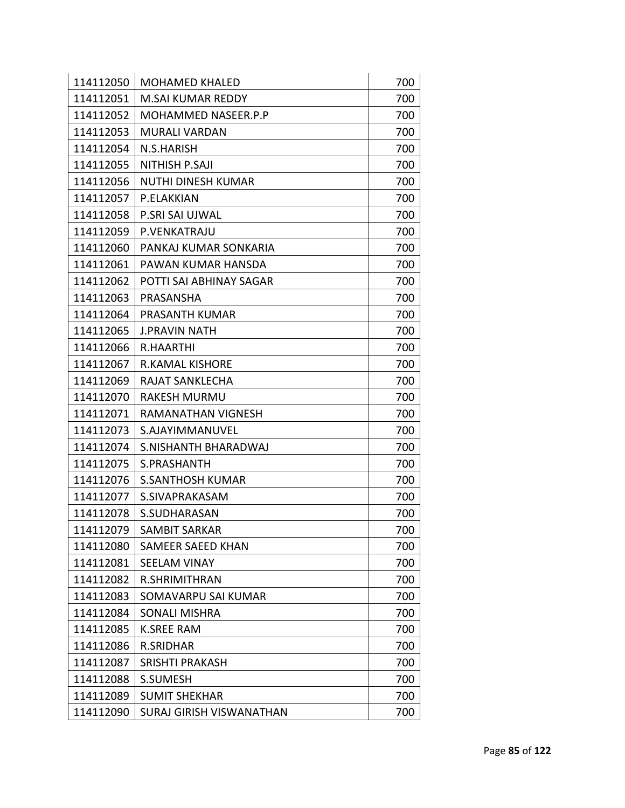| 114112050 | <b>MOHAMED KHALED</b>     | 700 |
|-----------|---------------------------|-----|
| 114112051 | <b>M.SAI KUMAR REDDY</b>  | 700 |
| 114112052 | MOHAMMED NASEER.P.P       | 700 |
| 114112053 | <b>MURALI VARDAN</b>      | 700 |
| 114112054 | N.S.HARISH                | 700 |
| 114112055 | <b>NITHISH P.SAJI</b>     | 700 |
| 114112056 | <b>NUTHI DINESH KUMAR</b> | 700 |
| 114112057 | P.ELAKKIAN                | 700 |
| 114112058 | P.SRI SAI UJWAL           | 700 |
| 114112059 | P.VENKATRAJU              | 700 |
| 114112060 | PANKAJ KUMAR SONKARIA     | 700 |
| 114112061 | PAWAN KUMAR HANSDA        | 700 |
| 114112062 | POTTI SAI ABHINAY SAGAR   | 700 |
| 114112063 | PRASANSHA                 | 700 |
| 114112064 | PRASANTH KUMAR            | 700 |
| 114112065 | <b>J.PRAVIN NATH</b>      | 700 |
| 114112066 | R.HAARTHI                 | 700 |
| 114112067 | <b>R.KAMAL KISHORE</b>    | 700 |
| 114112069 | RAJAT SANKLECHA           | 700 |
| 114112070 | <b>RAKESH MURMU</b>       | 700 |
| 114112071 | RAMANATHAN VIGNESH        | 700 |
| 114112073 | S.AJAYIMMANUVEL           | 700 |
| 114112074 | S.NISHANTH BHARADWAJ      | 700 |
| 114112075 | S.PRASHANTH               | 700 |
| 114112076 | <b>S.SANTHOSH KUMAR</b>   | 700 |
| 114112077 | S.SIVAPRAKASAM            | 700 |
| 114112078 | S.SUDHARASAN              | 700 |
|           | 114112079   SAMBIT SARKAR | 700 |
| 114112080 | SAMEER SAEED KHAN         | 700 |
| 114112081 | <b>SEELAM VINAY</b>       | 700 |
| 114112082 | <b>R.SHRIMITHRAN</b>      | 700 |
| 114112083 | SOMAVARPU SAI KUMAR       | 700 |
| 114112084 | SONALI MISHRA             | 700 |
| 114112085 | <b>K.SREE RAM</b>         | 700 |
| 114112086 | <b>R.SRIDHAR</b>          | 700 |
| 114112087 | SRISHTI PRAKASH           | 700 |
| 114112088 | <b>S.SUMESH</b>           | 700 |
| 114112089 | <b>SUMIT SHEKHAR</b>      | 700 |
| 114112090 | SURAJ GIRISH VISWANATHAN  | 700 |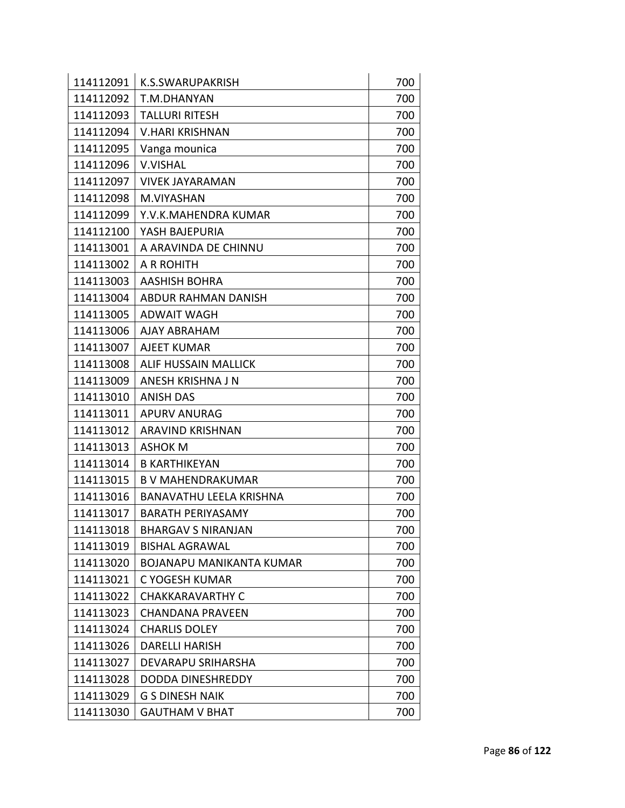| 114112091 | K.S.SWARUPAKRISH                | 700 |
|-----------|---------------------------------|-----|
| 114112092 | T.M.DHANYAN                     | 700 |
| 114112093 | <b>TALLURI RITESH</b>           | 700 |
| 114112094 | <b>V.HARI KRISHNAN</b>          | 700 |
| 114112095 | Vanga mounica                   | 700 |
| 114112096 | <b>V.VISHAL</b>                 | 700 |
| 114112097 | <b>VIVEK JAYARAMAN</b>          | 700 |
| 114112098 | M.VIYASHAN                      | 700 |
| 114112099 | Y.V.K.MAHENDRA KUMAR            | 700 |
| 114112100 | YASH BAJEPURIA                  | 700 |
| 114113001 | A ARAVINDA DE CHINNU            | 700 |
| 114113002 | A R ROHITH                      | 700 |
| 114113003 | <b>AASHISH BOHRA</b>            | 700 |
| 114113004 | ABDUR RAHMAN DANISH             | 700 |
| 114113005 | <b>ADWAIT WAGH</b>              | 700 |
| 114113006 | <b>AJAY ABRAHAM</b>             | 700 |
| 114113007 | <b>AJEET KUMAR</b>              | 700 |
| 114113008 | <b>ALIF HUSSAIN MALLICK</b>     | 700 |
| 114113009 | ANESH KRISHNA J N               | 700 |
| 114113010 | <b>ANISH DAS</b>                | 700 |
| 114113011 | <b>APURV ANURAG</b>             | 700 |
| 114113012 | <b>ARAVIND KRISHNAN</b>         | 700 |
| 114113013 | <b>ASHOK M</b>                  | 700 |
| 114113014 | <b>B KARTHIKEYAN</b>            | 700 |
| 114113015 | <b>B V MAHENDRAKUMAR</b>        | 700 |
| 114113016 | <b>BANAVATHU LEELA KRISHNA</b>  | 700 |
| 114113017 | <b>BARATH PERIYASAMY</b>        | 700 |
| 114113018 | <b>BHARGAV S NIRANJAN</b>       | 700 |
| 114113019 | <b>BISHAL AGRAWAL</b>           | 700 |
| 114113020 | <b>BOJANAPU MANIKANTA KUMAR</b> | 700 |
| 114113021 | C YOGESH KUMAR                  | 700 |
| 114113022 | <b>CHAKKARAVARTHY C</b>         | 700 |
| 114113023 | <b>CHANDANA PRAVEEN</b>         | 700 |
| 114113024 | <b>CHARLIS DOLEY</b>            | 700 |
| 114113026 | <b>DARELLI HARISH</b>           | 700 |
| 114113027 | DEVARAPU SRIHARSHA              | 700 |
| 114113028 | DODDA DINESHREDDY               | 700 |
| 114113029 | <b>G S DINESH NAIK</b>          | 700 |
| 114113030 | <b>GAUTHAM V BHAT</b>           | 700 |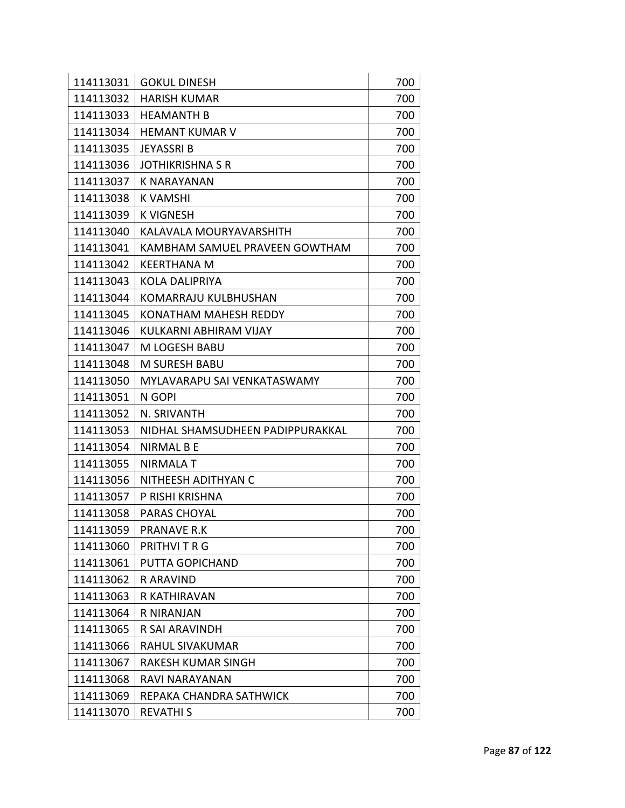| 114113031 | <b>GOKUL DINESH</b>              | 700 |
|-----------|----------------------------------|-----|
| 114113032 | <b>HARISH KUMAR</b>              | 700 |
| 114113033 | <b>HEAMANTH B</b>                | 700 |
| 114113034 | <b>HEMANT KUMAR V</b>            | 700 |
| 114113035 | <b>JEYASSRIB</b>                 | 700 |
| 114113036 | <b>JOTHIKRISHNA S R</b>          | 700 |
| 114113037 | <b>K NARAYANAN</b>               | 700 |
| 114113038 | <b>K VAMSHI</b>                  | 700 |
| 114113039 | <b>K VIGNESH</b>                 | 700 |
| 114113040 | KALAVALA MOURYAVARSHITH          | 700 |
| 114113041 | KAMBHAM SAMUEL PRAVEEN GOWTHAM   | 700 |
| 114113042 | <b>KEERTHANA M</b>               | 700 |
| 114113043 | KOLA DALIPRIYA                   | 700 |
| 114113044 | <b>KOMARRAJU KULBHUSHAN</b>      | 700 |
| 114113045 | <b>KONATHAM MAHESH REDDY</b>     | 700 |
| 114113046 | KULKARNI ABHIRAM VIJAY           | 700 |
| 114113047 | M LOGESH BABU                    | 700 |
| 114113048 | <b>M SURESH BABU</b>             | 700 |
| 114113050 | MYLAVARAPU SAI VENKATASWAMY      | 700 |
| 114113051 | N GOPI                           | 700 |
| 114113052 | N. SRIVANTH                      | 700 |
| 114113053 | NIDHAL SHAMSUDHEEN PADIPPURAKKAL | 700 |
| 114113054 | <b>NIRMAL B E</b>                | 700 |
| 114113055 | <b>NIRMALA T</b>                 | 700 |
| 114113056 | NITHEESH ADITHYAN C              | 700 |
| 114113057 | P RISHI KRISHNA                  | 700 |
| 114113058 | PARAS CHOYAL                     | 700 |
| 114113059 | <b>PRANAVE R.K</b>               | 700 |
| 114113060 | PRITHVI T R G                    | 700 |
| 114113061 | PUTTA GOPICHAND                  | 700 |
| 114113062 | <b>RARAVIND</b>                  | 700 |
| 114113063 | R KATHIRAVAN                     | 700 |
| 114113064 | R NIRANJAN                       | 700 |
| 114113065 | R SAI ARAVINDH                   | 700 |
| 114113066 | RAHUL SIVAKUMAR                  | 700 |
| 114113067 | RAKESH KUMAR SINGH               | 700 |
| 114113068 | RAVI NARAYANAN                   | 700 |
| 114113069 | REPAKA CHANDRA SATHWICK          | 700 |
| 114113070 | <b>REVATHIS</b>                  | 700 |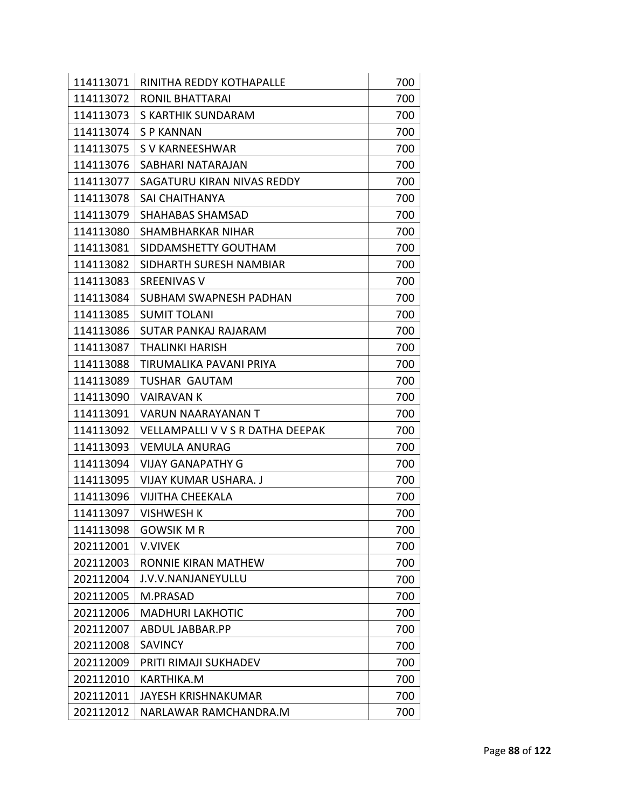| 114113071 | RINITHA REDDY KOTHAPALLE         | 700 |
|-----------|----------------------------------|-----|
| 114113072 | RONIL BHATTARAI                  | 700 |
| 114113073 | S KARTHIK SUNDARAM               | 700 |
| 114113074 | S P KANNAN                       | 700 |
| 114113075 | S V KARNEESHWAR                  | 700 |
| 114113076 | SABHARI NATARAJAN                | 700 |
| 114113077 | SAGATURU KIRAN NIVAS REDDY       | 700 |
| 114113078 | <b>SAI CHAITHANYA</b>            | 700 |
| 114113079 | <b>SHAHABAS SHAMSAD</b>          | 700 |
| 114113080 | SHAMBHARKAR NIHAR                | 700 |
| 114113081 | SIDDAMSHETTY GOUTHAM             | 700 |
| 114113082 | SIDHARTH SURESH NAMBIAR          | 700 |
| 114113083 | SREENIVAS V                      | 700 |
| 114113084 | SUBHAM SWAPNESH PADHAN           | 700 |
| 114113085 | <b>SUMIT TOLANI</b>              | 700 |
| 114113086 | SUTAR PANKAJ RAJARAM             | 700 |
| 114113087 | THALINKI HARISH                  | 700 |
| 114113088 | TIRUMALIKA PAVANI PRIYA          | 700 |
| 114113089 | TUSHAR GAUTAM                    | 700 |
| 114113090 | VAIRAVAN K                       | 700 |
| 114113091 | VARUN NAARAYANAN T               | 700 |
| 114113092 | VELLAMPALLI V V S R DATHA DEEPAK | 700 |
| 114113093 | <b>VEMULA ANURAG</b>             | 700 |
| 114113094 | <b>VIJAY GANAPATHY G</b>         | 700 |
| 114113095 | <b>VIJAY KUMAR USHARA. J</b>     | 700 |
| 114113096 | <b>VIJITHA CHEEKALA</b>          | 700 |
| 114113097 | <b>VISHWESH K</b>                | 700 |
| 114113098 | <b>GOWSIK M R</b>                | 700 |
| 202112001 | <b>V.VIVEK</b>                   | 700 |
| 202112003 | RONNIE KIRAN MATHEW              | 700 |
| 202112004 | J.V.V.NANJANEYULLU               | 700 |
| 202112005 | M.PRASAD                         | 700 |
| 202112006 | <b>MADHURI LAKHOTIC</b>          | 700 |
| 202112007 | ABDUL JABBAR.PP                  | 700 |
| 202112008 | <b>SAVINCY</b>                   | 700 |
| 202112009 | PRITI RIMAJI SUKHADEV            | 700 |
| 202112010 | KARTHIKA.M                       | 700 |
| 202112011 | <b>JAYESH KRISHNAKUMAR</b>       | 700 |
| 202112012 | NARLAWAR RAMCHANDRA.M            | 700 |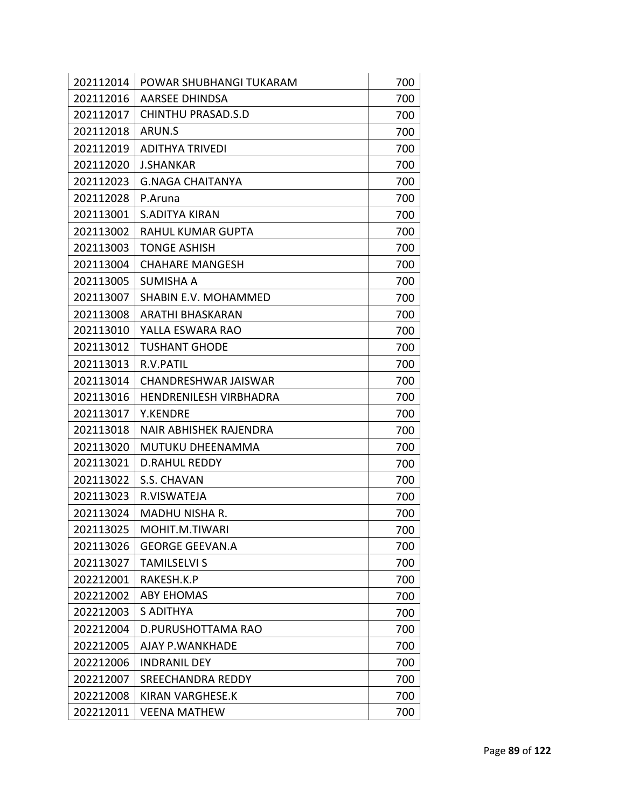| 202112014 | POWAR SHUBHANGI TUKARAM       | 700 |
|-----------|-------------------------------|-----|
| 202112016 | AARSEE DHINDSA                | 700 |
| 202112017 | <b>CHINTHU PRASAD.S.D</b>     | 700 |
| 202112018 | ARUN.S                        | 700 |
| 202112019 | <b>ADITHYA TRIVEDI</b>        | 700 |
| 202112020 | <b>J.SHANKAR</b>              | 700 |
| 202112023 | <b>G.NAGA CHAITANYA</b>       | 700 |
| 202112028 | P.Aruna                       | 700 |
| 202113001 | <b>S.ADITYA KIRAN</b>         | 700 |
| 202113002 | <b>RAHUL KUMAR GUPTA</b>      | 700 |
| 202113003 | <b>TONGE ASHISH</b>           | 700 |
| 202113004 | <b>CHAHARE MANGESH</b>        | 700 |
| 202113005 | SUMISHA A                     | 700 |
| 202113007 | <b>SHABIN E.V. MOHAMMED</b>   | 700 |
| 202113008 | <b>ARATHI BHASKARAN</b>       | 700 |
| 202113010 | YALLA ESWARA RAO              | 700 |
| 202113012 | <b>TUSHANT GHODE</b>          | 700 |
| 202113013 | R.V.PATIL                     | 700 |
| 202113014 | CHANDRESHWAR JAISWAR          | 700 |
| 202113016 | <b>HENDRENILESH VIRBHADRA</b> | 700 |
| 202113017 | <b>Y.KENDRE</b>               | 700 |
| 202113018 | <b>NAIR ABHISHEK RAJENDRA</b> | 700 |
| 202113020 | <b>MUTUKU DHEENAMMA</b>       | 700 |
| 202113021 | <b>D.RAHUL REDDY</b>          | 700 |
| 202113022 | S.S. CHAVAN                   | 700 |
| 202113023 | R.VISWATEJA                   | 700 |
| 202113024 | <b>MADHU NISHA R.</b>         | 700 |
| 202113025 | MOHIT.M.TIWARI                | 700 |
| 202113026 | <b>GEORGE GEEVAN.A</b>        | 700 |
| 202113027 | <b>TAMILSELVI S</b>           | 700 |
| 202212001 | RAKESH.K.P                    | 700 |
| 202212002 | <b>ABY EHOMAS</b>             | 700 |
| 202212003 | S ADITHYA                     | 700 |
| 202212004 | D.PURUSHOTTAMA RAO            | 700 |
| 202212005 | AJAY P.WANKHADE               | 700 |
| 202212006 | <b>INDRANIL DEY</b>           | 700 |
| 202212007 | <b>SREECHANDRA REDDY</b>      | 700 |
| 202212008 | <b>KIRAN VARGHESE.K</b>       | 700 |
| 202212011 | <b>VEENA MATHEW</b>           | 700 |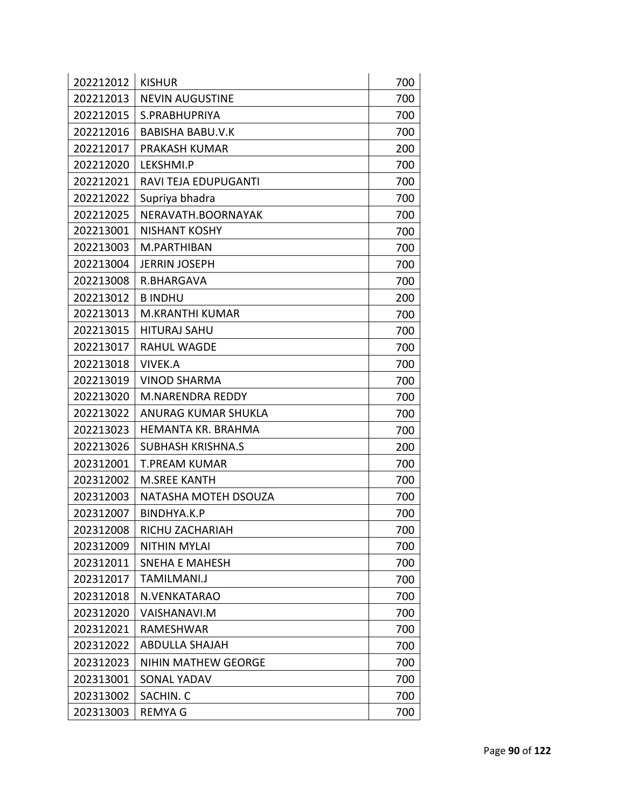| 202212012 | <b>KISHUR</b>              | 700 |
|-----------|----------------------------|-----|
| 202212013 | <b>NEVIN AUGUSTINE</b>     | 700 |
| 202212015 | S.PRABHUPRIYA              | 700 |
| 202212016 | <b>BABISHA BABU.V.K</b>    | 700 |
| 202212017 | PRAKASH KUMAR              | 200 |
| 202212020 | LEKSHMI.P                  | 700 |
| 202212021 | RAVI TEJA EDUPUGANTI       | 700 |
| 202212022 | Supriya bhadra             | 700 |
| 202212025 | NERAVATH.BOORNAYAK         | 700 |
| 202213001 | <b>NISHANT KOSHY</b>       | 700 |
| 202213003 | M.PARTHIBAN                | 700 |
| 202213004 | <b>JERRIN JOSEPH</b>       | 700 |
| 202213008 | R.BHARGAVA                 | 700 |
| 202213012 | <b>BINDHU</b>              | 200 |
| 202213013 | <b>M.KRANTHI KUMAR</b>     | 700 |
| 202213015 | <b>HITURAJ SAHU</b>        | 700 |
| 202213017 | <b>RAHUL WAGDE</b>         | 700 |
| 202213018 | <b>VIVEK.A</b>             | 700 |
| 202213019 | VINOD SHARMA               | 700 |
| 202213020 | <b>M.NARENDRA REDDY</b>    | 700 |
| 202213022 | <b>ANURAG KUMAR SHUKLA</b> | 700 |
| 202213023 | HEMANTA KR. BRAHMA         | 700 |
| 202213026 | <b>SUBHASH KRISHNA.S</b>   | 200 |
| 202312001 | <b>T.PREAM KUMAR</b>       | 700 |
| 202312002 | <b>M.SREE KANTH</b>        | 700 |
| 202312003 | NATASHA MOTEH DSOUZA       | 700 |
| 202312007 | BINDHYA.K.P                | 700 |
| 202312008 | RICHU ZACHARIAH            | 700 |
| 202312009 | <b>NITHIN MYLAI</b>        | 700 |
| 202312011 | <b>SNEHA E MAHESH</b>      | 700 |
| 202312017 | TAMILMANI.J                | 700 |
| 202312018 | N.VENKATARAO               | 700 |
| 202312020 | VAISHANAVI.M               | 700 |
| 202312021 | RAMESHWAR                  | 700 |
| 202312022 | <b>ABDULLA SHAJAH</b>      | 700 |
| 202312023 | <b>NIHIN MATHEW GEORGE</b> | 700 |
| 202313001 | <b>SONAL YADAV</b>         | 700 |
| 202313002 | SACHIN. C                  | 700 |
| 202313003 | <b>REMYAG</b>              | 700 |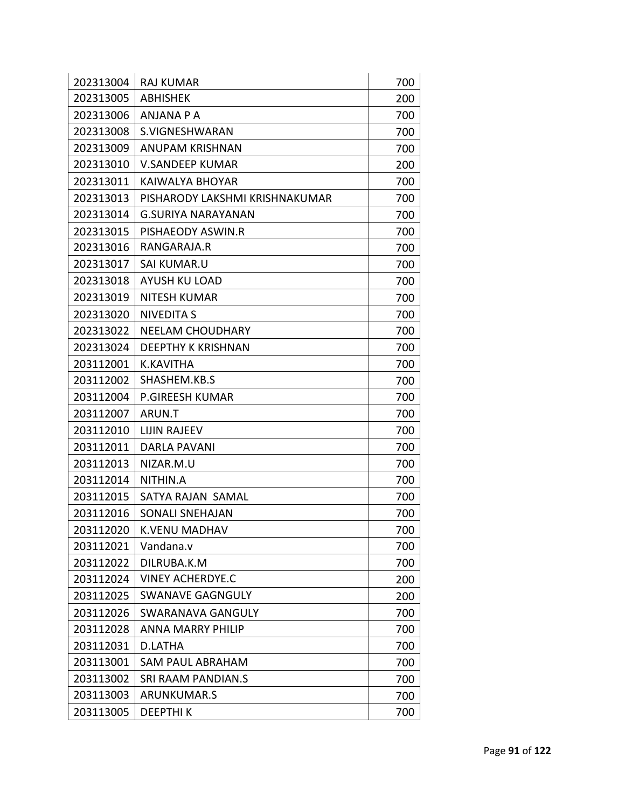| 202313004 | <b>RAJ KUMAR</b>               | 700 |
|-----------|--------------------------------|-----|
| 202313005 | <b>ABHISHEK</b>                | 200 |
| 202313006 | <b>ANJANA P A</b>              | 700 |
| 202313008 | S.VIGNESHWARAN                 | 700 |
| 202313009 | <b>ANUPAM KRISHNAN</b>         | 700 |
| 202313010 | <b>V.SANDEEP KUMAR</b>         | 200 |
| 202313011 | KAIWALYA BHOYAR                | 700 |
| 202313013 | PISHARODY LAKSHMI KRISHNAKUMAR | 700 |
| 202313014 | <b>G.SURIYA NARAYANAN</b>      | 700 |
| 202313015 | PISHAEODY ASWIN.R              | 700 |
| 202313016 | RANGARAJA.R                    | 700 |
| 202313017 | SAI KUMAR.U                    | 700 |
| 202313018 | AYUSH KU LOAD                  | 700 |
| 202313019 | <b>NITESH KUMAR</b>            | 700 |
| 202313020 | <b>NIVEDITA S</b>              | 700 |
| 202313022 | <b>NEELAM CHOUDHARY</b>        | 700 |
| 202313024 | <b>DEEPTHY K KRISHNAN</b>      | 700 |
| 203112001 | <b>K.KAVITHA</b>               | 700 |
| 203112002 | SHASHEM.KB.S                   | 700 |
| 203112004 | <b>P.GIREESH KUMAR</b>         | 700 |
| 203112007 | ARUN.T                         | 700 |
| 203112010 | <b>LIJIN RAJEEV</b>            | 700 |
| 203112011 | DARLA PAVANI                   | 700 |
| 203112013 | NIZAR.M.U                      | 700 |
| 203112014 | NITHIN.A                       | 700 |
| 203112015 | SATYA RAJAN SAMAL              | 700 |
| 203112016 | SONALI SNEHAJAN                | 700 |
| 203112020 | K.VENU MADHAV                  | 700 |
| 203112021 | Vandana.v                      | 700 |
| 203112022 | DILRUBA.K.M                    | 700 |
| 203112024 | <b>VINEY ACHERDYE.C</b>        | 200 |
| 203112025 | <b>SWANAVE GAGNGULY</b>        | 200 |
| 203112026 | SWARANAVA GANGULY              | 700 |
| 203112028 | ANNA MARRY PHILIP              | 700 |
| 203112031 | D.LATHA                        | 700 |
| 203113001 | <b>SAM PAUL ABRAHAM</b>        | 700 |
| 203113002 | SRI RAAM PANDIAN.S             | 700 |
| 203113003 | ARUNKUMAR.S                    | 700 |
| 203113005 | <b>DEEPTHIK</b>                | 700 |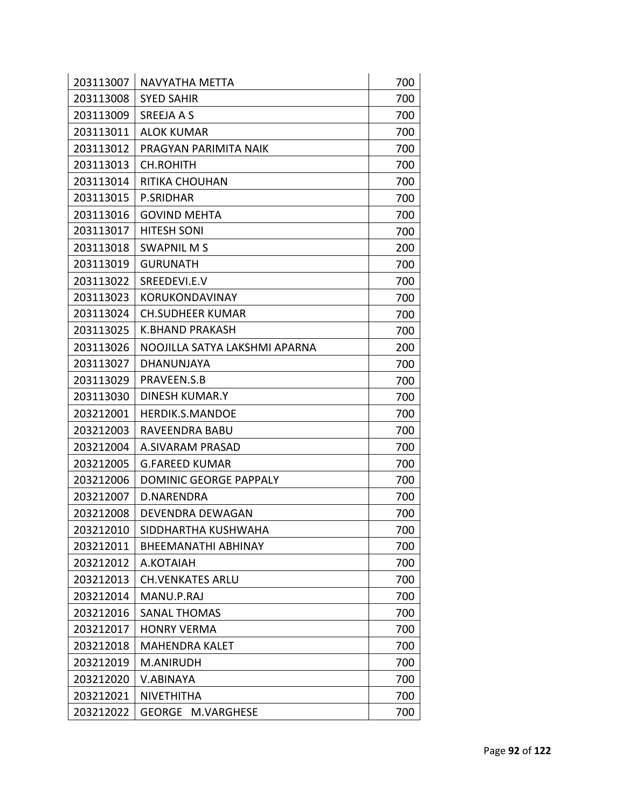| 203113007 | NAVYATHA METTA                | 700 |
|-----------|-------------------------------|-----|
| 203113008 | <b>SYED SAHIR</b>             | 700 |
| 203113009 | <b>SREEJA A S</b>             | 700 |
| 203113011 | <b>ALOK KUMAR</b>             | 700 |
| 203113012 | PRAGYAN PARIMITA NAIK         | 700 |
| 203113013 | <b>CH.ROHITH</b>              | 700 |
| 203113014 | <b>RITIKA CHOUHAN</b>         | 700 |
| 203113015 | <b>P.SRIDHAR</b>              | 700 |
| 203113016 | <b>GOVIND MEHTA</b>           | 700 |
| 203113017 | <b>HITESH SONI</b>            | 700 |
| 203113018 | <b>SWAPNIL MS</b>             | 200 |
| 203113019 | <b>GURUNATH</b>               | 700 |
| 203113022 | SREEDEVI.E.V                  | 700 |
| 203113023 | <b>KORUKONDAVINAY</b>         | 700 |
| 203113024 | <b>CH.SUDHEER KUMAR</b>       | 700 |
| 203113025 | K.BHAND PRAKASH               | 700 |
| 203113026 | NOOJILLA SATYA LAKSHMI APARNA | 200 |
| 203113027 | <b>DHANUNJAYA</b>             | 700 |
| 203113029 | PRAVEEN.S.B                   | 700 |
| 203113030 | <b>DINESH KUMAR.Y</b>         | 700 |
| 203212001 | HERDIK.S.MANDOE               | 700 |
| 203212003 | RAVEENDRA BABU                | 700 |
| 203212004 | A.SIVARAM PRASAD              | 700 |
| 203212005 | <b>G.FAREED KUMAR</b>         | 700 |
| 203212006 | <b>DOMINIC GEORGE PAPPALY</b> | 700 |
| 203212007 | D.NARENDRA                    | 700 |
| 203212008 | <b>DEVENDRA DEWAGAN</b>       | 700 |
| 203212010 | SIDDHARTHA KUSHWAHA           | 700 |
| 203212011 | <b>BHEEMANATHI ABHINAY</b>    | 700 |
| 203212012 | A.KOTAIAH                     | 700 |
| 203212013 | <b>CH.VENKATES ARLU</b>       | 700 |
| 203212014 | MANU.P.RAJ                    | 700 |
| 203212016 | <b>SANAL THOMAS</b>           | 700 |
| 203212017 | <b>HONRY VERMA</b>            | 700 |
| 203212018 | <b>MAHENDRA KALET</b>         | 700 |
| 203212019 | M.ANIRUDH                     | 700 |
| 203212020 | V.ABINAYA                     | 700 |
| 203212021 | <b>NIVETHITHA</b>             | 700 |
| 203212022 | <b>GEORGE</b><br>M.VARGHESE   | 700 |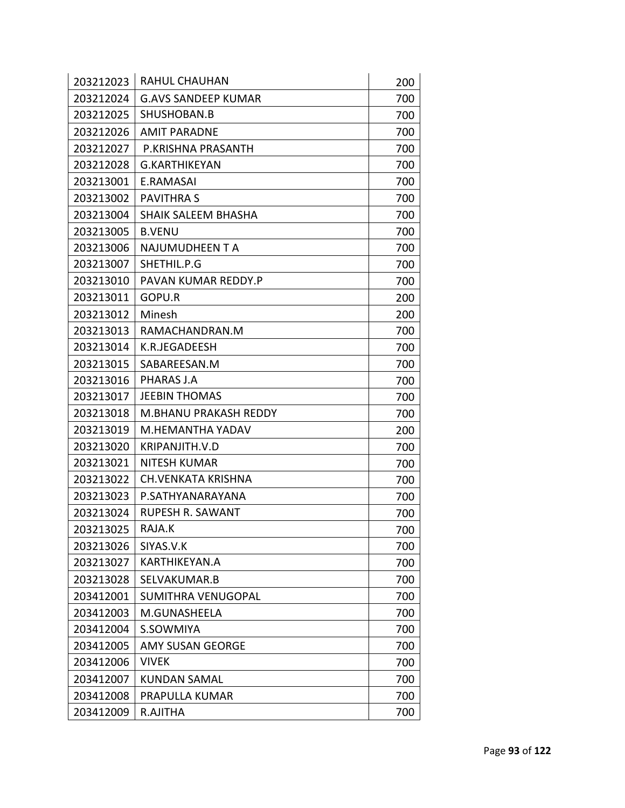| 203212023 | <b>RAHUL CHAUHAN</b>         | 200 |
|-----------|------------------------------|-----|
| 203212024 | <b>G.AVS SANDEEP KUMAR</b>   | 700 |
| 203212025 | SHUSHOBAN.B                  | 700 |
| 203212026 | <b>AMIT PARADNE</b>          | 700 |
| 203212027 | P.KRISHNA PRASANTH           | 700 |
| 203212028 | <b>G.KARTHIKEYAN</b>         | 700 |
| 203213001 | E.RAMASAI                    | 700 |
| 203213002 | <b>PAVITHRA S</b>            | 700 |
| 203213004 | SHAIK SALEEM BHASHA          | 700 |
| 203213005 | <b>B.VENU</b>                | 700 |
| 203213006 | NAJUMUDHEEN T A              | 700 |
| 203213007 | SHETHIL.P.G                  | 700 |
| 203213010 | PAVAN KUMAR REDDY.P          | 700 |
| 203213011 | GOPU.R                       | 200 |
| 203213012 | Minesh                       | 200 |
| 203213013 | RAMACHANDRAN.M               | 700 |
| 203213014 | K.R.JEGADEESH                | 700 |
| 203213015 | SABAREESAN.M                 | 700 |
| 203213016 | PHARAS J.A                   | 700 |
| 203213017 | <b>JEEBIN THOMAS</b>         | 700 |
| 203213018 | <b>M.BHANU PRAKASH REDDY</b> | 700 |
| 203213019 | M.HEMANTHA YADAV             | 200 |
| 203213020 | KRIPANJITH.V.D               | 700 |
| 203213021 | <b>NITESH KUMAR</b>          | 700 |
| 203213022 | <b>CH.VENKATA KRISHNA</b>    | 700 |
| 203213023 | P.SATHYANARAYANA             | 700 |
| 203213024 | <b>RUPESH R. SAWANT</b>      | 700 |
| 203213025 | RAJA.K                       | 700 |
| 203213026 | SIYAS.V.K                    | 700 |
| 203213027 | KARTHIKEYAN.A                | 700 |
| 203213028 | SELVAKUMAR.B                 | 700 |
| 203412001 | <b>SUMITHRA VENUGOPAL</b>    | 700 |
| 203412003 | M.GUNASHEELA                 | 700 |
| 203412004 | S.SOWMIYA                    | 700 |
| 203412005 | <b>AMY SUSAN GEORGE</b>      | 700 |
| 203412006 | <b>VIVEK</b>                 | 700 |
| 203412007 | <b>KUNDAN SAMAL</b>          | 700 |
| 203412008 | PRAPULLA KUMAR               | 700 |
| 203412009 | R.AJITHA                     | 700 |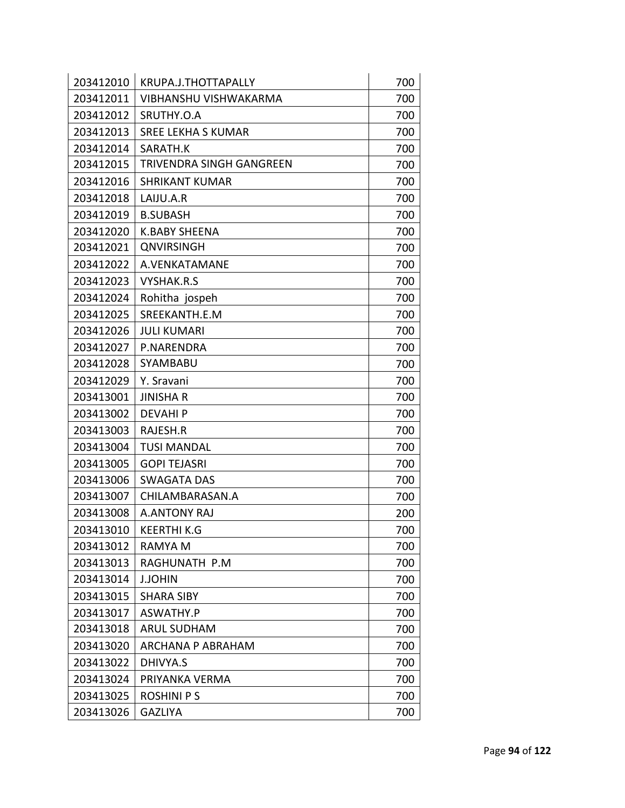| 203412010 | KRUPA.J.THOTTAPALLY          | 700 |
|-----------|------------------------------|-----|
| 203412011 | <b>VIBHANSHU VISHWAKARMA</b> | 700 |
| 203412012 | SRUTHY.O.A                   | 700 |
| 203412013 | <b>SREE LEKHA S KUMAR</b>    | 700 |
| 203412014 | SARATH.K                     | 700 |
| 203412015 | TRIVENDRA SINGH GANGREEN     | 700 |
| 203412016 | <b>SHRIKANT KUMAR</b>        | 700 |
| 203412018 | LAIJU.A.R                    | 700 |
| 203412019 | <b>B.SUBASH</b>              | 700 |
| 203412020 | <b>K.BABY SHEENA</b>         | 700 |
| 203412021 | <b>QNVIRSINGH</b>            | 700 |
| 203412022 | A.VENKATAMANE                | 700 |
| 203412023 | <b>VYSHAK.R.S</b>            | 700 |
| 203412024 | Rohitha jospeh               | 700 |
| 203412025 | SREEKANTH.E.M                | 700 |
| 203412026 | <b>JULI KUMARI</b>           | 700 |
| 203412027 | P.NARENDRA                   | 700 |
| 203412028 | SYAMBABU                     | 700 |
| 203412029 | Y. Sravani                   | 700 |
| 203413001 | <b>JINISHA R</b>             | 700 |
| 203413002 | <b>DEVAHIP</b>               | 700 |
| 203413003 | RAJESH.R                     | 700 |
| 203413004 | <b>TUSI MANDAL</b>           | 700 |
| 203413005 | <b>GOPI TEJASRI</b>          | 700 |
| 203413006 | <b>SWAGATA DAS</b>           | 700 |
| 203413007 | CHILAMBARASAN.A              | 700 |
| 203413008 | <b>A.ANTONY RAJ</b>          | 200 |
| 203413010 | <b>KEERTHI K.G</b>           | 700 |
| 203413012 | <b>RAMYA M</b>               | 700 |
| 203413013 | RAGHUNATH P.M                | 700 |
| 203413014 | <b>J.JOHIN</b>               | 700 |
| 203413015 | <b>SHARA SIBY</b>            | 700 |
| 203413017 | ASWATHY.P                    | 700 |
| 203413018 | <b>ARUL SUDHAM</b>           | 700 |
| 203413020 | <b>ARCHANA P ABRAHAM</b>     | 700 |
| 203413022 | DHIVYA.S                     | 700 |
| 203413024 | PRIYANKA VERMA               | 700 |
| 203413025 | <b>ROSHINI P S</b>           | 700 |
| 203413026 | <b>GAZLIYA</b>               | 700 |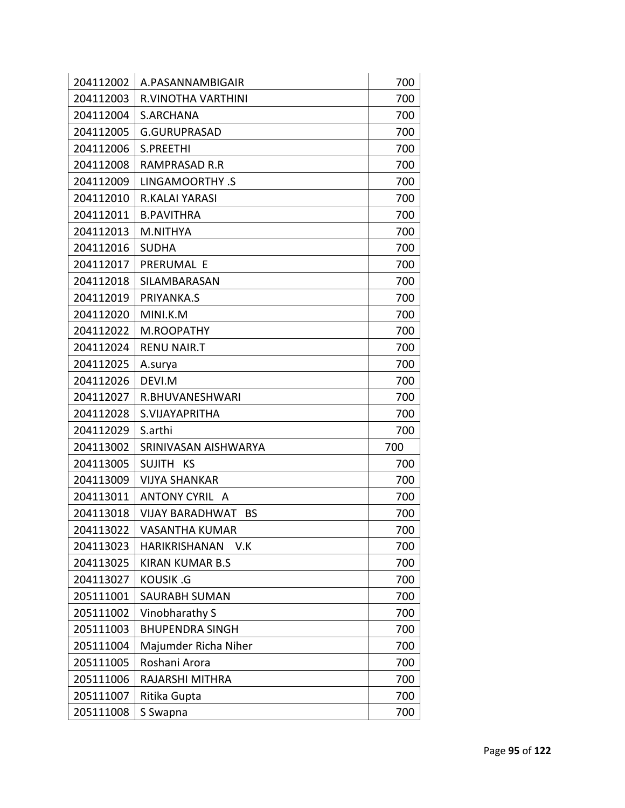| 204112002 | A.PASANNAMBIGAIR                    | 700 |
|-----------|-------------------------------------|-----|
| 204112003 | R.VINOTHA VARTHINI                  | 700 |
| 204112004 | S.ARCHANA                           | 700 |
| 204112005 | <b>G.GURUPRASAD</b>                 | 700 |
| 204112006 | S.PREETHI                           | 700 |
| 204112008 | <b>RAMPRASAD R.R</b>                | 700 |
| 204112009 | LINGAMOORTHY .S                     | 700 |
| 204112010 | R.KALAI YARASI                      | 700 |
| 204112011 | <b>B.PAVITHRA</b>                   | 700 |
| 204112013 | M.NITHYA                            | 700 |
| 204112016 | <b>SUDHA</b>                        | 700 |
| 204112017 | PRERUMAL E                          | 700 |
| 204112018 | SILAMBARASAN                        | 700 |
| 204112019 | PRIYANKA.S                          | 700 |
| 204112020 | MINI.K.M                            | 700 |
| 204112022 | M.ROOPATHY                          | 700 |
| 204112024 | <b>RENU NAIR.T</b>                  | 700 |
| 204112025 | A.surya                             | 700 |
| 204112026 | DEVI.M                              | 700 |
| 204112027 | R.BHUVANESHWARI                     | 700 |
| 204112028 | S.VIJAYAPRITHA                      | 700 |
| 204112029 | S.arthi                             | 700 |
| 204113002 | SRINIVASAN AISHWARYA                | 700 |
| 204113005 | SUJITH KS                           | 700 |
| 204113009 | <b>VIJYA SHANKAR</b>                | 700 |
| 204113011 | ANTONY CYRIL A                      | 700 |
| 204113018 | <b>VIJAY BARADHWAT</b><br><b>BS</b> | 700 |
| 204113022 | VASANTHA KUMAR                      | 700 |
| 204113023 | <b>HARIKRISHANAN</b><br>V.K         | 700 |
| 204113025 | <b>KIRAN KUMAR B.S</b>              | 700 |
| 204113027 |                                     |     |
|           | <b>KOUSIK.G</b>                     | 700 |
| 205111001 | SAURABH SUMAN                       | 700 |
| 205111002 | Vinobharathy S                      | 700 |
| 205111003 | <b>BHUPENDRA SINGH</b>              | 700 |
| 205111004 | Majumder Richa Niher                | 700 |
| 205111005 | Roshani Arora                       | 700 |
| 205111006 | RAJARSHI MITHRA                     | 700 |
| 205111007 | Ritika Gupta                        | 700 |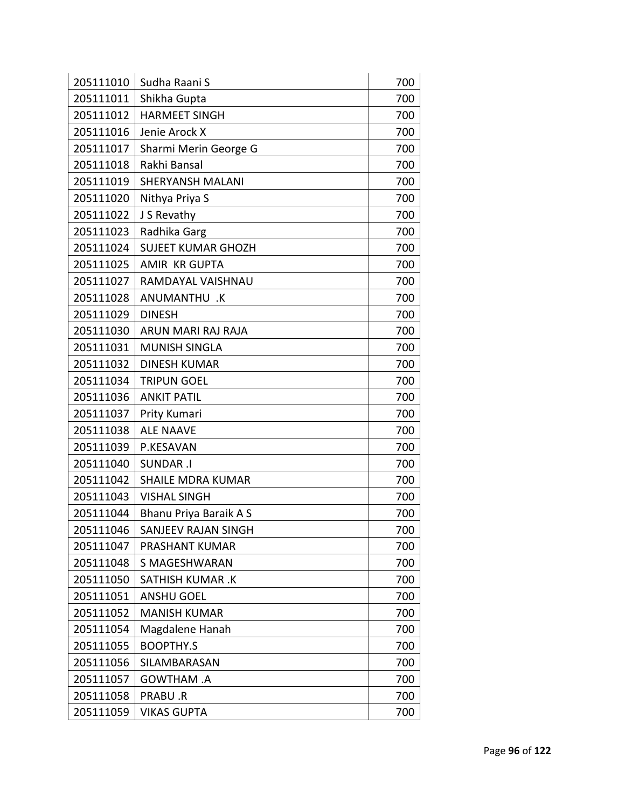| 205111010 | Sudha Raani S             | 700 |
|-----------|---------------------------|-----|
| 205111011 | Shikha Gupta              | 700 |
| 205111012 | <b>HARMEET SINGH</b>      | 700 |
| 205111016 | Jenie Arock X             | 700 |
| 205111017 | Sharmi Merin George G     | 700 |
| 205111018 | Rakhi Bansal              | 700 |
| 205111019 | <b>SHERYANSH MALANI</b>   | 700 |
| 205111020 | Nithya Priya S            | 700 |
| 205111022 | J S Revathy               | 700 |
| 205111023 | Radhika Garg              | 700 |
| 205111024 | <b>SUJEET KUMAR GHOZH</b> | 700 |
| 205111025 | <b>AMIR KR GUPTA</b>      | 700 |
| 205111027 | RAMDAYAL VAISHNAU         | 700 |
| 205111028 | ANUMANTHU .K              | 700 |
| 205111029 | <b>DINESH</b>             | 700 |
| 205111030 | ARUN MARI RAJ RAJA        | 700 |
| 205111031 | <b>MUNISH SINGLA</b>      | 700 |
| 205111032 | <b>DINESH KUMAR</b>       | 700 |
| 205111034 | <b>TRIPUN GOEL</b>        | 700 |
| 205111036 | <b>ANKIT PATIL</b>        | 700 |
| 205111037 | Prity Kumari              | 700 |
| 205111038 | <b>ALE NAAVE</b>          | 700 |
| 205111039 | P.KESAVAN                 | 700 |
| 205111040 | <b>SUNDAR .I</b>          | 700 |
| 205111042 | <b>SHAILE MDRA KUMAR</b>  | 700 |
| 205111043 | <b>VISHAL SINGH</b>       | 700 |
| 205111044 | Bhanu Priya Baraik A S    | 700 |
| 205111046 | SANJEEV RAJAN SINGH       | 700 |
| 205111047 | PRASHANT KUMAR            | 700 |
| 205111048 | S MAGESHWARAN             | 700 |
| 205111050 | <b>SATHISH KUMAR.K</b>    | 700 |
| 205111051 | <b>ANSHU GOEL</b>         | 700 |
| 205111052 | <b>MANISH KUMAR</b>       | 700 |
| 205111054 | Magdalene Hanah           | 700 |
| 205111055 | <b>BOOPTHY.S</b>          | 700 |
| 205111056 | SILAMBARASAN              | 700 |
| 205111057 | <b>GOWTHAM .A</b>         | 700 |
| 205111058 | PRABU.R                   | 700 |
| 205111059 | <b>VIKAS GUPTA</b>        | 700 |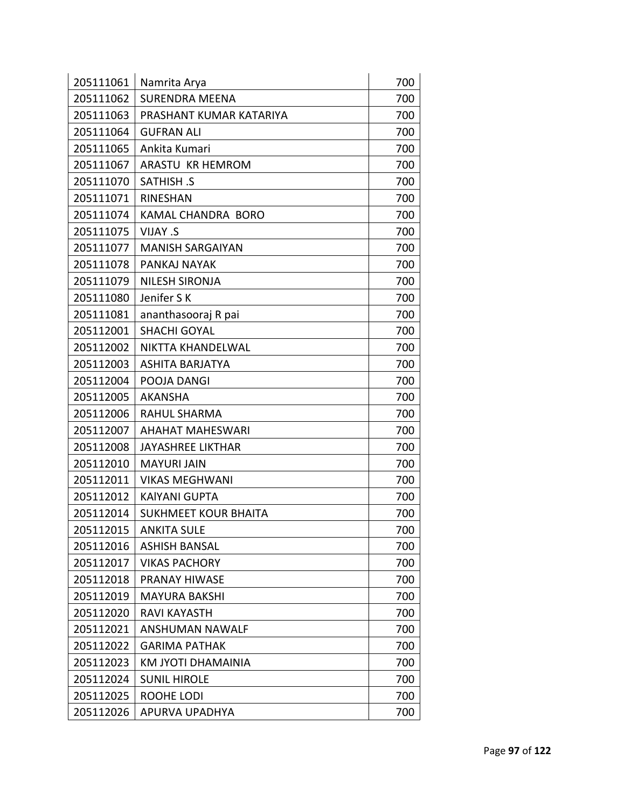| 205111061 | Namrita Arya                | 700 |
|-----------|-----------------------------|-----|
| 205111062 | <b>SURENDRA MEENA</b>       | 700 |
| 205111063 | PRASHANT KUMAR KATARIYA     | 700 |
| 205111064 | <b>GUFRAN ALI</b>           | 700 |
| 205111065 | Ankita Kumari               | 700 |
| 205111067 | ARASTU KR HEMROM            | 700 |
| 205111070 | <b>SATHISH .S</b>           | 700 |
| 205111071 | <b>RINESHAN</b>             | 700 |
| 205111074 | KAMAL CHANDRA BORO          | 700 |
| 205111075 | VIJAY .S                    | 700 |
| 205111077 | <b>MANISH SARGAIYAN</b>     | 700 |
| 205111078 | PANKAJ NAYAK                | 700 |
| 205111079 | <b>NILESH SIRONJA</b>       | 700 |
| 205111080 | Jenifer SK                  | 700 |
| 205111081 | ananthasooraj R pai         | 700 |
| 205112001 | <b>SHACHI GOYAL</b>         | 700 |
| 205112002 | NIKTTA KHANDELWAL           | 700 |
| 205112003 | <b>ASHITA BARJATYA</b>      | 700 |
| 205112004 | POOJA DANGI                 | 700 |
| 205112005 | <b>AKANSHA</b>              | 700 |
| 205112006 | <b>RAHUL SHARMA</b>         | 700 |
| 205112007 | <b>AHAHAT MAHESWARI</b>     | 700 |
| 205112008 | <b>JAYASHREE LIKTHAR</b>    | 700 |
| 205112010 | <b>MAYURI JAIN</b>          | 700 |
| 205112011 | <b>VIKAS MEGHWANI</b>       | 700 |
| 205112012 | <b>KAIYANI GUPTA</b>        | 700 |
| 205112014 | <b>SUKHMEET KOUR BHAITA</b> | 700 |
| 205112015 | <b>ANKITA SULE</b>          | 700 |
| 205112016 | <b>ASHISH BANSAL</b>        | 700 |
| 205112017 | <b>VIKAS PACHORY</b>        | 700 |
| 205112018 | PRANAY HIWASE               | 700 |
| 205112019 | <b>MAYURA BAKSHI</b>        | 700 |
| 205112020 | RAVI KAYASTH                | 700 |
| 205112021 | ANSHUMAN NAWALF             | 700 |
| 205112022 | <b>GARIMA PATHAK</b>        | 700 |
| 205112023 | KM JYOTI DHAMAINIA          | 700 |
| 205112024 | <b>SUNIL HIROLE</b>         | 700 |
| 205112025 | ROOHE LODI                  | 700 |
| 205112026 | APURVA UPADHYA              | 700 |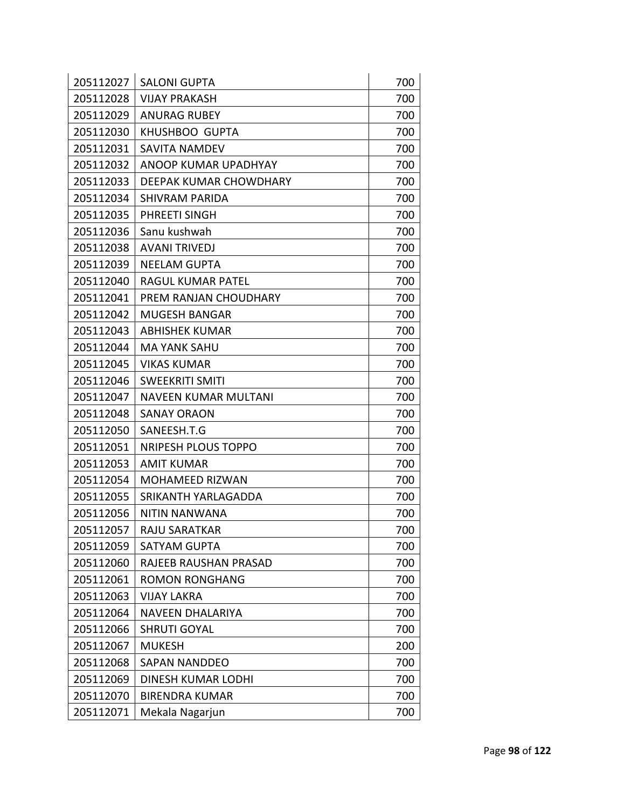| 205112027 | <b>SALONI GUPTA</b>           | 700 |
|-----------|-------------------------------|-----|
| 205112028 | <b>VIJAY PRAKASH</b>          | 700 |
| 205112029 | <b>ANURAG RUBEY</b>           | 700 |
| 205112030 | <b>KHUSHBOO GUPTA</b>         | 700 |
| 205112031 | <b>SAVITA NAMDEV</b>          | 700 |
| 205112032 | ANOOP KUMAR UPADHYAY          | 700 |
| 205112033 | <b>DEEPAK KUMAR CHOWDHARY</b> | 700 |
| 205112034 | SHIVRAM PARIDA                | 700 |
| 205112035 | PHREETI SINGH                 | 700 |
| 205112036 | Sanu kushwah                  | 700 |
| 205112038 | <b>AVANI TRIVEDJ</b>          | 700 |
| 205112039 | <b>NEELAM GUPTA</b>           | 700 |
| 205112040 | RAGUL KUMAR PATEL             | 700 |
| 205112041 | PREM RANJAN CHOUDHARY         | 700 |
| 205112042 | <b>MUGESH BANGAR</b>          | 700 |
| 205112043 | <b>ABHISHEK KUMAR</b>         | 700 |
| 205112044 | <b>MA YANK SAHU</b>           | 700 |
| 205112045 | <b>VIKAS KUMAR</b>            | 700 |
| 205112046 | <b>SWEEKRITI SMITI</b>        | 700 |
| 205112047 | <b>NAVEEN KUMAR MULTANI</b>   | 700 |
| 205112048 | <b>SANAY ORAON</b>            | 700 |
| 205112050 | SANEESH.T.G                   | 700 |
| 205112051 | <b>NRIPESH PLOUS TOPPO</b>    | 700 |
| 205112053 | <b>AMIT KUMAR</b>             | 700 |
| 205112054 | <b>MOHAMEED RIZWAN</b>        | 700 |
| 205112055 | SRIKANTH YARLAGADDA           | 700 |
| 205112056 | NITIN NANWANA                 | 700 |
| 205112057 | RAJU SARATKAR                 | 700 |
| 205112059 | <b>SATYAM GUPTA</b>           | 700 |
| 205112060 | RAJEEB RAUSHAN PRASAD         | 700 |
| 205112061 | <b>ROMON RONGHANG</b>         | 700 |
| 205112063 | <b>VIJAY LAKRA</b>            | 700 |
| 205112064 | <b>NAVEEN DHALARIYA</b>       | 700 |
| 205112066 | <b>SHRUTI GOYAL</b>           | 700 |
| 205112067 | <b>MUKESH</b>                 | 200 |
| 205112068 | <b>SAPAN NANDDEO</b>          | 700 |
| 205112069 | <b>DINESH KUMAR LODHI</b>     | 700 |
| 205112070 | <b>BIRENDRA KUMAR</b>         | 700 |
| 205112071 | Mekala Nagarjun               | 700 |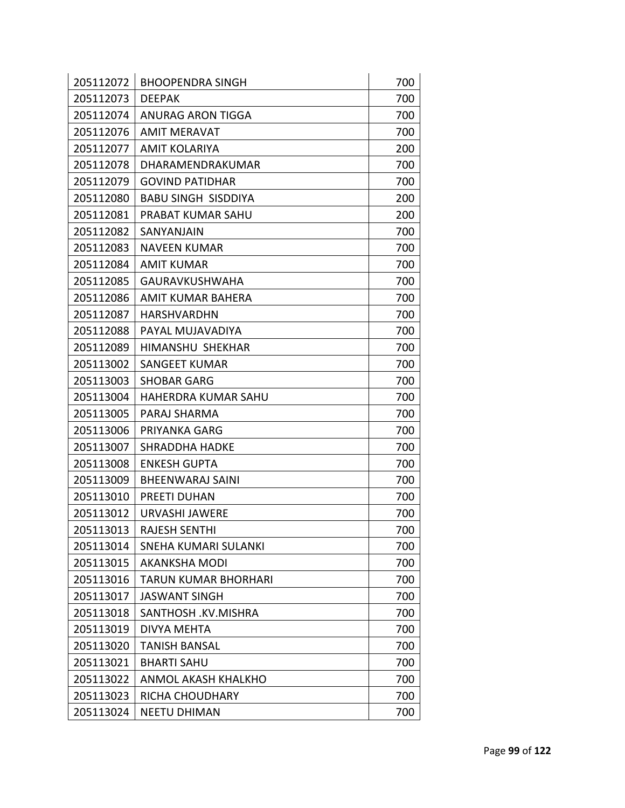| 205112072 | <b>BHOOPENDRA SINGH</b>     | 700 |
|-----------|-----------------------------|-----|
| 205112073 | <b>DEEPAK</b>               | 700 |
| 205112074 | ANURAG ARON TIGGA           | 700 |
| 205112076 | <b>AMIT MERAVAT</b>         | 700 |
| 205112077 | <b>AMIT KOLARIYA</b>        | 200 |
| 205112078 | DHARAMENDRAKUMAR            | 700 |
| 205112079 | <b>GOVIND PATIDHAR</b>      | 700 |
| 205112080 | <b>BABU SINGH SISDDIYA</b>  | 200 |
| 205112081 | PRABAT KUMAR SAHU           | 200 |
| 205112082 | SANYANJAIN                  | 700 |
| 205112083 | <b>NAVEEN KUMAR</b>         | 700 |
| 205112084 | <b>AMIT KUMAR</b>           | 700 |
| 205112085 | <b>GAURAVKUSHWAHA</b>       | 700 |
| 205112086 | AMIT KUMAR BAHERA           | 700 |
| 205112087 | HARSHVARDHN                 | 700 |
| 205112088 | PAYAL MUJAVADIYA            | 700 |
| 205112089 | HIMANSHU SHEKHAR            | 700 |
| 205113002 | <b>SANGEET KUMAR</b>        | 700 |
| 205113003 | <b>SHOBAR GARG</b>          | 700 |
| 205113004 | <b>HAHERDRA KUMAR SAHU</b>  | 700 |
| 205113005 | PARAJ SHARMA                | 700 |
| 205113006 | PRIYANKA GARG               | 700 |
| 205113007 | <b>SHRADDHA HADKE</b>       | 700 |
| 205113008 | <b>ENKESH GUPTA</b>         | 700 |
| 205113009 | <b>BHEENWARAJ SAINI</b>     | 700 |
| 205113010 | <b>PREETI DUHAN</b>         | 700 |
| 205113012 | <b>URVASHI JAWERE</b>       | 700 |
| 205113013 | <b>RAJESH SENTHI</b>        | 700 |
| 205113014 | SNEHA KUMARI SULANKI        | 700 |
| 205113015 | <b>AKANKSHA MODI</b>        | 700 |
| 205113016 | <b>TARUN KUMAR BHORHARI</b> | 700 |
| 205113017 | <b>JASWANT SINGH</b>        | 700 |
| 205113018 | SANTHOSH .KV.MISHRA         | 700 |
| 205113019 | DIVYA MEHTA                 | 700 |
| 205113020 | <b>TANISH BANSAL</b>        | 700 |
| 205113021 | <b>BHARTI SAHU</b>          | 700 |
| 205113022 | <b>ANMOL AKASH KHALKHO</b>  | 700 |
| 205113023 | RICHA CHOUDHARY             | 700 |
| 205113024 | <b>NEETU DHIMAN</b>         | 700 |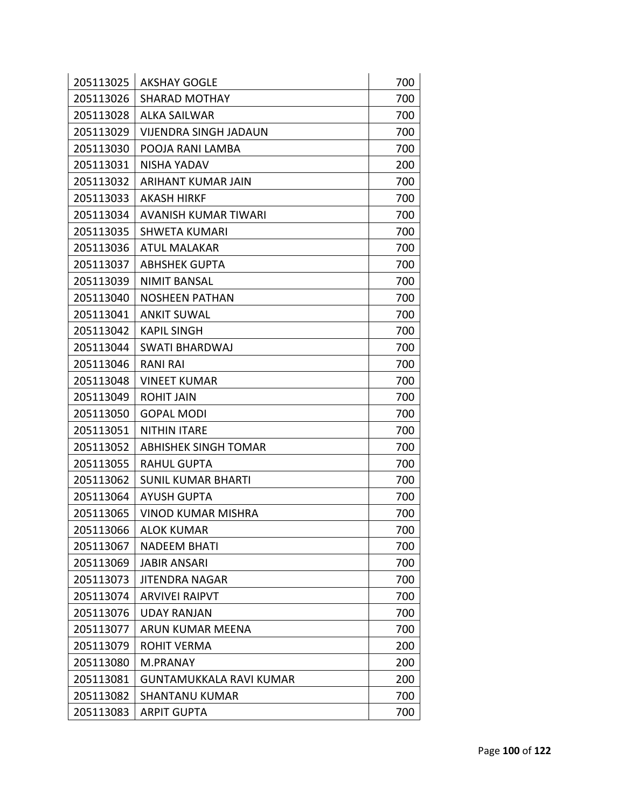| 205113025 | <b>AKSHAY GOGLE</b>          | 700 |
|-----------|------------------------------|-----|
| 205113026 | <b>SHARAD MOTHAY</b>         | 700 |
| 205113028 | <b>ALKA SAILWAR</b>          | 700 |
| 205113029 | <b>VIJENDRA SINGH JADAUN</b> | 700 |
| 205113030 | POOJA RANI LAMBA             | 700 |
| 205113031 | NISHA YADAV                  | 200 |
| 205113032 | ARIHANT KUMAR JAIN           | 700 |
| 205113033 | <b>AKASH HIRKF</b>           | 700 |
| 205113034 | <b>AVANISH KUMAR TIWARI</b>  | 700 |
| 205113035 | <b>SHWETA KUMARI</b>         | 700 |
| 205113036 | <b>ATUL MALAKAR</b>          | 700 |
| 205113037 | <b>ABHSHEK GUPTA</b>         | 700 |
| 205113039 | <b>NIMIT BANSAL</b>          | 700 |
| 205113040 | <b>NOSHEEN PATHAN</b>        | 700 |
| 205113041 | <b>ANKIT SUWAL</b>           | 700 |
| 205113042 | <b>KAPIL SINGH</b>           | 700 |
| 205113044 | <b>SWATI BHARDWAJ</b>        | 700 |
| 205113046 | <b>RANI RAI</b>              | 700 |
| 205113048 | <b>VINEET KUMAR</b>          | 700 |
| 205113049 | <b>ROHIT JAIN</b>            | 700 |
| 205113050 | <b>GOPAL MODI</b>            | 700 |
| 205113051 | <b>NITHIN ITARE</b>          | 700 |
| 205113052 | <b>ABHISHEK SINGH TOMAR</b>  | 700 |
| 205113055 | <b>RAHUL GUPTA</b>           | 700 |
| 205113062 | <b>SUNIL KUMAR BHARTI</b>    | 700 |
| 205113064 | AYUSH GUPTA                  | 700 |
| 205113065 | <b>VINOD KUMAR MISHRA</b>    | 700 |
| 205113066 | <b>ALOK KUMAR</b>            | 700 |
| 205113067 | <b>NADEEM BHATI</b>          | 700 |
| 205113069 | <b>JABIR ANSARI</b>          | 700 |
| 205113073 | <b>JITENDRA NAGAR</b>        | 700 |
| 205113074 | <b>ARVIVEI RAIPVT</b>        | 700 |
| 205113076 | UDAY RANJAN                  | 700 |
| 205113077 | ARUN KUMAR MEENA             | 700 |
| 205113079 | <b>ROHIT VERMA</b>           | 200 |
| 205113080 | <b>M.PRANAY</b>              | 200 |
| 205113081 | GUNTAMUKKALA RAVI KUMAR      | 200 |
| 205113082 | <b>SHANTANU KUMAR</b>        | 700 |
| 205113083 | <b>ARPIT GUPTA</b>           | 700 |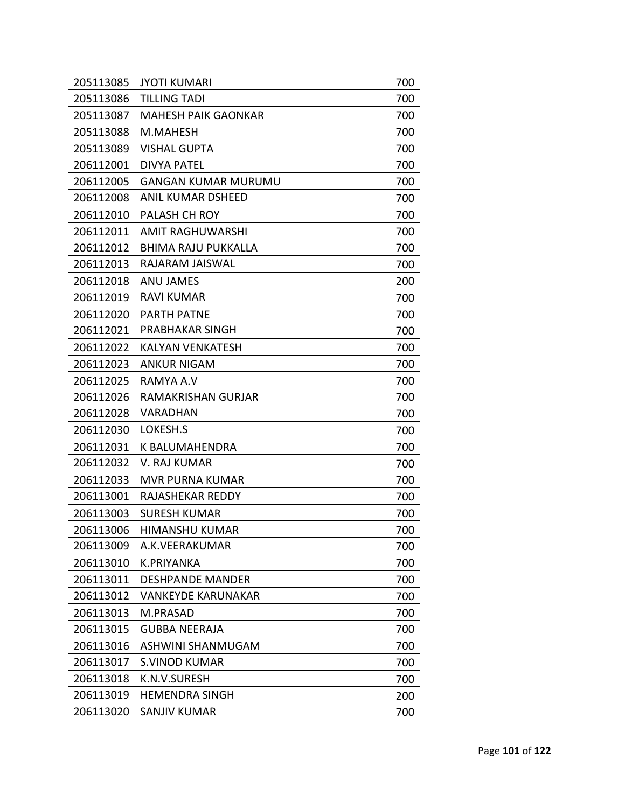| 205113085 | <b>JYOTI KUMARI</b>        | 700 |
|-----------|----------------------------|-----|
| 205113086 | <b>TILLING TADI</b>        | 700 |
| 205113087 | <b>MAHESH PAIK GAONKAR</b> | 700 |
| 205113088 | M.MAHESH                   | 700 |
| 205113089 | <b>VISHAL GUPTA</b>        | 700 |
| 206112001 | <b>DIVYA PATEL</b>         | 700 |
| 206112005 | <b>GANGAN KUMAR MURUMU</b> | 700 |
| 206112008 | ANIL KUMAR DSHEED          | 700 |
| 206112010 | PALASH CH ROY              | 700 |
| 206112011 | <b>AMIT RAGHUWARSHI</b>    | 700 |
| 206112012 | <b>BHIMA RAJU PUKKALLA</b> | 700 |
| 206112013 | RAJARAM JAISWAL            | 700 |
| 206112018 | <b>ANU JAMES</b>           | 200 |
| 206112019 | <b>RAVI KUMAR</b>          | 700 |
| 206112020 | <b>PARTH PATNE</b>         | 700 |
| 206112021 | PRABHAKAR SINGH            | 700 |
| 206112022 | <b>KALYAN VENKATESH</b>    | 700 |
| 206112023 | <b>ANKUR NIGAM</b>         | 700 |
| 206112025 | RAMYA A.V                  | 700 |
| 206112026 | RAMAKRISHAN GURJAR         | 700 |
| 206112028 | VARADHAN                   | 700 |
| 206112030 | LOKESH.S                   | 700 |
| 206112031 | K BALUMAHENDRA             | 700 |
| 206112032 | V. RAJ KUMAR               | 700 |
| 206112033 | <b>MVR PURNA KUMAR</b>     | 700 |
| 206113001 | RAJASHEKAR REDDY           | 700 |
| 206113003 | <b>SURESH KUMAR</b>        | 700 |
| 206113006 | <b>HIMANSHU KUMAR</b>      | 700 |
| 206113009 | A.K.VEERAKUMAR             | 700 |
| 206113010 | K.PRIYANKA                 | 700 |
| 206113011 | <b>DESHPANDE MANDER</b>    | 700 |
| 206113012 | <b>VANKEYDE KARUNAKAR</b>  | 700 |
| 206113013 | M.PRASAD                   | 700 |
| 206113015 | <b>GUBBA NEERAJA</b>       | 700 |
| 206113016 | ASHWINI SHANMUGAM          | 700 |
| 206113017 | <b>S.VINOD KUMAR</b>       | 700 |
| 206113018 | K.N.V.SURESH               | 700 |
| 206113019 | <b>HEMENDRA SINGH</b>      | 200 |
| 206113020 | <b>SANJIV KUMAR</b>        | 700 |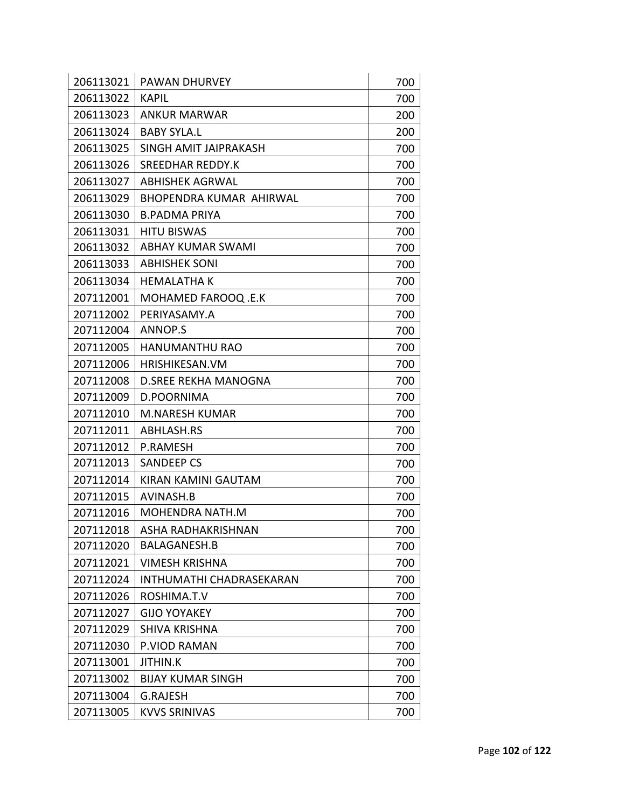| 206113021 | <b>PAWAN DHURVEY</b>            | 700 |
|-----------|---------------------------------|-----|
| 206113022 | <b>KAPIL</b>                    | 700 |
| 206113023 | <b>ANKUR MARWAR</b>             | 200 |
| 206113024 | <b>BABY SYLA.L</b>              | 200 |
| 206113025 | SINGH AMIT JAIPRAKASH           | 700 |
| 206113026 | SREEDHAR REDDY.K                | 700 |
| 206113027 | <b>ABHISHEK AGRWAL</b>          | 700 |
| 206113029 | BHOPENDRA KUMAR AHIRWAL         | 700 |
| 206113030 | <b>B.PADMA PRIYA</b>            | 700 |
| 206113031 | <b>HITU BISWAS</b>              | 700 |
| 206113032 | <b>ABHAY KUMAR SWAMI</b>        | 700 |
| 206113033 | <b>ABHISHEK SONI</b>            | 700 |
| 206113034 | <b>HEMALATHAK</b>               | 700 |
| 207112001 | MOHAMED FAROOQ .E.K             | 700 |
| 207112002 | PERIYASAMY.A                    | 700 |
| 207112004 | ANNOP.S                         | 700 |
| 207112005 | <b>HANUMANTHU RAO</b>           | 700 |
| 207112006 | <b>HRISHIKESAN.VM</b>           | 700 |
| 207112008 | <b>D.SREE REKHA MANOGNA</b>     | 700 |
| 207112009 | D.POORNIMA                      | 700 |
| 207112010 | <b>M.NARESH KUMAR</b>           | 700 |
| 207112011 | ABHLASH.RS                      | 700 |
| 207112012 | <b>P.RAMESH</b>                 | 700 |
| 207112013 | <b>SANDEEP CS</b>               | 700 |
| 207112014 | <b>KIRAN KAMINI GAUTAM</b>      | 700 |
| 207112015 | AVINASH.B                       | 700 |
| 207112016 | MOHENDRA NATH.M                 | 700 |
| 207112018 | ASHA RADHAKRISHNAN              | 700 |
| 207112020 | <b>BALAGANESH.B</b>             | 700 |
| 207112021 | <b>VIMESH KRISHNA</b>           | 700 |
| 207112024 | <b>INTHUMATHI CHADRASEKARAN</b> | 700 |
| 207112026 | ROSHIMA.T.V                     | 700 |
| 207112027 | <b>GIJO YOYAKEY</b>             | 700 |
| 207112029 | <b>SHIVA KRISHNA</b>            | 700 |
| 207112030 | P.VIOD RAMAN                    | 700 |
| 207113001 | <b>JITHIN.K</b>                 | 700 |
| 207113002 | <b>BIJAY KUMAR SINGH</b>        | 700 |
| 207113004 | <b>G.RAJESH</b>                 | 700 |
| 207113005 | <b>KVVS SRINIVAS</b>            | 700 |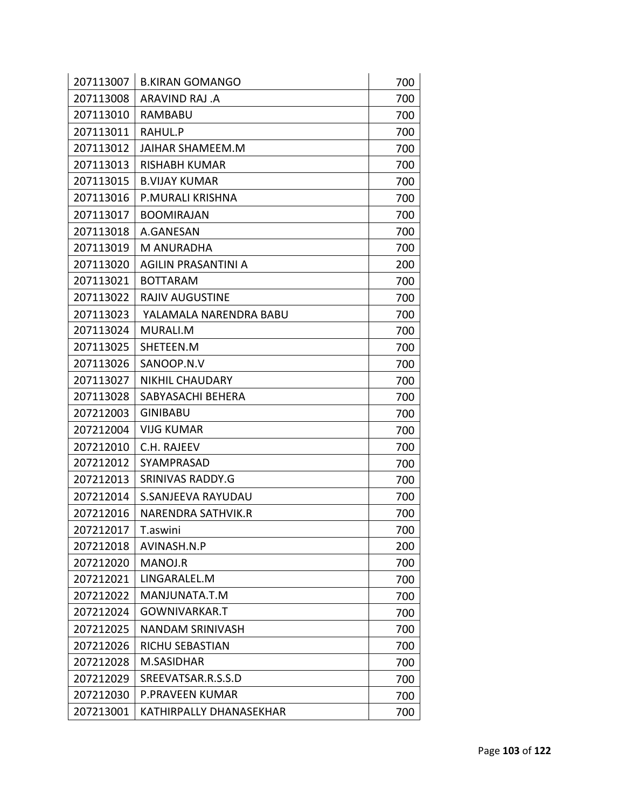| 207113007 | <b>B.KIRAN GOMANGO</b>    | 700 |
|-----------|---------------------------|-----|
| 207113008 | ARAVIND RAJ .A            | 700 |
| 207113010 | RAMBABU                   | 700 |
| 207113011 | RAHUL.P                   | 700 |
| 207113012 | <b>JAIHAR SHAMEEM.M</b>   | 700 |
| 207113013 | <b>RISHABH KUMAR</b>      | 700 |
| 207113015 | <b>B.VIJAY KUMAR</b>      | 700 |
| 207113016 | P.MURALI KRISHNA          | 700 |
| 207113017 | <b>BOOMIRAJAN</b>         | 700 |
| 207113018 | A.GANESAN                 | 700 |
| 207113019 | M ANURADHA                | 700 |
| 207113020 | AGILIN PRASANTINI A       | 200 |
| 207113021 | <b>BOTTARAM</b>           | 700 |
| 207113022 | <b>RAJIV AUGUSTINE</b>    | 700 |
| 207113023 | YALAMALA NARENDRA BABU    | 700 |
| 207113024 | MURALI.M                  | 700 |
| 207113025 | SHETEEN.M                 | 700 |
| 207113026 | SANOOP.N.V                | 700 |
| 207113027 | <b>NIKHIL CHAUDARY</b>    | 700 |
| 207113028 | SABYASACHI BEHERA         | 700 |
| 207212003 | <b>GINIBABU</b>           | 700 |
| 207212004 | <b>VIJG KUMAR</b>         | 700 |
| 207212010 | C.H. RAJEEV               | 700 |
| 207212012 | SYAMPRASAD                | 700 |
| 207212013 | SRINIVAS RADDY.G          | 700 |
| 207212014 | <b>S.SANJEEVA RAYUDAU</b> | 700 |
| 207212016 | <b>NARENDRA SATHVIK.R</b> | 700 |
| 207212017 | T.aswini                  | 700 |
| 207212018 | AVINASH.N.P               | 200 |
| 207212020 | MANOJ.R                   | 700 |
| 207212021 | LINGARALEL.M              | 700 |
| 207212022 | MANJUNATA.T.M             | 700 |
| 207212024 | <b>GOWNIVARKAR.T</b>      | 700 |
| 207212025 | <b>NANDAM SRINIVASH</b>   | 700 |
| 207212026 | <b>RICHU SEBASTIAN</b>    | 700 |
| 207212028 | M.SASIDHAR                | 700 |
| 207212029 | SREEVATSAR.R.S.S.D        | 700 |
| 207212030 | P.PRAVEEN KUMAR           | 700 |
| 207213001 | KATHIRPALLY DHANASEKHAR   | 700 |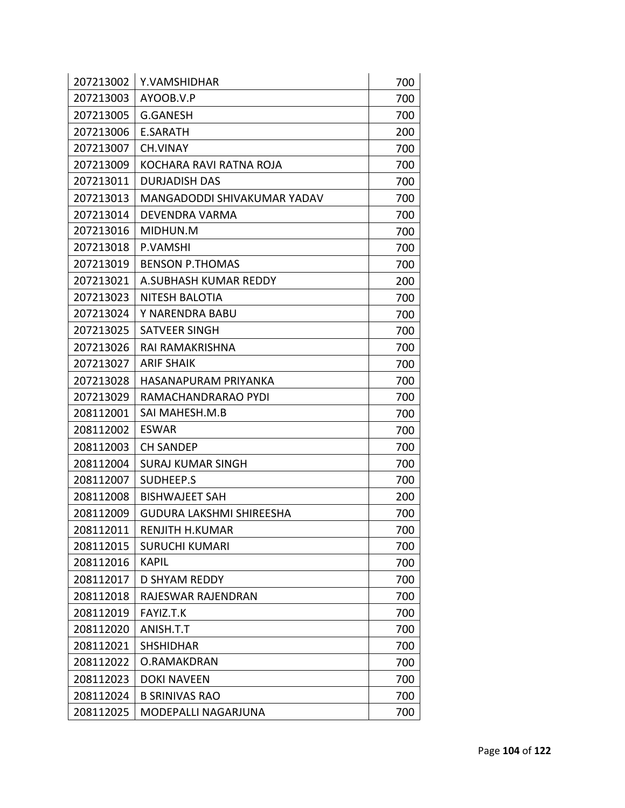| 207213002 | Y.VAMSHIDHAR                    | 700 |
|-----------|---------------------------------|-----|
| 207213003 | AYOOB.V.P                       | 700 |
| 207213005 | <b>G.GANESH</b>                 | 700 |
| 207213006 | <b>E.SARATH</b>                 | 200 |
| 207213007 | <b>CH.VINAY</b>                 | 700 |
| 207213009 | KOCHARA RAVI RATNA ROJA         | 700 |
| 207213011 | <b>DURJADISH DAS</b>            | 700 |
| 207213013 | MANGADODDI SHIVAKUMAR YADAV     | 700 |
| 207213014 | <b>DEVENDRA VARMA</b>           | 700 |
| 207213016 | MIDHUN.M                        | 700 |
| 207213018 | P.VAMSHI                        | 700 |
| 207213019 | <b>BENSON P.THOMAS</b>          | 700 |
| 207213021 | A.SUBHASH KUMAR REDDY           | 200 |
| 207213023 | NITESH BALOTIA                  | 700 |
| 207213024 | Y NARENDRA BABU                 | 700 |
| 207213025 | SATVEER SINGH                   | 700 |
| 207213026 | RAI RAMAKRISHNA                 | 700 |
| 207213027 | <b>ARIF SHAIK</b>               | 700 |
| 207213028 | HASANAPURAM PRIYANKA            | 700 |
| 207213029 | RAMACHANDRARAO PYDI             | 700 |
| 208112001 | SAI MAHESH.M.B                  | 700 |
| 208112002 | <b>ESWAR</b>                    | 700 |
| 208112003 | <b>CH SANDEP</b>                | 700 |
| 208112004 | <b>SURAJ KUMAR SINGH</b>        | 700 |
| 208112007 | SUDHEEP.S                       | 700 |
| 208112008 | <b>BISHWAJEET SAH</b>           | 200 |
| 208112009 | <b>GUDURA LAKSHMI SHIREESHA</b> | 700 |
| 208112011 | RENJITH H.KUMAR                 | 700 |
| 208112015 | <b>SURUCHI KUMARI</b>           | 700 |
| 208112016 | <b>KAPIL</b>                    | 700 |
| 208112017 | <b>D SHYAM REDDY</b>            | 700 |
| 208112018 | RAJESWAR RAJENDRAN              | 700 |
| 208112019 | FAYIZ.T.K                       | 700 |
| 208112020 | ANISH.T.T                       | 700 |
| 208112021 | <b>SHSHIDHAR</b>                | 700 |
| 208112022 | O.RAMAKDRAN                     | 700 |
| 208112023 | <b>DOKI NAVEEN</b>              | 700 |
| 208112024 | <b>B SRINIVAS RAO</b>           | 700 |
| 208112025 | <b>MODEPALLI NAGARJUNA</b>      | 700 |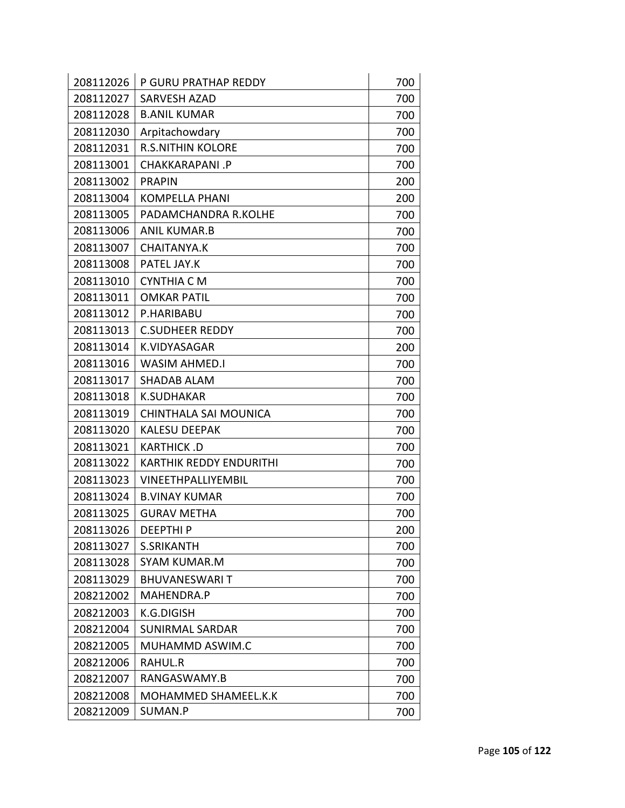| 208112026 | P GURU PRATHAP REDDY           | 700 |
|-----------|--------------------------------|-----|
| 208112027 | <b>SARVESH AZAD</b>            | 700 |
| 208112028 | <b>B.ANIL KUMAR</b>            | 700 |
| 208112030 | Arpitachowdary                 | 700 |
| 208112031 | <b>R.S.NITHIN KOLORE</b>       | 700 |
| 208113001 | CHAKKARAPANI.P                 | 700 |
| 208113002 | <b>PRAPIN</b>                  | 200 |
| 208113004 | <b>KOMPELLA PHANI</b>          | 200 |
| 208113005 | PADAMCHANDRA R.KOLHE           | 700 |
| 208113006 | <b>ANIL KUMAR.B</b>            | 700 |
| 208113007 | <b>CHAITANYA.K</b>             | 700 |
| 208113008 | PATEL JAY.K                    | 700 |
| 208113010 | <b>CYNTHIA C M</b>             | 700 |
| 208113011 | <b>OMKAR PATIL</b>             | 700 |
| 208113012 | P.HARIBABU                     | 700 |
| 208113013 | <b>C.SUDHEER REDDY</b>         | 700 |
| 208113014 | K.VIDYASAGAR                   | 200 |
| 208113016 | <b>WASIM AHMED.I</b>           | 700 |
| 208113017 | <b>SHADAB ALAM</b>             | 700 |
| 208113018 | <b>K.SUDHAKAR</b>              | 700 |
| 208113019 | CHINTHALA SAI MOUNICA          | 700 |
| 208113020 | <b>KALESU DEEPAK</b>           | 700 |
| 208113021 | KARTHICK .D                    | 700 |
| 208113022 | <b>KARTHIK REDDY ENDURITHI</b> | 700 |
| 208113023 | <b>VINEETHPALLIYEMBIL</b>      | 700 |
| 208113024 | <b>B.VINAY KUMAR</b>           | 700 |
| 208113025 | <b>GURAV METHA</b>             | 700 |
| 208113026 | <b>DEEPTHIP</b>                | 200 |
| 208113027 | <b>S.SRIKANTH</b>              | 700 |
| 208113028 | <b>SYAM KUMAR.M</b>            | 700 |
| 208113029 | <b>BHUVANESWARIT</b>           | 700 |
| 208212002 | MAHENDRA.P                     | 700 |
| 208212003 | <b>K.G.DIGISH</b>              | 700 |
| 208212004 | <b>SUNIRMAL SARDAR</b>         | 700 |
| 208212005 | MUHAMMD ASWIM.C                | 700 |
| 208212006 | RAHUL.R                        | 700 |
| 208212007 | RANGASWAMY.B                   | 700 |
| 208212008 | MOHAMMED SHAMEEL.K.K           | 700 |
| 208212009 | SUMAN.P                        | 700 |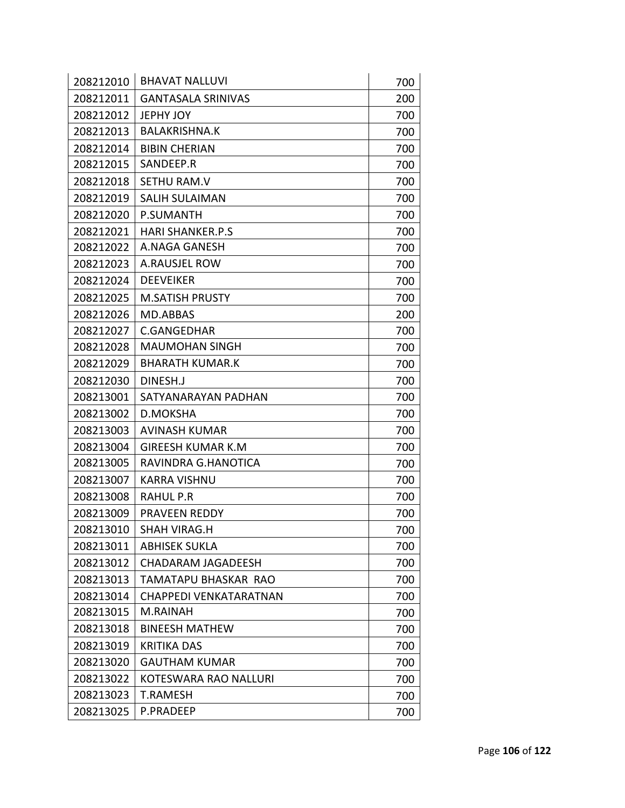| 208212010 | <b>BHAVAT NALLUVI</b>        | 700 |
|-----------|------------------------------|-----|
| 208212011 | <b>GANTASALA SRINIVAS</b>    | 200 |
| 208212012 | JEPHY JOY                    | 700 |
| 208212013 | <b>BALAKRISHNA.K</b>         | 700 |
| 208212014 | <b>BIBIN CHERIAN</b>         | 700 |
| 208212015 | SANDEEP.R                    | 700 |
| 208212018 | SETHU RAM.V                  | 700 |
| 208212019 | <b>SALIH SULAIMAN</b>        | 700 |
| 208212020 | P.SUMANTH                    | 700 |
| 208212021 | <b>HARI SHANKER.P.S</b>      | 700 |
| 208212022 | A.NAGA GANESH                | 700 |
| 208212023 | A.RAUSJEL ROW                | 700 |
| 208212024 | <b>DEEVEIKER</b>             | 700 |
| 208212025 | <b>M.SATISH PRUSTY</b>       | 700 |
| 208212026 | MD.ABBAS                     | 200 |
| 208212027 | <b>C.GANGEDHAR</b>           | 700 |
| 208212028 | <b>MAUMOHAN SINGH</b>        | 700 |
| 208212029 | <b>BHARATH KUMAR.K</b>       | 700 |
| 208212030 | DINESH.J                     | 700 |
| 208213001 | SATYANARAYAN PADHAN          | 700 |
| 208213002 | <b>D.MOKSHA</b>              | 700 |
| 208213003 | <b>AVINASH KUMAR</b>         | 700 |
| 208213004 | <b>GIREESH KUMAR K.M</b>     | 700 |
| 208213005 | RAVINDRA G.HANOTICA          | 700 |
| 208213007 | <b>KARRA VISHNU</b>          | 700 |
| 208213008 | RAHUL P.R                    | 700 |
| 208213009 | <b>PRAVEEN REDDY</b>         | 700 |
| 208213010 | SHAH VIRAG.H                 | 700 |
| 208213011 | <b>ABHISEK SUKLA</b>         | 700 |
| 208213012 | <b>CHADARAM JAGADEESH</b>    | 700 |
| 208213013 | TAMATAPU BHASKAR RAO         | 700 |
| 208213014 | CHAPPEDI VENKATARATNAN       | 700 |
| 208213015 | M.RAINAH                     | 700 |
| 208213018 | <b>BINEESH MATHEW</b>        | 700 |
| 208213019 | <b>KRITIKA DAS</b>           | 700 |
| 208213020 | <b>GAUTHAM KUMAR</b>         | 700 |
| 208213022 | <b>KOTESWARA RAO NALLURI</b> | 700 |
| 208213023 | <b>T.RAMESH</b>              | 700 |
| 208213025 | P.PRADEEP                    | 700 |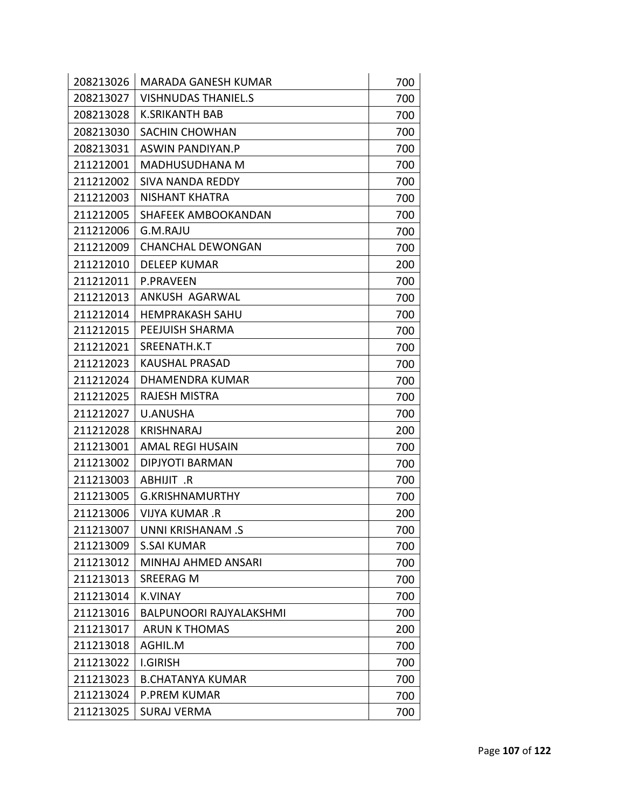| 208213026 | <b>MARADA GANESH KUMAR</b>     | 700 |
|-----------|--------------------------------|-----|
| 208213027 | <b>VISHNUDAS THANIEL.S</b>     | 700 |
| 208213028 | <b>K.SRIKANTH BAB</b>          | 700 |
| 208213030 | <b>SACHIN CHOWHAN</b>          | 700 |
| 208213031 | ASWIN PANDIYAN.P               | 700 |
| 211212001 | MADHUSUDHANA M                 | 700 |
| 211212002 | <b>SIVA NANDA REDDY</b>        | 700 |
| 211212003 | <b>NISHANT KHATRA</b>          | 700 |
| 211212005 | <b>SHAFEEK AMBOOKANDAN</b>     | 700 |
| 211212006 | G.M.RAJU                       | 700 |
| 211212009 | <b>CHANCHAL DEWONGAN</b>       | 700 |
| 211212010 | <b>DELEEP KUMAR</b>            | 200 |
| 211212011 | <b>P.PRAVEEN</b>               | 700 |
| 211212013 | ANKUSH AGARWAL                 | 700 |
| 211212014 | <b>HEMPRAKASH SAHU</b>         | 700 |
| 211212015 | PEEJUISH SHARMA                | 700 |
| 211212021 | SREENATH.K.T                   | 700 |
| 211212023 | KAUSHAL PRASAD                 | 700 |
| 211212024 | <b>DHAMENDRA KUMAR</b>         | 700 |
| 211212025 | <b>RAJESH MISTRA</b>           | 700 |
| 211212027 | <b>U.ANUSHA</b>                | 700 |
| 211212028 | <b>KRISHNARAJ</b>              | 200 |
| 211213001 | <b>AMAL REGI HUSAIN</b>        | 700 |
| 211213002 | <b>DIPJYOTI BARMAN</b>         | 700 |
| 211213003 | ABHIJIT .R                     | 700 |
| 211213005 | <b>G.KRISHNAMURTHY</b>         | 700 |
| 211213006 | <b>VIJYA KUMAR, R</b>          | 200 |
| 211213007 | <b>UNNI KRISHANAM.S</b>        | 700 |
| 211213009 | S.SAI KUMAR                    | 700 |
| 211213012 | MINHAJ AHMED ANSARI            | 700 |
| 211213013 | <b>SREERAG M</b>               | 700 |
| 211213014 | <b>K.VINAY</b>                 | 700 |
| 211213016 | <b>BALPUNOORI RAJYALAKSHMI</b> | 700 |
| 211213017 | <b>ARUN K THOMAS</b>           | 200 |
| 211213018 | AGHIL.M                        | 700 |
| 211213022 | <b>I.GIRISH</b>                | 700 |
| 211213023 | <b>B.CHATANYA KUMAR</b>        | 700 |
| 211213024 | <b>P.PREM KUMAR</b>            | 700 |
| 211213025 | <b>SURAJ VERMA</b>             | 700 |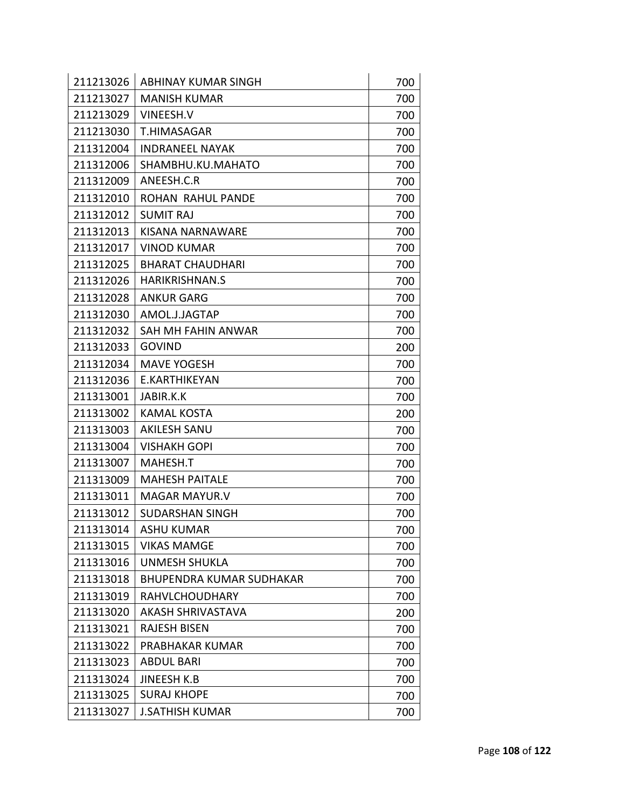| 211213026 | <b>ABHINAY KUMAR SINGH</b>      | 700 |
|-----------|---------------------------------|-----|
| 211213027 | <b>MANISH KUMAR</b>             | 700 |
| 211213029 | VINEESH.V                       | 700 |
| 211213030 | T.HIMASAGAR                     | 700 |
| 211312004 | <b>INDRANEEL NAYAK</b>          | 700 |
| 211312006 | SHAMBHU.KU.MAHATO               | 700 |
| 211312009 | ANEESH.C.R                      | 700 |
| 211312010 | ROHAN RAHUL PANDE               | 700 |
| 211312012 | <b>SUMIT RAJ</b>                | 700 |
| 211312013 | <b>KISANA NARNAWARE</b>         | 700 |
| 211312017 | <b>VINOD KUMAR</b>              | 700 |
| 211312025 | <b>BHARAT CHAUDHARI</b>         | 700 |
| 211312026 | <b>HARIKRISHNAN.S</b>           | 700 |
| 211312028 | <b>ANKUR GARG</b>               | 700 |
| 211312030 | AMOL.J.JAGTAP                   | 700 |
| 211312032 | SAH MH FAHIN ANWAR              | 700 |
| 211312033 | <b>GOVIND</b>                   | 200 |
| 211312034 | <b>MAVE YOGESH</b>              | 700 |
| 211312036 | E.KARTHIKEYAN                   | 700 |
| 211313001 | JABIR.K.K                       | 700 |
| 211313002 | <b>KAMAL KOSTA</b>              | 200 |
| 211313003 | <b>AKILESH SANU</b>             | 700 |
| 211313004 | <b>VISHAKH GOPI</b>             | 700 |
| 211313007 | MAHESH.T                        | 700 |
| 211313009 | <b>MAHESH PAITALE</b>           | 700 |
| 211313011 | <b>MAGAR MAYUR.V</b>            | 700 |
| 211313012 | <b>SUDARSHAN SINGH</b>          | 700 |
| 211313014 | ASHU KUMAR                      | 700 |
| 211313015 | <b>VIKAS MAMGE</b>              | 700 |
| 211313016 | UNMESH SHUKLA                   | 700 |
| 211313018 | <b>BHUPENDRA KUMAR SUDHAKAR</b> | 700 |
| 211313019 | <b>RAHVLCHOUDHARY</b>           | 700 |
| 211313020 | <b>AKASH SHRIVASTAVA</b>        | 200 |
| 211313021 | <b>RAJESH BISEN</b>             | 700 |
| 211313022 | PRABHAKAR KUMAR                 | 700 |
| 211313023 | <b>ABDUL BARI</b>               | 700 |
| 211313024 | <b>JINEESH K.B</b>              | 700 |
| 211313025 | <b>SURAJ KHOPE</b>              | 700 |
| 211313027 | <b>J.SATHISH KUMAR</b>          | 700 |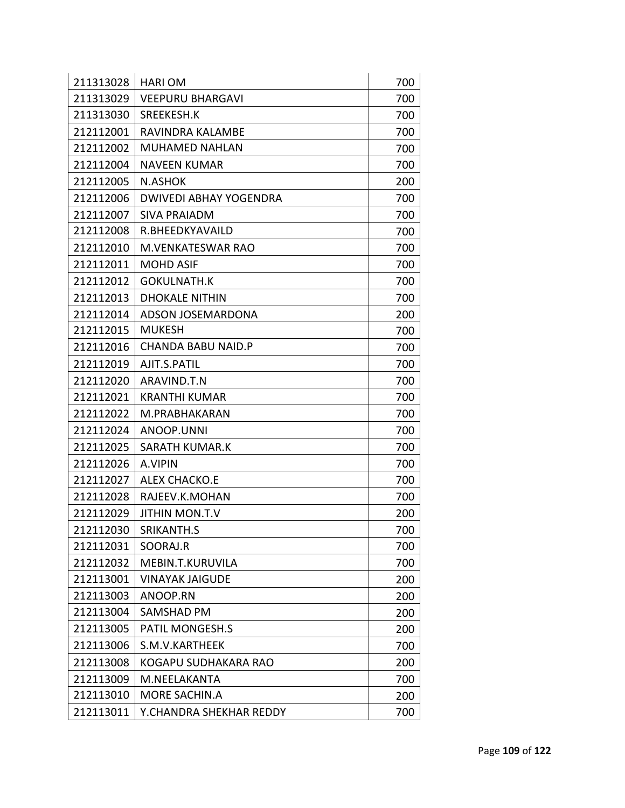| 211313028 | <b>HARI OM</b>                | 700 |
|-----------|-------------------------------|-----|
| 211313029 | <b>VEEPURU BHARGAVI</b>       | 700 |
| 211313030 | SREEKESH.K                    | 700 |
| 212112001 | RAVINDRA KALAMBE              | 700 |
| 212112002 | <b>MUHAMED NAHLAN</b>         | 700 |
| 212112004 | <b>NAVEEN KUMAR</b>           | 700 |
| 212112005 | <b>N.ASHOK</b>                | 200 |
| 212112006 | <b>DWIVEDI ABHAY YOGENDRA</b> | 700 |
| 212112007 | <b>SIVA PRAIADM</b>           | 700 |
| 212112008 | R.BHEEDKYAVAILD               | 700 |
| 212112010 | <b>M.VENKATESWAR RAO</b>      | 700 |
| 212112011 | <b>MOHD ASIF</b>              | 700 |
| 212112012 | <b>GOKULNATH.K</b>            | 700 |
| 212112013 | <b>DHOKALE NITHIN</b>         | 700 |
| 212112014 | ADSON JOSEMARDONA             | 200 |
| 212112015 | <b>MUKESH</b>                 | 700 |
| 212112016 | <b>CHANDA BABU NAID.P</b>     | 700 |
| 212112019 | AJIT.S.PATIL                  | 700 |
| 212112020 | ARAVIND.T.N                   | 700 |
| 212112021 | <b>KRANTHI KUMAR</b>          | 700 |
| 212112022 | M.PRABHAKARAN                 | 700 |
| 212112024 | ANOOP.UNNI                    | 700 |
| 212112025 | <b>SARATH KUMAR.K</b>         | 700 |
| 212112026 | A.VIPIN                       | 700 |
| 212112027 | <b>ALEX CHACKO.E</b>          | 700 |
| 212112028 | RAJEEV.K.MOHAN                | 700 |
| 212112029 | <b>JITHIN MON.T.V</b>         | 200 |
| 212112030 | SRIKANTH.S                    | 700 |
| 212112031 | SOORAJ.R                      | 700 |
| 212112032 | MEBIN.T.KURUVILA              | 700 |
| 212113001 | <b>VINAYAK JAIGUDE</b>        | 200 |
| 212113003 | ANOOP.RN                      | 200 |
| 212113004 | <b>SAMSHAD PM</b>             | 200 |
| 212113005 | <b>PATIL MONGESH.S</b>        | 200 |
| 212113006 | S.M.V.KARTHEEK                | 700 |
| 212113008 | <b>KOGAPU SUDHAKARA RAO</b>   | 200 |
| 212113009 | M.NEELAKANTA                  | 700 |
| 212113010 | MORE SACHIN.A                 | 200 |
| 212113011 | Y.CHANDRA SHEKHAR REDDY       | 700 |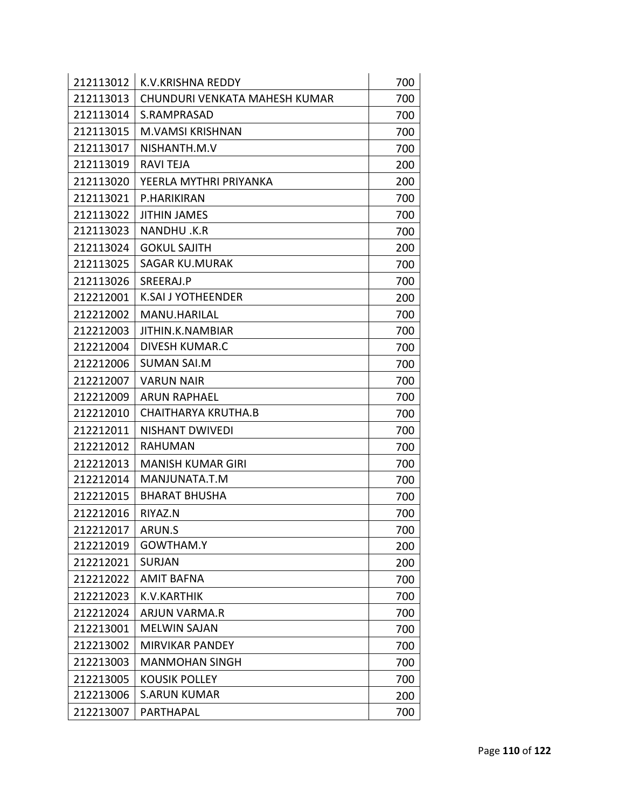| 212113012 | K.V.KRISHNA REDDY             | 700 |
|-----------|-------------------------------|-----|
| 212113013 | CHUNDURI VENKATA MAHESH KUMAR | 700 |
| 212113014 | S.RAMPRASAD                   | 700 |
| 212113015 | <b>M.VAMSI KRISHNAN</b>       | 700 |
| 212113017 | NISHANTH.M.V                  | 700 |
| 212113019 | <b>RAVI TEJA</b>              | 200 |
| 212113020 | YEERLA MYTHRI PRIYANKA        | 200 |
| 212113021 | P.HARIKIRAN                   | 700 |
| 212113022 | <b>JITHIN JAMES</b>           | 700 |
| 212113023 | NANDHU.K.R                    | 700 |
| 212113024 | <b>GOKUL SAJITH</b>           | 200 |
| 212113025 | <b>SAGAR KU.MURAK</b>         | 700 |
| 212113026 | SREERAJ.P                     | 700 |
| 212212001 | <b>K.SAI J YOTHEENDER</b>     | 200 |
| 212212002 | MANU.HARILAL                  | 700 |
| 212212003 | JITHIN.K.NAMBIAR              | 700 |
| 212212004 | <b>DIVESH KUMAR.C</b>         | 700 |
| 212212006 | <b>SUMAN SAI.M</b>            | 700 |
| 212212007 | <b>VARUN NAIR</b>             | 700 |
| 212212009 | <b>ARUN RAPHAEL</b>           | 700 |
| 212212010 | <b>CHAITHARYA KRUTHA.B</b>    | 700 |
| 212212011 | <b>NISHANT DWIVEDI</b>        | 700 |
| 212212012 | <b>RAHUMAN</b>                | 700 |
| 212212013 | <b>MANISH KUMAR GIRI</b>      | 700 |
| 212212014 | MANJUNATA.T.M                 | 700 |
| 212212015 | <b>BHARAT BHUSHA</b>          | 700 |
| 212212016 | RIYAZ.N                       | 700 |
| 212212017 | ARUN.S                        | 700 |
| 212212019 | GOWTHAM.Y                     | 200 |
| 212212021 | <b>SURJAN</b>                 | 200 |
| 212212022 | <b>AMIT BAFNA</b>             | 700 |
| 212212023 | K.V.KARTHIK                   | 700 |
| 212212024 | <b>ARJUN VARMA.R</b>          | 700 |
| 212213001 | <b>MELWIN SAJAN</b>           | 700 |
| 212213002 | <b>MIRVIKAR PANDEY</b>        | 700 |
| 212213003 | <b>MANMOHAN SINGH</b>         | 700 |
| 212213005 | <b>KOUSIK POLLEY</b>          | 700 |
| 212213006 | <b>S.ARUN KUMAR</b>           | 200 |
| 212213007 | PARTHAPAL                     | 700 |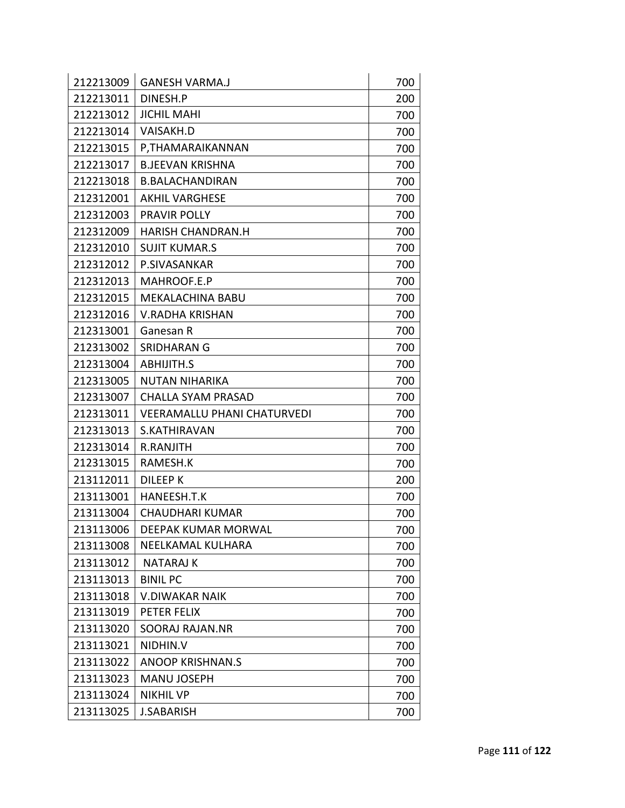| 212213009 | <b>GANESH VARMA.J</b>              | 700 |
|-----------|------------------------------------|-----|
| 212213011 | DINESH.P                           | 200 |
| 212213012 | <b>JICHIL MAHI</b>                 | 700 |
| 212213014 | <b>VAISAKH.D</b>                   | 700 |
| 212213015 | P, THAMARAIKANNAN                  | 700 |
| 212213017 | <b>B.JEEVAN KRISHNA</b>            | 700 |
| 212213018 | <b>B.BALACHANDIRAN</b>             | 700 |
| 212312001 | <b>AKHIL VARGHESE</b>              | 700 |
| 212312003 | PRAVIR POLLY                       | 700 |
| 212312009 | <b>HARISH CHANDRAN.H</b>           | 700 |
| 212312010 | <b>SUJIT KUMAR.S</b>               | 700 |
| 212312012 | P.SIVASANKAR                       | 700 |
| 212312013 | MAHROOF.E.P                        | 700 |
| 212312015 | <b>MEKALACHINA BABU</b>            | 700 |
| 212312016 | <b>V.RADHA KRISHAN</b>             | 700 |
| 212313001 | Ganesan R                          | 700 |
| 212313002 | SRIDHARAN G                        | 700 |
| 212313004 | <b>ABHIJITH.S</b>                  | 700 |
| 212313005 | <b>NUTAN NIHARIKA</b>              | 700 |
| 212313007 | CHALLA SYAM PRASAD                 | 700 |
| 212313011 | <b>VEERAMALLU PHANI CHATURVEDI</b> | 700 |
| 212313013 | S.KATHIRAVAN                       | 700 |
| 212313014 | R.RANJITH                          | 700 |
| 212313015 | RAMESH.K                           | 700 |
| 213112011 | <b>DILEEP K</b>                    | 200 |
| 213113001 | HANEESH.T.K                        | 700 |
| 213113004 | <b>CHAUDHARI KUMAR</b>             | 700 |
| 213113006 | DEEPAK KUMAR MORWAL                | 700 |
| 213113008 | NEELKAMAL KULHARA                  | 700 |
| 213113012 | <b>NATARAJ K</b>                   | 700 |
| 213113013 | <b>BINIL PC</b>                    | 700 |
| 213113018 | <b>V.DIWAKAR NAIK</b>              | 700 |
| 213113019 | PETER FELIX                        | 700 |
| 213113020 | <b>SOORAJ RAJAN.NR</b>             | 700 |
| 213113021 | NIDHIN.V                           | 700 |
| 213113022 | <b>ANOOP KRISHNAN.S</b>            | 700 |
| 213113023 | <b>MANU JOSEPH</b>                 | 700 |
| 213113024 | <b>NIKHIL VP</b>                   | 700 |
| 213113025 | <b>J.SABARISH</b>                  | 700 |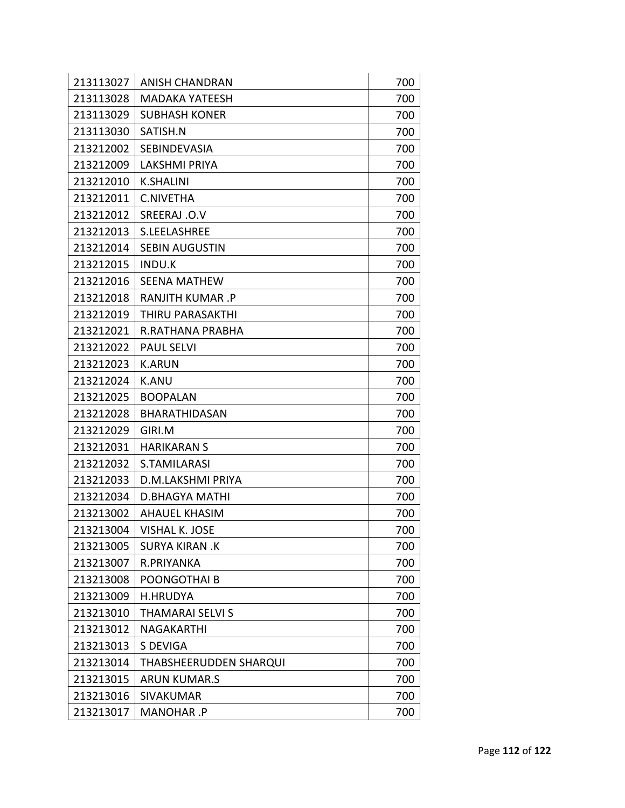| 213113027 | <b>ANISH CHANDRAN</b>   | 700 |
|-----------|-------------------------|-----|
| 213113028 | <b>MADAKA YATEESH</b>   | 700 |
| 213113029 | <b>SUBHASH KONER</b>    | 700 |
| 213113030 | SATISH.N                | 700 |
| 213212002 | SEBINDEVASIA            | 700 |
| 213212009 | <b>LAKSHMI PRIYA</b>    | 700 |
| 213212010 | <b>K.SHALINI</b>        | 700 |
| 213212011 | <b>C.NIVETHA</b>        | 700 |
| 213212012 | SREERAJ .O.V            | 700 |
| 213212013 | S.LEELASHREE            | 700 |
| 213212014 | <b>SEBIN AUGUSTIN</b>   | 700 |
| 213212015 | <b>INDU.K</b>           | 700 |
| 213212016 | <b>SEENA MATHEW</b>     | 700 |
| 213212018 | <b>RANJITH KUMAR.P</b>  | 700 |
| 213212019 | THIRU PARASAKTHI        | 700 |
| 213212021 | R.RATHANA PRABHA        | 700 |
| 213212022 | <b>PAUL SELVI</b>       | 700 |
| 213212023 | <b>K.ARUN</b>           | 700 |
| 213212024 | <b>K.ANU</b>            | 700 |
| 213212025 | <b>BOOPALAN</b>         | 700 |
| 213212028 | BHARATHIDASAN           | 700 |
| 213212029 | GIRI.M                  | 700 |
| 213212031 | <b>HARIKARAN S</b>      | 700 |
| 213212032 | S.TAMILARASI            | 700 |
| 213212033 | D.M.LAKSHMI PRIYA       | 700 |
| 213212034 | <b>D.BHAGYA MATHI</b>   | 700 |
| 213213002 | AHAUEL KHASIM           | 700 |
| 213213004 | VISHAL K. JOSE          | 700 |
| 213213005 | <b>SURYA KIRAN, K</b>   | 700 |
| 213213007 | R.PRIYANKA              | 700 |
| 213213008 | POONGOTHAI B            | 700 |
| 213213009 | <b>H.HRUDYA</b>         | 700 |
| 213213010 | <b>THAMARAI SELVI S</b> | 700 |
| 213213012 | NAGAKARTHI              | 700 |
| 213213013 | S DEVIGA                | 700 |
| 213213014 | THABSHEERUDDEN SHARQUI  | 700 |
| 213213015 | <b>ARUN KUMAR.S</b>     | 700 |
| 213213016 | <b>SIVAKUMAR</b>        | 700 |
| 213213017 | MANOHAR .P              | 700 |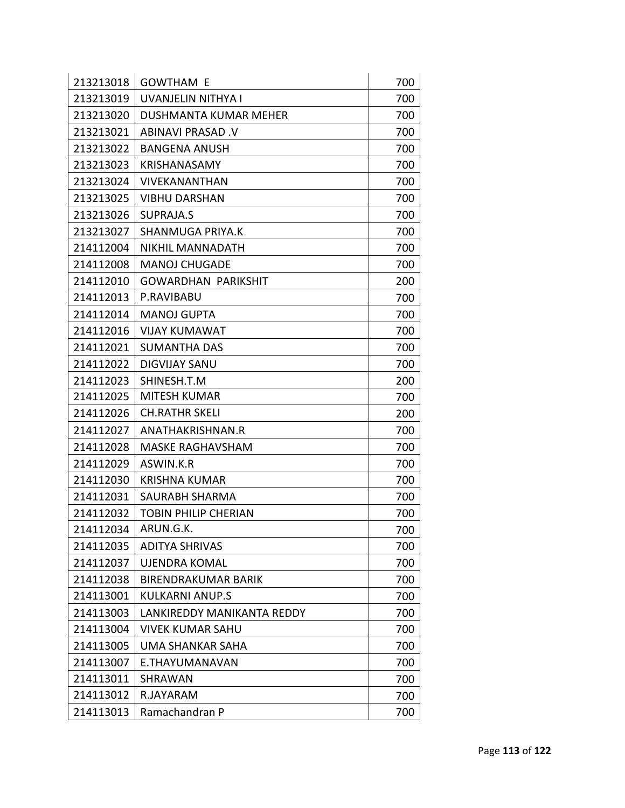| 213213018 | <b>GOWTHAM E</b>            | 700 |
|-----------|-----------------------------|-----|
| 213213019 | UVANJELIN NITHYA I          | 700 |
| 213213020 | DUSHMANTA KUMAR MEHER       | 700 |
| 213213021 | ABINAVI PRASAD .V           | 700 |
| 213213022 | <b>BANGENA ANUSH</b>        | 700 |
| 213213023 | KRISHANASAMY                | 700 |
| 213213024 | VIVEKANANTHAN               | 700 |
| 213213025 | <b>VIBHU DARSHAN</b>        | 700 |
| 213213026 | SUPRAJA.S                   | 700 |
| 213213027 | SHANMUGA PRIYA.K            | 700 |
| 214112004 | <b>NIKHIL MANNADATH</b>     | 700 |
| 214112008 | <b>MANOJ CHUGADE</b>        | 700 |
| 214112010 | GOWARDHAN PARIKSHIT         | 200 |
| 214112013 | P.RAVIBABU                  | 700 |
| 214112014 | <b>MANOJ GUPTA</b>          | 700 |
| 214112016 | <b>VIJAY KUMAWAT</b>        | 700 |
| 214112021 | <b>SUMANTHA DAS</b>         | 700 |
| 214112022 | <b>DIGVIJAY SANU</b>        | 700 |
| 214112023 | SHINESH.T.M                 | 200 |
| 214112025 | MITESH KUMAR                | 700 |
| 214112026 | <b>CH.RATHR SKELI</b>       | 200 |
| 214112027 | ANATHAKRISHNAN.R            | 700 |
| 214112028 | <b>MASKE RAGHAVSHAM</b>     | 700 |
| 214112029 | ASWIN.K.R                   | 700 |
| 214112030 | <b>KRISHNA KUMAR</b>        | 700 |
| 214112031 | SAURABH SHARMA              | 700 |
| 214112032 | <b>TOBIN PHILIP CHERIAN</b> | 700 |
| 214112034 | ARUN.G.K.                   | 700 |
| 214112035 | <b>ADITYA SHRIVAS</b>       | 700 |
| 214112037 | <b>UJENDRA KOMAL</b>        | 700 |
| 214112038 | <b>BIRENDRAKUMAR BARIK</b>  | 700 |
| 214113001 | <b>KULKARNI ANUP.S</b>      | 700 |
| 214113003 | LANKIREDDY MANIKANTA REDDY  | 700 |
| 214113004 | VIVEK KUMAR SAHU            | 700 |
| 214113005 | <b>UMA SHANKAR SAHA</b>     | 700 |
| 214113007 | E.THAYUMANAVAN              | 700 |
| 214113011 | SHRAWAN                     | 700 |
| 214113012 | R.JAYARAM                   | 700 |
| 214113013 | Ramachandran P              | 700 |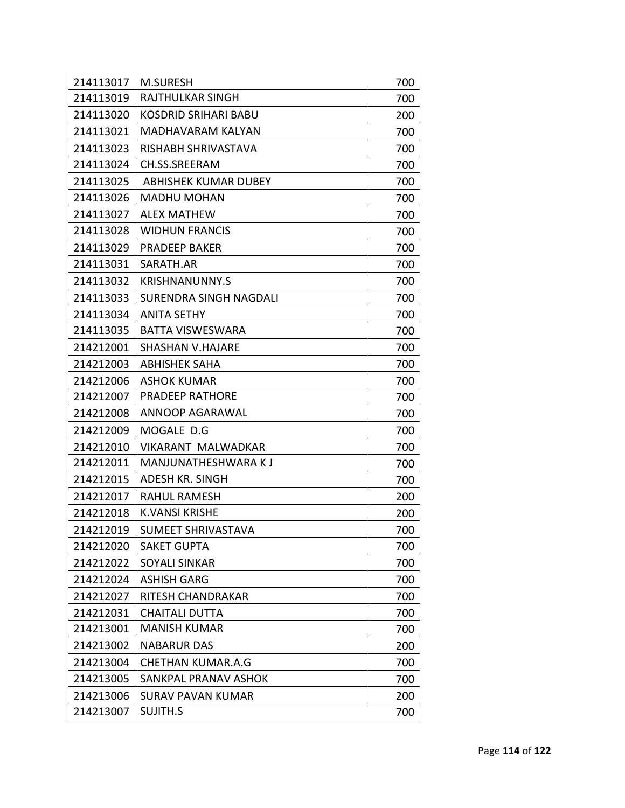| 214113017 | <b>M.SURESH</b>               | 700 |
|-----------|-------------------------------|-----|
| 214113019 | <b>RAJTHULKAR SINGH</b>       | 700 |
| 214113020 | <b>KOSDRID SRIHARI BABU</b>   | 200 |
| 214113021 | MADHAVARAM KALYAN             | 700 |
| 214113023 | RISHABH SHRIVASTAVA           | 700 |
| 214113024 | CH.SS.SREERAM                 | 700 |
| 214113025 | <b>ABHISHEK KUMAR DUBEY</b>   | 700 |
| 214113026 | <b>MADHU MOHAN</b>            | 700 |
| 214113027 | <b>ALEX MATHEW</b>            | 700 |
| 214113028 | <b>WIDHUN FRANCIS</b>         | 700 |
| 214113029 | <b>PRADEEP BAKER</b>          | 700 |
| 214113031 | SARATH.AR                     | 700 |
| 214113032 | <b>KRISHNANUNNY.S</b>         | 700 |
| 214113033 | <b>SURENDRA SINGH NAGDALI</b> | 700 |
| 214113034 | <b>ANITA SETHY</b>            | 700 |
| 214113035 | BATTA VISWESWARA              | 700 |
| 214212001 | <b>SHASHAN V.HAJARE</b>       | 700 |
| 214212003 | <b>ABHISHEK SAHA</b>          | 700 |
| 214212006 | <b>ASHOK KUMAR</b>            | 700 |
| 214212007 | <b>PRADEEP RATHORE</b>        | 700 |
| 214212008 | ANNOOP AGARAWAL               | 700 |
| 214212009 | MOGALE D.G                    | 700 |
| 214212010 | <b>VIKARANT MALWADKAR</b>     | 700 |
| 214212011 | MANJUNATHESHWARA KJ           | 700 |
| 214212015 | <b>ADESH KR. SINGH</b>        | 700 |
| 214212017 | <b>RAHUL RAMESH</b>           | 200 |
| 214212018 | <b>K.VANSI KRISHE</b>         | 200 |
| 214212019 | SUMEET SHRIVASTAVA            | 700 |
| 214212020 | <b>SAKET GUPTA</b>            | 700 |
| 214212022 | <b>SOYALI SINKAR</b>          | 700 |
| 214212024 | <b>ASHISH GARG</b>            | 700 |
| 214212027 | RITESH CHANDRAKAR             | 700 |
| 214212031 | <b>CHAITALI DUTTA</b>         | 700 |
| 214213001 | <b>MANISH KUMAR</b>           | 700 |
| 214213002 | <b>NABARUR DAS</b>            | 200 |
| 214213004 | <b>CHETHAN KUMAR.A.G</b>      | 700 |
| 214213005 | SANKPAL PRANAV ASHOK          | 700 |
| 214213006 | <b>SURAV PAVAN KUMAR</b>      | 200 |
| 214213007 | SUJITH.S                      | 700 |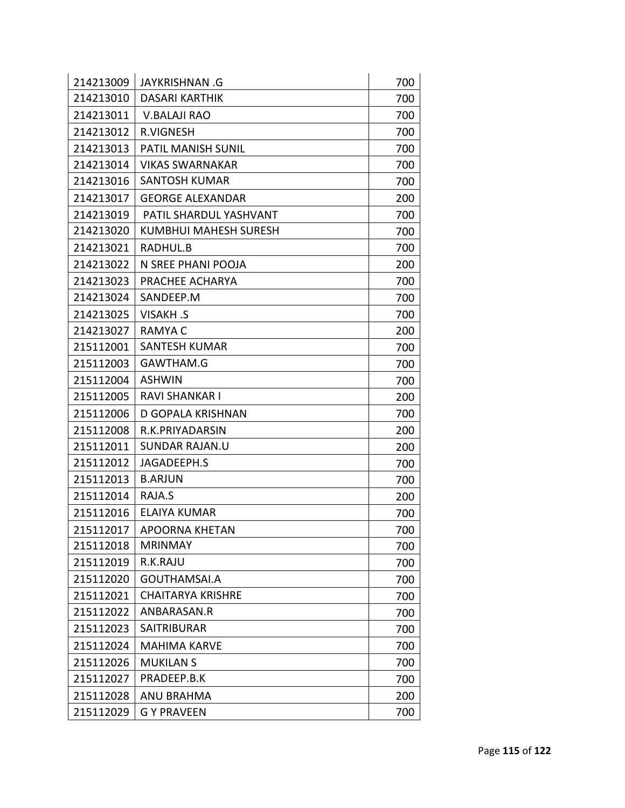| 214213009 | <b>JAYKRISHNAN .G</b>        | 700 |
|-----------|------------------------------|-----|
| 214213010 | <b>DASARI KARTHIK</b>        | 700 |
| 214213011 | <b>V.BALAJI RAO</b>          | 700 |
| 214213012 | <b>R.VIGNESH</b>             | 700 |
| 214213013 | <b>PATIL MANISH SUNIL</b>    | 700 |
| 214213014 | <b>VIKAS SWARNAKAR</b>       | 700 |
| 214213016 | SANTOSH KUMAR                | 700 |
| 214213017 | <b>GEORGE ALEXANDAR</b>      | 200 |
| 214213019 | PATIL SHARDUL YASHVANT       | 700 |
| 214213020 | <b>KUMBHUI MAHESH SURESH</b> | 700 |
| 214213021 | RADHUL.B                     | 700 |
| 214213022 | N SREE PHANI POOJA           | 200 |
| 214213023 | PRACHEE ACHARYA              | 700 |
| 214213024 | SANDEEP.M                    | 700 |
| 214213025 | <b>VISAKH.S</b>              | 700 |
| 214213027 | <b>RAMYAC</b>                | 200 |
| 215112001 | <b>SANTESH KUMAR</b>         | 700 |
| 215112003 | GAWTHAM.G                    | 700 |
| 215112004 | <b>ASHWIN</b>                | 700 |
| 215112005 | <b>RAVI SHANKAR I</b>        | 200 |
| 215112006 | <b>D GOPALA KRISHNAN</b>     | 700 |
| 215112008 | R.K.PRIYADARSIN              | 200 |
| 215112011 | SUNDAR RAJAN.U               | 200 |
| 215112012 | JAGADEEPH.S                  | 700 |
| 215112013 | <b>B.ARJUN</b>               | 700 |
| 215112014 | RAJA.S                       | 200 |
| 215112016 | ELAIYA KUMAR                 | 700 |
| 215112017 | <b>APOORNA KHETAN</b>        | 700 |
| 215112018 | <b>MRINMAY</b>               | 700 |
| 215112019 | R.K.RAJU                     | 700 |
| 215112020 | GOUTHAMSAI.A                 | 700 |
| 215112021 | <b>CHAITARYA KRISHRE</b>     | 700 |
| 215112022 | ANBARASAN.R                  | 700 |
| 215112023 | <b>SAITRIBURAR</b>           | 700 |
| 215112024 | <b>MAHIMA KARVE</b>          | 700 |
| 215112026 | <b>MUKILAN S</b>             | 700 |
| 215112027 | PRADEEP.B.K                  | 700 |
| 215112028 | <b>ANU BRAHMA</b>            | 200 |
| 215112029 | <b>G Y PRAVEEN</b>           | 700 |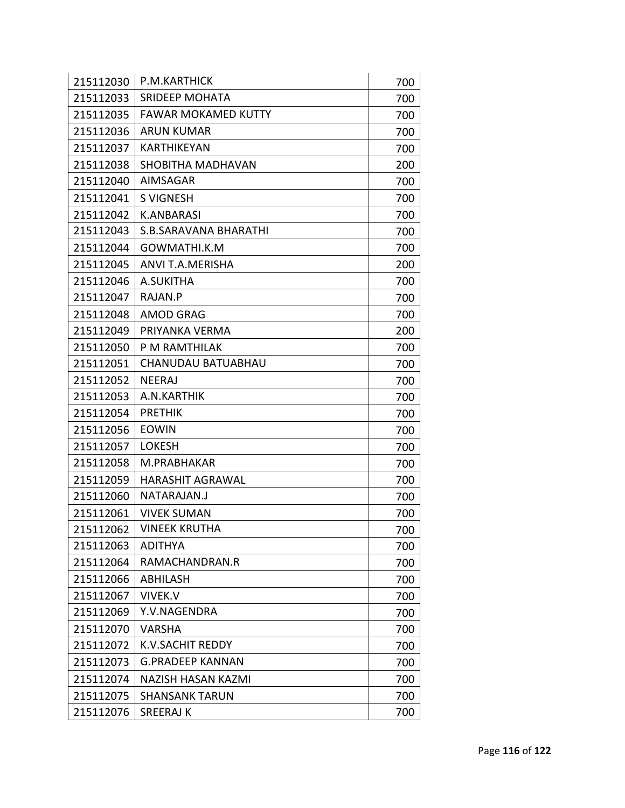| 215112030 | P.M.KARTHICK               | 700 |
|-----------|----------------------------|-----|
| 215112033 | <b>SRIDEEP MOHATA</b>      | 700 |
| 215112035 | <b>FAWAR MOKAMED KUTTY</b> | 700 |
| 215112036 | <b>ARUN KUMAR</b>          | 700 |
| 215112037 | <b>KARTHIKEYAN</b>         | 700 |
| 215112038 | SHOBITHA MADHAVAN          | 200 |
| 215112040 | <b>AIMSAGAR</b>            | 700 |
| 215112041 | <b>S VIGNESH</b>           | 700 |
| 215112042 | <b>K.ANBARASI</b>          | 700 |
| 215112043 | S.B.SARAVANA BHARATHI      | 700 |
| 215112044 | GOWMATHI.K.M               | 700 |
| 215112045 | ANVI T.A.MERISHA           | 200 |
| 215112046 | A.SUKITHA                  | 700 |
| 215112047 | RAJAN.P                    | 700 |
| 215112048 | <b>AMOD GRAG</b>           | 700 |
| 215112049 | PRIYANKA VERMA             | 200 |
| 215112050 | P M RAMTHILAK              | 700 |
| 215112051 | CHANUDAU BATUABHAU         | 700 |
| 215112052 | <b>NEERAJ</b>              | 700 |
| 215112053 | A.N.KARTHIK                | 700 |
| 215112054 | <b>PRETHIK</b>             | 700 |
| 215112056 | <b>EOWIN</b>               | 700 |
| 215112057 | <b>LOKESH</b>              | 700 |
| 215112058 | M.PRABHAKAR                | 700 |
| 215112059 | <b>HARASHIT AGRAWAL</b>    | 700 |
| 215112060 | NATARAJAN.J                | 700 |
| 215112061 | <b>VIVEK SUMAN</b>         | 700 |
| 215112062 | <b>VINEEK KRUTHA</b>       | 700 |
| 215112063 | <b>ADITHYA</b>             | 700 |
| 215112064 | RAMACHANDRAN.R             | 700 |
| 215112066 | <b>ABHILASH</b>            | 700 |
| 215112067 | <b>VIVEK.V</b>             | 700 |
| 215112069 | Y.V.NAGENDRA               | 700 |
| 215112070 | <b>VARSHA</b>              | 700 |
| 215112072 | <b>K.V.SACHIT REDDY</b>    | 700 |
| 215112073 | <b>G.PRADEEP KANNAN</b>    | 700 |
| 215112074 | <b>NAZISH HASAN KAZMI</b>  | 700 |
| 215112075 | <b>SHANSANK TARUN</b>      | 700 |
| 215112076 | <b>SREERAJ K</b>           | 700 |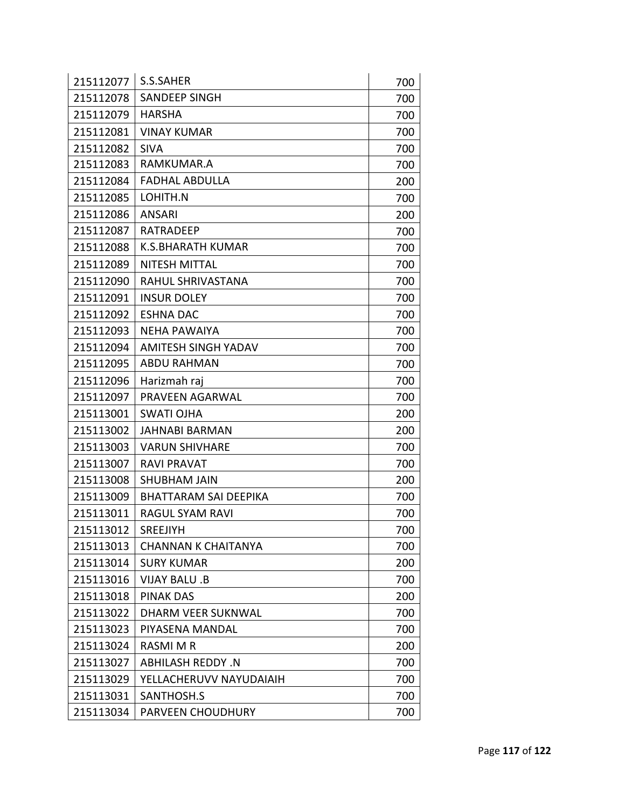| 215112077 | S.S.SAHER                  | 700 |
|-----------|----------------------------|-----|
| 215112078 | <b>SANDEEP SINGH</b>       | 700 |
| 215112079 | <b>HARSHA</b>              | 700 |
| 215112081 | <b>VINAY KUMAR</b>         | 700 |
| 215112082 | <b>SIVA</b>                | 700 |
| 215112083 | RAMKUMAR.A                 | 700 |
| 215112084 | <b>FADHAL ABDULLA</b>      | 200 |
| 215112085 | LOHITH.N                   | 700 |
| 215112086 | <b>ANSARI</b>              | 200 |
| 215112087 | <b>RATRADEEP</b>           | 700 |
| 215112088 | <b>K.S.BHARATH KUMAR</b>   | 700 |
| 215112089 | NITESH MITTAL              | 700 |
| 215112090 | <b>RAHUL SHRIVASTANA</b>   | 700 |
| 215112091 | <b>INSUR DOLEY</b>         | 700 |
| 215112092 | <b>ESHNA DAC</b>           | 700 |
| 215112093 | <b>NEHA PAWAIYA</b>        | 700 |
| 215112094 | <b>AMITESH SINGH YADAV</b> | 700 |
| 215112095 | <b>ABDU RAHMAN</b>         | 700 |
| 215112096 | Harizmah raj               | 700 |
| 215112097 | PRAVEEN AGARWAL            | 700 |
| 215113001 | <b>SWATI OJHA</b>          | 200 |
| 215113002 | <b>JAHNABI BARMAN</b>      | 200 |
| 215113003 | <b>VARUN SHIVHARE</b>      | 700 |
| 215113007 | RAVI PRAVAT                | 700 |
| 215113008 | <b>SHUBHAM JAIN</b>        | 200 |
| 215113009 | BHATTARAM SAI DEEPIKA      | 700 |
| 215113011 | RAGUL SYAM RAVI            | 700 |
| 215113012 | SREEJIYH                   | 700 |
| 215113013 | <b>CHANNAN K CHAITANYA</b> | 700 |
| 215113014 | <b>SURY KUMAR</b>          | 200 |
| 215113016 | <b>VIJAY BALU .B</b>       | 700 |
| 215113018 | <b>PINAK DAS</b>           | 200 |
| 215113022 | DHARM VEER SUKNWAL         | 700 |
| 215113023 | PIYASENA MANDAL            | 700 |
| 215113024 | <b>RASMI M R</b>           | 200 |
| 215113027 | <b>ABHILASH REDDY .N</b>   | 700 |
| 215113029 | YELLACHERUVV NAYUDAIAIH    | 700 |
| 215113031 | SANTHOSH.S                 | 700 |
| 215113034 | PARVEEN CHOUDHURY          | 700 |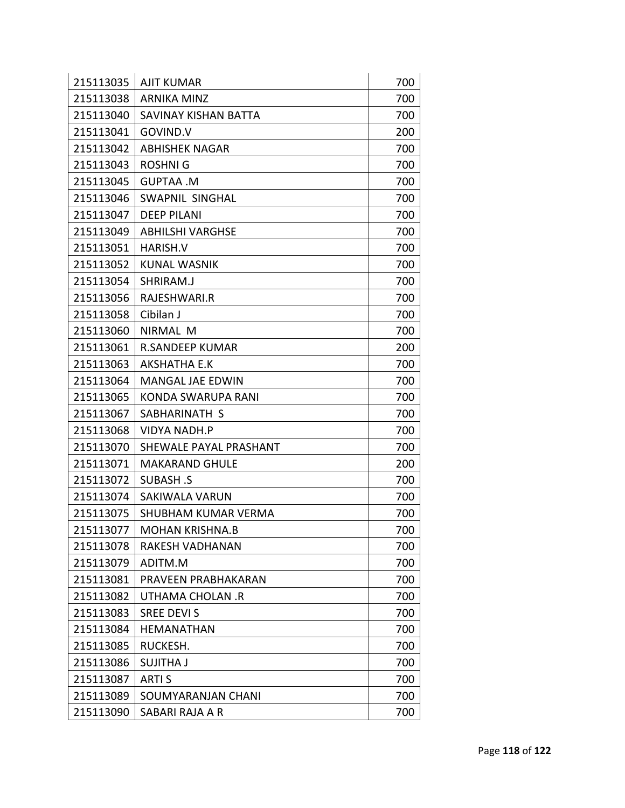| 215113035 | <b>AJIT KUMAR</b>          | 700 |
|-----------|----------------------------|-----|
| 215113038 | <b>ARNIKA MINZ</b>         | 700 |
| 215113040 | SAVINAY KISHAN BATTA       | 700 |
| 215113041 | GOVIND.V                   | 200 |
| 215113042 | <b>ABHISHEK NAGAR</b>      | 700 |
| 215113043 | <b>ROSHNIG</b>             | 700 |
| 215113045 | <b>GUPTAA .M</b>           | 700 |
| 215113046 | <b>SWAPNIL SINGHAL</b>     | 700 |
| 215113047 | <b>DEEP PILANI</b>         | 700 |
| 215113049 | <b>ABHILSHI VARGHSE</b>    | 700 |
| 215113051 | HARISH.V                   | 700 |
| 215113052 | KUNAL WASNIK               | 700 |
| 215113054 | SHRIRAM.J                  | 700 |
| 215113056 | RAJESHWARI.R               | 700 |
| 215113058 | Cibilan J                  | 700 |
| 215113060 | NIRMAL M                   | 700 |
| 215113061 | <b>R.SANDEEP KUMAR</b>     | 200 |
| 215113063 | AKSHATHA E.K               | 700 |
| 215113064 | <b>MANGAL JAE EDWIN</b>    | 700 |
| 215113065 | KONDA SWARUPA RANI         | 700 |
| 215113067 | SABHARINATH S              | 700 |
| 215113068 | <b>VIDYA NADH.P</b>        | 700 |
| 215113070 | SHEWALE PAYAL PRASHANT     | 700 |
| 215113071 | <b>MAKARAND GHULE</b>      | 200 |
| 215113072 | <b>SUBASH.S</b>            | 700 |
| 215113074 | <b>SAKIWALA VARUN</b>      | 700 |
| 215113075 | <b>SHUBHAM KUMAR VERMA</b> | 700 |
| 215113077 | MOHAN KRISHNA.B            | 700 |
| 215113078 | RAKESH VADHANAN            | 700 |
| 215113079 | ADITM.M                    | 700 |
| 215113081 | PRAVEEN PRABHAKARAN        | 700 |
| 215113082 | <b>UTHAMA CHOLAN.R</b>     | 700 |
| 215113083 | <b>SREE DEVIS</b>          | 700 |
| 215113084 | <b>HEMANATHAN</b>          | 700 |
| 215113085 | RUCKESH.                   | 700 |
| 215113086 | <b>SUJITHA J</b>           | 700 |
| 215113087 | <b>ARTIS</b>               | 700 |
| 215113089 | SOUMYARANJAN CHANI         | 700 |
| 215113090 | SABARI RAJA A R            | 700 |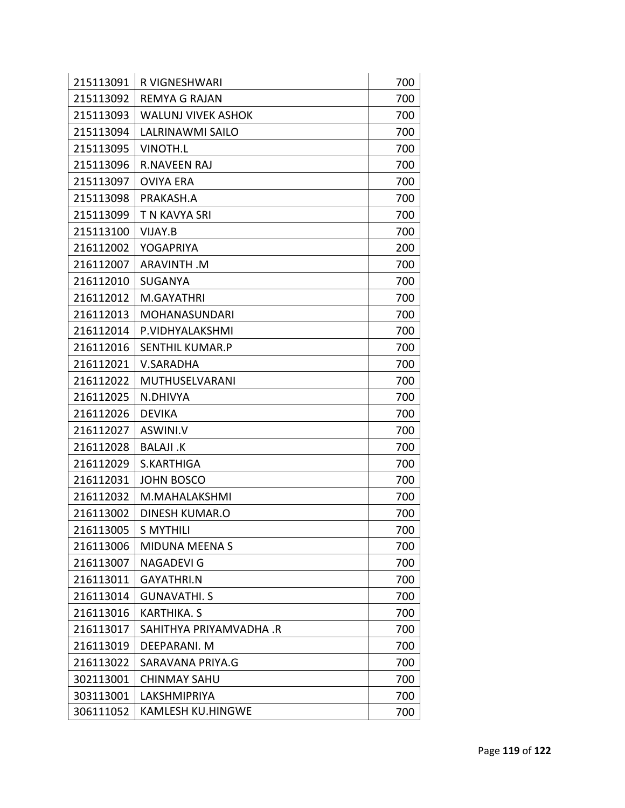| 215113091 | <b>R VIGNESHWARI</b>      | 700 |
|-----------|---------------------------|-----|
| 215113092 | <b>REMYA G RAJAN</b>      | 700 |
| 215113093 | <b>WALUNJ VIVEK ASHOK</b> | 700 |
| 215113094 | <b>LALRINAWMI SAILO</b>   | 700 |
| 215113095 | <b>VINOTH.L</b>           | 700 |
| 215113096 | <b>R.NAVEEN RAJ</b>       | 700 |
| 215113097 | <b>OVIYA ERA</b>          | 700 |
| 215113098 | PRAKASH.A                 | 700 |
| 215113099 | T N KAVYA SRI             | 700 |
| 215113100 | VIJAY.B                   | 700 |
| 216112002 | YOGAPRIYA                 | 200 |
| 216112007 | <b>ARAVINTH.M</b>         | 700 |
| 216112010 | <b>SUGANYA</b>            | 700 |
| 216112012 | M.GAYATHRI                | 700 |
| 216112013 | MOHANASUNDARI             | 700 |
| 216112014 | P.VIDHYALAKSHMI           | 700 |
| 216112016 | SENTHIL KUMAR.P           | 700 |
| 216112021 | <b>V.SARADHA</b>          | 700 |
| 216112022 | MUTHUSELVARANI            | 700 |
| 216112025 | N.DHIVYA                  | 700 |
| 216112026 | <b>DEVIKA</b>             | 700 |
| 216112027 | ASWINI.V                  | 700 |
| 216112028 | <b>BALAJI .K</b>          | 700 |
| 216112029 | S.KARTHIGA                | 700 |
| 216112031 | <b>JOHN BOSCO</b>         | 700 |
| 216112032 | M.MAHALAKSHMI             | 700 |
| 216113002 | <b>DINESH KUMAR.O</b>     | 700 |
| 216113005 | <b>S MYTHILI</b>          | 700 |
| 216113006 | <b>MIDUNA MEENA S</b>     | 700 |
| 216113007 | <b>NAGADEVI G</b>         | 700 |
| 216113011 | <b>GAYATHRI.N</b>         | 700 |
| 216113014 | <b>GUNAVATHI. S</b>       | 700 |
| 216113016 | KARTHIKA. S               | 700 |
| 216113017 | SAHITHYA PRIYAMVADHA .R   | 700 |
| 216113019 | DEEPARANI. M              | 700 |
| 216113022 | SARAVANA PRIYA.G          | 700 |
| 302113001 | <b>CHINMAY SAHU</b>       | 700 |
| 303113001 | LAKSHMIPRIYA              | 700 |
| 306111052 | <b>KAMLESH KU.HINGWE</b>  | 700 |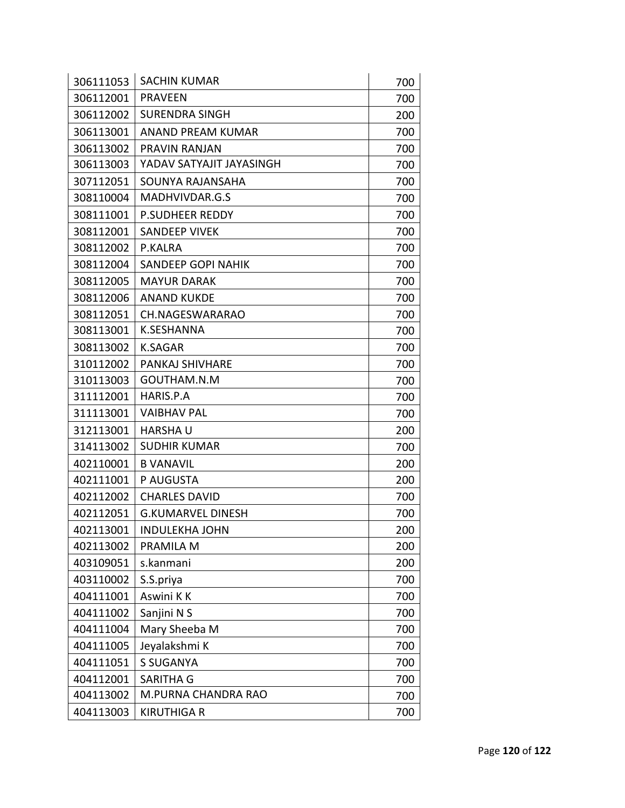| 306111053 | <b>SACHIN KUMAR</b>      | 700 |
|-----------|--------------------------|-----|
| 306112001 | <b>PRAVEEN</b>           | 700 |
| 306112002 | <b>SURENDRA SINGH</b>    | 200 |
| 306113001 | ANAND PREAM KUMAR        | 700 |
| 306113002 | PRAVIN RANJAN            | 700 |
| 306113003 | YADAV SATYAJIT JAYASINGH | 700 |
| 307112051 | SOUNYA RAJANSAHA         | 700 |
| 308110004 | MADHVIVDAR.G.S           | 700 |
| 308111001 | <b>P.SUDHEER REDDY</b>   | 700 |
| 308112001 | <b>SANDEEP VIVEK</b>     | 700 |
| 308112002 | P.KALRA                  | 700 |
| 308112004 | SANDEEP GOPI NAHIK       | 700 |
| 308112005 | <b>MAYUR DARAK</b>       | 700 |
| 308112006 | <b>ANAND KUKDE</b>       | 700 |
| 308112051 | CH.NAGESWARARAO          | 700 |
| 308113001 | K.SESHANNA               | 700 |
| 308113002 | <b>K.SAGAR</b>           | 700 |
| 310112002 | PANKAJ SHIVHARE          | 700 |
| 310113003 | GOUTHAM.N.M              | 700 |
| 311112001 | HARIS.P.A                | 700 |
| 311113001 | <b>VAIBHAV PAL</b>       | 700 |
| 312113001 | <b>HARSHAU</b>           | 200 |
| 314113002 | <b>SUDHIR KUMAR</b>      | 700 |
| 402110001 | <b>B VANAVIL</b>         | 200 |
| 402111001 | P AUGUSTA                | 200 |
| 402112002 | <b>CHARLES DAVID</b>     | 700 |
| 402112051 | <b>G.KUMARVEL DINESH</b> | 700 |
| 402113001 | <b>INDULEKHA JOHN</b>    | 200 |
| 402113002 | PRAMILA M                | 200 |
| 403109051 | s.kanmani                | 200 |
| 403110002 | S.S.priya                | 700 |
| 404111001 | Aswini KK                | 700 |
| 404111002 | Sanjini N S              | 700 |
| 404111004 | Mary Sheeba M            | 700 |
| 404111005 | Jeyalakshmi K            | 700 |
| 404111051 | <b>S SUGANYA</b>         | 700 |
| 404112001 | SARITHA G                | 700 |
| 404113002 | M.PURNA CHANDRA RAO      | 700 |
| 404113003 | <b>KIRUTHIGA R</b>       | 700 |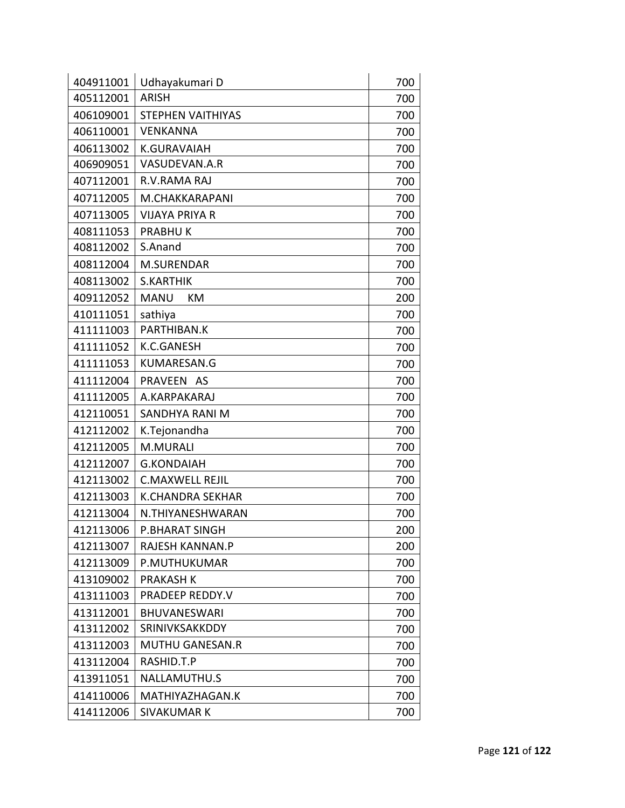| 404911001 | Udhayakumari D           | 700 |
|-----------|--------------------------|-----|
| 405112001 | <b>ARISH</b>             | 700 |
| 406109001 | <b>STEPHEN VAITHIYAS</b> | 700 |
| 406110001 | <b>VENKANNA</b>          | 700 |
| 406113002 | <b>K.GURAVAIAH</b>       | 700 |
| 406909051 | VASUDEVAN.A.R            | 700 |
| 407112001 | R.V.RAMA RAJ             | 700 |
| 407112005 | M.CHAKKARAPANI           | 700 |
| 407113005 | VIJAYA PRIYA R           | 700 |
| 408111053 | <b>PRABHUK</b>           | 700 |
| 408112002 | S.Anand                  | 700 |
| 408112004 | M.SURENDAR               | 700 |
| 408113002 | <b>S.KARTHIK</b>         | 700 |
| 409112052 | <b>MANU</b><br>KM        | 200 |
| 410111051 | sathiya                  | 700 |
| 411111003 | PARTHIBAN.K              | 700 |
| 411111052 | K.C.GANESH               | 700 |
| 411111053 | <b>KUMARESAN.G</b>       | 700 |
| 411112004 | PRAVEEN AS               | 700 |
| 411112005 | A.KARPAKARAJ             | 700 |
| 412110051 | SANDHYA RANI M           | 700 |
| 412112002 | K.Tejonandha             | 700 |
| 412112005 | M.MURALI                 | 700 |
| 412112007 | <b>G.KONDAIAH</b>        | 700 |
| 412113002 | <b>C.MAXWELL REJIL</b>   | 700 |
| 412113003 | <b>K.CHANDRA SEKHAR</b>  | 700 |
| 412113004 | N.THIYANESHWARAN         | 700 |
| 412113006 | P.BHARAT SINGH           | 200 |
| 412113007 | RAJESH KANNAN.P          | 200 |
| 412113009 | P.MUTHUKUMAR             | 700 |
| 413109002 | <b>PRAKASH K</b>         | 700 |
| 413111003 | PRADEEP REDDY.V          | 700 |
| 413112001 | <b>BHUVANESWARI</b>      | 700 |
| 413112002 | SRINIVKSAKKDDY           | 700 |
| 413112003 | <b>MUTHU GANESAN.R</b>   | 700 |
| 413112004 | RASHID.T.P               | 700 |
| 413911051 | NALLAMUTHU.S             | 700 |
| 414110006 | MATHIYAZHAGAN.K          | 700 |
| 414112006 | <b>SIVAKUMAR K</b>       | 700 |